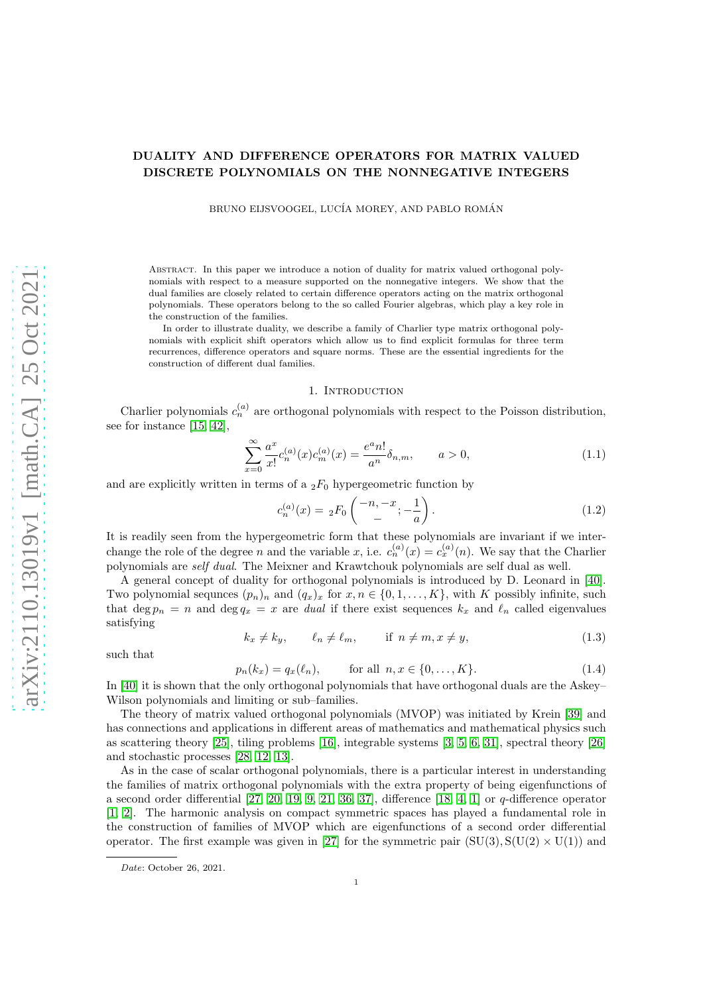# DUALITY AND DIFFERENCE OPERATORS FOR MATRIX VALUED DISCRETE POLYNOMIALS ON THE NONNEGATIVE INTEGERS

BRUNO EIJSVOOGEL, LUCÍA MOREY, AND PABLO ROMÁN

Abstract. In this paper we introduce a notion of duality for matrix valued orthogonal polynomials with respect to a measure supported on the nonnegative integers. We show that the dual families are closely related to certain difference operators acting on the matrix orthogonal polynomials. These operators belong to the so called Fourier algebras, which play a key role in the construction of the families.

In order to illustrate duality, we describe a family of Charlier type matrix orthogonal polynomials with explicit shift operators which allow us to find explicit formulas for three term recurrences, difference operators and square norms. These are the essential ingredients for the construction of different dual families.

#### 1. INTRODUCTION

Charlier polynomials  $c_n^{(a)}$  are orthogonal polynomials with respect to the Poisson distribution, see for instance [\[15,](#page-52-0) [42\]](#page-53-0),

<span id="page-0-3"></span>
$$
\sum_{x=0}^{\infty} \frac{a^x}{x!} c_n^{(a)}(x) c_m^{(a)}(x) = \frac{e^a n!}{a^n} \delta_{n,m}, \qquad a > 0,
$$
\n(1.1)

and are explicitly written in terms of a  $_2F_0$  hypergeometric function by

<span id="page-0-2"></span>
$$
c_n^{(a)}(x) = {}_2F_0\left(\begin{array}{c} -n, -x \\ - \end{array}; -\frac{1}{a}\right). \tag{1.2}
$$

It is readily seen from the hypergeometric form that these polynomials are invariant if we interchange the role of the degree n and the variable x, i.e.  $c_n^{(a)}(x) = c_x^{(a)}(n)$ . We say that the Charlier polynomials are self dual. The Meixner and Krawtchouk polynomials are self dual as well.

A general concept of duality for orthogonal polynomials is introduced by D. Leonard in [\[40\]](#page-53-1). Two polynomial sequnces  $(p_n)_n$  and  $(q_x)_x$  for  $x, n \in \{0, 1, ..., K\}$ , with K possibly infinite, such that deg  $p_n = n$  and deg  $q_x = x$  are *dual* if there exist sequences  $k_x$  and  $\ell_n$  called eigenvalues satisfying

<span id="page-0-1"></span>
$$
k_x \neq k_y, \qquad \ell_n \neq \ell_m, \qquad \text{if } n \neq m, x \neq y,
$$
\n
$$
(1.3)
$$

such that

<span id="page-0-0"></span> $p_n(k_x) = q_x(\ell_n),$  for all  $n, x \in \{0, ..., K\}.$  (1.4)

In [\[40\]](#page-53-1) it is shown that the only orthogonal polynomials that have orthogonal duals are the Askey– Wilson polynomials and limiting or sub–families.

The theory of matrix valued orthogonal polynomials (MVOP) was initiated by Krein [\[39\]](#page-53-2) and has connections and applications in different areas of mathematics and mathematical physics such as scattering theory [\[25\]](#page-52-1), tiling problems [\[16\]](#page-52-2), integrable systems [\[3,](#page-52-3) [5,](#page-52-4) [6,](#page-52-5) [31\]](#page-53-3), spectral theory [\[26\]](#page-53-4) and stochastic processes [\[28,](#page-53-5) [12,](#page-52-6) [13\]](#page-52-7).

As in the case of scalar orthogonal polynomials, there is a particular interest in understanding the families of matrix orthogonal polynomials with the extra property of being eigenfunctions of a second order differential  $[27, 20, 19, 9, 21, 36, 37]$  $[27, 20, 19, 9, 21, 36, 37]$  $[27, 20, 19, 9, 21, 36, 37]$  $[27, 20, 19, 9, 21, 36, 37]$  $[27, 20, 19, 9, 21, 36, 37]$  $[27, 20, 19, 9, 21, 36, 37]$  $[27, 20, 19, 9, 21, 36, 37]$ , difference  $[18, 4, 1]$  $[18, 4, 1]$  $[18, 4, 1]$  or  $q$ -difference operator [\[1,](#page-52-14) [2\]](#page-52-15). The harmonic analysis on compact symmetric spaces has played a fundamental role in the construction of families of MVOP which are eigenfunctions of a second order differential operator. The first example was given in [\[27\]](#page-53-6) for the symmetric pair  $(SU(3), S(U(2) \times U(1))$  and

*Date*: October 26, 2021.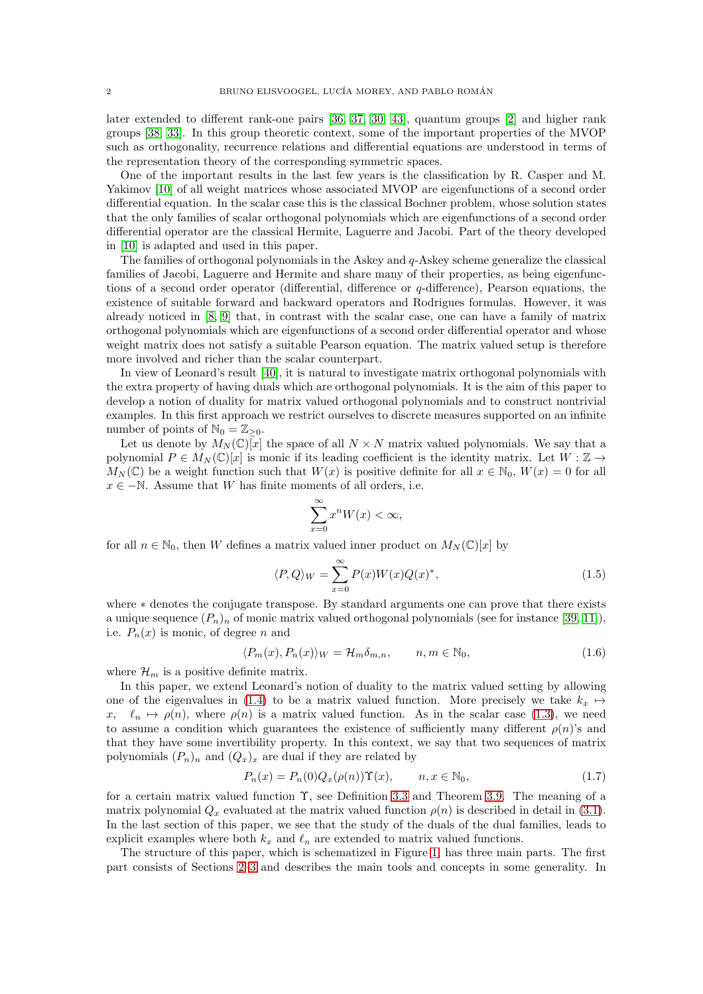later extended to different rank-one pairs [\[36,](#page-53-7) [37,](#page-53-8) [30,](#page-53-9) [43\]](#page-53-10), quantum groups [\[2\]](#page-52-15) and higher rank groups [\[38,](#page-53-11) [33\]](#page-53-12). In this group theoretic context, some of the important properties of the MVOP such as orthogonality, recurrence relations and differential equations are understood in terms of the representation theory of the corresponding symmetric spaces.

One of the important results in the last few years is the classification by R. Casper and M. Yakimov [\[10\]](#page-52-16) of all weight matrices whose associated MVOP are eigenfunctions of a second order differential equation. In the scalar case this is the classical Bochner problem, whose solution states that the only families of scalar orthogonal polynomials which are eigenfunctions of a second order differential operator are the classical Hermite, Laguerre and Jacobi. Part of the theory developed in [\[10\]](#page-52-16) is adapted and used in this paper.

The families of orthogonal polynomials in the Askey and q-Askey scheme generalize the classical families of Jacobi, Laguerre and Hermite and share many of their properties, as being eigenfunctions of a second order operator (differential, difference or  $q$ -difference), Pearson equations, the existence of suitable forward and backward operators and Rodrigues formulas. However, it was already noticed in [\[8,](#page-52-17) [9\]](#page-52-10) that, in contrast with the scalar case, one can have a family of matrix orthogonal polynomials which are eigenfunctions of a second order differential operator and whose weight matrix does not satisfy a suitable Pearson equation. The matrix valued setup is therefore more involved and richer than the scalar counterpart.

In view of Leonard's result [\[40\]](#page-53-1), it is natural to investigate matrix orthogonal polynomials with the extra property of having duals which are orthogonal polynomials. It is the aim of this paper to develop a notion of duality for matrix valued orthogonal polynomials and to construct nontrivial examples. In this first approach we restrict ourselves to discrete measures supported on an infinite number of points of  $\mathbb{N}_0 = \mathbb{Z}_{\geq 0}$ .

Let us denote by  $M_N(\mathbb{C})\overline{x}$  the space of all  $N \times N$  matrix valued polynomials. We say that a polynomial  $P \in M_N(\mathbb{C})[x]$  is monic if its leading coefficient is the identity matrix. Let  $W : \mathbb{Z} \to$  $M_N(\mathbb{C})$  be a weight function such that  $W(x)$  is positive definite for all  $x \in \mathbb{N}_0$ ,  $W(x) = 0$  for all  $x \in -\mathbb{N}$ . Assume that W has finite moments of all orders, i.e.

$$
\sum_{x=0}^{\infty} x^n W(x) < \infty,
$$

for all  $n \in \mathbb{N}_0$ , then W defines a matrix valued inner product on  $M_N(\mathbb{C})[x]$  by

<span id="page-1-0"></span>
$$
\langle P, Q \rangle_W = \sum_{x=0}^{\infty} P(x) W(x) Q(x)^*, \tag{1.5}
$$

where ∗ denotes the conjugate transpose. By standard arguments one can prove that there exists a unique sequence  $(P_n)_n$  of monic matrix valued orthogonal polynomials (see for instance [\[39,](#page-53-2) [11\]](#page-52-18)), i.e.  $P_n(x)$  is monic, of degree n and

<span id="page-1-2"></span>
$$
\langle P_m(x), P_n(x) \rangle_W = \mathcal{H}_m \delta_{m,n}, \qquad n, m \in \mathbb{N}_0,
$$
\n(1.6)

where  $\mathcal{H}_m$  is a positive definite matrix.

In this paper, we extend Leonard's notion of duality to the matrix valued setting by allowing one of the eigenvalues in [\(1.4\)](#page-0-0) to be a matrix valued function. More precisely we take  $k_x \mapsto$  $x, \ell_n \mapsto \rho(n)$ , where  $\rho(n)$  is a matrix valued function. As in the scalar case [\(1.3\)](#page-0-1), we need to assume a condition which guarantees the existence of sufficiently many different  $\rho(n)$ 's and that they have some invertibility property. In this context, we say that two sequences of matrix polynomials  $(P_n)_n$  and  $(Q_x)_x$  are dual if they are related by

<span id="page-1-1"></span>
$$
P_n(x) = P_n(0)Q_x(\rho(n))\Upsilon(x), \qquad n, x \in \mathbb{N}_0,
$$
\n(1.7)

for a certain matrix valued function Υ, see Definition [3.3](#page-12-0) and Theorem [3.9.](#page-14-0) The meaning of a matrix polynomial  $Q_x$  evaluated at the matrix valued function  $\rho(n)$  is described in detail in [\(3.1\)](#page-11-0). In the last section of this paper, we see that the study of the duals of the dual families, leads to explicit examples where both  $k_x$  and  $\ell_n$  are extended to matrix valued functions.

The structure of this paper, which is schematized in Figure [1,](#page-2-0) has three main parts. The first part consists of Sections [2–](#page-4-0)[3](#page-11-1) and describes the main tools and concepts in some generality. In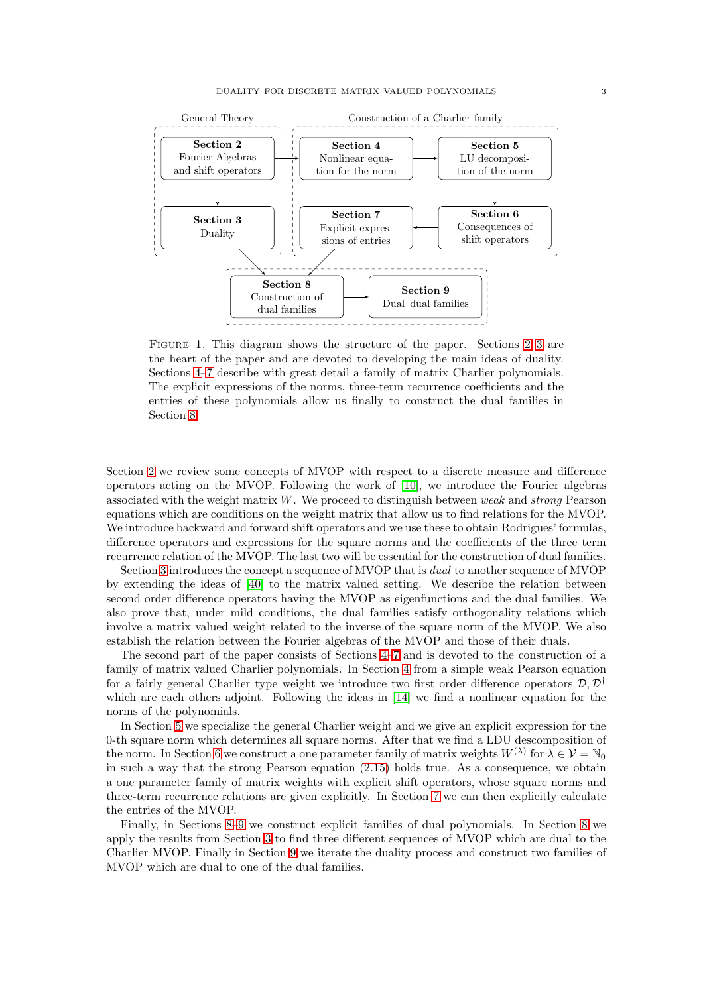

<span id="page-2-0"></span>Figure 1. This diagram shows the structure of the paper. Sections [2](#page-4-0)[–3](#page-11-1) are the heart of the paper and are devoted to developing the main ideas of duality. Sections [4–](#page-21-0)[7](#page-35-0) describe with great detail a family of matrix Charlier polynomials. The explicit expressions of the norms, three-term recurrence coefficients and the entries of these polynomials allow us finally to construct the dual families in Section [8.](#page-38-0)

Section [2](#page-4-0) we review some concepts of MVOP with respect to a discrete measure and difference operators acting on the MVOP. Following the work of [\[10\]](#page-52-16), we introduce the Fourier algebras associated with the weight matrix  $W$ . We proceed to distinguish between weak and strong Pearson equations which are conditions on the weight matrix that allow us to find relations for the MVOP. We introduce backward and forward shift operators and we use these to obtain Rodrigues' formulas, difference operators and expressions for the square norms and the coefficients of the three term recurrence relation of the MVOP. The last two will be essential for the construction of dual families.

Section [3](#page-11-1) introduces the concept a sequence of MVOP that is dual to another sequence of MVOP by extending the ideas of [\[40\]](#page-53-1) to the matrix valued setting. We describe the relation between second order difference operators having the MVOP as eigenfunctions and the dual families. We also prove that, under mild conditions, the dual families satisfy orthogonality relations which involve a matrix valued weight related to the inverse of the square norm of the MVOP. We also establish the relation between the Fourier algebras of the MVOP and those of their duals.

The second part of the paper consists of Sections [4–](#page-21-0)[7](#page-35-0) and is devoted to the construction of a family of matrix valued Charlier polynomials. In Section [4](#page-21-0) from a simple weak Pearson equation for a fairly general Charlier type weight we introduce two first order difference operators  $\mathcal{D}, \mathcal{D}^{\dagger}$ which are each others adjoint. Following the ideas in [\[14\]](#page-52-19) we find a nonlinear equation for the norms of the polynomials.

In Section [5](#page-24-0) we specialize the general Charlier weight and we give an explicit expression for the 0-th square norm which determines all square norms. After that we find a LDU descomposition of the norm. In Section [6](#page-29-0) we construct a one parameter family of matrix weights  $W^{(\lambda)}$  for  $\lambda \in \mathcal{V} = \mathbb{N}_0$ in such a way that the strong Pearson equation [\(2.15\)](#page-8-0) holds true. As a consequence, we obtain a one parameter family of matrix weights with explicit shift operators, whose square norms and three-term recurrence relations are given explicitly. In Section [7](#page-35-0) we can then explicitly calculate the entries of the MVOP.

Finally, in Sections [8–](#page-38-0)[9](#page-45-0) we construct explicit families of dual polynomials. In Section [8](#page-38-0) we apply the results from Section [3](#page-11-1) to find three different sequences of MVOP which are dual to the Charlier MVOP. Finally in Section [9](#page-45-0) we iterate the duality process and construct two families of MVOP which are dual to one of the dual families.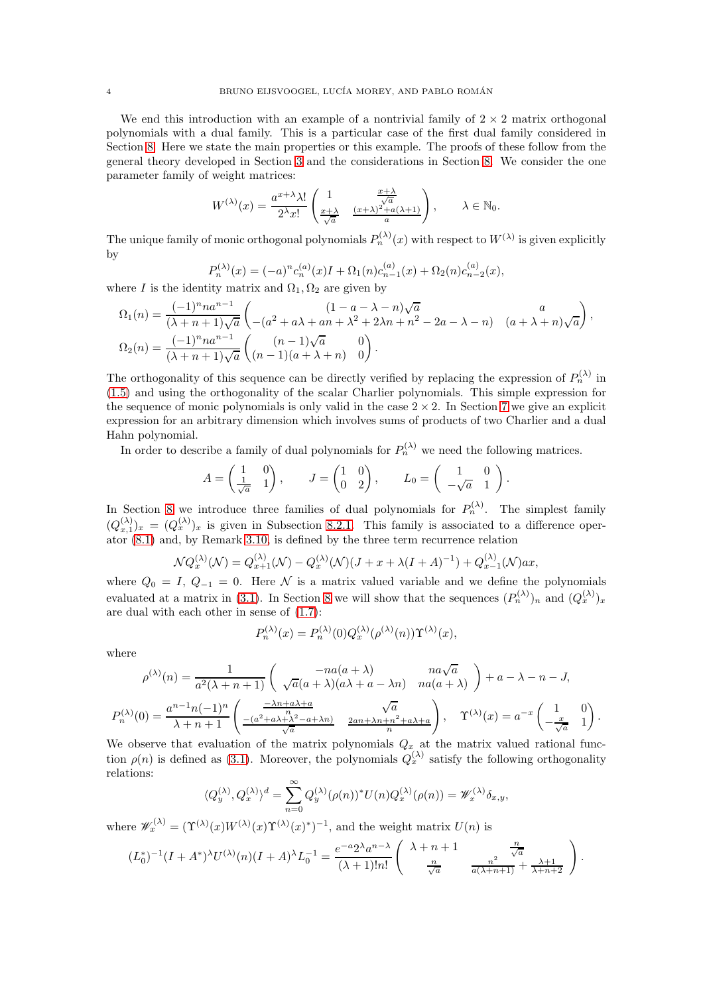We end this introduction with an example of a nontrivial family of  $2 \times 2$  matrix orthogonal polynomials with a dual family. This is a particular case of the first dual family considered in Section [8.](#page-38-0) Here we state the main properties or this example. The proofs of these follow from the general theory developed in Section [3](#page-11-1) and the considerations in Section [8.](#page-38-0) We consider the one parameter family of weight matrices:

$$
W^{(\lambda)}(x) = \frac{a^{x+\lambda}\lambda!}{2^{\lambda}x!} \begin{pmatrix} 1 & \frac{x+\lambda}{\sqrt{a}} \\ \frac{x+\lambda}{\sqrt{a}} & \frac{(x+\lambda)^2 + a(\lambda+1)}{a} \end{pmatrix}, \quad \lambda \in \mathbb{N}_0.
$$

The unique family of monic orthogonal polynomials  $P_n^{(\lambda)}(x)$  with respect to  $W^{(\lambda)}$  is given explicitly by

$$
P_n^{(\lambda)}(x) = (-a)^n c_n^{(a)}(x)I + \Omega_1(n)c_{n-1}^{(a)}(x) + \Omega_2(n)c_{n-2}^{(a)}(x),
$$

where I is the identity matrix and  $\Omega_1, \Omega_2$  are given by

$$
\Omega_1(n) = \frac{(-1)^n n a^{n-1}}{(\lambda + n + 1)\sqrt{a}} \begin{pmatrix} (1 - a - \lambda - n)\sqrt{a} & a \\ -(a^2 + a\lambda + an + \lambda^2 + 2\lambda n + n^2 - 2a - \lambda - n) & (a + \lambda + n)\sqrt{a} \end{pmatrix},
$$
  
\n
$$
\Omega_2(n) = \frac{(-1)^n n a^{n-1}}{(\lambda + n + 1)\sqrt{a}} \begin{pmatrix} (n-1)\sqrt{a} & 0 \\ (n-1)(a + \lambda + n) & 0 \end{pmatrix}.
$$

The orthogonality of this sequence can be directly verified by replacing the expression of  $P_n^{(\lambda)}$  in [\(1.5\)](#page-1-0) and using the orthogonality of the scalar Charlier polynomials. This simple expression for the sequence of monic polynomials is only valid in the case  $2 \times 2$ . In Section [7](#page-35-0) we give an explicit expression for an arbitrary dimension which involves sums of products of two Charlier and a dual Hahn polynomial.

In order to describe a family of dual polynomials for  $P_n^{(\lambda)}$  we need the following matrices.

$$
A = \begin{pmatrix} 1 & 0 \\ \frac{1}{\sqrt{a}} & 1 \end{pmatrix}, \qquad J = \begin{pmatrix} 1 & 0 \\ 0 & 2 \end{pmatrix}, \qquad L_0 = \begin{pmatrix} 1 & 0 \\ -\sqrt{a} & 1 \end{pmatrix}.
$$

In Section [8](#page-38-0) we introduce three families of dual polynomials for  $P_n^{(\lambda)}$ . The simplest family  $(Q_{x,1}^{(\lambda)})_x = (Q_x^{(\lambda)})_x$  is given in Subsection [8.2.1.](#page-40-0) This family is associated to a difference oper- $\alpha x$ ,  $\alpha y$  and, by Remark [3.10,](#page-15-0) is defined by the three term recurrence relation

$$
\mathcal{N}Q_x^{(\lambda)}(\mathcal{N}) = Q_{x+1}^{(\lambda)}(\mathcal{N}) - Q_x^{(\lambda)}(\mathcal{N})(J+x+\lambda(I+A)^{-1}) + Q_{x-1}^{(\lambda)}(\mathcal{N})ax,
$$

where  $Q_0 = I, Q_{-1} = 0$ . Here N is a matrix valued variable and we define the polynomials evaluated at a matrix in [\(3.1\)](#page-11-0). In Section [8](#page-38-0) we will show that the sequences  $(P_n^{(\lambda)})_n$  and  $(Q_x^{(\lambda)})_x$ are dual with each other in sense of [\(1.7\)](#page-1-1):

$$
P_n^{(\lambda)}(x) = P_n^{(\lambda)}(0) Q_x^{(\lambda)}(\rho^{(\lambda)}(n)) \Upsilon^{(\lambda)}(x),
$$

where

$$
\rho^{(\lambda)}(n) = \frac{1}{a^2(\lambda + n + 1)} \begin{pmatrix} -na(a + \lambda) & na\sqrt{a} \\ \sqrt{a}(a + \lambda)(a\lambda + a - \lambda n) & na(a + \lambda) \end{pmatrix} + a - \lambda - n - J,
$$
  
\n
$$
P_n^{(\lambda)}(0) = \frac{a^{n-1}n(-1)^n}{\lambda + n + 1} \begin{pmatrix} \frac{-\lambda n + a\lambda + a}{n} & \sqrt{a} \\ \frac{-(a^2 + a\lambda + \lambda^2 - a + \lambda n)}{\sqrt{a}} & \frac{2an + \lambda n + n^2 + a\lambda + a}{n} \end{pmatrix}, \quad \Upsilon^{(\lambda)}(x) = a^{-x} \begin{pmatrix} 1 & 0 \\ -\frac{x}{\sqrt{a}} & 1 \end{pmatrix}.
$$

We observe that evaluation of the matrix polynomials  $Q_x$  at the matrix valued rational function  $\rho(n)$  is defined as [\(3.1\)](#page-11-0). Moreover, the polynomials  $Q_x^{(\lambda)}$  satisfy the following orthogonality relations:

$$
\langle Q_y^{(\lambda)}, Q_x^{(\lambda)} \rangle^d = \sum_{n=0}^{\infty} Q_y^{(\lambda)} (\rho(n))^* U(n) Q_x^{(\lambda)} (\rho(n)) = \mathscr{W}_x^{(\lambda)} \delta_{x,y},
$$

where  $\mathscr{W}_x^{(\lambda)} = (\Upsilon^{(\lambda)}(x)W^{(\lambda)}(x)\Upsilon^{(\lambda)}(x)^*)^{-1}$ , and the weight matrix  $U(n)$  is

$$
(L_0^*)^{-1}(I + A^*)^{\lambda}U^{(\lambda)}(n)(I + A)^{\lambda}L_0^{-1} = \frac{e^{-a}2^{\lambda}a^{n-\lambda}}{(\lambda+1)!n!} \begin{pmatrix} \lambda+n+1 & \frac{n}{\sqrt{a}} \\ \frac{n}{\sqrt{a}} & \frac{n^2}{a(\lambda+n+1)} + \frac{\lambda+1}{\lambda+n+2} \end{pmatrix}.
$$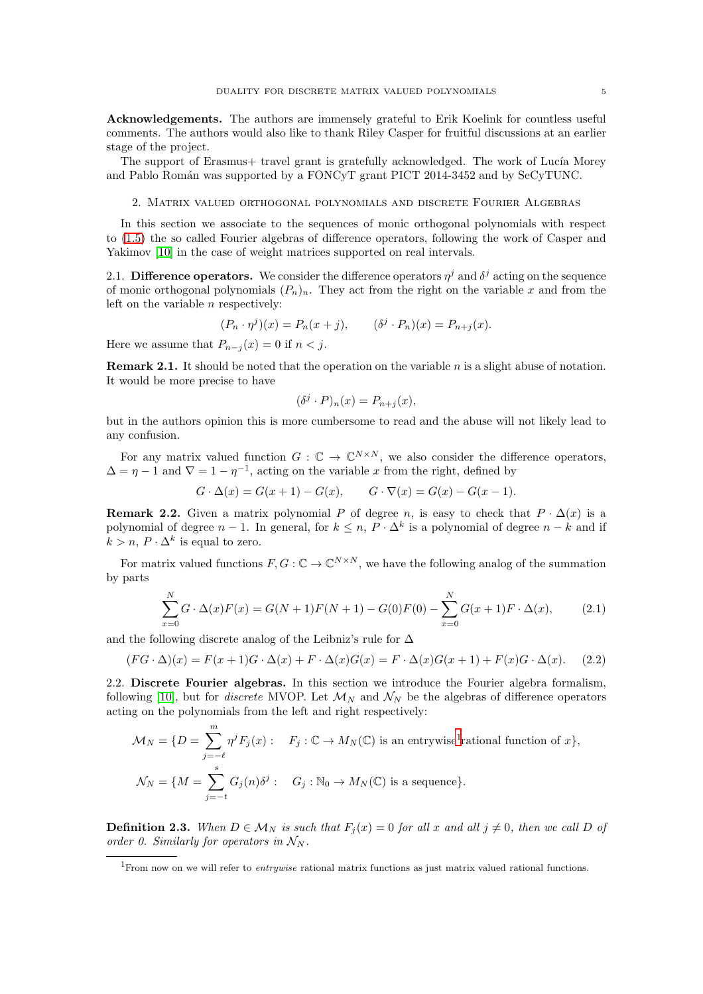Acknowledgements. The authors are immensely grateful to Erik Koelink for countless useful comments. The authors would also like to thank Riley Casper for fruitful discussions at an earlier stage of the project.

<span id="page-4-0"></span>The support of Erasmus+ travel grant is gratefully acknowledged. The work of Lucía Morey and Pablo Román was supported by a FONCyT grant PICT 2014-3452 and by SeCyTUNC.

2. Matrix valued orthogonal polynomials and discrete Fourier Algebras

In this section we associate to the sequences of monic orthogonal polynomials with respect to [\(1.5\)](#page-1-0) the so called Fourier algebras of difference operators, following the work of Casper and Yakimov [\[10\]](#page-52-16) in the case of weight matrices supported on real intervals.

2.1. Difference operators. We consider the difference operators  $\eta^j$  and  $\delta^j$  acting on the sequence of monic orthogonal polynomials  $(P_n)_n$ . They act from the right on the variable x and from the left on the variable  $n$  respectively:

$$
(P_n \cdot \eta^j)(x) = P_n(x+j), \qquad (\delta^j \cdot P_n)(x) = P_{n+j}(x).
$$

Here we assume that  $P_{n-j}(x) = 0$  if  $n < j$ .

**Remark 2.1.** It should be noted that the operation on the variable  $n$  is a slight abuse of notation. It would be more precise to have

$$
(\delta^j \cdot P)_n(x) = P_{n+j}(x),
$$

but in the authors opinion this is more cumbersome to read and the abuse will not likely lead to any confusion.

For any matrix valued function  $G: \mathbb{C} \to \mathbb{C}^{N \times N}$ , we also consider the difference operators,  $\Delta = \eta - 1$  and  $\nabla = 1 - \eta^{-1}$ , acting on the variable x from the right, defined by

 $G \cdot \Delta(x) = G(x+1) - G(x),$   $G \cdot \nabla(x) = G(x) - G(x-1).$ 

**Remark 2.2.** Given a matrix polynomial P of degree n, is easy to check that  $P \cdot \Delta(x)$  is a polynomial of degree  $n-1$ . In general, for  $k \leq n$ ,  $P \cdot \Delta^k$  is a polynomial of degree  $n-k$  and if  $k > n$ ,  $P \cdot \Delta^k$  is equal to zero.

For matrix valued functions  $F, G: \mathbb{C} \to \mathbb{C}^{N \times N}$ , we have the following analog of the summation by parts

<span id="page-4-2"></span>
$$
\sum_{x=0}^{N} G \cdot \Delta(x) F(x) = G(N+1) F(N+1) - G(0) F(0) - \sum_{x=0}^{N} G(x+1) F \cdot \Delta(x), \tag{2.1}
$$

and the following discrete analog of the Leibniz's rule for  $\Delta$ 

<span id="page-4-3"></span>
$$
(FG \cdot \Delta)(x) = F(x+1)G \cdot \Delta(x) + F \cdot \Delta(x)G(x) = F \cdot \Delta(x)G(x+1) + F(x)G \cdot \Delta(x). \tag{2.2}
$$

<span id="page-4-4"></span>2.2. Discrete Fourier algebras. In this section we introduce the Fourier algebra formalism, following [\[10\]](#page-52-16), but for *discrete* MVOP. Let  $\mathcal{M}_N$  and  $\mathcal{N}_N$  be the algebras of difference operators acting on the polynomials from the left and right respectively:

$$
\mathcal{M}_N = \{ D = \sum_{j=-\ell}^m \eta^j F_j(x) : \quad F_j : \mathbb{C} \to M_N(\mathbb{C}) \text{ is an entrywise}^1 \text{rational function of } x \},
$$
  

$$
\mathcal{N}_N = \{ M = \sum_{j=-\ell}^s G_j(n) \delta^j : \quad G_j : \mathbb{N}_0 \to M_N(\mathbb{C}) \text{ is a sequence} \}.
$$

<span id="page-4-5"></span>**Definition 2.3.** When  $D \in \mathcal{M}_N$  is such that  $F_j(x) = 0$  for all x and all  $j \neq 0$ , then we call D of order 0. Similarly for operators in  $\mathcal{N}_N$ .

<span id="page-4-1"></span><sup>1</sup>From now on we will refer to *entrywise* rational matrix functions as just matrix valued rational functions.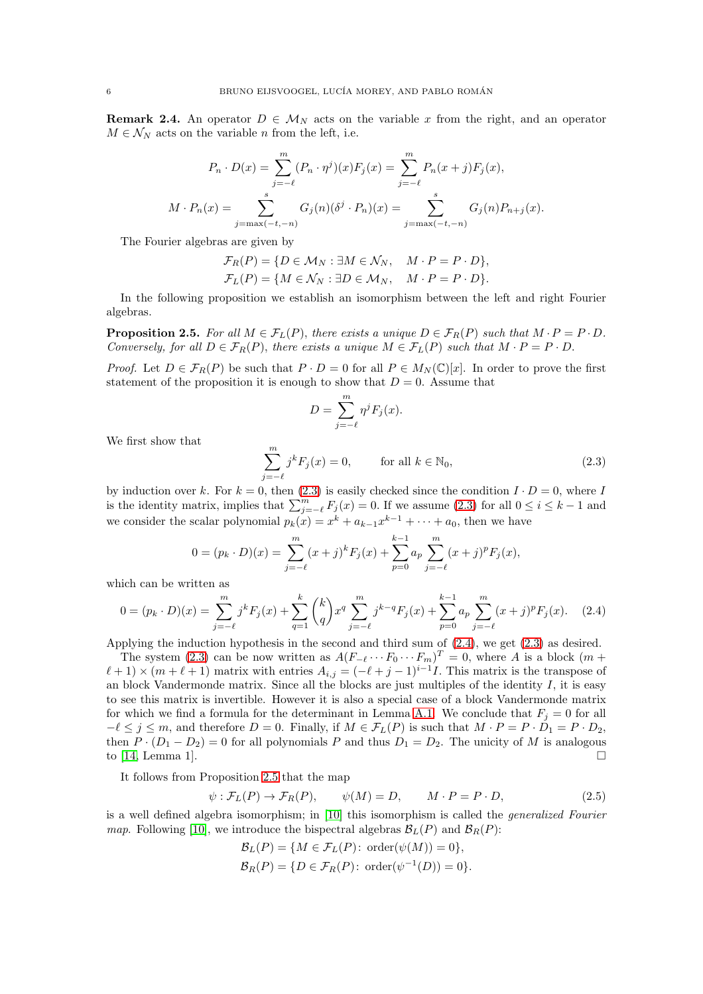**Remark 2.4.** An operator  $D \in M_N$  acts on the variable x from the right, and an operator  $M \in \mathcal{N}_N$  acts on the variable *n* from the left, i.e.

$$
P_n \cdot D(x) = \sum_{j=-\ell}^{m} (P_n \cdot \eta^j)(x) F_j(x) = \sum_{j=-\ell}^{m} P_n(x+j) F_j(x),
$$
  

$$
M \cdot P_n(x) = \sum_{j=\max(-t,-n)}^{s} G_j(n) (\delta^j \cdot P_n)(x) = \sum_{j=\max(-t,-n)}^{s} G_j(n) P_{n+j}(x).
$$

The Fourier algebras are given by

$$
\mathcal{F}_R(P) = \{ D \in \mathcal{M}_N : \exists M \in \mathcal{N}_N, \quad M \cdot P = P \cdot D \},
$$
  

$$
\mathcal{F}_L(P) = \{ M \in \mathcal{N}_N : \exists D \in \mathcal{M}_N, \quad M \cdot P = P \cdot D \}.
$$

In the following proposition we establish an isomorphism between the left and right Fourier algebras.

<span id="page-5-2"></span>**Proposition 2.5.** For all  $M \in \mathcal{F}_L(P)$ , there exists a unique  $D \in \mathcal{F}_R(P)$  such that  $M \cdot P = P \cdot D$ . Conversely, for all  $D \in \mathcal{F}_R(P)$ , there exists a unique  $M \in \mathcal{F}_L(P)$  such that  $M \cdot P = P \cdot D$ .

*Proof.* Let  $D \in \mathcal{F}_R(P)$  be such that  $P \cdot D = 0$  for all  $P \in M_N(\mathbb{C})[x]$ . In order to prove the first statement of the proposition it is enough to show that  $D = 0$ . Assume that

$$
D = \sum_{j=-\ell}^{m} \eta^j F_j(x).
$$

We first show that

<span id="page-5-0"></span>
$$
\sum_{j=-\ell}^{m} j^{k} F_{j}(x) = 0, \qquad \text{for all } k \in \mathbb{N}_{0}, \tag{2.3}
$$

by induction over k. For  $k = 0$ , then  $(2.3)$  is easily checked since the condition  $I \cdot D = 0$ , where I is the identity matrix, implies that  $\sum_{j=-\ell}^{m} F_j(x) = 0$ . If we assume [\(2.3\)](#page-5-0) for all  $0 \le i \le k-1$  and we consider the scalar polynomial  $p_k(x) = x^k + a_{k-1}x^{k-1} + \cdots + a_0$ , then we have

$$
0 = (p_k \cdot D)(x) = \sum_{j=-\ell}^{m} (x+j)^k F_j(x) + \sum_{p=0}^{k-1} a_p \sum_{j=-\ell}^{m} (x+j)^p F_j(x),
$$

which can be written as

<span id="page-5-1"></span>
$$
0 = (p_k \cdot D)(x) = \sum_{j=-\ell}^{m} j^k F_j(x) + \sum_{q=1}^{k} {k \choose q} x^q \sum_{j=-\ell}^{m} j^{k-q} F_j(x) + \sum_{p=0}^{k-1} a_p \sum_{j=-\ell}^{m} (x+j)^p F_j(x).
$$
 (2.4)

Applying the induction hypothesis in the second and third sum of [\(2.4\)](#page-5-1), we get [\(2.3\)](#page-5-0) as desired.

The system [\(2.3\)](#page-5-0) can be now written as  $A(F_{-\ell} \cdots F_0 \cdots F_m)^T = 0$ , where A is a block  $(m +$  $(\ell+1) \times (m+\ell+1)$  matrix with entries  $A_{i,j} = (-\ell+j-1)^{i-1}I$ . This matrix is the transpose of an block Vandermonde matrix. Since all the blocks are just multiples of the identity  $I$ , it is easy to see this matrix is invertible. However it is also a special case of a block Vandermonde matrix for which we find a formula for the determinant in Lemma [A.1.](#page-47-0) We conclude that  $F_j = 0$  for all  $-\ell \leq j \leq m$ , and therefore  $D = 0$ . Finally, if  $M \in \mathcal{F}_L(P)$  is such that  $M \cdot P = P \cdot D_1 = P \cdot D_2$ , then  $P \cdot (D_1 - D_2) = 0$  for all polynomials P and thus  $D_1 = D_2$ . The unicity of M is analogous to [14, Lemma 1]. to [\[14,](#page-52-19) Lemma 1].

It follows from Proposition [2.5](#page-5-2) that the map

<span id="page-5-3"></span>
$$
\psi : \mathcal{F}_L(P) \to \mathcal{F}_R(P), \qquad \psi(M) = D, \qquad M \cdot P = P \cdot D,\tag{2.5}
$$

is a well defined algebra isomorphism; in [\[10\]](#page-52-16) this isomorphism is called the generalized Fourier map. Following [\[10\]](#page-52-16), we introduce the bispectral algebras  $\mathcal{B}_L(P)$  and  $\mathcal{B}_R(P)$ :

$$
\mathcal{B}_L(P) = \{ M \in \mathcal{F}_L(P) : \text{order}(\psi(M)) = 0 \},
$$
  

$$
\mathcal{B}_R(P) = \{ D \in \mathcal{F}_R(P) : \text{order}(\psi^{-1}(D)) = 0 \}.
$$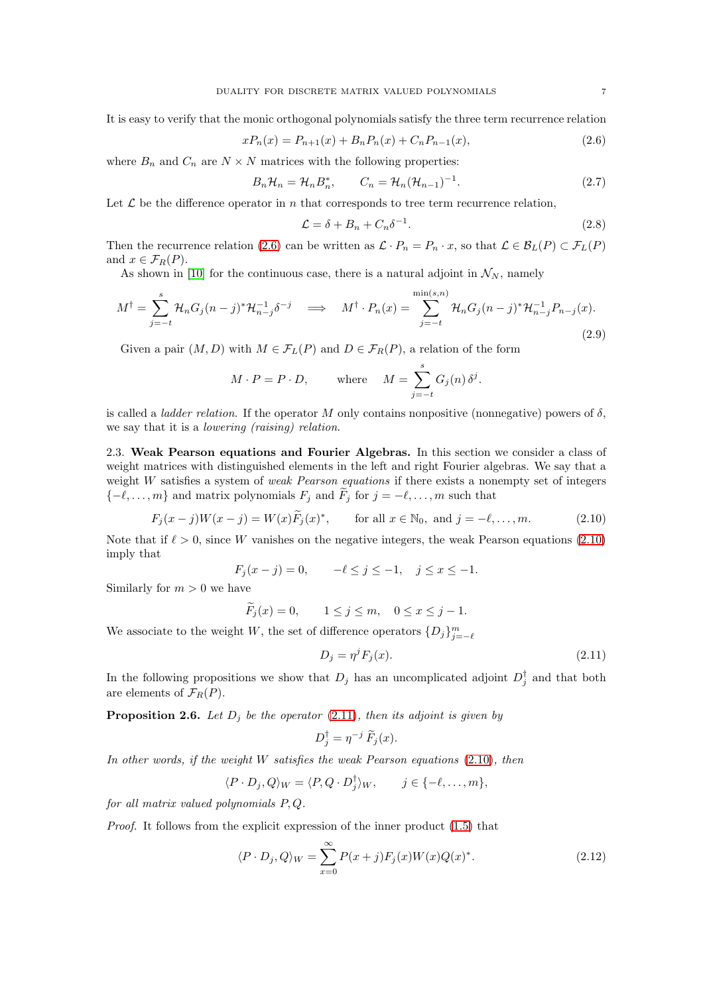It is easy to verify that the monic orthogonal polynomials satisfy the three term recurrence relation

<span id="page-6-0"></span>
$$
xP_n(x) = P_{n+1}(x) + B_n P_n(x) + C_n P_{n-1}(x),
$$
\n(2.6)

where  $B_n$  and  $C_n$  are  $N \times N$  matrices with the following properties:

<span id="page-6-6"></span>
$$
B_n \mathcal{H}_n = \mathcal{H}_n B_n^*, \qquad C_n = \mathcal{H}_n (\mathcal{H}_{n-1})^{-1}.
$$
\n
$$
(2.7)
$$

Let  $\mathcal L$  be the difference operator in n that corresponds to tree term recurrence relation,

<span id="page-6-8"></span>
$$
\mathcal{L} = \delta + B_n + C_n \delta^{-1}.
$$
\n(2.8)

.

Then the recurrence relation [\(2.6\)](#page-6-0) can be written as  $\mathcal{L} \cdot P_n = P_n \cdot x$ , so that  $\mathcal{L} \in \mathcal{B}_L(P) \subset \mathcal{F}_L(P)$ and  $x \in \mathcal{F}_R(P)$ .

As shown in [\[10\]](#page-52-16) for the continuous case, there is a natural adjoint in  $\mathcal{N}_N$ , namely

<span id="page-6-4"></span>
$$
M^{\dagger} = \sum_{j=-t}^{s} \mathcal{H}_n G_j (n-j)^* \mathcal{H}_{n-j}^{-1} \delta^{-j} \implies M^{\dagger} \cdot P_n(x) = \sum_{j=-t}^{\min(s,n)} \mathcal{H}_n G_j (n-j)^* \mathcal{H}_{n-j}^{-1} P_{n-j}(x).
$$
\n(2.9)

Given a pair  $(M, D)$  with  $M \in \mathcal{F}_L(P)$  and  $D \in \mathcal{F}_R(P)$ , a relation of the form

$$
M \cdot P = P \cdot D
$$
, where  $M = \sum_{j=-t}^{s} G_j(n) \delta^j$ 

is called a *ladder relation*. If the operator M only contains nonpositive (nonnegative) powers of  $\delta$ , we say that it is a lowering (raising) relation.

<span id="page-6-7"></span>2.3. Weak Pearson equations and Fourier Algebras. In this section we consider a class of weight matrices with distinguished elements in the left and right Fourier algebras. We say that a weight  $W$  satisfies a system of *weak Pearson equations* if there exists a nonempty set of integers  $\{-\ell, \ldots, m\}$  and matrix polynomials  $F_j$  and  $\widetilde{F}_j$  for  $j = -\ell, \ldots, m$  such that

<span id="page-6-1"></span>
$$
F_j(x - j)W(x - j) = W(x)\tilde{F}_j(x)^*,
$$
 for all  $x \in \mathbb{N}_0$ , and  $j = -\ell, ..., m.$  (2.10)

Note that if  $\ell > 0$ , since W vanishes on the negative integers, the weak Pearson equations [\(2.10\)](#page-6-1) imply that

$$
F_j(x - j) = 0,
$$
  $-\ell \le j \le -1, \quad j \le x \le -1.$ 

Similarly for  $m > 0$  we have

$$
F_j(x) = 0,
$$
  $1 \le j \le m,$   $0 \le x \le j - 1.$ 

We associate to the weight  $W,$  the set of difference operators  $\{D_j\}_{j=-\ell}^m$ 

<span id="page-6-2"></span>
$$
D_j = \eta^j F_j(x). \tag{2.11}
$$

In the following propositions we show that  $D_j$  has an uncomplicated adjoint  $D_j^{\dagger}$  and that both are elements of  $\mathcal{F}_R(P)$ .

<span id="page-6-5"></span>**Proposition 2.6.** Let  $D_i$  be the operator [\(2.11\)](#page-6-2), then its adjoint is given by

$$
D_j^{\dagger} = \eta^{-j} \, \widetilde{F}_j(x).
$$

In other words, if the weight  $W$  satisfies the weak Pearson equations  $(2.10)$ , then

$$
\langle P \cdot D_j, Q \rangle_W = \langle P, Q \cdot D_j^{\dagger} \rangle_W, \qquad j \in \{-\ell, \dots, m\},\
$$

for all matrix valued polynomials P, Q.

Proof. It follows from the explicit expression of the inner product [\(1.5\)](#page-1-0) that

<span id="page-6-3"></span>
$$
\langle P \cdot D_j, Q \rangle_W = \sum_{x=0}^{\infty} P(x+j) F_j(x) W(x) Q(x)^*.
$$
 (2.12)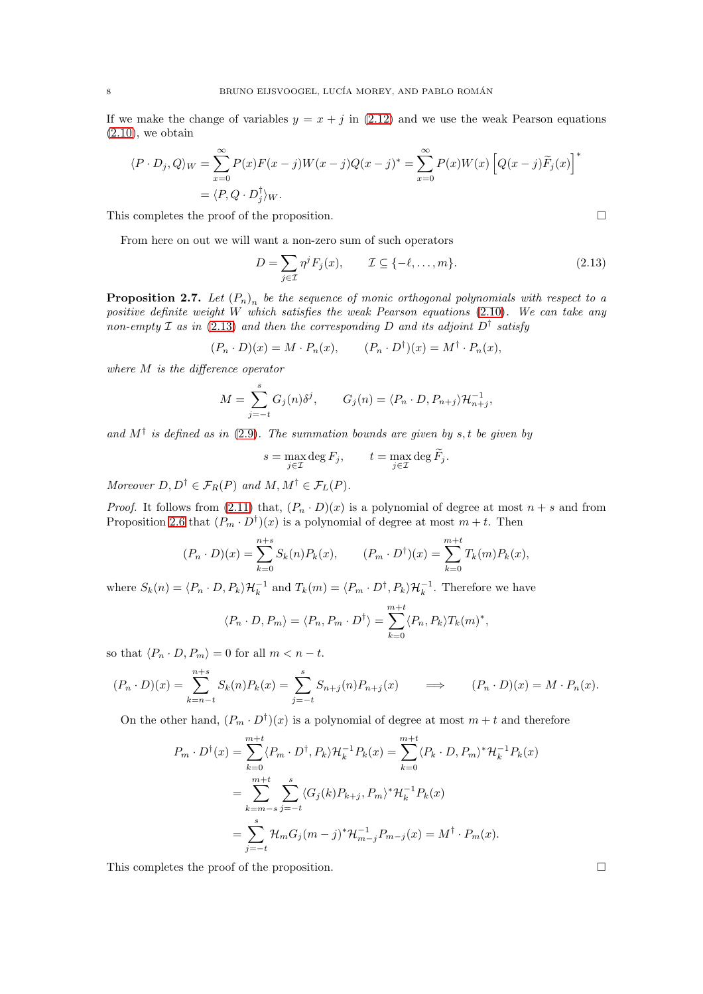If we make the change of variables  $y = x + j$  in [\(2.12\)](#page-6-3) and we use the weak Pearson equations  $(2.10)$ , we obtain

$$
\langle P \cdot D_j, Q \rangle_W = \sum_{x=0}^{\infty} P(x) F(x-j) W(x-j) Q(x-j)^* = \sum_{x=0}^{\infty} P(x) W(x) \left[ Q(x-j) \widetilde{F}_j(x) \right]^*
$$
  
=  $\langle P, Q \cdot D_j^{\dagger} \rangle_W$ .

This completes the proof of the proposition.

From here on out we will want a non-zero sum of such operators

<span id="page-7-0"></span>
$$
D = \sum_{j \in \mathcal{I}} \eta^j F_j(x), \qquad \mathcal{I} \subseteq \{-\ell, \dots, m\}.
$$
 (2.13)

<span id="page-7-1"></span>**Proposition 2.7.** Let  $(P_n)_n$  be the sequence of monic orthogonal polynomials with respect to a positive definite weight W which satisfies the weak Pearson equations [\(2.10\)](#page-6-1). We can take any non-empty  $\mathcal I$  as in [\(2.13\)](#page-7-0) and then the corresponding  $D$  and its adjoint  $D^\dagger$  satisfy

$$
(P_n \cdot D)(x) = M \cdot P_n(x), \qquad (P_n \cdot D^{\dagger})(x) = M^{\dagger} \cdot P_n(x),
$$

where M is the difference operator

$$
M = \sum_{j=-t}^{s} G_j(n) \delta^j, \qquad G_j(n) = \langle P_n \cdot D, P_{n+j} \rangle \mathcal{H}_{n+j}^{-1},
$$

and  $M^{\dagger}$  is defined as in [\(2.9\)](#page-6-4). The summation bounds are given by s, t be given by

$$
s = \max_{j \in \mathcal{I}} \deg F_j, \qquad t = \max_{j \in \mathcal{I}} \deg \widetilde{F}_j.
$$

Moreover  $D, D^{\dagger} \in \mathcal{F}_R(P)$  and  $M, M^{\dagger} \in \mathcal{F}_L(P)$ .

*Proof.* It follows from [\(2.11\)](#page-6-2) that,  $(P_n \cdot D)(x)$  is a polynomial of degree at most  $n + s$  and from Proposition [2.6](#page-6-5) that  $(P_m \cdot D^{\dagger})(x)$  is a polynomial of degree at most  $m + t$ . Then

$$
(P_n \cdot D)(x) = \sum_{k=0}^{n+s} S_k(n) P_k(x), \qquad (P_m \cdot D^{\dagger})(x) = \sum_{k=0}^{m+t} T_k(m) P_k(x),
$$

where  $S_k(n) = \langle P_n \cdot D, P_k \rangle \mathcal{H}_k^{-1}$  and  $T_k(m) = \langle P_m \cdot D^{\dagger}, P_k \rangle \mathcal{H}_k^{-1}$ . Therefore we have

$$
\langle P_n \cdot D, P_m \rangle = \langle P_n, P_m \cdot D^{\dagger} \rangle = \sum_{k=0}^{m+t} \langle P_n, P_k \rangle T_k(m)^*,
$$

so that  $\langle P_n \cdot D, P_m \rangle = 0$  for all  $m < n - t$ .

$$
(P_n \cdot D)(x) = \sum_{k=n-t}^{n+s} S_k(n) P_k(x) = \sum_{j=-t}^{s} S_{n+j}(n) P_{n+j}(x) \qquad \Longrightarrow \qquad (P_n \cdot D)(x) = M \cdot P_n(x).
$$

On the other hand,  $(P_m \cdot D^{\dagger})(x)$  is a polynomial of degree at most  $m + t$  and therefore

$$
P_m \cdot D^{\dagger}(x) = \sum_{k=0}^{m+t} \langle P_m \cdot D^{\dagger}, P_k \rangle \mathcal{H}_k^{-1} P_k(x) = \sum_{k=0}^{m+t} \langle P_k \cdot D, P_m \rangle^* \mathcal{H}_k^{-1} P_k(x)
$$
  
= 
$$
\sum_{k=m-s}^{m+t} \sum_{j=-t}^{s} \langle G_j(k) P_{k+j}, P_m \rangle^* \mathcal{H}_k^{-1} P_k(x)
$$
  
= 
$$
\sum_{j=-t}^{s} \mathcal{H}_m G_j(m-j)^* \mathcal{H}_{m-j}^{-1} P_{m-j}(x) = M^{\dagger} \cdot P_m(x).
$$

This completes the proof of the proposition.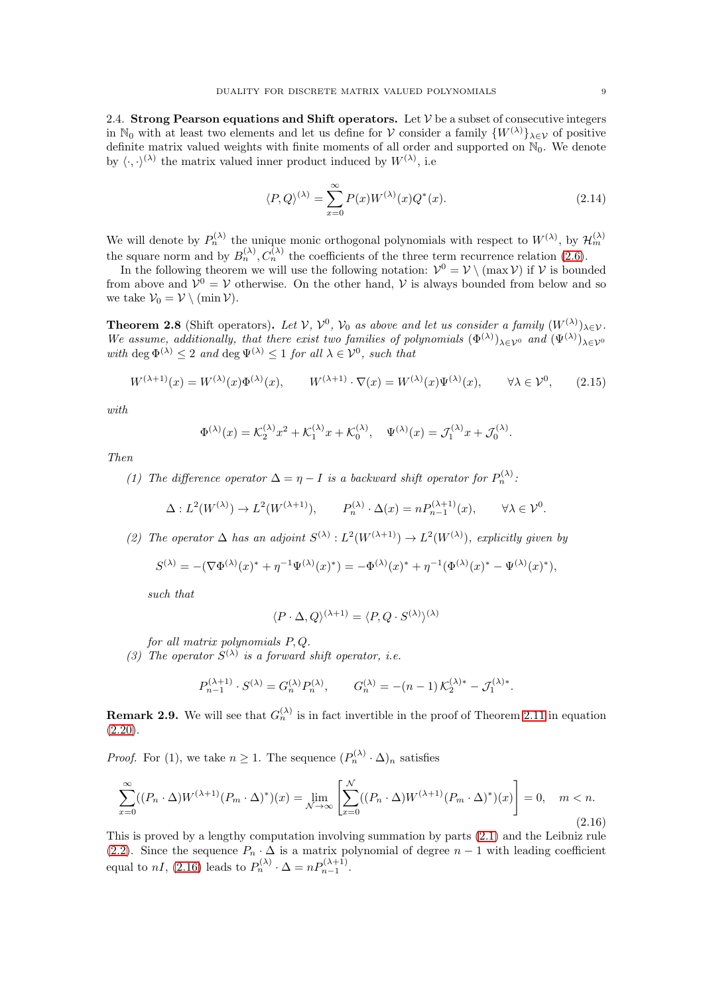2.4. Strong Pearson equations and Shift operators. Let  $V$  be a subset of consecutive integers in N<sub>0</sub> with at least two elements and let us define for V consider a family  $\{W^{(\lambda)}\}_{{\lambda}\in{\mathcal{V}}}$  of positive definite matrix valued weights with finite moments of all order and supported on  $\mathbb{N}_0$ . We denote by  $\langle \cdot, \cdot \rangle^{(\lambda)}$  the matrix valued inner product induced by  $W^{(\lambda)}$ , i.e.

<span id="page-8-3"></span>
$$
\langle P, Q \rangle^{(\lambda)} = \sum_{x=0}^{\infty} P(x) W^{(\lambda)}(x) Q^*(x). \tag{2.14}
$$

We will denote by  $P_n^{(\lambda)}$  the unique monic orthogonal polynomials with respect to  $W^{(\lambda)}$ , by  $\mathcal{H}_m^{(\lambda)}$ the square norm and by  $B_n^{(\lambda)}$ ,  $C_n^{(\lambda)}$  the coefficients of the three term recurrence relation [\(2.6\)](#page-6-0).

In the following theorem we will use the following notation:  $V^0 = V \setminus (\max V)$  if V is bounded from above and  $V^0 = V$  otherwise. On the other hand, V is always bounded from below and so we take  $V_0 = V \setminus (\min V)$ .

<span id="page-8-2"></span>**Theorem 2.8** (Shift operators). Let  $V$ ,  $V^0$ ,  $V_0$  as above and let us consider a family  $(W^{(\lambda)})_{\lambda \in V}$ . We assume, additionally, that there exist two families of polynomials  $(\Phi^{(\lambda)})_{\lambda \in \mathcal{V}^0}$  and  $(\Psi^{(\lambda)})_{\lambda \in \mathcal{V}^0}$ with deg  $\Phi^{(\lambda)} \leq 2$  and deg  $\Psi^{(\lambda)} \leq 1$  for all  $\lambda \in \mathcal{V}^0$ , such that

<span id="page-8-0"></span>
$$
W^{(\lambda+1)}(x) = W^{(\lambda)}(x)\Phi^{(\lambda)}(x), \qquad W^{(\lambda+1)} \cdot \nabla(x) = W^{(\lambda)}(x)\Psi^{(\lambda)}(x), \qquad \forall \lambda \in \mathcal{V}^0,\tag{2.15}
$$

with

$$
\Phi^{(\lambda)}(x) = \mathcal{K}_2^{(\lambda)} x^2 + \mathcal{K}_1^{(\lambda)} x + \mathcal{K}_0^{(\lambda)}, \quad \Psi^{(\lambda)}(x) = \mathcal{J}_1^{(\lambda)} x + \mathcal{J}_0^{(\lambda)}.
$$

Then

(1) The difference operator  $\Delta = \eta - I$  is a backward shift operator for  $P_n^{(\lambda)}$ :

$$
\Delta: L^2(W^{(\lambda)}) \to L^2(W^{(\lambda+1)}), \qquad P_n^{(\lambda)} \cdot \Delta(x) = n P_{n-1}^{(\lambda+1)}(x), \qquad \forall \lambda \in \mathcal{V}^0.
$$

(2) The operator  $\Delta$  has an adjoint  $S^{(\lambda)} : L^2(W^{(\lambda+1)}) \to L^2(W^{(\lambda)})$ , explicitly given by

$$
S^{(\lambda)} = -(\nabla \Phi^{(\lambda)}(x)^{*} + \eta^{-1} \Psi^{(\lambda)}(x)^{*}) = -\Phi^{(\lambda)}(x)^{*} + \eta^{-1} (\Phi^{(\lambda)}(x)^{*} - \Psi^{(\lambda)}(x)^{*}),
$$

such that

$$
\langle P \cdot \Delta, Q \rangle^{(\lambda+1)} = \langle P, Q \cdot S^{(\lambda)} \rangle^{(\lambda)}
$$

for all matrix polynomials P, Q.

(3) The operator  $S^{(\lambda)}$  is a forward shift operator, i.e.

$$
P_{n-1}^{(\lambda+1)} \cdot S^{(\lambda)} = G_n^{(\lambda)} P_n^{(\lambda)}, \qquad G_n^{(\lambda)} = -(n-1) \, \mathcal{K}_2^{(\lambda)*} - \mathcal{J}_1^{(\lambda)*}.
$$

**Remark 2.9.** We will see that  $G_n^{(\lambda)}$  is in fact invertible in the proof of Theorem [2.11](#page-10-0) in equation  $(2.20)$ .

*Proof.* For (1), we take  $n \geq 1$ . The sequence  $(P_n^{(\lambda)} \cdot \Delta)_n$  satisfies

<span id="page-8-1"></span>
$$
\sum_{x=0}^{\infty} ((P_n \cdot \Delta)W^{(\lambda+1)}(P_m \cdot \Delta)^*)(x) = \lim_{\mathcal{N} \to \infty} \left[ \sum_{x=0}^{\mathcal{N}} ((P_n \cdot \Delta)W^{(\lambda+1)}(P_m \cdot \Delta)^*)(x) \right] = 0, \quad m < n.
$$
\n(2.16)

This is proved by a lengthy computation involving summation by parts [\(2.1\)](#page-4-2) and the Leibniz rule [\(2.2\)](#page-4-3). Since the sequence  $P_n \cdot \Delta$  is a matrix polynomial of degree  $n-1$  with leading coefficient equal to  $nI$ , [\(2.16\)](#page-8-1) leads to  $P_n^{(\lambda)} \cdot \Delta = nP_{n-1}^{(\lambda+1)}$ .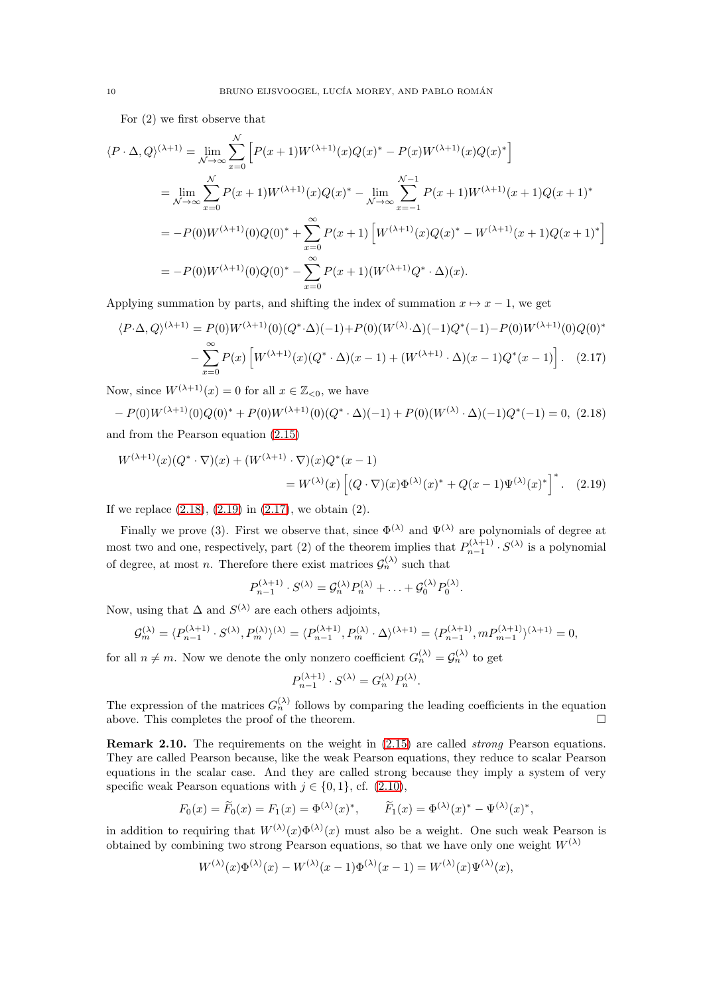For (2) we first observe that

 $\ddot{\phantom{0}}$ 

$$
\langle P \cdot \Delta, Q \rangle^{(\lambda+1)} = \lim_{\substack{N \to \infty}} \sum_{x=0}^{N} \left[ P(x+1) W^{(\lambda+1)}(x) Q(x)^{*} - P(x) W^{(\lambda+1)}(x) Q(x)^{*} \right]
$$
  
\n
$$
= \lim_{N \to \infty} \sum_{x=0}^{N} P(x+1) W^{(\lambda+1)}(x) Q(x)^{*} - \lim_{N \to \infty} \sum_{x=-1}^{N-1} P(x+1) W^{(\lambda+1)}(x+1) Q(x+1)^{*}
$$
  
\n
$$
= -P(0) W^{(\lambda+1)}(0) Q(0)^{*} + \sum_{x=0}^{\infty} P(x+1) \left[ W^{(\lambda+1)}(x) Q(x)^{*} - W^{(\lambda+1)}(x+1) Q(x+1)^{*} \right]
$$
  
\n
$$
= -P(0) W^{(\lambda+1)}(0) Q(0)^{*} - \sum_{x=0}^{\infty} P(x+1) (W^{(\lambda+1)} Q^{*} \cdot \Delta)(x).
$$

Applying summation by parts, and shifting the index of summation  $x \mapsto x - 1$ , we get

$$
\langle P \cdot \Delta, Q \rangle^{(\lambda+1)} = P(0)W^{(\lambda+1)}(0)(Q^* \cdot \Delta)(-1) + P(0)(W^{(\lambda)} \cdot \Delta)(-1)Q^*(-1) - P(0)W^{(\lambda+1)}(0)Q(0)^* - \sum_{x=0}^{\infty} P(x) \left[ W^{(\lambda+1)}(x)(Q^* \cdot \Delta)(x-1) + (W^{(\lambda+1)} \cdot \Delta)(x-1)Q^*(x-1) \right]. \tag{2.17}
$$

Now, since  $W^{(\lambda+1)}(x) = 0$  for all  $x \in \mathbb{Z}_{\leq 0}$ , we have

<span id="page-9-0"></span>
$$
-P(0)W^{(\lambda+1)}(0)Q(0)^* + P(0)W^{(\lambda+1)}(0)(Q^* \cdot \Delta)(-1) + P(0)(W^{(\lambda)} \cdot \Delta)(-1)Q^*(-1) = 0, (2.18)
$$
  
and from the Pearson equation (2.15)

$$
W^{(\lambda+1)}(x)(Q^* \cdot \nabla)(x) + (W^{(\lambda+1)} \cdot \nabla)(x)Q^*(x-1)
$$
  
= 
$$
W^{(\lambda)}(x)\left[ (Q \cdot \nabla)(x)\Phi^{(\lambda)}(x)^* + Q(x-1)\Psi^{(\lambda)}(x)^* \right]^*.
$$
 (2.19)

If we replace [\(2.18\)](#page-9-0), [\(2.19\)](#page-9-1) in [\(2.17\)](#page-9-2), we obtain (2).

Finally we prove (3). First we observe that, since  $\Phi^{(\lambda)}$  and  $\Psi^{(\lambda)}$  are polynomials of degree at most two and one, respectively, part (2) of the theorem implies that  $P_{n-1}^{(\lambda+1)} \cdot S^{(\lambda)}$  is a polynomial of degree, at most *n*. Therefore there exist matrices  $\mathcal{G}_n^{(\lambda)}$  such that

<span id="page-9-2"></span><span id="page-9-1"></span>
$$
P_{n-1}^{(\lambda+1)} \cdot S^{(\lambda)} = \mathcal{G}_n^{(\lambda)} P_n^{(\lambda)} + \ldots + \mathcal{G}_0^{(\lambda)} P_0^{(\lambda)}.
$$

Now, using that  $\Delta$  and  $S^{(\lambda)}$  are each others adjoints,

$$
\mathcal{G}_m^{(\lambda)}=\langle P_{n-1}^{(\lambda+1)}\cdot S^{(\lambda)}, P_m^{(\lambda)}\rangle^{(\lambda)}=\langle P_{n-1}^{(\lambda+1)}, P_m^{(\lambda)}\cdot\Delta\rangle^{(\lambda+1)}=\langle P_{n-1}^{(\lambda+1)}, m P_{m-1}^{(\lambda+1)}\rangle^{(\lambda+1)}=0,
$$

for all  $n \neq m$ . Now we denote the only nonzero coefficient  $G_n^{(\lambda)} = \mathcal{G}_n^{(\lambda)}$  to get

$$
P_{n-1}^{(\lambda+1)} \cdot S^{(\lambda)} = G_n^{(\lambda)} P_n^{(\lambda)}.
$$

The expression of the matrices  $G_n^{(\lambda)}$  follows by comparing the leading coefficients in the equation above. This completes the proof of the theorem.

Remark 2.10. The requirements on the weight in  $(2.15)$  are called *strong* Pearson equations. They are called Pearson because, like the weak Pearson equations, they reduce to scalar Pearson equations in the scalar case. And they are called strong because they imply a system of very specific weak Pearson equations with  $j \in \{0, 1\}$ , cf. [\(2.10\)](#page-6-1),

$$
F_0(x) = \widetilde{F}_0(x) = F_1(x) = \Phi^{(\lambda)}(x)^*, \qquad \widetilde{F}_1(x) = \Phi^{(\lambda)}(x)^* - \Psi^{(\lambda)}(x)^*,
$$

in addition to requiring that  $W^{(\lambda)}(x)\Phi^{(\lambda)}(x)$  must also be a weight. One such weak Pearson is obtained by combining two strong Pearson equations, so that we have only one weight  $W^{(\lambda)}$ 

$$
W^{(\lambda)}(x)\Phi^{(\lambda)}(x) - W^{(\lambda)}(x-1)\Phi^{(\lambda)}(x-1) = W^{(\lambda)}(x)\Psi^{(\lambda)}(x),
$$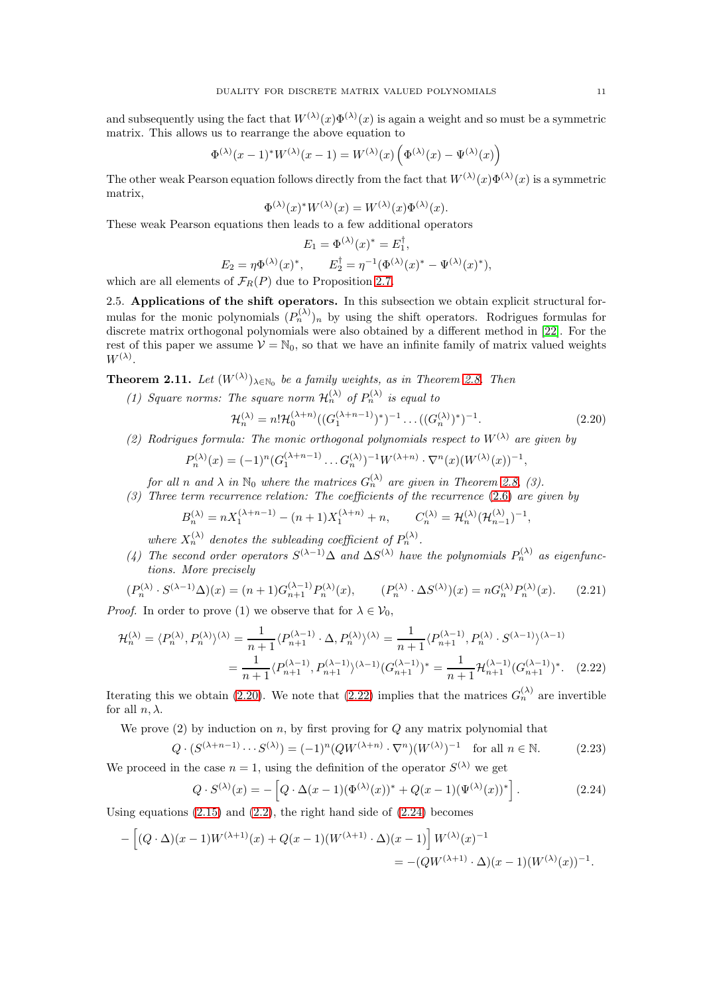and subsequently using the fact that  $W^{(\lambda)}(x)\Phi^{(\lambda)}(x)$  is again a weight and so must be a symmetric matrix. This allows us to rearrange the above equation to

$$
\Phi^{(\lambda)}(x-1)^*W^{(\lambda)}(x-1) = W^{(\lambda)}(x)\left(\Phi^{(\lambda)}(x) - \Psi^{(\lambda)}(x)\right)
$$

The other weak Pearson equation follows directly from the fact that  $W^{(\lambda)}(x)\Phi^{(\lambda)}(x)$  is a symmetric matrix,

$$
\Phi^{(\lambda)}(x)^* W^{(\lambda)}(x) = W^{(\lambda)}(x) \Phi^{(\lambda)}(x).
$$

These weak Pearson equations then leads to a few additional operators

$$
E_1 = \Phi^{(\lambda)}(x)^* = E_1^{\dagger},
$$
  
\n
$$
E_2 = \eta \Phi^{(\lambda)}(x)^*, \qquad E_2^{\dagger} = \eta^{-1} (\Phi^{(\lambda)}(x)^* - \Psi^{(\lambda)}(x)^*),
$$

<span id="page-10-5"></span>which are all elements of  $\mathcal{F}_R(P)$  due to Proposition [2.7.](#page-7-1)

2.5. Applications of the shift operators. In this subsection we obtain explicit structural formulas for the monic polynomials  $(P_n^{(\lambda)})_n$  by using the shift operators. Rodrigues formulas for discrete matrix orthogonal polynomials were also obtained by a different method in [\[22\]](#page-52-20). For the rest of this paper we assume  $\mathcal{V} = \mathbb{N}_0$ , so that we have an infinite family of matrix valued weights  $W^{(\lambda)}$ .

<span id="page-10-0"></span>**Theorem 2.11.** Let  $(W^{(\lambda)})_{\lambda \in \mathbb{N}_0}$  be a family weights, as in Theorem [2.8.](#page-8-2) Then

(1) Square norms: The square norm  $\mathcal{H}_n^{(\lambda)}$  of  $P_n^{(\lambda)}$  is equal to

<span id="page-10-1"></span>
$$
\mathcal{H}_n^{(\lambda)} = n! \mathcal{H}_0^{(\lambda+n)} \big( (G_1^{(\lambda+n-1)})^* \big)^{-1} \dots \big( (G_n^{(\lambda)})^* \big)^{-1} . \tag{2.20}
$$

<span id="page-10-2"></span>,

(2) Rodrigues formula: The monic orthogonal polynomials respect to  $W^{(\lambda)}$  are given by

$$
P_n^{(\lambda)}(x) = (-1)^n (G_1^{(\lambda+n-1)} \dots G_n^{(\lambda)})^{-1} W^{(\lambda+n)} \cdot \nabla^n(x) (W^{(\lambda)}(x))^{-1}
$$

for all n and  $\lambda$  in  $\mathbb{N}_0$  where the matrices  $G_n^{(\lambda)}$  are given in Theorem [2.8,](#page-8-2) (3).

(3) Three term recurrence relation: The coefficients of the recurrence [\(2.6\)](#page-6-0) are given by

$$
B_n^{(\lambda)} = nX_1^{(\lambda + n - 1)} - (n + 1)X_1^{(\lambda + n)} + n, \qquad C_n^{(\lambda)} = \mathcal{H}_n^{(\lambda)}(\mathcal{H}_{n-1}^{(\lambda)})^{-1},
$$

where  $X_n^{(\lambda)}$  denotes the subleading coefficient of  $P_n^{(\lambda)}$ .

(4) The second order operators  $S^{(\lambda-1)}\Delta$  and  $\Delta S^{(\lambda)}$  have the polynomials  $P_n^{(\lambda)}$  as eigenfunctions. More precisely

<span id="page-10-6"></span>
$$
(P_n^{(\lambda)} \cdot S^{(\lambda-1)}\Delta)(x) = (n+1)G_{n+1}^{(\lambda-1)}P_n^{(\lambda)}(x), \qquad (P_n^{(\lambda)} \cdot \Delta S^{(\lambda)})(x) = nG_n^{(\lambda)}P_n^{(\lambda)}(x). \tag{2.21}
$$

*Proof.* In order to prove (1) we observe that for  $\lambda \in V_0$ ,

$$
\mathcal{H}_n^{(\lambda)} = \langle P_n^{(\lambda)}, P_n^{(\lambda)} \rangle^{(\lambda)} = \frac{1}{n+1} \langle P_{n+1}^{(\lambda-1)} \cdot \Delta, P_n^{(\lambda)} \rangle^{(\lambda)} = \frac{1}{n+1} \langle P_{n+1}^{(\lambda-1)}, P_n^{(\lambda)} \cdot S^{(\lambda-1)} \rangle^{(\lambda-1)}
$$

$$
= \frac{1}{n+1} \langle P_{n+1}^{(\lambda-1)}, P_{n+1}^{(\lambda-1)} \rangle^{(\lambda-1)} (G_{n+1}^{(\lambda-1)})^* = \frac{1}{n+1} \mathcal{H}_{n+1}^{(\lambda-1)} (G_{n+1}^{(\lambda-1)})^*.
$$
 (2.22)

Iterating this we obtain [\(2.20\)](#page-10-1). We note that [\(2.22\)](#page-10-2) implies that the matrices  $G_n^{(\lambda)}$  are invertible for all  $n, \lambda$ .

We prove  $(2)$  by induction on n, by first proving for Q any matrix polynomial that

<span id="page-10-4"></span>
$$
Q \cdot (S^{(\lambda + n - 1)} \cdots S^{(\lambda)}) = (-1)^n (Q W^{(\lambda + n)} \cdot \nabla^n) (W^{(\lambda)})^{-1} \quad \text{for all } n \in \mathbb{N}.
$$
 (2.23)

We proceed in the case  $n = 1$ , using the definition of the operator  $S^{(\lambda)}$  we get

<span id="page-10-3"></span>
$$
Q \cdot S^{(\lambda)}(x) = -\left[Q \cdot \Delta(x-1)(\Phi^{(\lambda)}(x))^* + Q(x-1)(\Psi^{(\lambda)}(x))^*\right].
$$
 (2.24)

Using equations  $(2.15)$  and  $(2.2)$ , the right hand side of  $(2.24)$  becomes

$$
- \left[ (Q \cdot \Delta)(x-1)W^{(\lambda+1)}(x) + Q(x-1)(W^{(\lambda+1)} \cdot \Delta)(x-1) \right] W^{(\lambda)}(x)^{-1}
$$
  
= - (QW^{(\lambda+1)} \cdot \Delta)(x-1)(W^{(\lambda)}(x))^{-1}.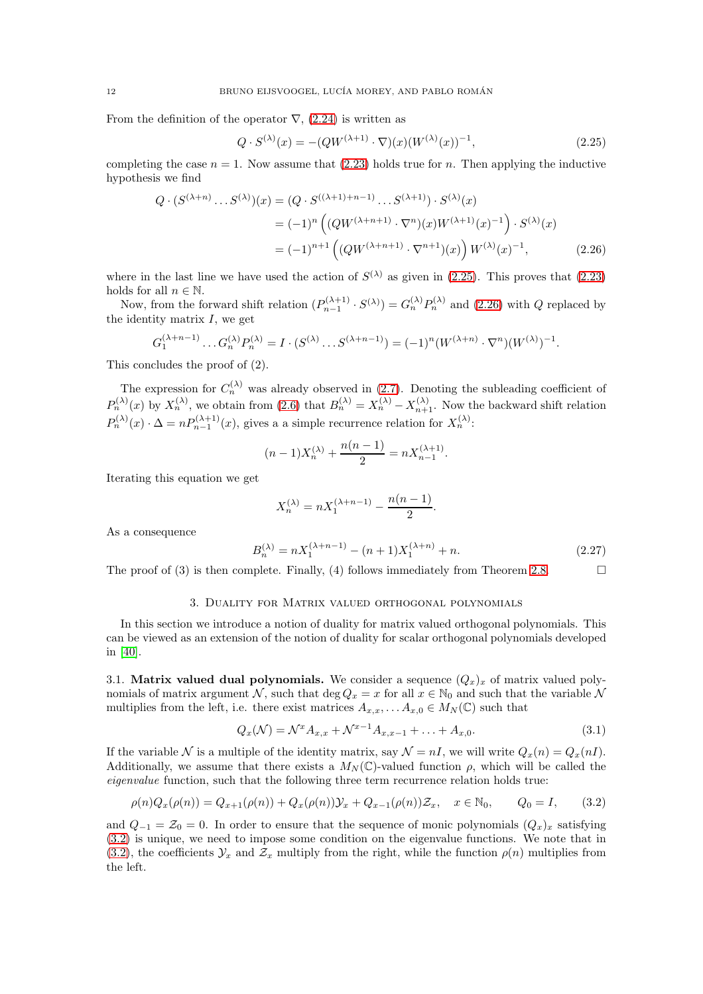From the definition of the operator  $\nabla$ , [\(2.24\)](#page-10-3) is written as

<span id="page-11-3"></span><span id="page-11-2"></span>
$$
Q \cdot S^{(\lambda)}(x) = -(QW^{(\lambda+1)} \cdot \nabla)(x)(W^{(\lambda)}(x))^{-1}, \tag{2.25}
$$

completing the case  $n = 1$ . Now assume that [\(2.23\)](#page-10-4) holds true for n. Then applying the inductive hypothesis we find

$$
Q \cdot (S^{(\lambda+n)} \dots S^{(\lambda)})(x) = (Q \cdot S^{((\lambda+1)+n-1)} \dots S^{(\lambda+1)}) \cdot S^{(\lambda)}(x)
$$
  
=  $(-1)^n \left( (QW^{(\lambda+n+1)} \cdot \nabla^n)(x)W^{(\lambda+1)}(x)^{-1} \right) \cdot S^{(\lambda)}(x)$   
=  $(-1)^{n+1} \left( (QW^{(\lambda+n+1)} \cdot \nabla^{n+1})(x) \right) W^{(\lambda)}(x)^{-1},$  (2.26)

where in the last line we have used the action of  $S^{(\lambda)}$  as given in [\(2.25\)](#page-11-2). This proves that [\(2.23\)](#page-10-4) holds for all  $n \in \mathbb{N}$ .

Now, from the forward shift relation  $(P_{n-1}^{(\lambda+1)} \cdot S^{(\lambda)}) = G_n^{(\lambda)} P_n^{(\lambda)}$  and [\(2.26\)](#page-11-3) with Q replaced by the identity matrix  $I$ , we get

$$
G_1^{(\lambda+n-1)} \dots G_n^{(\lambda)} P_n^{(\lambda)} = I \cdot (S^{(\lambda)} \dots S^{(\lambda+n-1)}) = (-1)^n (W^{(\lambda+n)} \cdot \nabla^n) (W^{(\lambda)})^{-1}.
$$

This concludes the proof of (2).

The expression for  $C_n^{(\lambda)}$  was already observed in [\(2.7\)](#page-6-6). Denoting the subleading coefficient of  $P_n^{(\lambda)}(x)$  by  $X_n^{(\lambda)}$ , we obtain from [\(2.6\)](#page-6-0) that  $B_n^{(\lambda)} = X_n^{(\lambda)} - X_{n+1}^{(\lambda)}$ . Now the backward shift relation  $P_n^{(\lambda)}(x) \cdot \Delta = n P_{n-1}^{(\lambda+1)}(x)$ , gives a a simple recurrence relation for  $X_n^{(\lambda)}$ :

$$
(n-1)X_n^{(\lambda)} + \frac{n(n-1)}{2} = nX_{n-1}^{(\lambda+1)}.
$$

Iterating this equation we get

$$
X_n^{(\lambda)} = nX_1^{(\lambda + n - 1)} - \frac{n(n - 1)}{2}.
$$

As a consequence

<span id="page-11-5"></span>
$$
B_n^{(\lambda)} = nX_1^{(\lambda + n - 1)} - (n + 1)X_1^{(\lambda + n)} + n.
$$
\n(2.27)

<span id="page-11-1"></span>The proof of (3) is then complete. Finally, (4) follows immediately from Theorem [2.8.](#page-8-2)

### 3. Duality for Matrix valued orthogonal polynomials

In this section we introduce a notion of duality for matrix valued orthogonal polynomials. This can be viewed as an extension of the notion of duality for scalar orthogonal polynomials developed in [\[40\]](#page-53-1).

3.1. Matrix valued dual polynomials. We consider a sequence  $(Q_x)_x$  of matrix valued polynomials of matrix argument N, such that deg  $Q_x = x$  for all  $x \in \mathbb{N}_0$  and such that the variable N multiplies from the left, i.e. there exist matrices  $A_{x,x}, \ldots, A_{x,0} \in M_N(\mathbb{C})$  such that

<span id="page-11-0"></span>
$$
Q_x(\mathcal{N}) = \mathcal{N}^x A_{x,x} + \mathcal{N}^{x-1} A_{x,x-1} + \dots + A_{x,0}.
$$
 (3.1)

If the variable N is a multiple of the identity matrix, say  $\mathcal{N} = nI$ , we will write  $Q_x(n) = Q_x(nI)$ . Additionally, we assume that there exists a  $M_N(\mathbb{C})$ -valued function  $\rho$ , which will be called the eigenvalue function, such that the following three term recurrence relation holds true:

<span id="page-11-4"></span>
$$
\rho(n)Q_x(\rho(n)) = Q_{x+1}(\rho(n)) + Q_x(\rho(n))\mathcal{Y}_x + Q_{x-1}(\rho(n))\mathcal{Z}_x, \quad x \in \mathbb{N}_0, \qquad Q_0 = I,\tag{3.2}
$$

and  $Q_{-1} = \mathcal{Z}_0 = 0$ . In order to ensure that the sequence of monic polynomials  $(Q_x)_x$  satisfying [\(3.2\)](#page-11-4) is unique, we need to impose some condition on the eigenvalue functions. We note that in [\(3.2\)](#page-11-4), the coefficients  $\mathcal{Y}_x$  and  $\mathcal{Z}_x$  multiply from the right, while the function  $\rho(n)$  multiplies from the left.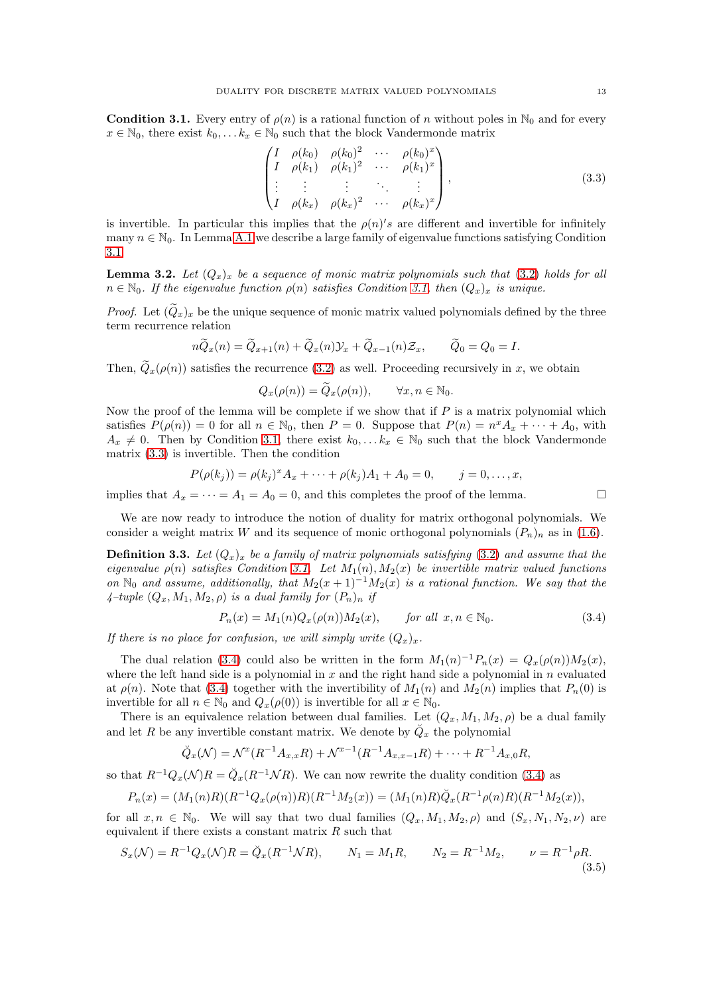<span id="page-12-1"></span>**Condition 3.1.** Every entry of  $\rho(n)$  is a rational function of n without poles in N<sub>0</sub> and for every  $x \in \mathbb{N}_0$ , there exist  $k_0, \ldots k_x \in \mathbb{N}_0$  such that the block Vandermonde matrix

<span id="page-12-2"></span>
$$
\begin{pmatrix}\nI & \rho(k_0) & \rho(k_0)^2 & \cdots & \rho(k_0)^x \\
I & \rho(k_1) & \rho(k_1)^2 & \cdots & \rho(k_1)^x \\
\vdots & \vdots & \vdots & \ddots & \vdots \\
I & \rho(k_x) & \rho(k_x)^2 & \cdots & \rho(k_x)^x\n\end{pmatrix},
$$
\n(3.3)

is invertible. In particular this implies that the  $\rho(n)'s$  are different and invertible for infinitely many  $n \in \mathbb{N}_0$ . In Lemma [A.1](#page-47-0) we describe a large family of eigenvalue functions satisfying Condition [3.1.](#page-12-1)

<span id="page-12-4"></span>**Lemma 3.2.** Let  $(Q_x)_x$  be a sequence of monic matrix polynomials such that [\(3.2\)](#page-11-4) holds for all  $n \in \mathbb{N}_0$ . If the eigenvalue function  $\rho(n)$  satisfies Condition [3.1,](#page-12-1) then  $(Q_x)_x$  is unique.

*Proof.* Let  $(Q_x)_x$  be the unique sequence of monic matrix valued polynomials defined by the three term recurrence relation

$$
n\widetilde{Q}_x(n) = \widetilde{Q}_{x+1}(n) + \widetilde{Q}_x(n)\mathcal{Y}_x + \widetilde{Q}_{x-1}(n)\mathcal{Z}_x, \qquad \widetilde{Q}_0 = Q_0 = I.
$$

Then,  $\tilde{Q}_x(\rho(n))$  satisfies the recurrence [\(3.2\)](#page-11-4) as well. Proceeding recursively in x, we obtain

 $Q_x(\rho(n)) = \widetilde{Q}_x(\rho(n)), \quad \forall x, n \in \mathbb{N}_0.$ 

Now the proof of the lemma will be complete if we show that if  $P$  is a matrix polynomial which satisfies  $P(\rho(n)) = 0$  for all  $n \in \mathbb{N}_0$ , then  $P = 0$ . Suppose that  $P(n) = n^x A_x + \cdots + A_0$ , with  $A_x \neq 0$ . Then by Condition [3.1,](#page-12-1) there exist  $k_0, \ldots k_x \in \mathbb{N}_0$  such that the block Vandermonde matrix [\(3.3\)](#page-12-2) is invertible. Then the condition

$$
P(\rho(k_j)) = \rho(k_j)^x A_x + \dots + \rho(k_j) A_1 + A_0 = 0, \qquad j = 0, \dots, x,
$$

implies that  $A_x = \cdots = A_1 = A_0 = 0$ , and this completes the proof of the lemma.

We are now ready to introduce the notion of duality for matrix orthogonal polynomials. We consider a weight matrix W and its sequence of monic orthogonal polynomials  $(P_n)_n$  as in [\(1.6\)](#page-1-2).

<span id="page-12-0"></span>**Definition 3.3.** Let  $(Q_x)_x$  be a family of matrix polynomials satisfying [\(3.2\)](#page-11-4) and assume that the eigenvalue  $\rho(n)$  satisfies Condition [3.1.](#page-12-1) Let  $M_1(n), M_2(x)$  be invertible matrix valued functions on N<sub>0</sub> and assume, additionally, that  $M_2(x+1)^{-1}M_2(x)$  is a rational function. We say that the  $4$ -tuple  $(Q_x, M_1, M_2, \rho)$  is a dual family for  $(P_n)_n$  if

<span id="page-12-3"></span>
$$
P_n(x) = M_1(n)Q_x(\rho(n))M_2(x), \qquad \text{for all } x, n \in \mathbb{N}_0. \tag{3.4}
$$

If there is no place for confusion, we will simply write  $(Q_x)_x$ .

The dual relation [\(3.4\)](#page-12-3) could also be written in the form  $M_1(n)^{-1}P_n(x) = Q_x(\rho(n))M_2(x)$ , where the left hand side is a polynomial in  $x$  and the right hand side a polynomial in  $n$  evaluated at  $\rho(n)$ . Note that [\(3.4\)](#page-12-3) together with the invertibility of  $M_1(n)$  and  $M_2(n)$  implies that  $P_n(0)$  is invertible for all  $n \in \mathbb{N}_0$  and  $Q_x(\rho(0))$  is invertible for all  $x \in \mathbb{N}_0$ .

There is an equivalence relation between dual families. Let  $(Q_x, M_1, M_2, \rho)$  be a dual family and let R be any invertible constant matrix. We denote by  $\check{Q}_x$  the polynomial

$$
\breve{Q}_x(\mathcal{N}) = \mathcal{N}^x(R^{-1}A_{x,x}R) + \mathcal{N}^{x-1}(R^{-1}A_{x,x-1}R) + \cdots + R^{-1}A_{x,0}R,
$$

so that  $R^{-1}Q_x(\mathcal{N})R = \check{Q}_x(R^{-1}\mathcal{N}R)$ . We can now rewrite the duality condition [\(3.4\)](#page-12-3) as

$$
P_n(x) = (M_1(n)R)(R^{-1}Q_x(\rho(n))R)(R^{-1}M_2(x)) = (M_1(n)R)\check{Q}_x(R^{-1}\rho(n)R)(R^{-1}M_2(x)),
$$

for all  $x, n \in \mathbb{N}_0$ . We will say that two dual families  $(Q_x, M_1, M_2, \rho)$  and  $(S_x, N_1, N_2, \nu)$  are equivalent if there exists a constant matrix  $R$  such that

<span id="page-12-5"></span>
$$
S_x(\mathcal{N}) = R^{-1} Q_x(\mathcal{N}) R = \check{Q}_x(R^{-1} \mathcal{N} R), \qquad N_1 = M_1 R, \qquad N_2 = R^{-1} M_2, \qquad \nu = R^{-1} \rho R. \tag{3.5}
$$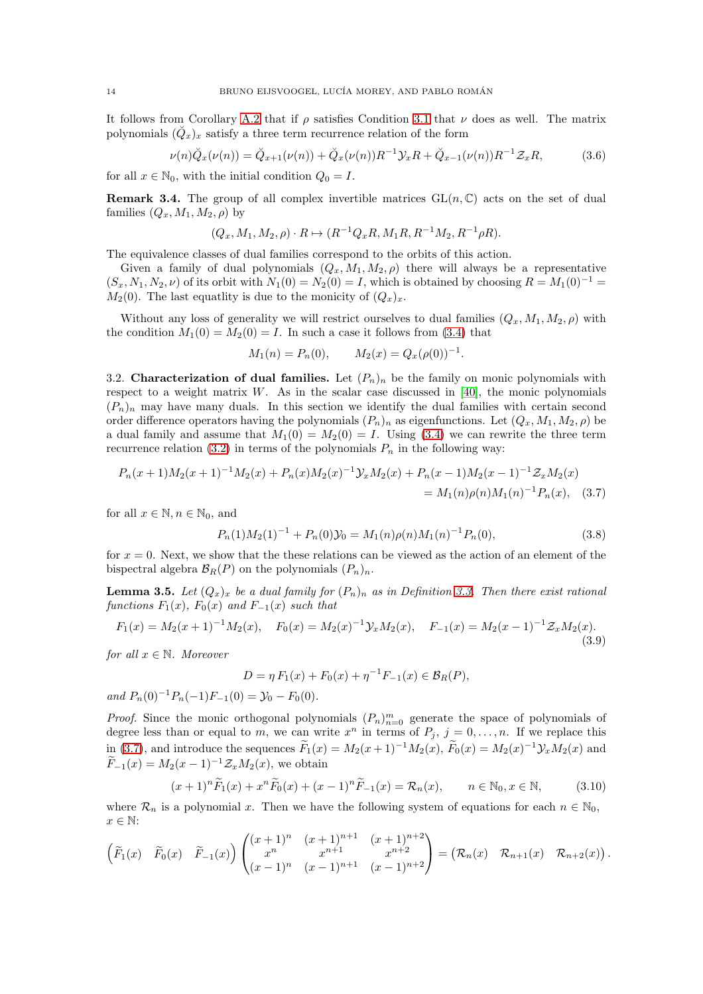It follows from Corollary [A.2](#page-48-0) that if  $\rho$  satisfies Condition [3.1](#page-12-1) that  $\nu$  does as well. The matrix polynomials  $(\check{Q}_x)_x$  satisfy a three term recurrence relation of the form

<span id="page-13-3"></span>
$$
\nu(n)\breve{Q}_x(\nu(n)) = \breve{Q}_{x+1}(\nu(n)) + \breve{Q}_x(\nu(n))R^{-1}\mathcal{Y}_xR + \breve{Q}_{x-1}(\nu(n))R^{-1}\mathcal{Z}_xR,\tag{3.6}
$$

for all  $x \in \mathbb{N}_0$ , with the initial condition  $Q_0 = I$ .

**Remark 3.4.** The group of all complex invertible matrices  $GL(n, \mathbb{C})$  acts on the set of dual families  $(Q_x, M_1, M_2, \rho)$  by

$$
(Q_x, M_1, M_2, \rho) \cdot R \mapsto (R^{-1}Q_x R, M_1 R, R^{-1}M_2, R^{-1} \rho R).
$$

The equivalence classes of dual families correspond to the orbits of this action.

Given a family of dual polynomials  $(Q_x, M_1, M_2, \rho)$  there will always be a representative  $(S_x, N_1, N_2, \nu)$  of its orbit with  $N_1(0) = N_2(0) = I$ , which is obtained by choosing  $R = M_1(0)^{-1} =$  $M_2(0)$ . The last equatlity is due to the monicity of  $(Q_x)_x$ .

Without any loss of generality we will restrict ourselves to dual families  $(Q_x, M_1, M_2, \rho)$  with the condition  $M_1(0) = M_2(0) = I$ . In such a case it follows from [\(3.4\)](#page-12-3) that

<span id="page-13-0"></span>
$$
M_1(n) = P_n(0), \qquad M_2(x) = Q_x(\rho(0))^{-1}.
$$

3.2. Characterization of dual families. Let  $(P_n)_n$  be the family on monic polynomials with respect to a weight matrix  $W$ . As in the scalar case discussed in [\[40\]](#page-53-1), the monic polynomials  $(P_n)_n$  may have many duals. In this section we identify the dual families with certain second order difference operators having the polynomials  $(P_n)_n$  as eigenfunctions. Let  $(Q_x, M_1, M_2, \rho)$  be a dual family and assume that  $M_1(0) = M_2(0) = I$ . Using [\(3.4\)](#page-12-3) we can rewrite the three term recurrence relation [\(3.2\)](#page-11-4) in terms of the polynomials  $P_n$  in the following way:

$$
P_n(x+1)M_2(x+1)^{-1}M_2(x) + P_n(x)M_2(x)^{-1}\mathcal{Y}_xM_2(x) + P_n(x-1)M_2(x-1)^{-1}\mathcal{Z}_xM_2(x)
$$
  
=  $M_1(n)\rho(n)M_1(n)^{-1}P_n(x)$ , (3.7)

for all  $x \in \mathbb{N}, n \in \mathbb{N}_0$ , and

$$
P_n(1)M_2(1)^{-1} + P_n(0)\mathcal{Y}_0 = M_1(n)\rho(n)M_1(n)^{-1}P_n(0),\tag{3.8}
$$

for  $x = 0$ . Next, we show that the these relations can be viewed as the action of an element of the bispectral algebra  $\mathcal{B}_R(P)$  on the polynomials  $(P_n)_n$ .

<span id="page-13-4"></span>**Lemma 3.5.** Let  $(Q_x)_x$  be a dual family for  $(P_n)_n$  as in Definition [3.3.](#page-12-0) Then there exist rational functions  $F_1(x)$ ,  $F_0(x)$  and  $F_{-1}(x)$  such that

<span id="page-13-2"></span>
$$
F_1(x) = M_2(x+1)^{-1}M_2(x), \quad F_0(x) = M_2(x)^{-1}\mathcal{Y}_xM_2(x), \quad F_{-1}(x) = M_2(x-1)^{-1}\mathcal{Z}_xM_2(x).
$$
\n(3.9)

for all  $x \in \mathbb{N}$ . Moreover

$$
D = \eta F_1(x) + F_0(x) + \eta^{-1} F_{-1}(x) \in \mathcal{B}_R(P),
$$

and  $P_n(0)^{-1}P_n(-1)F_{-1}(0) = \mathcal{Y}_0 - F_0(0)$ .

*Proof.* Since the monic orthogonal polynomials  $(P_n)_{n=0}^m$  generate the space of polynomials of degree less than or equal to m, we can write  $x^n$  in terms of  $P_j$ ,  $j = 0, \ldots, n$ . If we replace this in [\(3.7\)](#page-13-0), and introduce the sequences  $F_1(x) = M_2(x+1)^{-1}M_2(x)$ ,  $F_0(x) = M_2(x)^{-1}y_xM_2(x)$  and  $F_{-1}(x) = M_2(x-1)^{-1} \mathcal{Z}_x M_2(x)$ , we obtain

<span id="page-13-1"></span>
$$
(x+1)^n \widetilde{F}_1(x) + x^n \widetilde{F}_0(x) + (x-1)^n \widetilde{F}_{-1}(x) = \mathcal{R}_n(x), \qquad n \in \mathbb{N}_0, x \in \mathbb{N},
$$
 (3.10)

where  $\mathcal{R}_n$  is a polynomial x. Then we have the following system of equations for each  $n \in \mathbb{N}_0$ ,  $x \in \mathbb{N}$ :

$$
\begin{pmatrix}\n\widetilde{F}_1(x) & \widetilde{F}_0(x) & \widetilde{F}_{-1}(x)\n\end{pmatrix}\n\begin{pmatrix}\n(x+1)^n & (x+1)^{n+1} & (x+1)^{n+2} \\
x^n & x^{n+1} & x^{n+2} \\
(x-1)^n & (x-1)^{n+1} & (x-1)^{n+2}\n\end{pmatrix} = \begin{pmatrix}\n\mathcal{R}_n(x) & \mathcal{R}_{n+1}(x) & \mathcal{R}_{n+2}(x)\n\end{pmatrix}.
$$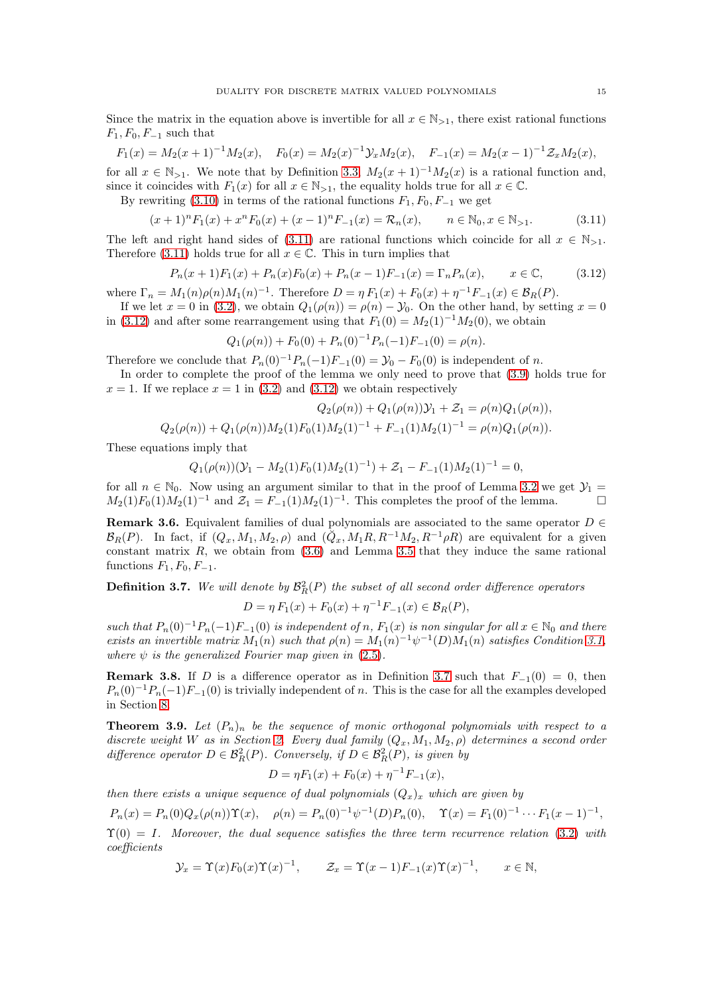Since the matrix in the equation above is invertible for all  $x \in \mathbb{N}_{>1}$ , there exist rational functions  $F_1, F_0, F_{-1}$  such that

$$
F_1(x) = M_2(x+1)^{-1}M_2(x), \quad F_0(x) = M_2(x)^{-1}Y_xM_2(x), \quad F_{-1}(x) = M_2(x-1)^{-1}Z_xM_2(x),
$$
  
for all  $x \in \mathbb{N}_{>1}$ . We note that by Definition 3.3,  $M_2(x+1)^{-1}M_2(x)$  is a rational function and,

since it coincides with  $F_1(x)$  for all  $x \in \mathbb{N}_{>1}$ , the equality holds true for all  $x \in \mathbb{C}$ .

By rewriting [\(3.10\)](#page-13-1) in terms of the rational functions  $F_1, F_0, F_{-1}$  we get

<span id="page-14-1"></span>
$$
(x+1)^n F_1(x) + x^n F_0(x) + (x-1)^n F_{-1}(x) = \mathcal{R}_n(x), \qquad n \in \mathbb{N}_0, x \in \mathbb{N}_{>1}.
$$
 (3.11)

The left and right hand sides of [\(3.11\)](#page-14-1) are rational functions which coincide for all  $x \in \mathbb{N}_{>1}$ . Therefore [\(3.11\)](#page-14-1) holds true for all  $x \in \mathbb{C}$ . This in turn implies that

<span id="page-14-2"></span>
$$
P_n(x+1)F_1(x) + P_n(x)F_0(x) + P_n(x-1)F_{-1}(x) = \Gamma_n P_n(x), \qquad x \in \mathbb{C}, \tag{3.12}
$$

where  $\Gamma_n = M_1(n)\rho(n)M_1(n)^{-1}$ . Therefore  $D = \eta F_1(x) + F_0(x) + \eta^{-1}F_{-1}(x) \in \mathcal{B}_R(P)$ .

If we let  $x = 0$  in [\(3.2\)](#page-11-4), we obtain  $Q_1(\rho(n)) = \rho(n) - \mathcal{Y}_0$ . On the other hand, by setting  $x = 0$ in [\(3.12\)](#page-14-2) and after some rearrangement using that  $F_1(0) = M_2(1)^{-1}M_2(0)$ , we obtain

$$
Q_1(\rho(n)) + F_0(0) + P_n(0)^{-1} P_n(-1) F_{-1}(0) = \rho(n).
$$

Therefore we conclude that  $P_n(0)^{-1}P_n(-1)F_{-1}(0) = \mathcal{Y}_0 - F_0(0)$  is independent of n.

In order to complete the proof of the lemma we only need to prove that [\(3.9\)](#page-13-2) holds true for  $x = 1$ . If we replace  $x = 1$  in [\(3.2\)](#page-11-4) and [\(3.12\)](#page-14-2) we obtain respectively

$$
Q_2(\rho(n)) + Q_1(\rho(n))\mathcal{Y}_1 + \mathcal{Z}_1 = \rho(n)Q_1(\rho(n)),
$$

$$
Q_2(\rho(n)) + Q_1(\rho(n))M_2(1)F_0(1)M_2(1)^{-1} + F_{-1}(1)M_2(1)^{-1} = \rho(n)Q_1(\rho(n)).
$$

These equations imply that

$$
Q_1(\rho(n))(\mathcal{Y}_1 - M_2(1)F_0(1)M_2(1)^{-1}) + \mathcal{Z}_1 - F_{-1}(1)M_2(1)^{-1} = 0,
$$

for all  $n \in \mathbb{N}_0$ . Now using an argument similar to that in the proof of Lemma [3.2](#page-12-4) we get  $\mathcal{Y}_1 = M_2(1)F_0(1)M_2(1)^{-1}$  and  $\mathcal{Z}_1 = F_{-1}(1)M_2(1)^{-1}$  This completes the proof of the lemma  $M_2(1)F_0(1)M_2(1)^{-1}$  and  $\mathcal{Z}_1 = F_{-1}(1)M_2(1)^{-1}$ . This completes the proof of the lemma.

**Remark 3.6.** Equivalent families of dual polynomials are associated to the same operator  $D \in$  $\mathcal{B}_R(P)$ . In fact, if  $(Q_x, M_1, M_2, \rho)$  and  $(\check{Q}_x, M_1R, R^{-1}M_2, R^{-1}\rho R)$  are equivalent for a given constant matrix  $R$ , we obtain from  $(3.6)$  and Lemma [3.5](#page-13-4) that they induce the same rational functions  $F_1, F_0, F_{-1}.$ 

<span id="page-14-3"></span>**Definition 3.7.** We will denote by 
$$
\mathcal{B}_R^2(P)
$$
 the subset of all second order difference operators  
\n
$$
D = \eta F_1(x) + F_0(x) + \eta^{-1} F_{-1}(x) \in \mathcal{B}_R(P),
$$

such that  $P_n(0)^{-1}P_n(-1)F_{-1}(0)$  is independent of n,  $F_1(x)$  is non singular for all  $x \in \mathbb{N}_0$  and there exists an invertible matrix  $M_1(n)$  such that  $\rho(n) = M_1(n)^{-1} \psi^{-1}(D) M_1(n)$  satisfies Condition [3.1,](#page-12-1) where  $\psi$  is the generalized Fourier map given in [\(2.5\)](#page-5-3).

<span id="page-14-4"></span>**Remark 3.8.** If D is a difference operator as in Definition [3.7](#page-14-3) such that  $F_{-1}(0) = 0$ , then  $P_n(0)^{-1}P_n(-1)F_{-1}(0)$  is trivially independent of n. This is the case for all the examples developed in Section [8.](#page-38-0)

<span id="page-14-0"></span>**Theorem 3.9.** Let  $(P_n)_n$  be the sequence of monic orthogonal polynomials with respect to a discrete weight W as in Section [2.](#page-4-0) Every dual family  $(Q_x, M_1, M_2, \rho)$  determines a second order difference operator  $D \in \mathcal{B}_{R}^{2}(P)$ . Conversely, if  $D \in \mathcal{B}_{R}^{2}(P)$ , is given by

$$
D = \eta F_1(x) + F_0(x) + \eta^{-1} F_{-1}(x),
$$

then there exists a unique sequence of dual polynomials  $(Q_x)_x$  which are given by

$$
P_n(x) = P_n(0)Q_x(\rho(n))\Upsilon(x), \quad \rho(n) = P_n(0)^{-1}\psi^{-1}(D)P_n(0), \quad \Upsilon(x) = F_1(0)^{-1}\cdots F_1(x-1)^{-1},
$$

 $\Upsilon(0) = I$ . Moreover, the dual sequence satisfies the three term recurrence relation [\(3.2\)](#page-11-4) with coefficients

$$
\mathcal{Y}_x = \Upsilon(x) F_0(x) \Upsilon(x)^{-1}, \qquad \mathcal{Z}_x = \Upsilon(x-1) F_{-1}(x) \Upsilon(x)^{-1}, \qquad x \in \mathbb{N},
$$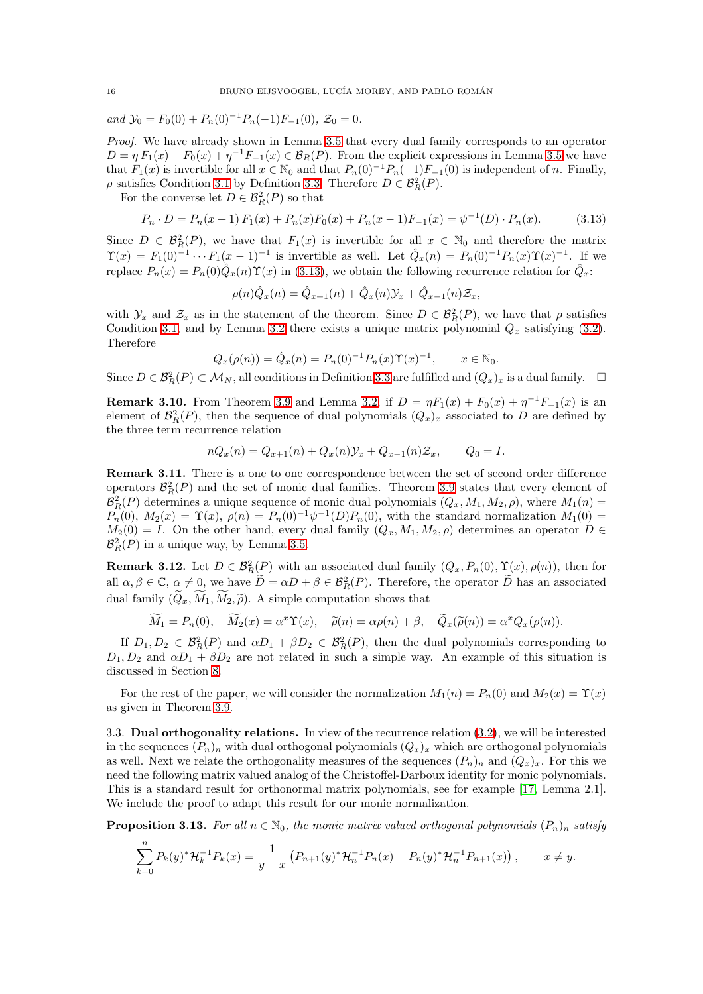and  $\mathcal{Y}_0 = F_0(0) + P_n(0)^{-1} P_n(-1) F_{-1}(0), \mathcal{Z}_0 = 0.$ 

Proof. We have already shown in Lemma [3.5](#page-13-4) that every dual family corresponds to an operator  $D = \eta F_1(x) + F_0(x) + \eta^{-1} F_{-1}(x) \in \mathcal{B}_R(P)$ . From the explicit expressions in Lemma [3.5](#page-13-4) we have that  $F_1(x)$  is invertible for all  $x \in \mathbb{N}_0$  and that  $P_n(0)^{-1}P_n(-1)F_{-1}(0)$  is independent of n. Finally,  $\rho$  satisfies Condition [3.1](#page-12-1) by Definition [3.3.](#page-12-0) Therefore  $D \in \mathcal{B}_{R}^{2}(P)$ .

For the converse let  $D \in \mathcal{B}_R^2(P)$  so that

<span id="page-15-1"></span>
$$
P_n \cdot D = P_n(x+1) F_1(x) + P_n(x) F_0(x) + P_n(x-1) F_{-1}(x) = \psi^{-1}(D) \cdot P_n(x). \tag{3.13}
$$

Since  $D \in \mathcal{B}_{R}^{2}(P)$ , we have that  $F_1(x)$  is invertible for all  $x \in \mathbb{N}_0$  and therefore the matrix  $\Upsilon(x) = F_1(0)^{-1} \cdots F_1(x-1)^{-1}$  is invertible as well. Let  $\hat{Q}_x(n) = P_n(0)^{-1} P_n(x) \Upsilon(x)^{-1}$ . If we replace  $P_n(x) = P_n(0) \hat{Q}_x(n) \Upsilon(x)$  in [\(3.13\)](#page-15-1), we obtain the following recurrence relation for  $\hat{Q}_x$ :

$$
\rho(n)\hat{Q}_x(n) = \hat{Q}_{x+1}(n) + \hat{Q}_x(n)\mathcal{Y}_x + \hat{Q}_{x-1}(n)\mathcal{Z}_x,
$$

with  $\mathcal{Y}_x$  and  $\mathcal{Z}_x$  as in the statement of the theorem. Since  $D \in \mathcal{B}_R^2(P)$ , we have that  $\rho$  satisfies Condition [3.1,](#page-12-1) and by Lemma [3.2](#page-12-4) there exists a unique matrix polynomial  $Q_x$  satisfying [\(3.2\)](#page-11-4). Therefore

$$
Q_x(\rho(n)) = \hat{Q}_x(n) = P_n(0)^{-1} P_n(x) \Upsilon(x)^{-1}, \qquad x \in \mathbb{N}_0.
$$

Since  $D \in \mathcal{B}_R^2(P) \subset \mathcal{M}_N$ , all conditions in Definition [3.3](#page-12-0) are fulfilled and  $(Q_x)_x$  is a dual family.  $\Box$ 

<span id="page-15-0"></span>**Remark 3.10.** From Theorem [3.9](#page-14-0) and Lemma [3.2,](#page-12-4) if  $D = \eta F_1(x) + F_0(x) + \eta^{-1} F_{-1}(x)$  is an element of  $\mathcal{B}_{R}^{2}(P)$ , then the sequence of dual polynomials  $(Q_{x})_{x}$  associated to D are defined by the three term recurrence relation

$$
nQ_x(n) = Q_{x+1}(n) + Q_x(n)\mathcal{Y}_x + Q_{x-1}(n)\mathcal{Z}_x, \qquad Q_0 = I.
$$

Remark 3.11. There is a one to one correspondence between the set of second order difference operators  $\mathcal{B}_{R}^{2}(P)$  and the set of monic dual families. Theorem [3.9](#page-14-0) states that every element of  $\mathcal{B}_R^2(P)$  determines a unique sequence of monic dual polynomials  $(Q_x, M_1, M_2, \rho)$ , where  $M_1(n)$  $P_n(0)$ ,  $M_2(x) = \Upsilon(x)$ ,  $\rho(n) = P_n(0)^{-1} \psi^{-1}(D) P_n(0)$ , with the standard normalization  $M_1(0) =$  $M_2(0) = I$ . On the other hand, every dual family  $(Q_x, M_1, M_2, \rho)$  determines an operator  $D \in$  $\mathcal{B}_{R}^{2}(P)$  in a unique way, by Lemma [3.5.](#page-13-4)

**Remark 3.12.** Let  $D \in \mathcal{B}_R^2(\underline{P})$  with an associated dual family  $(Q_x, P_n(0), \Upsilon(x), \rho(n))$ , then for all  $\alpha, \beta \in \mathbb{C}, \alpha \neq 0$ , we have  $\widetilde{D} = \alpha D + \beta \in \mathcal{B}_R^2(P)$ . Therefore, the operator  $\widetilde{D}$  has an associated dual family  $(\tilde{Q}_x, \tilde{M}_1, \tilde{M}_2, \tilde{\rho})$ . A simple computation shows that

$$
\widetilde{M}_1 = P_n(0), \quad \widetilde{M}_2(x) = \alpha^x \Upsilon(x), \quad \widetilde{\rho}(n) = \alpha \rho(n) + \beta, \quad \widetilde{Q}_x(\widetilde{\rho}(n)) = \alpha^x Q_x(\rho(n)).
$$

If  $D_1, D_2 \in \mathcal{B}_R^2(P)$  and  $\alpha D_1 + \beta D_2 \in \mathcal{B}_R^2(P)$ , then the dual polynomials corresponding to  $D_1, D_2$  and  $\alpha D_1 + \beta D_2$  are not related in such a simple way. An example of this situation is discussed in Section [8.](#page-38-0)

For the rest of the paper, we will consider the normalization  $M_1(n) = P_n(0)$  and  $M_2(x) = \Upsilon(x)$ as given in Theorem [3.9.](#page-14-0)

3.3. Dual orthogonality relations. In view of the recurrence relation [\(3.2\)](#page-11-4), we will be interested in the sequences  $(P_n)_n$  with dual orthogonal polynomials  $(Q_x)_x$  which are orthogonal polynomials as well. Next we relate the orthogonality measures of the sequences  $(P_n)_n$  and  $(Q_x)_x$ . For this we need the following matrix valued analog of the Christoffel-Darboux identity for monic polynomials. This is a standard result for orthonormal matrix polynomials, see for example [\[17,](#page-52-21) Lemma 2.1]. We include the proof to adapt this result for our monic normalization.

**Proposition 3.13.** For all  $n \in \mathbb{N}_0$ , the monic matrix valued orthogonal polynomials  $(P_n)_n$  satisfy

$$
\sum_{k=0}^{n} P_k(y)^* \mathcal{H}_k^{-1} P_k(x) = \frac{1}{y-x} \left( P_{n+1}(y)^* \mathcal{H}_n^{-1} P_n(x) - P_n(y)^* \mathcal{H}_n^{-1} P_{n+1}(x) \right), \qquad x \neq y.
$$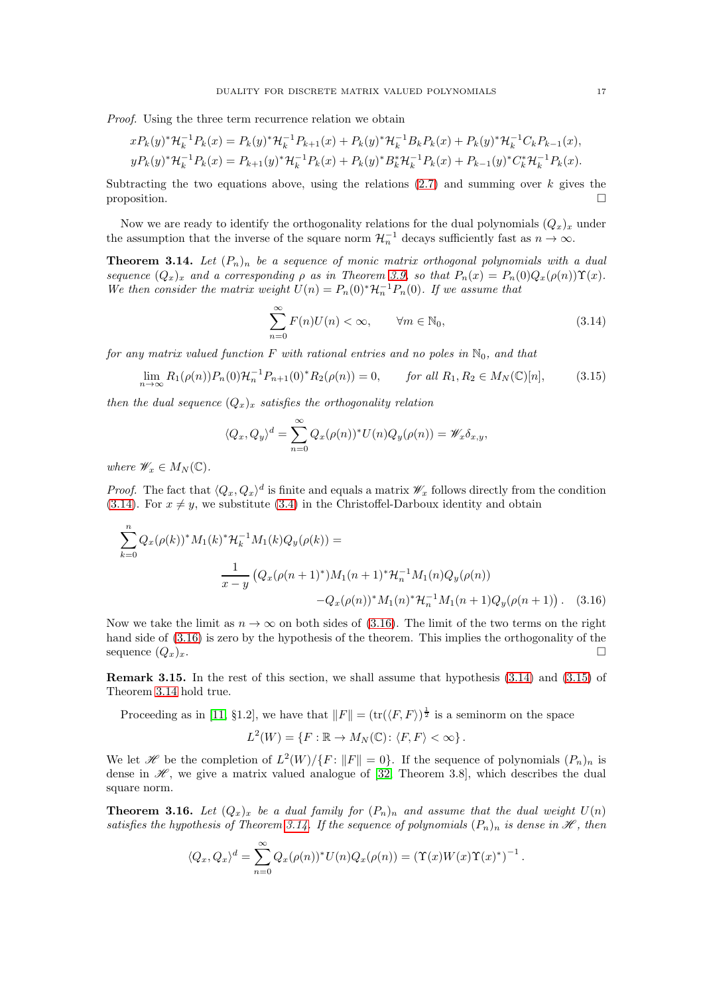Proof. Using the three term recurrence relation we obtain

$$
xP_k(y)^* \mathcal{H}_k^{-1} P_k(x) = P_k(y)^* \mathcal{H}_k^{-1} P_{k+1}(x) + P_k(y)^* \mathcal{H}_k^{-1} B_k P_k(x) + P_k(y)^* \mathcal{H}_k^{-1} C_k P_{k-1}(x),
$$
  

$$
yP_k(y)^* \mathcal{H}_k^{-1} P_k(x) = P_{k+1}(y)^* \mathcal{H}_k^{-1} P_k(x) + P_k(y)^* B_k^* \mathcal{H}_k^{-1} P_k(x) + P_{k-1}(y)^* C_k^* \mathcal{H}_k^{-1} P_k(x).
$$

Subtracting the two equations above, using the relations  $(2.7)$  and summing over k gives the proposition.  $\square$ 

Now we are ready to identify the orthogonality relations for the dual polynomials  $(Q_x)_x$  under the assumption that the inverse of the square norm  $\mathcal{H}_n^{-1}$  decays sufficiently fast as  $n \to \infty$ .

<span id="page-16-3"></span>**Theorem 3.14.** Let  $(P_n)_n$  be a sequence of monic matrix orthogonal polynomials with a dual sequence  $(Q_x)_x$  and a corresponding  $\rho$  as in Theorem [3.9,](#page-14-0) so that  $P_n(x) = P_n(0)Q_x(\rho(n))\Upsilon(x)$ . We then consider the matrix weight  $U(n) = P_n(0)^* \mathcal{H}_n^{-1} P_n(0)$ . If we assume that

<span id="page-16-0"></span>
$$
\sum_{n=0}^{\infty} F(n)U(n) < \infty, \qquad \forall m \in \mathbb{N}_0,\tag{3.14}
$$

for any matrix valued function F with rational entries and no poles in  $\mathbb{N}_0$ , and that

<span id="page-16-2"></span>
$$
\lim_{n \to \infty} R_1(\rho(n)) P_n(0) \mathcal{H}_n^{-1} P_{n+1}(0)^* R_2(\rho(n)) = 0, \qquad \text{for all } R_1, R_2 \in M_N(\mathbb{C})[n], \tag{3.15}
$$

then the dual sequence  $(Q_x)_x$  satisfies the orthogonality relation

$$
\langle Q_x, Q_y \rangle^d = \sum_{n=0}^{\infty} Q_x(\rho(n))^* U(n) Q_y(\rho(n)) = \mathscr{W}_x \delta_{x,y},
$$

where  $\mathscr{W}_x \in M_N(\mathbb{C})$ .

*Proof.* The fact that  $\langle Q_x, Q_x \rangle^d$  is finite and equals a matrix  $\mathscr{W}_x$  follows directly from the condition [\(3.14\)](#page-16-0). For  $x \neq y$ , we substitute [\(3.4\)](#page-12-3) in the Christoffel-Darboux identity and obtain

$$
\sum_{k=0}^{n} Q_x(\rho(k))^* M_1(k)^* \mathcal{H}_k^{-1} M_1(k) Q_y(\rho(k)) =
$$
\n
$$
\frac{1}{x-y} \left( Q_x(\rho(n+1)^*) M_1(n+1)^* \mathcal{H}_n^{-1} M_1(n) Q_y(\rho(n)) - Q_x(\rho(n))^* M_1(n)^* \mathcal{H}_n^{-1} M_1(n+1) Q_y(\rho(n+1)) \right). \tag{3.16}
$$

Now we take the limit as  $n \to \infty$  on both sides of [\(3.16\)](#page-16-1). The limit of the two terms on the right hand side of [\(3.16\)](#page-16-1) is zero by the hypothesis of the theorem. This implies the orthogonality of the sequence  $(Q_x)_x$ .

Remark 3.15. In the rest of this section, we shall assume that hypothesis [\(3.14\)](#page-16-0) and [\(3.15\)](#page-16-2) of Theorem [3.14](#page-16-3) hold true.

Proceeding as in [\[11,](#page-52-18) §1.2], we have that  $||F|| = (\text{tr}(\langle F, F \rangle)^{\frac{1}{2}})$  is a seminorm on the space

$$
L^{2}(W) = \{ F : \mathbb{R} \to M_{N}(\mathbb{C}) : \langle F, F \rangle < \infty \}.
$$

We let H be the completion of  $L^2(W)/\{F: ||F|| = 0\}$ . If the sequence of polynomials  $(P_n)_n$  is dense in  $\mathcal{H}$ , we give a matrix valued analogue of [\[32,](#page-53-13) Theorem 3.8], which describes the dual square norm.

<span id="page-16-4"></span>**Theorem 3.16.** Let  $(Q_x)_x$  be a dual family for  $(P_n)_n$  and assume that the dual weight  $U(n)$ satisfies the hypothesis of Theorem [3.14.](#page-16-3) If the sequence of polynomials  $(P_n)_n$  is dense in  $\mathscr{H}$ , then

$$
\langle Q_x, Q_x \rangle^d = \sum_{n=0}^{\infty} Q_x(\rho(n))^* U(n) Q_x(\rho(n)) = (\Upsilon(x)W(x)\Upsilon(x))^*)^{-1}
$$

<span id="page-16-1"></span>.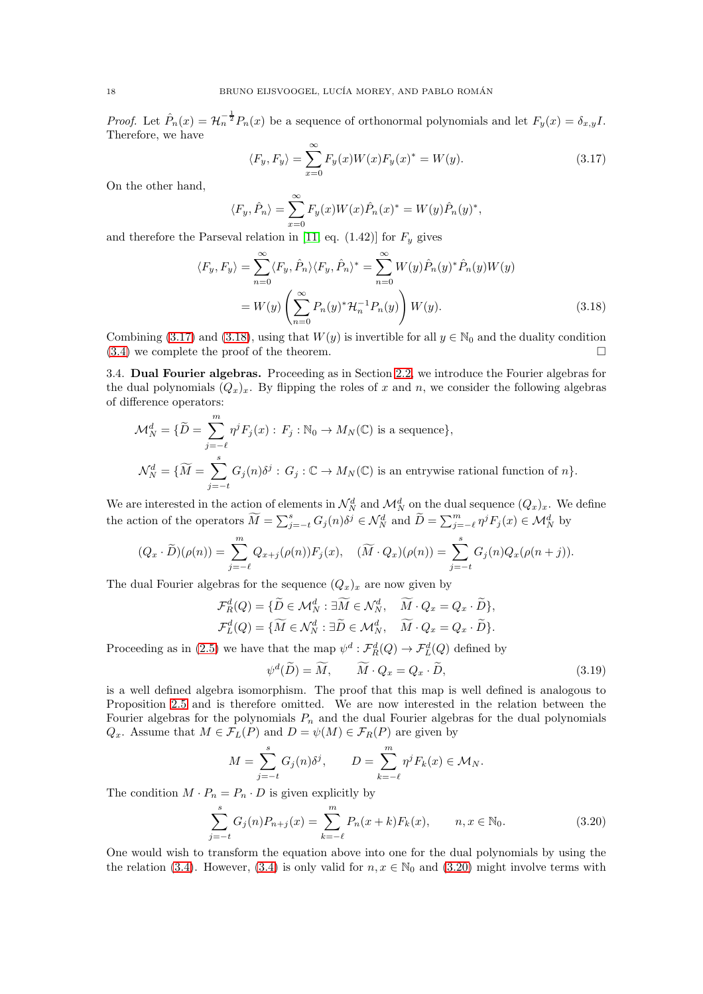*Proof.* Let  $\hat{P}_n(x) = \mathcal{H}_n^{-\frac{1}{2}} P_n(x)$  be a sequence of orthonormal polynomials and let  $F_y(x) = \delta_{x,y}I$ . Therefore, we have

<span id="page-17-1"></span><span id="page-17-0"></span>
$$
\langle F_y, F_y \rangle = \sum_{x=0}^{\infty} F_y(x) W(x) F_y(x)^* = W(y). \tag{3.17}
$$

On the other hand,

$$
\langle F_y, \hat{P}_n \rangle = \sum_{x=0}^{\infty} F_y(x) W(x) \hat{P}_n(x)^* = W(y) \hat{P}_n(y)^*,
$$

and therefore the Parseval relation in [\[11,](#page-52-18) eq.  $(1.42)$ ] for  $F_y$  gives

$$
\langle F_y, F_y \rangle = \sum_{n=0}^{\infty} \langle F_y, \hat{P}_n \rangle \langle F_y, \hat{P}_n \rangle^* = \sum_{n=0}^{\infty} W(y) \hat{P}_n(y)^* \hat{P}_n(y) W(y)
$$

$$
= W(y) \left( \sum_{n=0}^{\infty} P_n(y)^* \mathcal{H}_n^{-1} P_n(y) \right) W(y).
$$
(3.18)

Combining [\(3.17\)](#page-17-0) and [\(3.18\)](#page-17-1), using that  $W(y)$  is invertible for all  $y \in \mathbb{N}_0$  and the duality condition (3.4) we complete the proof of the theorem [\(3.4\)](#page-12-3) we complete the proof of the theorem.

3.4. Dual Fourier algebras. Proceeding as in Section [2.2,](#page-4-4) we introduce the Fourier algebras for the dual polynomials  $(Q_x)_x$ . By flipping the roles of x and n, we consider the following algebras of difference operators:

$$
\mathcal{M}_N^d = \{ \widetilde{D} = \sum_{j=-\ell}^m \eta^j F_j(x) : F_j : \mathbb{N}_0 \to M_N(\mathbb{C}) \text{ is a sequence} \},
$$
  

$$
\mathcal{N}_N^d = \{ \widetilde{M} = \sum_{j=-\ell}^s G_j(n) \delta^j : G_j : \mathbb{C} \to M_N(\mathbb{C}) \text{ is an entrywise rational function of } n \}.
$$

We are interested in the action of elements in  $\mathcal{N}_N^d$  and  $\mathcal{M}_N^d$  on the dual sequence  $(Q_x)_x$ . We define the action of the operators  $\widetilde{M} = \sum_{j=-t}^{s} G_j(n) \delta^j \in \mathcal{N}_N^d$  and  $\widetilde{D} = \sum_{j=-\ell}^{m} \eta^j F_j(x) \in \mathcal{M}_N^d$  by

$$
(Q_x \cdot \widetilde{D})(\rho(n)) = \sum_{j=-\ell}^{m} Q_{x+j}(\rho(n)) F_j(x), \quad (\widetilde{M} \cdot Q_x)(\rho(n)) = \sum_{j=-\ell}^{s} G_j(n) Q_x(\rho(n+j)).
$$

The dual Fourier algebras for the sequence  $(Q_x)_x$  are now given by

$$
\mathcal{F}_R^d(Q) = \{ \widetilde{D} \in \mathcal{M}_N^d : \exists \widetilde{M} \in \mathcal{N}_N^d, \quad \widetilde{M} \cdot Q_x = Q_x \cdot \widetilde{D} \},
$$
  

$$
\mathcal{F}_L^d(Q) = \{ \widetilde{M} \in \mathcal{N}_N^d : \exists \widetilde{D} \in \mathcal{M}_N^d, \quad \widetilde{M} \cdot Q_x = Q_x \cdot \widetilde{D} \}.
$$

Proceeding as in [\(2.5\)](#page-5-3) we have that the map  $\psi^d : \mathcal{F}_R^d(Q) \to \mathcal{F}_L^d(Q)$  defined by

<span id="page-17-3"></span>
$$
\psi^d(\widetilde{D}) = \widetilde{M}, \qquad \widetilde{M} \cdot Q_x = Q_x \cdot \widetilde{D}, \tag{3.19}
$$

is a well defined algebra isomorphism. The proof that this map is well defined is analogous to Proposition [2.5](#page-5-2) and is therefore omitted. We are now interested in the relation between the Fourier algebras for the polynomials  $P_n$  and the dual Fourier algebras for the dual polynomials  $Q_x$ . Assume that  $M \in \mathcal{F}_L(P)$  and  $D = \psi(M) \in \mathcal{F}_R(P)$  are given by

$$
M = \sum_{j=-t}^{s} G_j(n) \delta^j, \qquad D = \sum_{k=-\ell}^{m} \eta^j F_k(x) \in \mathcal{M}_N.
$$

The condition  $M \cdot P_n = P_n \cdot D$  is given explicitly by

<span id="page-17-2"></span>
$$
\sum_{j=-t}^{s} G_j(n) P_{n+j}(x) = \sum_{k=-\ell}^{m} P_n(x+k) F_k(x), \qquad n, x \in \mathbb{N}_0.
$$
 (3.20)

One would wish to transform the equation above into one for the dual polynomials by using the the relation [\(3.4\)](#page-12-3). However, (3.4) is only valid for  $n, x \in \mathbb{N}_0$  and [\(3.20\)](#page-17-2) might involve terms with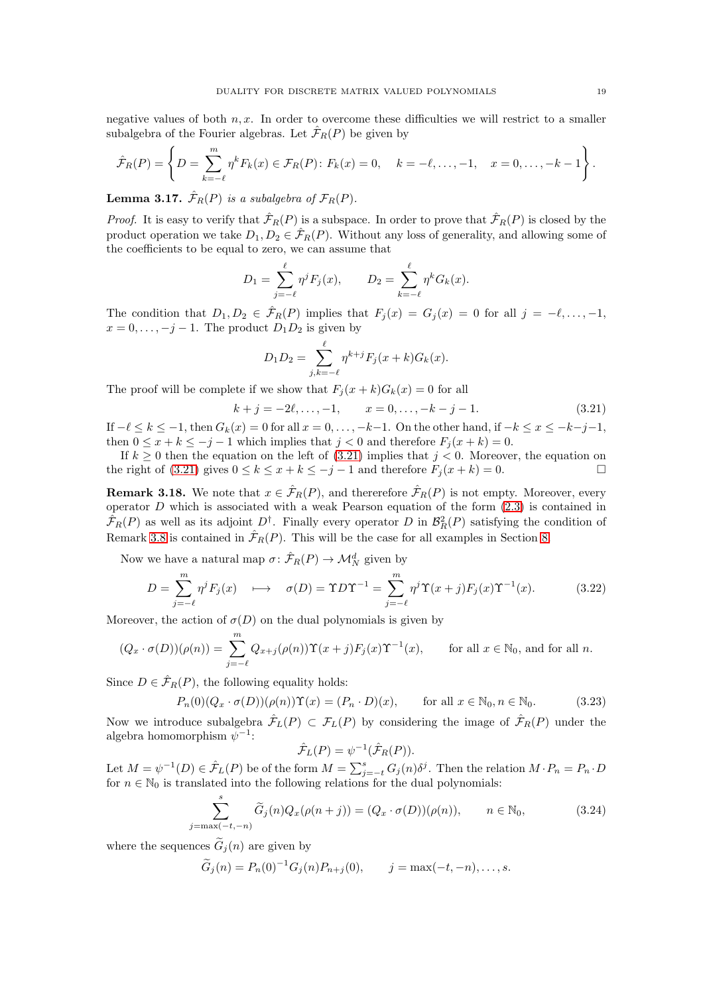negative values of both  $n, x$ . In order to overcome these difficulties we will restrict to a smaller subalgebra of the Fourier algebras. Let  $\mathcal{F}_R(P)$  be given by

$$
\hat{\mathcal{F}}_R(P) = \left\{ D = \sum_{k=-\ell}^m \eta^k F_k(x) \in \mathcal{F}_R(P) : F_k(x) = 0, \quad k = -\ell, \dots, -1, \quad x = 0, \dots, -k-1 \right\}.
$$

**Lemma 3.17.**  $\hat{\mathcal{F}}_R(P)$  is a subalgebra of  $\mathcal{F}_R(P)$ .

*Proof.* It is easy to verify that  $\hat{\mathcal{F}}_R(P)$  is a subspace. In order to prove that  $\hat{\mathcal{F}}_R(P)$  is closed by the product operation we take  $D_1, D_2 \in \hat{\mathcal{F}}_R(P)$ . Without any loss of generality, and allowing some of the coefficients to be equal to zero, we can assume that

$$
D_1 = \sum_{j=-\ell}^{\ell} \eta^j F_j(x), \qquad D_2 = \sum_{k=-\ell}^{\ell} \eta^k G_k(x).
$$

The condition that  $D_1, D_2 \in \hat{\mathcal{F}}_R(P)$  implies that  $F_j(x) = G_j(x) = 0$  for all  $j = -\ell, \ldots, -1$ ,  $x = 0, \ldots, -j-1$ . The product  $D_1 D_2$  is given by

$$
D_1 D_2 = \sum_{j,k=-\ell}^{\ell} \eta^{k+j} F_j(x+k) G_k(x).
$$

The proof will be complete if we show that  $F_i(x+k)G_k(x) = 0$  for all

<span id="page-18-0"></span>
$$
k + j = -2\ell, \dots, -1, \qquad x = 0, \dots, -k - j - 1. \tag{3.21}
$$

If  $-\ell \leq k \leq -1$ , then  $G_k(x) = 0$  for all  $x = 0, \ldots, -k-1$ . On the other hand, if  $-k \leq x \leq -k-j-1$ , then  $0 \le x + k \le -j - 1$  which implies that  $j < 0$  and therefore  $F_i(x + k) = 0$ .

If  $k \geq 0$  then the equation on the left of [\(3.21\)](#page-18-0) implies that  $j < 0$ . Moreover, the equation on the right of [\(3.21\)](#page-18-0) gives  $0 \le k \le x + k \le -j - 1$  and therefore  $F_j(x + k) = 0$ .

<span id="page-18-4"></span>**Remark 3.18.** We note that  $x \in \hat{\mathcal{F}}_R(P)$ , and thererefore  $\hat{\mathcal{F}}_R(P)$  is not empty. Moreover, every operator  $D$  which is associated with a weak Pearson equation of the form  $(2.3)$  is contained in  $\hat{\mathcal{F}}_R(P)$  as well as its adjoint  $D^{\dagger}$ . Finally every operator D in  $\mathcal{B}_R^2(P)$  satisfying the condition of Remark [3.8](#page-14-4) is contained in  $\hat{\mathcal{F}}_R(P)$ . This will be the case for all examples in Section [8.](#page-38-0)

Now we have a natural map  $\sigma: \hat{\mathcal{F}}_R(P) \to \mathcal{M}_N^d$  given by

<span id="page-18-3"></span>
$$
D = \sum_{j=-\ell}^{m} \eta^j F_j(x) \quad \longmapsto \quad \sigma(D) = \Upsilon D \Upsilon^{-1} = \sum_{j=-\ell}^{m} \eta^j \Upsilon(x+j) F_j(x) \Upsilon^{-1}(x). \tag{3.22}
$$

Moreover, the action of  $\sigma(D)$  on the dual polynomials is given by

$$
(Q_x \cdot \sigma(D))(\rho(n)) = \sum_{j=-\ell}^{m} Q_{x+j}(\rho(n)) \Upsilon(x+j) F_j(x) \Upsilon^{-1}(x), \quad \text{for all } x \in \mathbb{N}_0 \text{, and for all } n.
$$

Since  $D \in \hat{\mathcal{F}}_R(P)$ , the following equality holds:

<span id="page-18-2"></span>
$$
P_n(0)(Q_x \cdot \sigma(D))(\rho(n))\Upsilon(x) = (P_n \cdot D)(x), \quad \text{for all } x \in \mathbb{N}_0, n \in \mathbb{N}_0.
$$
 (3.23)

Now we introduce subalgebra  $\mathcal{F}_L(P) \subset \mathcal{F}_L(P)$  by considering the image of  $\mathcal{F}_R(P)$  under the algebra homomorphism  $\psi^{-1}$ :

$$
\hat{\mathcal{F}}_L(P) = \psi^{-1}(\hat{\mathcal{F}}_R(P)).
$$

Let  $M = \psi^{-1}(D) \in \hat{\mathcal{F}}_L(P)$  be of the form  $M = \sum_{j=-t}^s G_j(n) \delta^j$ . Then the relation  $M \cdot P_n = P_n \cdot D$ for  $n\in\mathbb{N}_0$  is translated into the following relations for the dual polynomials:

<span id="page-18-1"></span>
$$
\sum_{j=\max(-t,-n)}^{s} \widetilde{G}_{j}(n) Q_{x}(\rho(n+j)) = (Q_{x} \cdot \sigma(D))(\rho(n)), \qquad n \in \mathbb{N}_{0},
$$
\n(3.24)

where the sequences  $\tilde{G}_i(n)$  are given by

$$
\widetilde{G}_j(n) = P_n(0)^{-1} G_j(n) P_{n+j}(0), \qquad j = \max(-t, -n), \ldots, s.
$$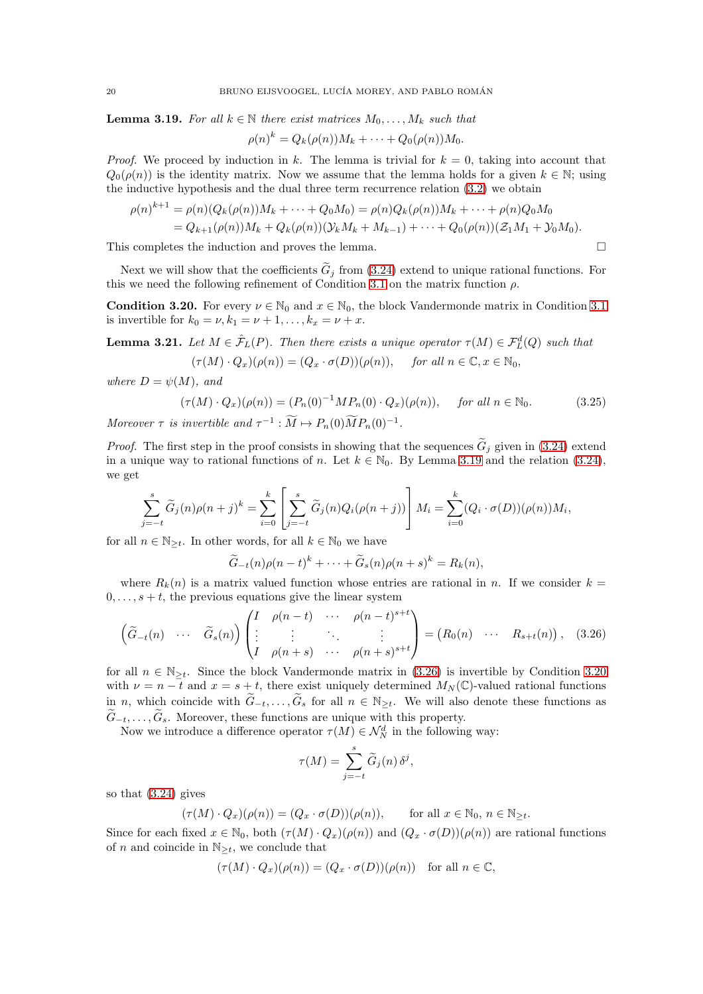<span id="page-19-0"></span>**Lemma 3.19.** For all  $k \in \mathbb{N}$  there exist matrices  $M_0, \ldots, M_k$  such that

$$
\rho(n)^k = Q_k(\rho(n))M_k + \cdots + Q_0(\rho(n))M_0.
$$

*Proof.* We proceed by induction in k. The lemma is trivial for  $k = 0$ , taking into account that  $Q_0(\rho(n))$  is the identity matrix. Now we assume that the lemma holds for a given  $k \in \mathbb{N}$ ; using the inductive hypothesis and the dual three term recurrence relation [\(3.2\)](#page-11-4) we obtain

$$
\rho(n)^{k+1} = \rho(n)(Q_k(\rho(n))M_k + \dots + Q_0M_0) = \rho(n)Q_k(\rho(n))M_k + \dots + \rho(n)Q_0M_0
$$
  
=  $Q_{k+1}(\rho(n))M_k + Q_k(\rho(n)) (Y_kM_k + M_{k-1}) + \dots + Q_0(\rho(n))(Z_1M_1 + Y_0M_0).$ 

This completes the induction and proves the lemma.  $\square$ 

Next we will show that the coefficients  $\tilde{G}_j$  from [\(3.24\)](#page-18-1) extend to unique rational functions. For this we need the following refinement of Condition [3.1](#page-12-1) on the matrix function  $\rho$ .

<span id="page-19-2"></span>**Condition 3.20.** For every  $\nu \in \mathbb{N}_0$  and  $x \in \mathbb{N}_0$ , the block Vandermonde matrix in Condition [3.1](#page-12-1) is invertible for  $k_0 = \nu, k_1 = \nu + 1, ..., k_x = \nu + x$ .

<span id="page-19-3"></span>**Lemma 3.21.** Let  $M \in \hat{\mathcal{F}}_L(P)$ . Then there exists a unique operator  $\tau(M) \in \mathcal{F}_L^d(Q)$  such that  $(\tau(M) \cdot Q_x)(\rho(n)) = (Q_x \cdot \sigma(D))(\rho(n)), \quad \text{for all } n \in \mathbb{C}, x \in \mathbb{N}_0,$ 

where  $D = \psi(M)$ , and

<span id="page-19-4"></span>
$$
(\tau(M) \cdot Q_x)(\rho(n)) = (P_n(0)^{-1}MP_n(0) \cdot Q_x)(\rho(n)), \quad \text{for all } n \in \mathbb{N}_0.
$$
 (3.25)

Moreover  $\tau$  is invertible and  $\tau^{-1}: \tilde{M} \mapsto P_n(0) \tilde{M} P_n(0)^{-1}$ .

*Proof.* The first step in the proof consists in showing that the sequences  $G_j$  given in [\(3.24\)](#page-18-1) extend in a unique way to rational functions of n. Let  $k \in \mathbb{N}_0$ . By Lemma [3.19](#page-19-0) and the relation [\(3.24\)](#page-18-1), we get

$$
\sum_{j=-t}^{s} \widetilde{G}_{j}(n)\rho(n+j)^{k} = \sum_{i=0}^{k} \left[ \sum_{j=-t}^{s} \widetilde{G}_{j}(n)Q_{i}(\rho(n+j)) \right] M_{i} = \sum_{i=0}^{k} (Q_{i} \cdot \sigma(D))(\rho(n))M_{i},
$$

for all  $n \in \mathbb{N}_{\geq t}$ . In other words, for all  $k \in \mathbb{N}_0$  we have

$$
\widetilde{G}_{-t}(n)\rho(n-t)^{k}+\cdots+\widetilde{G}_{s}(n)\rho(n+s)^{k}=R_{k}(n),
$$

where  $R_k(n)$  is a matrix valued function whose entries are rational in n. If we consider  $k =$  $0, \ldots, s + t$ , the previous equations give the linear system

<span id="page-19-1"></span>
$$
\begin{pmatrix}\n\widetilde{G}_{-t}(n) & \cdots & \widetilde{G}_s(n)\n\end{pmatrix}\n\begin{pmatrix}\nI & \rho(n-t) & \cdots & \rho(n-t)^{s+t} \\
\vdots & \vdots & \ddots & \vdots \\
I & \rho(n+s) & \cdots & \rho(n+s)^{s+t}\n\end{pmatrix} = \begin{pmatrix}\nR_0(n) & \cdots & R_{s+t}(n)\n\end{pmatrix},
$$
\n(3.26)

for all  $n \in \mathbb{N}_{\geq t}$ . Since the block Vandermonde matrix in [\(3.26\)](#page-19-1) is invertible by Condition [3.20](#page-19-2) with  $\nu = n - t$  and  $x = s + t$ , there exist uniquely determined  $M_N(\mathbb{C})$ -valued rational functions in n, which coincide with  $\tilde{G}_{-t},\ldots,\tilde{G}_s$  for all  $n \in \mathbb{N}_{\geq t}$ . We will also denote these functions as  $\widetilde{G}_{-t}, \ldots, \widetilde{G}_{s}$ . Moreover, these functions are unique with this property.

Now we introduce a difference operator  $\tau(M) \in \mathcal{N}_N^d$  in the following way:

$$
\tau(M) = \sum_{j=-t}^{s} \widetilde{G}_{j}(n) \, \delta^{j},
$$

so that [\(3.24\)](#page-18-1) gives

$$
(\tau(M) \cdot Q_x)(\rho(n)) = (Q_x \cdot \sigma(D))(\rho(n)), \quad \text{for all } x \in \mathbb{N}_0, n \in \mathbb{N}_{\geq t}.
$$

Since for each fixed  $x \in \mathbb{N}_0$ , both  $(\tau(M) \cdot Q_x)(\rho(n))$  and  $(Q_x \cdot \sigma(D))(\rho(n))$  are rational functions of n and coincide in  $\mathbb{N}_{\geq t}$ , we conclude that

$$
(\tau(M)\cdot Q_x)(\rho(n))=(Q_x\cdot \sigma(D))(\rho(n))\quad\text{for all }n\in\mathbb{C},
$$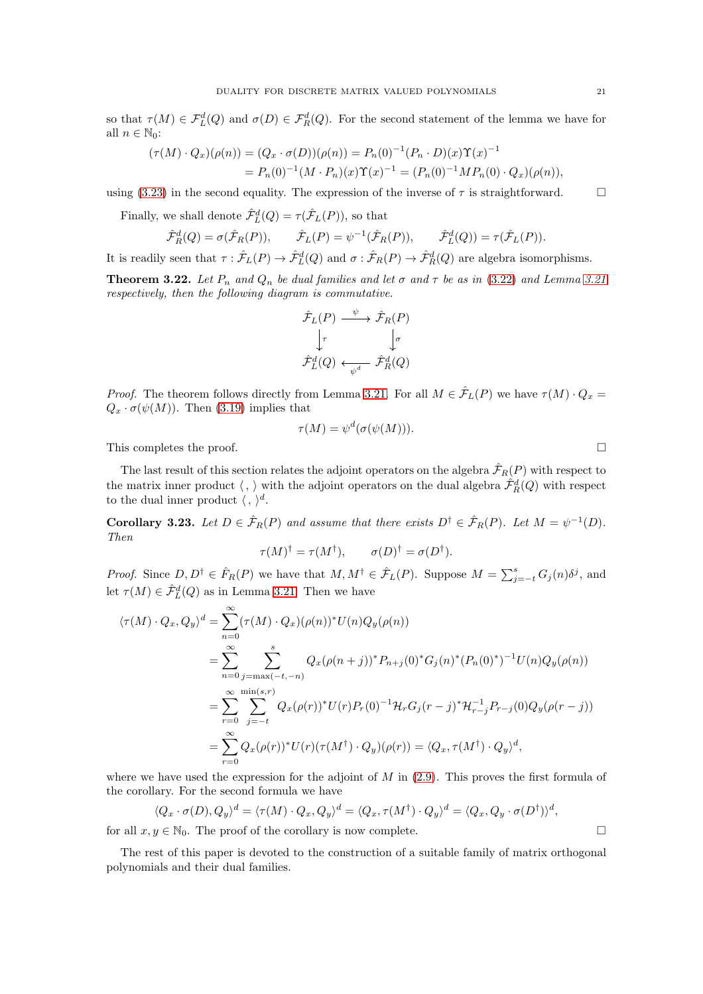so that  $\tau(M) \in \mathcal{F}_L^d(Q)$  and  $\sigma(D) \in \mathcal{F}_R^d(Q)$ . For the second statement of the lemma we have for all  $n \in \mathbb{N}_0$ :

$$
(\tau(M) \cdot Q_x)(\rho(n)) = (Q_x \cdot \sigma(D))(\rho(n)) = P_n(0)^{-1} (P_n \cdot D)(x) \Upsilon(x)^{-1}
$$
  
=  $P_n(0)^{-1} (M \cdot P_n)(x) \Upsilon(x)^{-1} = (P_n(0)^{-1} M P_n(0) \cdot Q_x)(\rho(n)),$ 

using [\(3.23\)](#page-18-2) in the second equality. The expression of the inverse of  $\tau$  is straightforward.

Finally, we shall denote  $\hat{\mathcal{F}}_L^d(Q) = \tau(\hat{\mathcal{F}}_L(P))$ , so that

$$
\hat{\mathcal{F}}_R^d(Q) = \sigma(\hat{\mathcal{F}}_R(P)), \qquad \hat{\mathcal{F}}_L(P) = \psi^{-1}(\hat{\mathcal{F}}_R(P)), \qquad \hat{\mathcal{F}}_L^d(Q)) = \tau(\hat{\mathcal{F}}_L(P)).
$$

It is readily seen that  $\tau : \hat{\mathcal{F}}_L(P) \to \hat{\mathcal{F}}_L^d(Q)$  and  $\sigma : \hat{\mathcal{F}}_R(P) \to \hat{\mathcal{F}}_R^d(Q)$  are algebra isomorphisms.

<span id="page-20-0"></span>**Theorem 3.22.** Let  $P_n$  and  $Q_n$  be dual families and let  $\sigma$  and  $\tau$  be as in [\(3.22\)](#page-18-3) and Lemma [3.21](#page-19-3) respectively, then the following diagram is commutative.

$$
\hat{\mathcal{F}}_L(P) \xrightarrow{\psi} \hat{\mathcal{F}}_R(P) \n\downarrow^{\tau} \qquad \qquad \downarrow^{\sigma} \n\hat{\mathcal{F}}_L^d(Q) \stackrel{\tau}{\longleftarrow} \hat{\mathcal{F}}_R^d(Q)
$$

*Proof.* The theorem follows directly from Lemma [3.21.](#page-19-3) For all  $M \in \mathcal{F}_L(P)$  we have  $\tau(M) \cdot Q_x =$  $Q_x \cdot \sigma(\psi(M))$ . Then [\(3.19\)](#page-17-3) implies that

$$
\tau(M) = \psi^d(\sigma(\psi(M))).
$$

This completes the proof.

The last result of this section relates the adjoint operators on the algebra  $\mathcal{F}_R(P)$  with respect to the matrix inner product  $\langle , \rangle$  with the adjoint operators on the dual algebra  $\hat{\mathcal{F}}_R^d(Q)$  with respect to the dual inner product  $\langle , \rangle^d$ .

**Corollary 3.23.** Let  $D \in \hat{\mathcal{F}}_R(P)$  and assume that there exists  $D^{\dagger} \in \hat{\mathcal{F}}_R(P)$ . Let  $M = \psi^{-1}(D)$ . Then

$$
\tau(M)^{\dagger} = \tau(M^{\dagger}), \qquad \sigma(D)^{\dagger} = \sigma(D^{\dagger}).
$$

*Proof.* Since  $D, D^{\dagger} \in \hat{F}_R(P)$  we have that  $M, M^{\dagger} \in \hat{\mathcal{F}}_L(P)$ . Suppose  $M = \sum_{j=-t}^s G_j(n) \delta^j$ , and let  $\tau(M) \in \hat{\mathcal{F}}_L^d(Q)$  as in Lemma [3.21.](#page-19-3) Then we have

$$
\langle \tau(M) \cdot Q_x, Q_y \rangle^d = \sum_{n=0}^{\infty} (\tau(M) \cdot Q_x)(\rho(n))^* U(n) Q_y(\rho(n))
$$
  
\n
$$
= \sum_{n=0}^{\infty} \sum_{j=\max(-t,-n)}^{s} Q_x(\rho(n+j))^* P_{n+j}(0)^* G_j(n)^* (P_n(0)^*)^{-1} U(n) Q_y(\rho(n))
$$
  
\n
$$
= \sum_{r=0}^{\infty} \sum_{j=-t}^{\min(s,r)} Q_x(\rho(r))^* U(r) P_r(0)^{-1} \mathcal{H}_r G_j(r-j)^* \mathcal{H}_{r-j}^{-1} P_{r-j}(0) Q_y(\rho(r-j))
$$
  
\n
$$
= \sum_{r=0}^{\infty} Q_x(\rho(r))^* U(r) (\tau(M^{\dagger}) \cdot Q_y)(\rho(r)) = \langle Q_x, \tau(M^{\dagger}) \cdot Q_y \rangle^d,
$$

where we have used the expression for the adjoint of  $M$  in  $(2.9)$ . This proves the first formula of the corollary. For the second formula we have

$$
\langle Q_x \cdot \sigma(D), Q_y \rangle^d = \langle \tau(M) \cdot Q_x, Q_y \rangle^d = \langle Q_x, \tau(M^{\dagger}) \cdot Q_y \rangle^d = \langle Q_x, Q_y \cdot \sigma(D^{\dagger}) \rangle^d,
$$

for all  $x, y \in \mathbb{N}_0$ . The proof of the corollary is now complete.

The rest of this paper is devoted to the construction of a suitable family of matrix orthogonal polynomials and their dual families.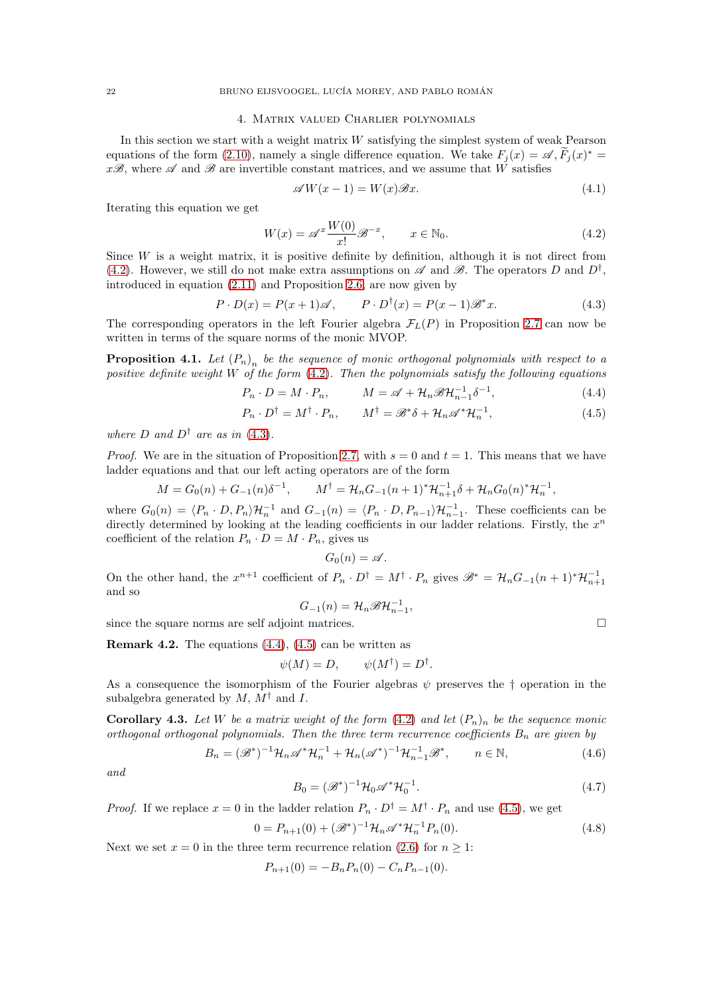### 4. Matrix valued Charlier polynomials

<span id="page-21-0"></span>In this section we start with a weight matrix  $W$  satisfying the simplest system of weak Pearson equations of the form [\(2.10\)](#page-6-1), namely a single difference equation. We take  $F_j(x) = \mathscr{A}, \widetilde{F}_j(x)^* =$  $x\mathscr{B}$ , where  $\mathscr A$  and  $\mathscr B$  are invertible constant matrices, and we assume that W satisfies

<span id="page-21-10"></span>
$$
\mathscr{A}W(x-1) = W(x)\mathscr{B}x.\tag{4.1}
$$

Iterating this equation we get

<span id="page-21-1"></span>
$$
W(x) = \mathscr{A}^x \frac{W(0)}{x!} \mathscr{B}^{-x}, \qquad x \in \mathbb{N}_0.
$$
 (4.2)

Since  $W$  is a weight matrix, it is positive definite by definition, although it is not direct from [\(4.2\)](#page-21-1). However, we still do not make extra assumptions on  $\mathscr A$  and  $\mathscr B$ . The operators D and  $D^{\dagger}$ , introduced in equation [\(2.11\)](#page-6-2) and Proposition [2.6,](#page-6-5) are now given by

<span id="page-21-2"></span>
$$
P \cdot D(x) = P(x+1)\mathscr{A}, \qquad P \cdot D^{\dagger}(x) = P(x-1)\mathscr{B}^*x. \tag{4.3}
$$

The corresponding operators in the left Fourier algebra  $\mathcal{F}_L(P)$  in Proposition [2.7](#page-7-1) can now be written in terms of the square norms of the monic MVOP.

<span id="page-21-6"></span>**Proposition 4.1.** Let  $(P_n)$ <sub>n</sub> be the sequence of monic orthogonal polynomials with respect to a positive definite weight W of the form  $(4.2)$ . Then the polynomials satisfy the following equations

$$
P_n \cdot D = M \cdot P_n, \qquad M = \mathscr{A} + \mathcal{H}_n \mathscr{B} \mathcal{H}_{n-1}^{-1} \delta^{-1}, \qquad (4.4)
$$

$$
P_n \cdot D^{\dagger} = M^{\dagger} \cdot P_n, \qquad M^{\dagger} = \mathcal{B}^* \delta + \mathcal{H}_n \mathcal{A}^* \mathcal{H}_n^{-1}, \tag{4.5}
$$

where D and  $D^{\dagger}$  are as in [\(4.3\)](#page-21-2).

*Proof.* We are in the situation of Proposition [2.7,](#page-7-1) with  $s = 0$  and  $t = 1$ . This means that we have ladder equations and that our left acting operators are of the form

$$
M = G_0(n) + G_{-1}(n)\delta^{-1}, \qquad M^{\dagger} = \mathcal{H}_n G_{-1}(n+1)^* \mathcal{H}_{n+1}^{-1} \delta + \mathcal{H}_n G_0(n)^* \mathcal{H}_n^{-1},
$$

where  $G_0(n) = \langle P_n \cdot D, P_n \rangle \mathcal{H}_n^{-1}$  and  $G_{-1}(n) = \langle P_n \cdot D, P_{n-1} \rangle \mathcal{H}_{n-1}^{-1}$ . These coefficients can be directly determined by looking at the leading coefficients in our ladder relations. Firstly, the  $x^n$ coefficient of the relation  $P_n \cdot D = M \cdot P_n$ , gives us

$$
G_0(n) = \mathscr{A}.
$$

On the other hand, the  $x^{n+1}$  coefficient of  $P_n \cdot D^{\dagger} = M^{\dagger} \cdot P_n$  gives  $\mathscr{B}^* = \mathcal{H}_n G_{-1}(n+1)^* \mathcal{H}_{n+1}^{-1}$ and so

$$
G_{-1}(n) = \mathcal{H}_n \mathscr{B} \mathcal{H}_{n-1}^{-1},
$$

since the square norms are self adjoint matrices.  $\Box$ 

**Remark 4.2.** The equations  $(4.4)$ ,  $(4.5)$  can be written as

$$
\psi(M) = D, \qquad \psi(M^{\dagger}) = D^{\dagger}.
$$

As a consequence the isomorphism of the Fourier algebras  $\psi$  preserves the † operation in the subalgebra generated by  $M$ ,  $M^{\dagger}$  and I.

<span id="page-21-7"></span>**Corollary 4.3.** Let W be a matrix weight of the form [\(4.2\)](#page-21-1) and let  $(P_n)_n$  be the sequence monic orthogonal orthogonal polynomials. Then the three term recurrence coefficients  $B_n$  are given by

<span id="page-21-8"></span>
$$
B_n = (\mathscr{B}^*)^{-1} \mathcal{H}_n \mathscr{A}^* \mathcal{H}_n^{-1} + \mathcal{H}_n (\mathscr{A}^*)^{-1} \mathcal{H}_{n-1}^{-1} \mathscr{B}^*, \qquad n \in \mathbb{N},
$$
(4.6)

and

<span id="page-21-9"></span>
$$
B_0 = (\mathscr{B}^*)^{-1} \mathcal{H}_0 \mathscr{A}^* \mathcal{H}_0^{-1}.
$$
\n
$$
(4.7)
$$

*Proof.* If we replace  $x = 0$  in the ladder relation  $P_n \cdot D^{\dagger} = M^{\dagger} \cdot P_n$  and use [\(4.5\)](#page-21-4), we get

<span id="page-21-5"></span>
$$
0 = P_{n+1}(0) + (\mathcal{B}^*)^{-1} \mathcal{H}_n \mathcal{A}^* \mathcal{H}_n^{-1} P_n(0). \tag{4.8}
$$

Next we set  $x = 0$  in the three term recurrence relation [\(2.6\)](#page-6-0) for  $n \geq 1$ :

$$
P_{n+1}(0) = -B_n P_n(0) - C_n P_{n-1}(0).
$$

<span id="page-21-4"></span><span id="page-21-3"></span>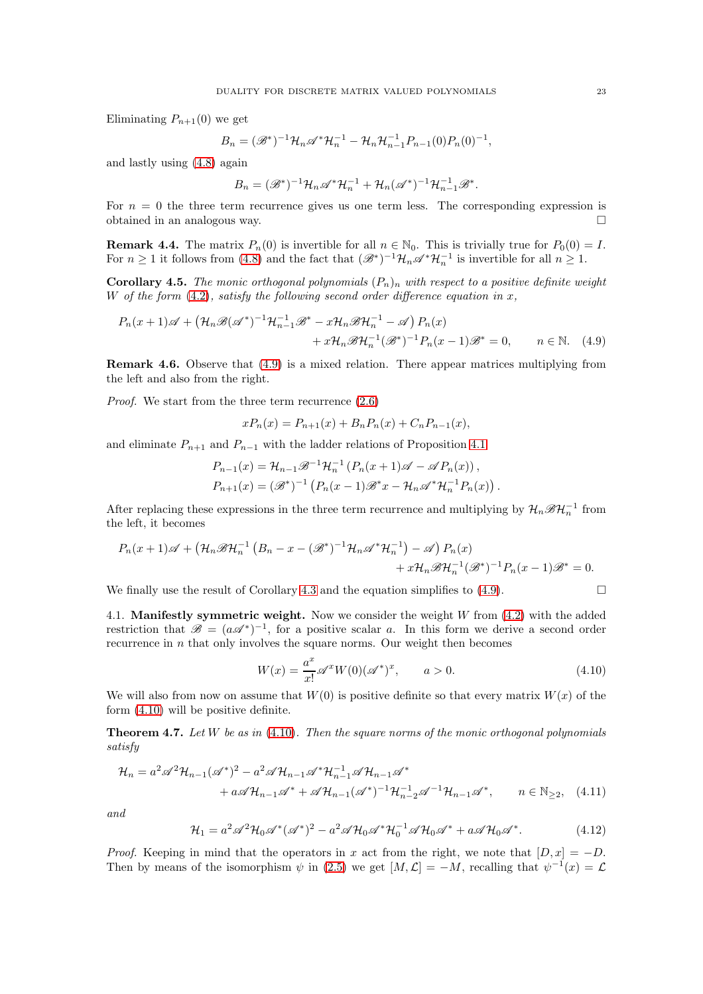Eliminating  $P_{n+1}(0)$  we get

$$
B_n = (\mathscr{B}^*)^{-1} \mathcal{H}_n \mathscr{A}^* \mathcal{H}_n^{-1} - \mathcal{H}_n \mathcal{H}_{n-1}^{-1} P_{n-1}(0) P_n(0)^{-1},
$$

and lastly using [\(4.8\)](#page-21-5) again

$$
B_n = (\mathscr{B}^*)^{-1} \mathcal{H}_n \mathscr{A}^* \mathcal{H}_n^{-1} + \mathcal{H}_n (\mathscr{A}^*)^{-1} \mathcal{H}_{n-1}^{-1} \mathscr{B}^*.
$$

For  $n = 0$  the three term recurrence gives us one term less. The corresponding expression is obtained in an analogous way.

**Remark 4.4.** The matrix  $P_n(0)$  is invertible for all  $n \in \mathbb{N}_0$ . This is trivially true for  $P_0(0) = I$ . For  $n \geq 1$  it follows from [\(4.8\)](#page-21-5) and the fact that  $(\mathscr{B}^*)^{-1}\mathcal{H}_n\mathscr{A}^*\mathcal{H}_n^{-1}$  is invertible for all  $n \geq 1$ .

<span id="page-22-4"></span>**Corollary 4.5.** The monic orthogonal polynomials  $(P_n)_n$  with respect to a positive definite weight W of the form  $(4.2)$ , satisfy the following second order difference equation in x,

$$
P_n(x+1)\mathscr{A} + \left(\mathcal{H}_n\mathscr{B}(\mathscr{A}^*)^{-1}\mathcal{H}_{n-1}^{-1}\mathscr{B}^* - x\mathcal{H}_n\mathscr{B}\mathcal{H}_n^{-1} - \mathscr{A}\right)P_n(x)
$$
  
+  $x\mathcal{H}_n\mathscr{B}\mathcal{H}_n^{-1}(\mathscr{B}^*)^{-1}P_n(x-1)\mathscr{B}^* = 0, \qquad n \in \mathbb{N}.$  (4.9)

Remark 4.6. Observe that [\(4.9\)](#page-22-0) is a mixed relation. There appear matrices multiplying from the left and also from the right.

Proof. We start from the three term recurrence  $(2.6)$ 

<span id="page-22-0"></span>
$$
xP_n(x) = P_{n+1}(x) + B_n P_n(x) + C_n P_{n-1}(x),
$$

and eliminate  $P_{n+1}$  and  $P_{n-1}$  with the ladder relations of Proposition [4.1](#page-21-6)

$$
P_{n-1}(x) = \mathcal{H}_{n-1}\mathcal{B}^{-1}\mathcal{H}_n^{-1} (P_n(x+1)\mathcal{A} - \mathcal{A}P_n(x)),
$$
  
\n
$$
P_{n+1}(x) = (\mathcal{B}^*)^{-1} (P_n(x-1)\mathcal{B}^*x - \mathcal{H}_n\mathcal{A}^*\mathcal{H}_n^{-1}P_n(x)).
$$

After replacing these expressions in the three term recurrence and multiplying by  $\mathcal{H}_n\mathscr{B}\mathcal{H}_n^{-1}$  from the left, it becomes

$$
P_n(x+1)\mathscr{A} + \left(\mathcal{H}_n\mathscr{B}\mathcal{H}_n^{-1}\left(B_n - x - \left(\mathscr{B}^*\right)^{-1}\mathcal{H}_n\mathscr{A}^*\mathcal{H}_n^{-1}\right) - \mathscr{A}\right)P_n(x) + x\mathcal{H}_n\mathscr{B}\mathcal{H}_n^{-1}(\mathscr{B}^*)^{-1}P_n(x-1)\mathscr{B}^* = 0.
$$

We finally use the result of Corollary [4.3](#page-21-7) and the equation simplifies to  $(4.9)$ .

4.1. Manifestly symmetric weight. Now we consider the weight W from [\(4.2\)](#page-21-1) with the added restriction that  $\mathscr{B} = (a\mathscr{A}^*)^{-1}$ , for a positive scalar a. In this form we derive a second order recurrence in  $n$  that only involves the square norms. Our weight then becomes

<span id="page-22-2"></span><span id="page-22-1"></span>
$$
W(x) = \frac{a^x}{x!} \mathscr{A}^x W(0) (\mathscr{A}^*)^x, \qquad a > 0.
$$
 (4.10)

We will also from now on assume that  $W(0)$  is positive definite so that every matrix  $W(x)$  of the form [\(4.10\)](#page-22-1) will be positive definite.

<span id="page-22-5"></span>**Theorem 4.7.** Let  $W$  be as in [\(4.10\)](#page-22-1). Then the square norms of the monic orthogonal polynomials satisfy

$$
\mathcal{H}_n = a^2 \mathscr{A}^2 \mathcal{H}_{n-1} (\mathscr{A}^*)^2 - a^2 \mathscr{A} \mathcal{H}_{n-1} \mathscr{A}^* \mathcal{H}_{n-1}^{-1} \mathscr{A} \mathcal{H}_{n-1} \mathscr{A}^*
$$
  
+  $a \mathscr{A} \mathcal{H}_{n-1} \mathscr{A}^* + \mathscr{A} \mathcal{H}_{n-1} (\mathscr{A}^*)^{-1} \mathcal{H}_{n-2}^{-1} \mathscr{A}^{-1} \mathcal{H}_{n-1} \mathscr{A}^*, \qquad n \in \mathbb{N}_{\ge 2},$  (4.11)

and

<span id="page-22-3"></span>
$$
\mathcal{H}_1 = a^2 \mathscr{A}^2 \mathcal{H}_0 \mathscr{A}^* (\mathscr{A}^*)^2 - a^2 \mathscr{A} \mathcal{H}_0 \mathscr{A}^* \mathcal{H}_0^{-1} \mathscr{A} \mathcal{H}_0 \mathscr{A}^* + a \mathscr{A} \mathcal{H}_0 \mathscr{A}^*.
$$
 (4.12)

*Proof.* Keeping in mind that the operators in x act from the right, we note that  $[D, x] = -D$ . Then by means of the isomorphism  $\psi$  in [\(2.5\)](#page-5-3) we get  $[M, \mathcal{L}] = -M$ , recalling that  $\psi^{-1}(x) = \mathcal{L}$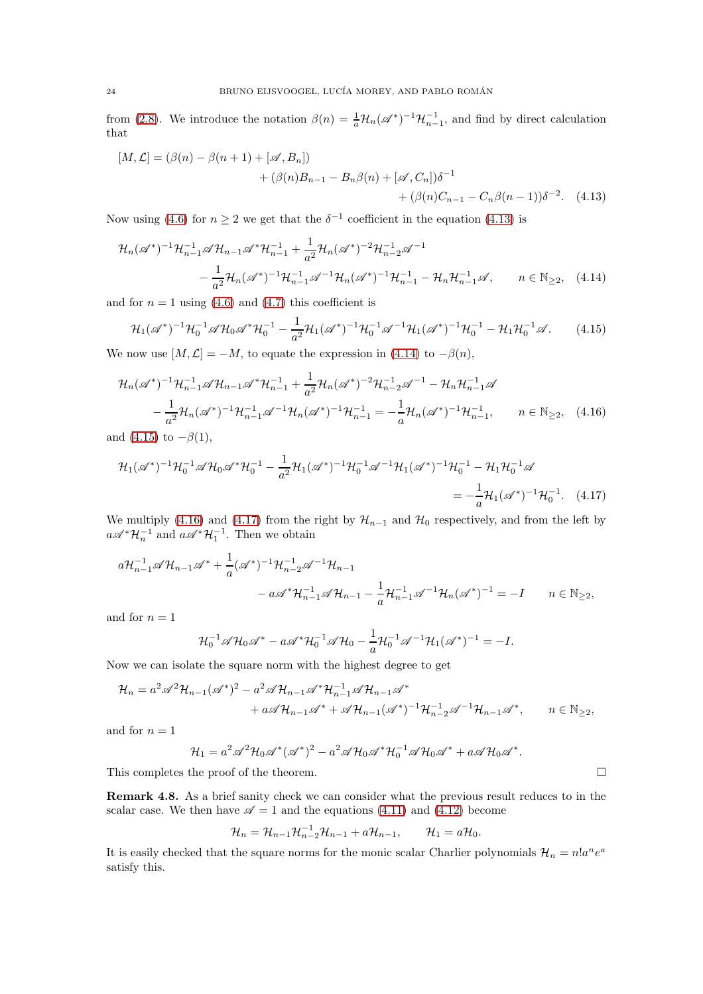from [\(2.8\)](#page-6-8). We introduce the notation  $\beta(n) = \frac{1}{a} \mathcal{H}_n(\mathscr{A}^*)^{-1} \mathcal{H}_{n-1}^{-1}$ , and find by direct calculation that

<span id="page-23-0"></span>
$$
[M, \mathcal{L}] = (\beta(n) - \beta(n+1) + [\mathcal{A}, B_n])
$$
  
+ (\beta(n)B\_{n-1} - B\_n\beta(n) + [\mathcal{A}, C\_n])\delta^{-1}  
+ (\beta(n)C\_{n-1} - C\_n\beta(n-1))\delta^{-2}. (4.13)

Now using [\(4.6\)](#page-21-8) for  $n \geq 2$  we get that the  $\delta^{-1}$  coefficient in the equation [\(4.13\)](#page-23-0) is

$$
\mathcal{H}_n(\mathscr{A}^*)^{-1}\mathcal{H}_{n-1}^{-1}\mathscr{A}\mathcal{H}_{n-1}\mathscr{A}^*\mathcal{H}_{n-1}^{-1} + \frac{1}{a^2}\mathcal{H}_n(\mathscr{A}^*)^{-2}\mathcal{H}_{n-2}^{-1}\mathscr{A}^{-1}
$$

$$
-\frac{1}{a^2}\mathcal{H}_n(\mathscr{A}^*)^{-1}\mathcal{H}_{n-1}^{-1}\mathscr{A}^{-1}\mathcal{H}_n(\mathscr{A}^*)^{-1}\mathcal{H}_{n-1}^{-1} - \mathcal{H}_n\mathcal{H}_{n-1}^{-1}\mathscr{A}, \qquad n \in \mathbb{N}_{\ge 2}, \quad (4.14)
$$

and for  $n = 1$  using [\(4.6\)](#page-21-8) and [\(4.7\)](#page-21-9) this coefficient is

<span id="page-23-2"></span><span id="page-23-1"></span>
$$
\mathcal{H}_1(\mathscr{A}^*)^{-1}\mathcal{H}_0^{-1}\mathscr{A}\mathcal{H}_0\mathscr{A}^*\mathcal{H}_0^{-1} - \frac{1}{a^2}\mathcal{H}_1(\mathscr{A}^*)^{-1}\mathcal{H}_0^{-1}\mathscr{A}^{-1}\mathcal{H}_1(\mathscr{A}^*)^{-1}\mathcal{H}_0^{-1} - \mathcal{H}_1\mathcal{H}_0^{-1}\mathscr{A}.
$$
 (4.15)

We now use  $[M, \mathcal{L}] = -M$ , to equate the expression in [\(4.14\)](#page-23-1) to  $-\beta(n)$ ,

$$
\mathcal{H}_n(\mathscr{A}^*)^{-1}\mathcal{H}_{n-1}^{-1}\mathscr{A}\mathcal{H}_{n-1}\mathscr{A}^*\mathcal{H}_{n-1}^{-1} + \frac{1}{a^2}\mathcal{H}_n(\mathscr{A}^*)^{-2}\mathcal{H}_{n-2}^{-1}\mathscr{A}^{-1} - \mathcal{H}_n\mathcal{H}_{n-1}^{-1}\mathscr{A}
$$

$$
-\frac{1}{a^2}\mathcal{H}_n(\mathscr{A}^*)^{-1}\mathcal{H}_{n-1}^{-1}\mathscr{A}^{-1}\mathcal{H}_n(\mathscr{A}^*)^{-1}\mathcal{H}_{n-1}^{-1} = -\frac{1}{a}\mathcal{H}_n(\mathscr{A}^*)^{-1}\mathcal{H}_{n-1}^{-1}, \qquad n \in \mathbb{N}_{\geq 2}, \quad (4.16)
$$

and [\(4.15\)](#page-23-2) to  $-\beta(1)$ ,

$$
\mathcal{H}_1(\mathscr{A}^*)^{-1}\mathcal{H}_0^{-1}\mathscr{A}\mathcal{H}_0\mathscr{A}^*\mathcal{H}_0^{-1} - \frac{1}{a^2}\mathcal{H}_1(\mathscr{A}^*)^{-1}\mathcal{H}_0^{-1}\mathscr{A}^{-1}\mathcal{H}_1(\mathscr{A}^*)^{-1}\mathcal{H}_0^{-1} - \mathcal{H}_1\mathcal{H}_0^{-1}\mathscr{A}
$$
  
= 
$$
-\frac{1}{a}\mathcal{H}_1(\mathscr{A}^*)^{-1}\mathcal{H}_0^{-1}.
$$
 (4.17)

We multiply [\(4.16\)](#page-23-3) and [\(4.17\)](#page-23-4) from the right by  $\mathcal{H}_{n-1}$  and  $\mathcal{H}_0$  respectively, and from the left by  $a\mathscr{A}^*\mathcal{H}_n^{-1}$  and  $a\mathscr{A}^*\mathcal{H}_1^{-1}$ . Then we obtain

$$
a\mathcal{H}_{n-1}^{-1}\mathscr{A}\mathcal{H}_{n-1}\mathscr{A}^* + \frac{1}{a}(\mathscr{A}^*)^{-1}\mathcal{H}_{n-2}^{-1}\mathscr{A}^{-1}\mathcal{H}_{n-1}
$$
  

$$
- a\mathscr{A}^*\mathcal{H}_{n-1}^{-1}\mathscr{A}\mathcal{H}_{n-1} - \frac{1}{a}\mathcal{H}_{n-1}^{-1}\mathscr{A}^{-1}\mathcal{H}_n(\mathscr{A}^*)^{-1} = -I \qquad n \in \mathbb{N}_{\ge 2},
$$

and for  $n = 1$ 

$$
\mathcal{H}_0^{-1} \mathscr{A} \mathcal{H}_0 \mathscr{A}^* - a \mathscr{A}^* \mathcal{H}_0^{-1} \mathscr{A} \mathcal{H}_0 - \frac{1}{a} \mathcal{H}_0^{-1} \mathscr{A}^{-1} \mathcal{H}_1 (\mathscr{A}^*)^{-1} = -I.
$$

Now we can isolate the square norm with the highest degree to get

$$
\mathcal{H}_n = a^2 \mathscr{A}^2 \mathcal{H}_{n-1}(\mathscr{A}^*)^2 - a^2 \mathscr{A} \mathcal{H}_{n-1} \mathscr{A}^* \mathcal{H}_{n-1}^{-1} \mathscr{A} \mathcal{H}_{n-1} \mathscr{A}^* \n+ a \mathscr{A} \mathcal{H}_{n-1} \mathscr{A}^* + \mathscr{A} \mathcal{H}_{n-1}(\mathscr{A}^*)^{-1} \mathcal{H}_{n-2}^{-1} \mathscr{A}^{-1} \mathcal{H}_{n-1} \mathscr{A}^*, \qquad n \in \mathbb{N}_{\ge 2},
$$

and for  $n = 1$ 

$$
\mathcal{H}_1 = a^2 \mathscr{A}^2 \mathcal{H}_0 \mathscr{A}^* (\mathscr{A}^*)^2 - a^2 \mathscr{A} \mathcal{H}_0 \mathscr{A}^* \mathcal{H}_0^{-1} \mathscr{A} \mathcal{H}_0 \mathscr{A}^* + a \mathscr{A} \mathcal{H}_0 \mathscr{A}^*.
$$

This completes the proof of the theorem.

Remark 4.8. As a brief sanity check we can consider what the previous result reduces to in the scalar case. We then have  $\mathscr{A} = 1$  and the equations [\(4.11\)](#page-22-2) and [\(4.12\)](#page-22-3) become

$$
\mathcal{H}_n = \mathcal{H}_{n-1}\mathcal{H}_{n-2}^{-1}\mathcal{H}_{n-1} + a\mathcal{H}_{n-1}, \qquad \mathcal{H}_1 = a\mathcal{H}_0.
$$

It is easily checked that the square norms for the monic scalar Charlier polynomials  $\mathcal{H}_n = n!a^n e^a$ satisfy this.

<span id="page-23-4"></span><span id="page-23-3"></span>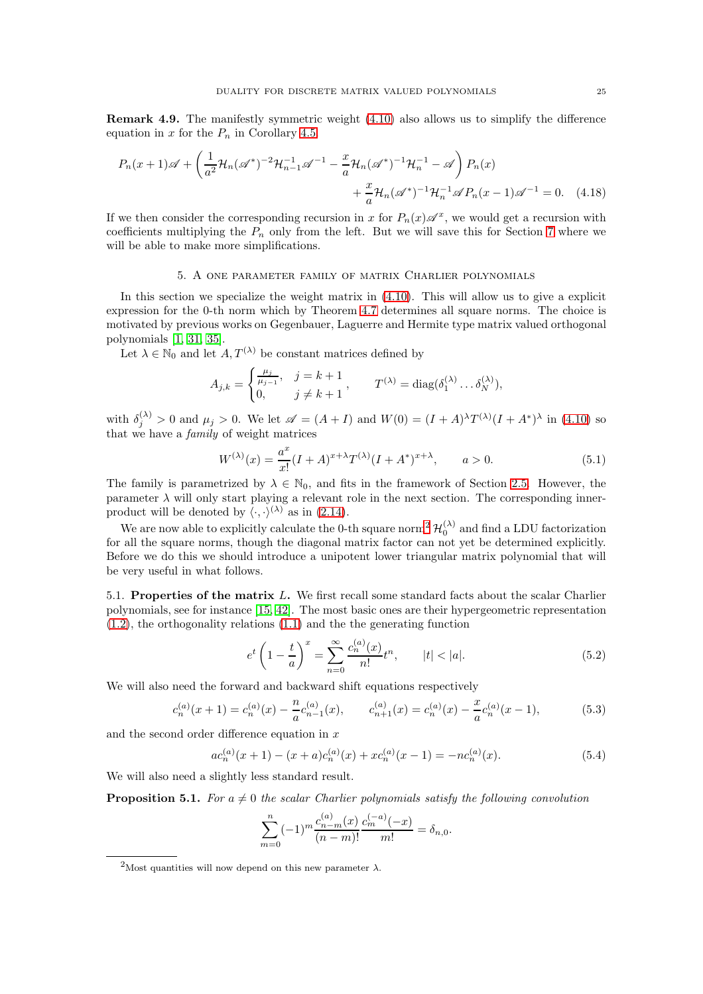Remark 4.9. The manifestly symmetric weight [\(4.10\)](#page-22-1) also allows us to simplify the difference equation in x for the  $P_n$  in Corollary [4.5.](#page-22-4)

$$
P_n(x+1)\mathscr{A} + \left(\frac{1}{a^2}\mathcal{H}_n(\mathscr{A}^*)^{-2}\mathcal{H}_{n-1}^{-1}\mathscr{A}^{-1} - \frac{x}{a}\mathcal{H}_n(\mathscr{A}^*)^{-1}\mathcal{H}_n^{-1} - \mathscr{A}\right)P_n(x) + \frac{x}{a}\mathcal{H}_n(\mathscr{A}^*)^{-1}\mathcal{H}_n^{-1}\mathscr{A}P_n(x-1)\mathscr{A}^{-1} = 0.
$$
 (4.18)

If we then consider the corresponding recursion in x for  $P_n(x) \mathscr{A}^x$ , we would get a recursion with coefficients multiplying the  $P_n$  only from the left. But we will save this for Section [7](#page-35-0) where we will be able to make more simplifications.

#### 5. A one parameter family of matrix Charlier polynomials

<span id="page-24-0"></span>In this section we specialize the weight matrix in  $(4.10)$ . This will allow us to give a explicit expression for the 0-th norm which by Theorem [4.7](#page-22-5) determines all square norms. The choice is motivated by previous works on Gegenbauer, Laguerre and Hermite type matrix valued orthogonal polynomials [\[1,](#page-52-14) [31,](#page-53-3) [35\]](#page-53-14).

Let  $\lambda \in \mathbb{N}_0$  and let  $A, T^{(\lambda)}$  be constant matrices defined by

<span id="page-24-7"></span>
$$
A_{j,k} = \begin{cases} \frac{\mu_j}{\mu_{j-1}}, & j = k+1 \\ 0, & j \neq k+1 \end{cases}, \qquad T^{(\lambda)} = \text{diag}(\delta_1^{(\lambda)} \dots \delta_N^{(\lambda)}),
$$

with  $\delta_j^{(\lambda)} > 0$  and  $\mu_j > 0$ . We let  $\mathscr{A} = (A + I)$  and  $W(0) = (I + A)^{\lambda} T^{(\lambda)} (I + A^*)^{\lambda}$  in [\(4.10\)](#page-22-1) so that we have a family of weight matrices

<span id="page-24-4"></span>
$$
W^{(\lambda)}(x) = \frac{a^x}{x!} (I + A)^{x + \lambda} T^{(\lambda)} (I + A^*)^{x + \lambda}, \qquad a > 0.
$$
 (5.1)

The family is parametrized by  $\lambda \in \mathbb{N}_0$ , and fits in the framework of Section [2.5.](#page-10-5) However, the parameter  $\lambda$  will only start playing a relevant role in the next section. The corresponding innerproduct will be denoted by  $\langle \cdot, \cdot \rangle^{(\lambda)}$  as in [\(2.14\)](#page-8-3).

We are now able to explicitly calculate the 0-th square norm<sup>[2](#page-24-1)</sup>  $\mathcal{H}_0^{(\lambda)}$  and find a LDU factorization for all the square norms, though the diagonal matrix factor can not yet be determined explicitly. Before we do this we should introduce a unipotent lower triangular matrix polynomial that will be very useful in what follows.

5.1. Properties of the matrix L. We first recall some standard facts about the scalar Charlier polynomials, see for instance [\[15,](#page-52-0) [42\]](#page-53-0). The most basic ones are their hypergeometric representation [\(1.2\)](#page-0-2), the orthogonality relations [\(1.1\)](#page-0-3) and the the generating function

<span id="page-24-2"></span>
$$
e^{t} \left(1 - \frac{t}{a}\right)^{x} = \sum_{n=0}^{\infty} \frac{c_{n}^{(a)}(x)}{n!} t^{n}, \qquad |t| < |a|.
$$
 (5.2)

We will also need the forward and backward shift equations respectively

<span id="page-24-3"></span>
$$
c_n^{(a)}(x+1) = c_n^{(a)}(x) - \frac{n}{a}c_{n-1}^{(a)}(x), \qquad c_{n+1}^{(a)}(x) = c_n^{(a)}(x) - \frac{x}{a}c_n^{(a)}(x-1), \tag{5.3}
$$

and the second order difference equation in x

<span id="page-24-6"></span>
$$
ac_n^{(a)}(x+1) - (x+a)c_n^{(a)}(x) + xc_n^{(a)}(x-1) = -nc_n^{(a)}(x).
$$
 (5.4)

We will also need a slightly less standard result.

<span id="page-24-5"></span>**Proposition 5.1.** For  $a \neq 0$  the scalar Charlier polynomials satisfy the following convolution

 $\lambda$ 

$$
\sum_{m=0}^{n} (-1)^m \frac{c_{n-m}^{(a)}(x)}{(n-m)!} \frac{c_m^{(-a)}(-x)}{m!} = \delta_{n,0}.
$$

<span id="page-24-1"></span><sup>&</sup>lt;sup>2</sup>Most quantities will now depend on this new parameter  $\lambda$ .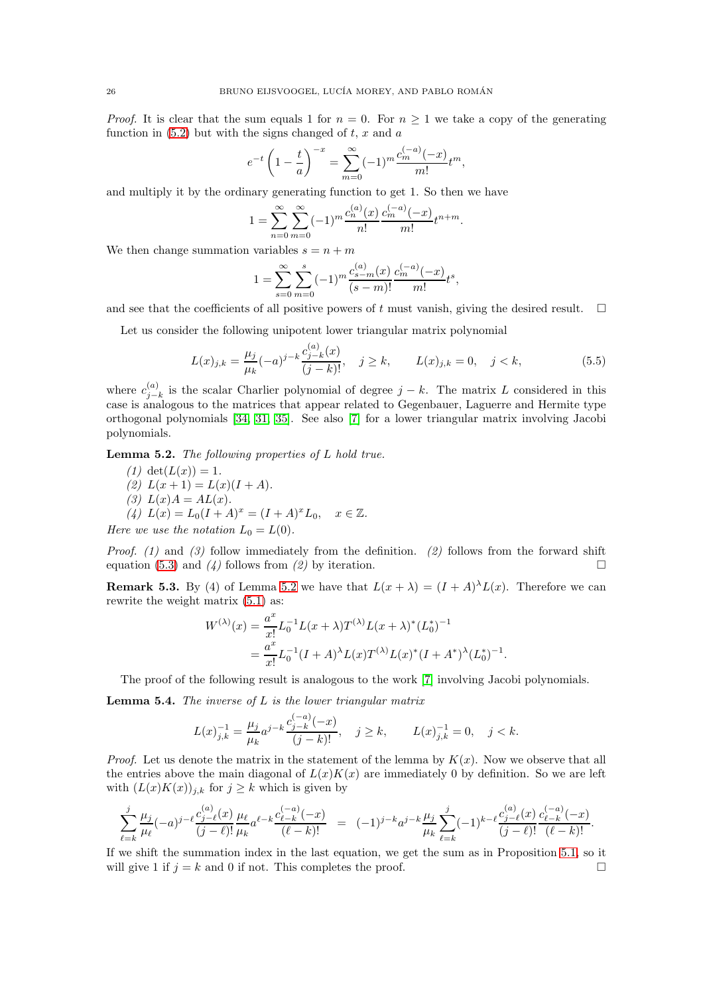*Proof.* It is clear that the sum equals 1 for  $n = 0$ . For  $n \ge 1$  we take a copy of the generating function in  $(5.2)$  but with the signs changed of t, x and a

$$
e^{-t} \left(1 - \frac{t}{a}\right)^{-x} = \sum_{m=0}^{\infty} (-1)^m \frac{c_m^{(-a)}(-x)}{m!} t^m,
$$

and multiply it by the ordinary generating function to get 1. So then we have

$$
1 = \sum_{n=0}^{\infty} \sum_{m=0}^{\infty} (-1)^m \frac{c_n^{(a)}(x)}{n!} \frac{c_m^{(-a)}(-x)}{m!} t^{n+m}.
$$

We then change summation variables  $s = n + m$ 

$$
1 = \sum_{s=0}^{\infty} \sum_{m=0}^{s} (-1)^m \frac{c_{s-m}^{(a)}(x)}{(s-m)!} \frac{c_m^{(-a)}(-x)}{m!} t^s,
$$

and see that the coefficients of all positive powers of t must vanish, giving the desired result.  $\Box$ 

Let us consider the following unipotent lower triangular matrix polynomial

<span id="page-25-3"></span>
$$
L(x)_{j,k} = \frac{\mu_j}{\mu_k} (-a)^{j-k} \frac{c_{j-k}^{(a)}(x)}{(j-k)!}, \quad j \ge k, \qquad L(x)_{j,k} = 0, \quad j < k,
$$
\n
$$
(5.5)
$$

where  $c_{i-}^{(a)}$  $j_{j-k}^{(a)}$  is the scalar Charlier polynomial of degree  $j - k$ . The matrix L considered in this case is analogous to the matrices that appear related to Gegenbauer, Laguerre and Hermite type orthogonal polynomials [\[34,](#page-53-15) [31,](#page-53-3) [35\]](#page-53-14). See also [\[7\]](#page-52-22) for a lower triangular matrix involving Jacobi polynomials.

<span id="page-25-0"></span>Lemma 5.2. The following properties of L hold true.

- (1) det $(L(x)) = 1$ . (2)  $L(x+1) = L(x)(I+A)$ .
- (3)  $L(x)A = AL(x)$ .
- (4)  $L(x) = L_0(I + A)^x = (I + A)^x L_0, \quad x \in \mathbb{Z}.$

Here we use the notation  $L_0 = L(0)$ .

*Proof.* (1) and (3) follow immediately from the definition. (2) follows from the forward shift equation [\(5.3\)](#page-24-3) and (4) follows from (2) by iteration.

<span id="page-25-2"></span>**Remark 5.3.** By (4) of Lemma [5.2](#page-25-0) we have that  $L(x + \lambda) = (I + A)^{\lambda}L(x)$ . Therefore we can rewrite the weight matrix [\(5.1\)](#page-24-4) as:

$$
W^{(\lambda)}(x) = \frac{a^x}{x!} L_0^{-1} L(x + \lambda) T^{(\lambda)} L(x + \lambda)^* (L_0^*)^{-1}
$$
  
= 
$$
\frac{a^x}{x!} L_0^{-1} (I + A)^\lambda L(x) T^{(\lambda)} L(x)^* (I + A^*)^\lambda (L_0^*)^{-1}.
$$

The proof of the following result is analogous to the work [\[7\]](#page-52-22) involving Jacobi polynomials.

<span id="page-25-1"></span>**Lemma 5.4.** The inverse of  $L$  is the lower triangular matrix

$$
L(x)_{j,k}^{-1} = \frac{\mu_j}{\mu_k} a^{j-k} \frac{c_{j-k}^{(-a)}(-x)}{(j-k)!}, \quad j \ge k, \qquad L(x)_{j,k}^{-1} = 0, \quad j < k.
$$

*Proof.* Let us denote the matrix in the statement of the lemma by  $K(x)$ . Now we observe that all the entries above the main diagonal of  $L(x)K(x)$  are immediately 0 by definition. So we are left with  $(L(x)K(x))_{j,k}$  for  $j \geq k$  which is given by

$$
\sum_{\ell=k}^j \frac{\mu_j}{\mu_\ell} (-a)^{j-\ell} \frac{c_{j-\ell}^{(a)}(x)}{(j-\ell)!} \frac{\mu_\ell}{\mu_k} a^{\ell-k} \frac{c_{\ell-k}^{(-a)}(-x)}{(\ell-k)!} = (-1)^{j-k} a^{j-k} \frac{\mu_j}{\mu_k} \sum_{\ell=k}^j (-1)^{k-\ell} \frac{c_{j-\ell}^{(a)}(x)}{(j-\ell)!} \frac{c_{\ell-k}^{(-a)}(-x)}{(\ell-k)!}.
$$

If we shift the summation index in the last equation, we get the sum as in Proposition [5.1,](#page-24-5) so it will give 1 if  $j = k$  and 0 if not. This completes the proof.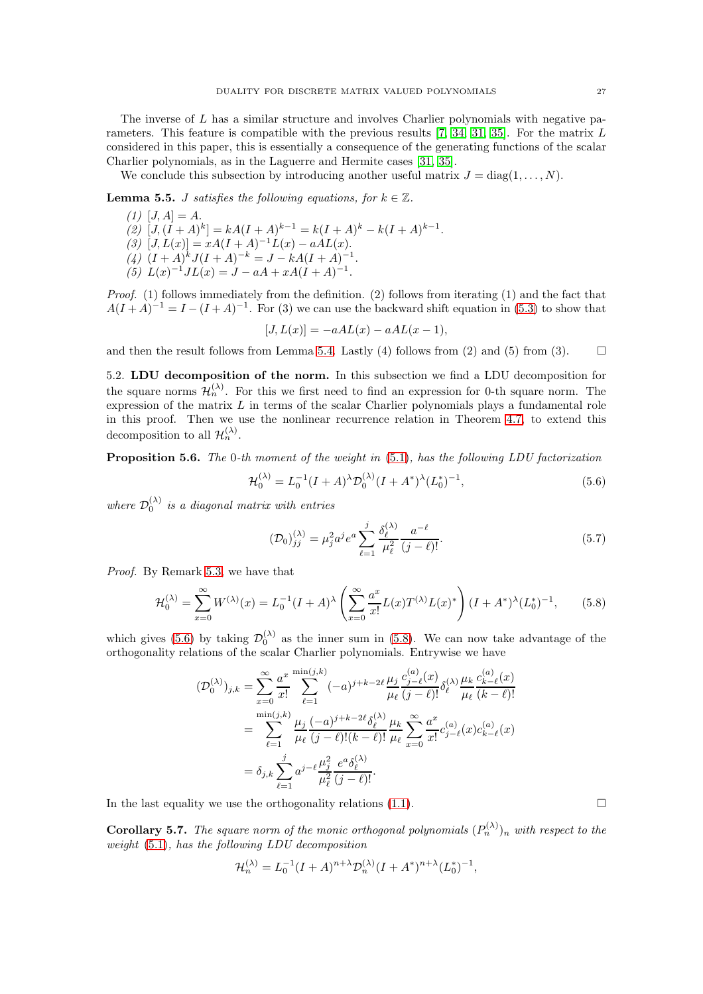The inverse of L has a similar structure and involves Charlier polynomials with negative parameters. This feature is compatible with the previous results [\[7,](#page-52-22) [34,](#page-53-15) [31,](#page-53-3) [35\]](#page-53-14). For the matrix L considered in this paper, this is essentially a consequence of the generating functions of the scalar Charlier polynomials, as in the Laguerre and Hermite cases [\[31,](#page-53-3) [35\]](#page-53-14).

We conclude this subsection by introducing another useful matrix  $J = \text{diag}(1, \ldots, N)$ .

<span id="page-26-3"></span>**Lemma 5.5.** *J satisfies the following equations, for*  $k \in \mathbb{Z}$ .

 $(1)$   $[J, A] = A$ . (2)  $[J,(I+A)^k] = kA(I+A)^{k-1} = k(I+A)^k - k(I+A)^{k-1}.$ (3)  $[J, L(x)] = xA(I + A)^{-1}L(x) - aAL(x).$ (4)  $(I + A)^k J (I + A)^{-k} = J - kA(I + A)^{-1}.$ (5)  $L(x)^{-1}JL(x) = J - aA + xA(I + A)^{-1}.$ 

Proof. (1) follows immediately from the definition. (2) follows from iterating (1) and the fact that  $A(I + A)^{-1} = I - (I + A)^{-1}$ . For (3) we can use the backward shift equation in [\(5.3\)](#page-24-3) to show that

$$
[J, L(x)] = -aAL(x) - aAL(x - 1),
$$

and then the result follows from Lemma [5.4.](#page-25-1) Lastly (4) follows from (2) and (5) from (3).  $\square$ 

5.2. LDU decomposition of the norm. In this subsection we find a LDU decomposition for the square norms  $\mathcal{H}_n^{(\lambda)}$ . For this we first need to find an expression for 0-th square norm. The expression of the matrix  $L$  in terms of the scalar Charlier polynomials plays a fundamental role in this proof. Then we use the nonlinear recurrence relation in Theorem [4.7,](#page-22-5) to extend this decomposition to all  $\mathcal{H}_n^{(\lambda)}$ .

<span id="page-26-2"></span>Proposition 5.6. The 0-th moment of the weight in [\(5.1\)](#page-24-4), has the following LDU factorization

<span id="page-26-0"></span>
$$
\mathcal{H}_0^{(\lambda)} = L_0^{-1} (I + A)^{\lambda} \mathcal{D}_0^{(\lambda)} (I + A^*)^{\lambda} (L_0^*)^{-1},\tag{5.6}
$$

where  $\mathcal{D}_0^{(\lambda)}$  is a diagonal matrix with entries

<span id="page-26-5"></span>
$$
(\mathcal{D}_0)^{(\lambda)}_{jj} = \mu_j^2 a^j e^a \sum_{\ell=1}^j \frac{\delta_{\ell}^{(\lambda)}}{\mu_{\ell}^2} \frac{a^{-\ell}}{(j-\ell)!}.
$$
 (5.7)

Proof. By Remark [5.3,](#page-25-2) we have that

<span id="page-26-1"></span>
$$
\mathcal{H}_0^{(\lambda)} = \sum_{x=0}^{\infty} W^{(\lambda)}(x) = L_0^{-1} (I + A)^{\lambda} \left( \sum_{x=0}^{\infty} \frac{a^x}{x!} L(x) T^{(\lambda)} L(x)^* \right) (I + A^*)^{\lambda} (L_0^*)^{-1}, \tag{5.8}
$$

which gives [\(5.6\)](#page-26-0) by taking  $\mathcal{D}_0^{(\lambda)}$  as the inner sum in [\(5.8\)](#page-26-1). We can now take advantage of the orthogonality relations of the scalar Charlier polynomials. Entrywise we have

$$
\begin{split} (\mathcal{D}_0^{(\lambda)})_{j,k} &= \sum_{x=0}^{\infty} \frac{a^x}{x!} \sum_{\ell=1}^{\min(j,k)} (-a)^{j+k-2\ell} \frac{\mu_j}{\mu_\ell} \frac{c_{j-\ell}^{(a)}(x)}{(j-\ell)!} \delta_\ell^{(\lambda)} \frac{\mu_k}{\mu_\ell} \frac{c_{k-\ell}^{(a)}(x)}{(k-\ell)!} \\ &= \sum_{\ell=1}^{\min(j,k)} \frac{\mu_j}{\mu_\ell} \frac{(-a)^{j+k-2\ell} \delta_\ell^{(\lambda)}}{(j-\ell)! (k-\ell)!} \frac{\mu_k}{\mu_\ell} \sum_{x=0}^{\infty} \frac{a^x}{x!} c_{j-\ell}^{(a)}(x) c_{k-\ell}^{(a)}(x) \\ &= \delta_{j,k} \sum_{\ell=1}^j a^{j-\ell} \frac{\mu_j^2}{\mu_\ell^2} \frac{e^a \delta_\ell^{(\lambda)}}{(j-\ell)!}. \end{split}
$$

In the last equality we use the orthogonality relations  $(1.1)$ .

<span id="page-26-4"></span>**Corollary 5.7.** The square norm of the monic orthogonal polynomials  $(P_n^{(\lambda)})_n$  with respect to the weight [\(5.1\)](#page-24-4), has the following LDU decomposition

$$
\mathcal{H}^{(\lambda)}_n = L_0^{-1} (I+A)^{n+\lambda} \mathcal{D}^{(\lambda)}_n (I+A^*)^{n+\lambda} (L_0^*)^{-1},
$$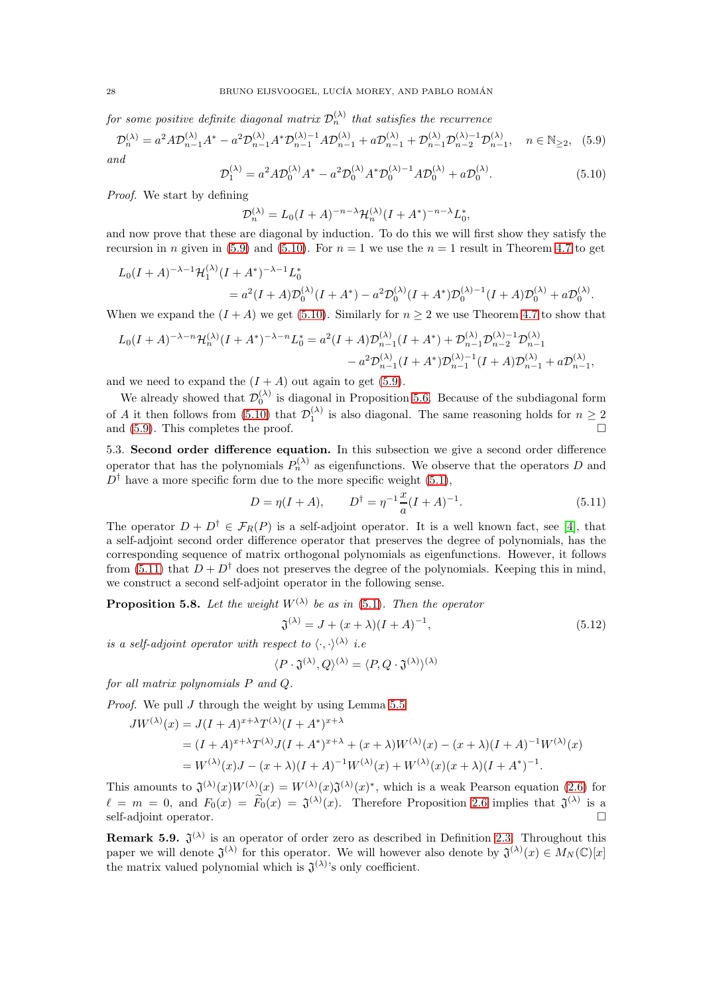for some positive definite diagonal matrix  $\mathcal{D}_n^{(\lambda)}$  that satisfies the recurrence

<span id="page-27-0"></span>
$$
\mathcal{D}_n^{(\lambda)} = a^2 A \mathcal{D}_{n-1}^{(\lambda)} A^* - a^2 \mathcal{D}_{n-1}^{(\lambda)} A^* \mathcal{D}_{n-1}^{(\lambda)-1} A \mathcal{D}_{n-1}^{(\lambda)} + a \mathcal{D}_{n-1}^{(\lambda)} + \mathcal{D}_{n-1}^{(\lambda)} \mathcal{D}_{n-2}^{(\lambda)-1} \mathcal{D}_{n-1}^{(\lambda)}, \quad n \in \mathbb{N}_{\ge 2}, \tag{5.9}
$$

and

<span id="page-27-1"></span>
$$
\mathcal{D}_1^{(\lambda)} = a^2 A \mathcal{D}_0^{(\lambda)} A^* - a^2 \mathcal{D}_0^{(\lambda)} A^* \mathcal{D}_0^{(\lambda)-1} A \mathcal{D}_0^{(\lambda)} + a \mathcal{D}_0^{(\lambda)}.
$$
\n(5.10)

Proof. We start by defining

$$
\mathcal{D}_n^{(\lambda)} = L_0 (I + A)^{-n - \lambda} \mathcal{H}_n^{(\lambda)} (I + A^*)^{-n - \lambda} L_0^*,
$$

and now prove that these are diagonal by induction. To do this we will first show they satisfy the recursion in n given in [\(5.9\)](#page-27-0) and [\(5.10\)](#page-27-1). For  $n = 1$  we use the  $n = 1$  result in Theorem [4.7](#page-22-5) to get

$$
L_0(I+A)^{-\lambda-1}\mathcal{H}_1^{(\lambda)}(I+A^*)^{-\lambda-1}L_0^*
$$
  
=  $a^2(I+A)\mathcal{D}_0^{(\lambda)}(I+A^*)-a^2\mathcal{D}_0^{(\lambda)}(I+A^*)\mathcal{D}_0^{(\lambda)-1}(I+A)\mathcal{D}_0^{(\lambda)}+a\mathcal{D}_0^{(\lambda)}.$ 

When we expand the  $(I + A)$  we get [\(5.10\)](#page-27-1). Similarly for  $n \geq 2$  we use Theorem [4.7](#page-22-5) to show that

$$
L_0(I+A)^{-\lambda-n} \mathcal{H}_n^{(\lambda)}(I+A^*)^{-\lambda-n} L_0^* = a^2(I+A) \mathcal{D}_{n-1}^{(\lambda)}(I+A^*) + \mathcal{D}_{n-1}^{(\lambda)} \mathcal{D}_{n-2}^{(\lambda)-1} \mathcal{D}_{n-1}^{(\lambda)} - a^2 \mathcal{D}_{n-1}^{(\lambda)}(I+A^*) \mathcal{D}_{n-1}^{(\lambda)-1}(I+A) \mathcal{D}_{n-1}^{(\lambda)} + a \mathcal{D}_{n-1}^{(\lambda)},
$$

and we need to expand the  $(I + A)$  out again to get [\(5.9\)](#page-27-0).

We already showed that  $\mathcal{D}_0^{(\lambda)}$  is diagonal in Proposition [5.6.](#page-26-2) Because of the subdiagonal form of A it then follows from [\(5.10\)](#page-27-1) that  $\mathcal{D}_1^{(\lambda)}$  is also diagonal. The same reasoning holds for  $n \geq 2$ and [\(5.9\)](#page-27-0). This completes the proof.  $\square$ 

<span id="page-27-5"></span>5.3. Second order difference equation. In this subsection we give a second order difference operator that has the polynomials  $P_n^{(\lambda)}$  as eigenfunctions. We observe that the operators D and  $D^{\dagger}$  have a more specific form due to the more specific weight [\(5.1\)](#page-24-4),

<span id="page-27-2"></span>
$$
D = \eta(I + A), \qquad D^{\dagger} = \eta^{-1} \frac{x}{a} (I + A)^{-1}.
$$
 (5.11)

The operator  $D + D^{\dagger} \in \mathcal{F}_R(P)$  is a self-adjoint operator. It is a well known fact, see [\[4\]](#page-52-13), that a self-adjoint second order difference operator that preserves the degree of polynomials, has the corresponding sequence of matrix orthogonal polynomials as eigenfunctions. However, it follows from [\(5.11\)](#page-27-2) that  $D + D^{\dagger}$  does not preserves the degree of the polynomials. Keeping this in mind, we construct a second self-adjoint operator in the following sense.

<span id="page-27-3"></span>**Proposition 5.8.** Let the weight  $W^{(\lambda)}$  be as in [\(5.1\)](#page-24-4). Then the operator

<span id="page-27-4"></span>
$$
\mathfrak{J}^{(\lambda)} = J + (x + \lambda)(I + A)^{-1},\tag{5.12}
$$

is a self-adjoint operator with respect to  $\langle \cdot, \cdot \rangle^{(\lambda)}$  i.e

$$
\langle P\cdot \mathfrak{J}^{(\lambda)},Q\rangle^{(\lambda)}=\langle P,Q\cdot \mathfrak{J}^{(\lambda)}\rangle^{(\lambda)}
$$

for all matrix polynomials P and Q.

Proof. We pull J through the weight by using Lemma [5.5](#page-26-3)

$$
JW^{(\lambda)}(x) = J(I + A)^{x + \lambda} T^{(\lambda)} (I + A^*)^{x + \lambda}
$$
  
=  $(I + A)^{x + \lambda} T^{(\lambda)} J(I + A^*)^{x + \lambda} + (x + \lambda) W^{(\lambda)}(x) - (x + \lambda) (I + A)^{-1} W^{(\lambda)}(x)$   
=  $W^{(\lambda)}(x) J - (x + \lambda) (I + A)^{-1} W^{(\lambda)}(x) + W^{(\lambda)}(x) (x + \lambda) (I + A^*)^{-1}.$ 

This amounts to  $\mathfrak{J}^{(\lambda)}(x)W^{(\lambda)}(x) = W^{(\lambda)}(x)\mathfrak{J}^{(\lambda)}(x)^{*}$ , which is a weak Pearson equation [\(2.6\)](#page-6-5) for  $\ell = m = 0$ , and  $F_0(x) = \tilde{F}_0(x) = \mathfrak{J}^{(\lambda)}(x)$ . Therefore Proposition [2.6](#page-6-5) implies that  $\mathfrak{J}^{(\lambda)}$  is a self-adjoint operator.

**Remark 5.9.**  $\mathfrak{J}^{(\lambda)}$  is an operator of order zero as described in Definition [2.3.](#page-4-5) Throughout this paper we will denote  $\mathfrak{J}^{(\lambda)}$  for this operator. We will however also denote by  $\mathfrak{J}^{(\lambda)}(x) \in M_N(\mathbb{C})[x]$ the matrix valued polynomial which is  $\mathfrak{J}^{(\lambda)}$ 's only coefficient.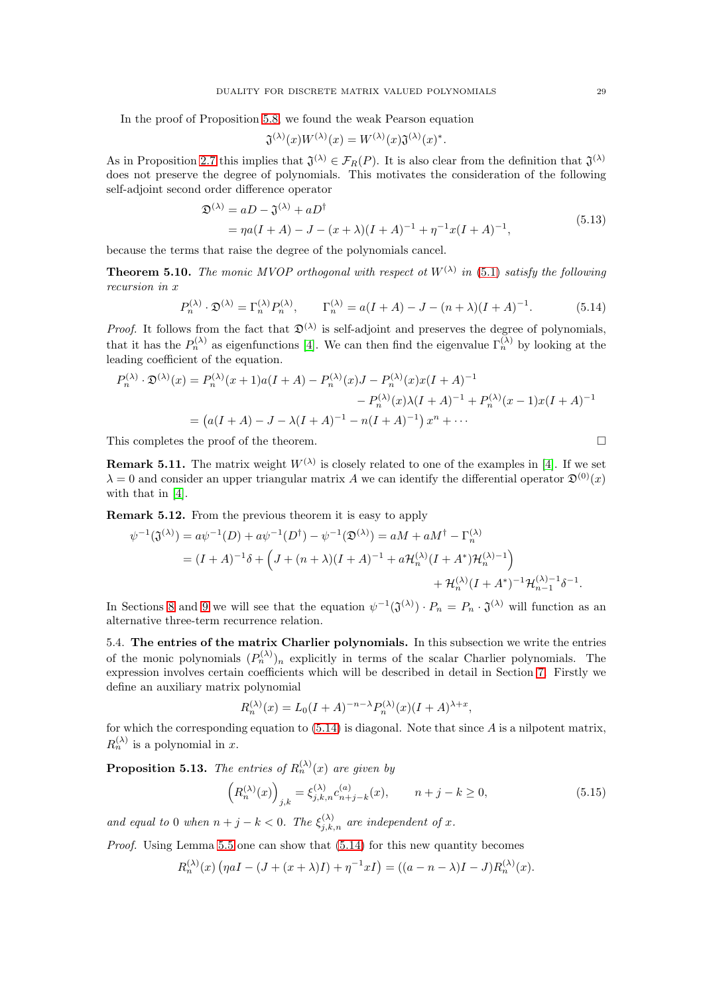In the proof of Proposition [5.8,](#page-27-3) we found the weak Pearson equation

$$
\mathfrak{J}^{(\lambda)}(x)W^{(\lambda)}(x) = W^{(\lambda)}(x)\mathfrak{J}^{(\lambda)}(x)^*.
$$

As in Proposition [2.7](#page-7-1) this implies that  $\mathfrak{J}^{(\lambda)} \in \mathcal{F}_R(P)$ . It is also clear from the definition that  $\mathfrak{J}^{(\lambda)}$ does not preserve the degree of polynomials. This motivates the consideration of the following self-adjoint second order difference operator

<span id="page-28-2"></span>
$$
\mathfrak{D}^{(\lambda)} = aD - \mathfrak{J}^{(\lambda)} + aD^{\dagger}
$$
  
=  $\eta a(I + A) - J - (x + \lambda)(I + A)^{-1} + \eta^{-1}x(I + A)^{-1},$  (5.13)

because the terms that raise the degree of the polynomials cancel.

<span id="page-28-4"></span>**Theorem 5.10.** The monic MVOP orthogonal with respect ot  $W^{(\lambda)}$  in [\(5.1\)](#page-24-4) satisfy the following recursion in x

<span id="page-28-0"></span>
$$
P_n^{(\lambda)} \cdot \mathfrak{D}^{(\lambda)} = \Gamma_n^{(\lambda)} P_n^{(\lambda)}, \qquad \Gamma_n^{(\lambda)} = a(I + A) - J - (n + \lambda)(I + A)^{-1}.
$$
 (5.14)

*Proof.* It follows from the fact that  $\mathfrak{D}^{(\lambda)}$  is self-adjoint and preserves the degree of polynomials, that it has the  $P_n^{(\lambda)}$  as eigenfunctions [\[4\]](#page-52-13). We can then find the eigenvalue  $\Gamma_n^{(\lambda)}$  by looking at the leading coefficient of the equation.

$$
P_n^{(\lambda)} \cdot \mathfrak{D}^{(\lambda)}(x) = P_n^{(\lambda)}(x+1)a(I+A) - P_n^{(\lambda)}(x)J - P_n^{(\lambda)}(x)x(I+A)^{-1}
$$

$$
- P_n^{(\lambda)}(x)\lambda(I+A)^{-1} + P_n^{(\lambda)}(x-1)x(I+A)^{-1}
$$

$$
= (a(I+A) - J - \lambda(I+A)^{-1} - n(I+A)^{-1})x^n + \cdots
$$

This completes the proof of the theorem.

(λ)

**Remark 5.11.** The matrix weight  $W^{(\lambda)}$  is closely related to one of the examples in [\[4\]](#page-52-13). If we set  $\lambda = 0$  and consider an upper triangular matrix A we can identify the differential operator  $\mathfrak{D}^{(0)}(x)$ with that in [\[4\]](#page-52-13).

<span id="page-28-5"></span>Remark 5.12. From the previous theorem it is easy to apply

$$
\psi^{-1}(\mathfrak{J}^{(\lambda)}) = a\psi^{-1}(D) + a\psi^{-1}(D^{\dagger}) - \psi^{-1}(\mathfrak{D}^{(\lambda)}) = aM + aM^{\dagger} - \Gamma_n^{(\lambda)}
$$
  
=  $(I + A)^{-1}\delta + \left(J + (n + \lambda)(I + A)^{-1} + a\mathcal{H}_n^{(\lambda)}(I + A^*)\mathcal{H}_n^{(\lambda)-1}\right)$   
+  $\mathcal{H}_n^{(\lambda)}(I + A^*)^{-1}\mathcal{H}_{n-1}^{(\lambda)-1}\delta^{-1}.$ 

In Sections [8](#page-38-0) and [9](#page-45-0) we will see that the equation  $\psi^{-1}(\mathfrak{J}^{(\lambda)}) \cdot P_n = P_n \cdot \mathfrak{J}^{(\lambda)}$  will function as an alternative three-term recurrence relation.

5.4. The entries of the matrix Charlier polynomials. In this subsection we write the entries of the monic polynomials  $(P_n^{(\lambda)})_n$  explicitly in terms of the scalar Charlier polynomials. The expression involves certain coefficients which will be described in detail in Section [7.](#page-35-0) Firstly we define an auxiliary matrix polynomial

$$
R_n^{(\lambda)}(x) = L_0(I + A)^{-n-\lambda} P_n^{(\lambda)}(x)(I + A)^{\lambda + x},
$$

for which the corresponding equation to  $(5.14)$  is diagonal. Note that since A is a nilpotent matrix,  $R_n^{(\lambda)}$  is a polynomial in x.

<span id="page-28-3"></span>**Proposition 5.13.** The entries of  $R_n^{(\lambda)}(x)$  are given by

<span id="page-28-1"></span>
$$
\left(R_n^{(\lambda)}(x)\right)_{j,k} = \xi_{j,k,n}^{(\lambda)} c_{n+j-k}^{(a)}(x), \qquad n+j-k \ge 0,
$$
\n(5.15)

and equal to 0 when  $n + j - k < 0$ . The  $\xi_{j,k,n}^{(\lambda)}$  are independent of x.

Proof. Using Lemma [5.5](#page-26-3) one can show that [\(5.14\)](#page-28-0) for this new quantity becomes

$$
R_n^{(\lambda)}(x) \left( \eta aI - (J + (x + \lambda)I) + \eta^{-1}xI \right) = ((a - n - \lambda)I - J)R_n^{(\lambda)}(x).
$$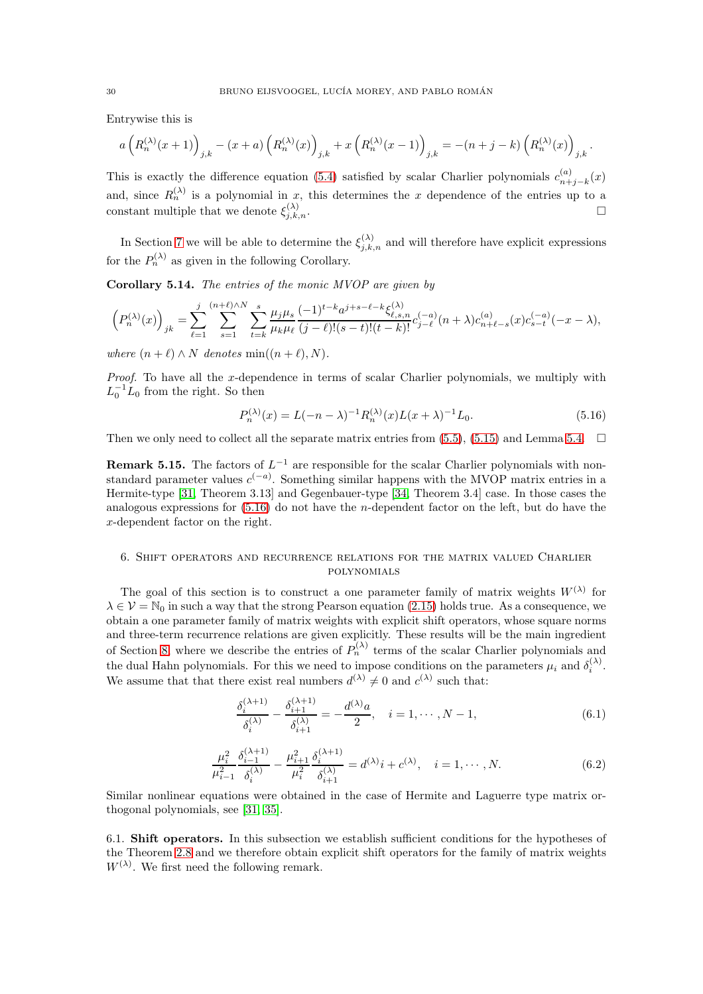Entrywise this is

$$
a\left(R_n^{(\lambda)}(x+1)\right)_{j,k}-(x+a)\left(R_n^{(\lambda)}(x)\right)_{j,k}+x\left(R_n^{(\lambda)}(x-1)\right)_{j,k}=-(n+j-k)\left(R_n^{(\lambda)}(x)\right)_{j,k}.
$$

This is exactly the difference equation [\(5.4\)](#page-24-6) satisfied by scalar Charlier polynomials  $c_{n+1}^{(a)}$  $\binom{n}{n+j-k}(x)$ and, since  $R_n^{(\lambda)}$  is a polynomial in x, this determines the x dependence of the entries up to a constant multiple that we denote  $\xi_{i,k}^{(\lambda)}$  $\sum_{j,k,n}$ .

In Section [7](#page-35-0) we will be able to determine the  $\xi_{j,k,n}^{(\lambda)}$  and will therefore have explicit expressions for the  $P_n^{(\lambda)}$  as given in the following Corollary.

<span id="page-29-4"></span>Corollary 5.14. The entries of the monic MVOP are given by

$$
\left(P_n^{(\lambda)}(x)\right)_{jk} = \sum_{\ell=1}^j \sum_{s=1}^{(n+\ell)\wedge N} \sum_{t=k}^s \frac{\mu_j \mu_s}{\mu_k \mu_\ell} \frac{(-1)^{t-k} a^{j+s-\ell-k} \xi_{\ell,s,n}^{(\lambda)}}{(j-\ell)!(s-t)!(t-k)!} c_{j-\ell}^{(-a)}(n+\lambda) c_{n+\ell-s}^{(a)}(x) c_{s-t}^{(-a)}(-x-\lambda),
$$

where  $(n + \ell) \wedge N$  denotes min $((n + \ell), N)$ .

Proof. To have all the x-dependence in terms of scalar Charlier polynomials, we multiply with  $L_0^{-1}L_0$  from the right. So then

<span id="page-29-1"></span>
$$
P_n^{(\lambda)}(x) = L(-n - \lambda)^{-1} R_n^{(\lambda)}(x) L(x + \lambda)^{-1} L_0.
$$
\n(5.16)

Then we only need to collect all the separate matrix entries from  $(5.5)$ ,  $(5.15)$  and Lemma [5.4.](#page-25-1)  $\Box$ 

**Remark 5.15.** The factors of  $L^{-1}$  are responsible for the scalar Charlier polynomials with nonstandard parameter values  $c^{(-a)}$ . Something similar happens with the MVOP matrix entries in a Hermite-type [\[31,](#page-53-3) Theorem 3.13] and Gegenbauer-type [\[34,](#page-53-15) Theorem 3.4] case. In those cases the analogous expressions for [\(5.16\)](#page-29-1) do not have the n-dependent factor on the left, but do have the x-dependent factor on the right.

## <span id="page-29-0"></span>6. Shift operators and recurrence relations for the matrix valued Charlier polynomials

The goal of this section is to construct a one parameter family of matrix weights  $W^{(\lambda)}$  for  $\lambda \in \mathcal{V} = \mathbb{N}_0$  in such a way that the strong Pearson equation [\(2.15\)](#page-8-0) holds true. As a consequence, we obtain a one parameter family of matrix weights with explicit shift operators, whose square norms and three-term recurrence relations are given explicitly. These results will be the main ingredient of Section [8,](#page-38-0) where we describe the entries of  $P_n^{(\lambda)}$  terms of the scalar Charlier polynomials and the dual Hahn polynomials. For this we need to impose conditions on the parameters  $\mu_i$  and  $\delta_i^{(\lambda)}$ . We assume that that there exist real numbers  $d^{(\lambda)} \neq 0$  and  $c^{(\lambda)}$  such that:

<span id="page-29-2"></span>
$$
\frac{\delta_i^{(\lambda+1)}}{\delta_i^{(\lambda)}} - \frac{\delta_{i+1}^{(\lambda+1)}}{\delta_{i+1}^{(\lambda)}} = -\frac{d^{(\lambda)}a}{2}, \quad i = 1, \cdots, N-1,
$$
\n(6.1)

$$
\frac{\mu_i^2}{\mu_{i-1}^2} \frac{\delta_{i-1}^{(\lambda+1)}}{\delta_i^{(\lambda)}} - \frac{\mu_{i+1}^2}{\mu_i^2} \frac{\delta_i^{(\lambda+1)}}{\delta_{i+1}^{(\lambda)}} = d^{(\lambda)} i + c^{(\lambda)}, \quad i = 1, \cdots, N.
$$
 (6.2)

<span id="page-29-3"></span>Similar nonlinear equations were obtained in the case of Hermite and Laguerre type matrix orthogonal polynomials, see [\[31,](#page-53-3) [35\]](#page-53-14).

6.1. Shift operators. In this subsection we establish sufficient conditions for the hypotheses of the Theorem [2.8](#page-8-2) and we therefore obtain explicit shift operators for the family of matrix weights  $W^{(\lambda)}$ . We first need the following remark.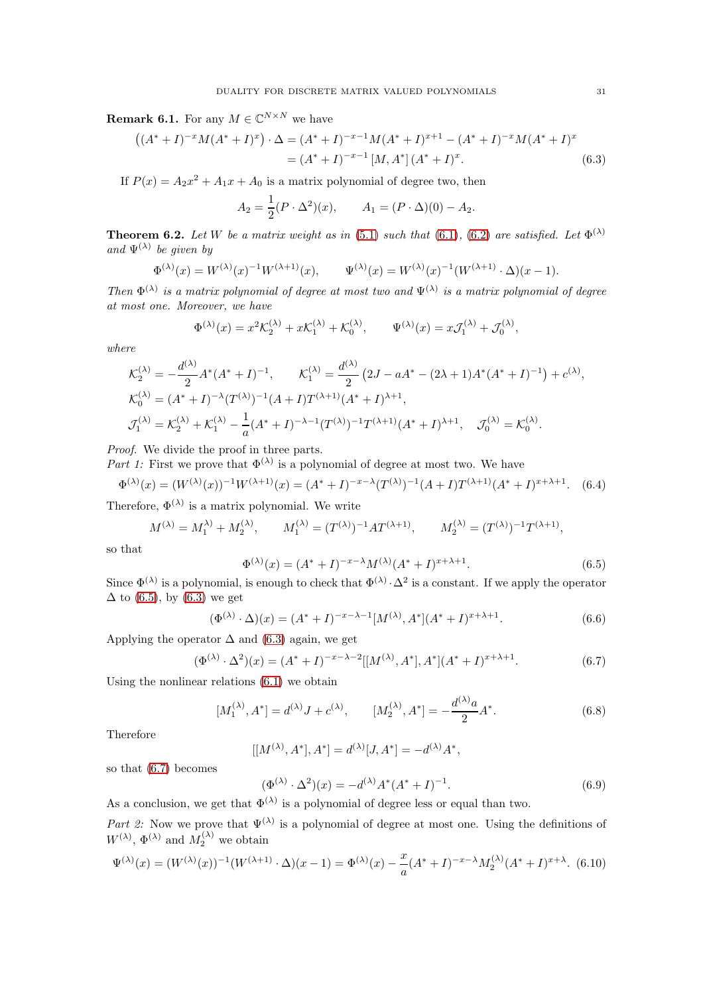<span id="page-30-6"></span>**Remark 6.1.** For any  $M \in \mathbb{C}^{N \times N}$  we have

$$
((A^* + I)^{-x}M(A^* + I)^x) \cdot \Delta = (A^* + I)^{-x-1}M(A^* + I)^{x+1} - (A^* + I)^{-x}M(A^* + I)^x
$$
  
=  $(A^* + I)^{-x-1}[M, A^*](A^* + I)^x.$  (6.3)

If  $P(x) = A_2x^2 + A_1x + A_0$  is a matrix polynomial of degree two, then

<span id="page-30-1"></span>
$$
A_2 = \frac{1}{2}(P \cdot \Delta^2)(x), \qquad A_1 = (P \cdot \Delta)(0) - A_2.
$$

<span id="page-30-9"></span>**Theorem 6.2.** Let W be a matrix weight as in [\(5.1\)](#page-24-4) such that [\(6.1\)](#page-29-2), [\(6.2\)](#page-29-3) are satisfied. Let  $\Phi^{(\lambda)}$ and  $\Psi^{(\lambda)}$  be given by

$$
\Phi^{(\lambda)}(x) = W^{(\lambda)}(x)^{-1}W^{(\lambda+1)}(x), \qquad \Psi^{(\lambda)}(x) = W^{(\lambda)}(x)^{-1}(W^{(\lambda+1)} \cdot \Delta)(x-1).
$$

Then  $\Phi^{(\lambda)}$  is a matrix polynomial of degree at most two and  $\Psi^{(\lambda)}$  is a matrix polynomial of degree at most one. Moreover, we have

$$
\Phi^{(\lambda)}(x) = x^2 \mathcal{K}_2^{(\lambda)} + x \mathcal{K}_1^{(\lambda)} + \mathcal{K}_0^{(\lambda)}, \qquad \Psi^{(\lambda)}(x) = x \mathcal{J}_1^{(\lambda)} + \mathcal{J}_0^{(\lambda)},
$$

where

$$
\mathcal{K}_{2}^{(\lambda)} = -\frac{d^{(\lambda)}}{2} A^*(A^* + I)^{-1}, \qquad \mathcal{K}_{1}^{(\lambda)} = \frac{d^{(\lambda)}}{2} (2J - aA^* - (2\lambda + 1)A^*(A^* + I)^{-1}) + c^{(\lambda)},
$$
  
\n
$$
\mathcal{K}_{0}^{(\lambda)} = (A^* + I)^{-\lambda} (T^{(\lambda)})^{-1} (A + I) T^{(\lambda+1)} (A^* + I)^{\lambda+1},
$$
  
\n
$$
\mathcal{J}_{1}^{(\lambda)} = \mathcal{K}_{2}^{(\lambda)} + \mathcal{K}_{1}^{(\lambda)} - \frac{1}{a} (A^* + I)^{-\lambda-1} (T^{(\lambda)})^{-1} T^{(\lambda+1)} (A^* + I)^{\lambda+1}, \qquad \mathcal{J}_{0}^{(\lambda)} = \mathcal{K}_{0}^{(\lambda)}.
$$

Proof. We divide the proof in three parts.

Part 1: First we prove that  $\Phi^{(\lambda)}$  is a polynomial of degree at most two. We have

<span id="page-30-7"></span>
$$
\Phi^{(\lambda)}(x) = (W^{(\lambda)}(x))^{-1}W^{(\lambda+1)}(x) = (A^* + I)^{-x-\lambda}(T^{(\lambda)})^{-1}(A+I)T^{(\lambda+1)}(A^* + I)^{x+\lambda+1}.
$$
 (6.4)

Therefore,  $\Phi^{(\lambda)}$  is a matrix polynomial. We write

$$
M^{(\lambda)} = M_1^{(\lambda)} + M_2^{(\lambda)}, \qquad M_1^{(\lambda)} = (T^{(\lambda)})^{-1} A T^{(\lambda+1)}, \qquad M_2^{(\lambda)} = (T^{(\lambda)})^{-1} T^{(\lambda+1)},
$$

so that

<span id="page-30-0"></span>
$$
\Phi^{(\lambda)}(x) = (A^* + I)^{-x - \lambda} M^{(\lambda)}(A^* + I)^{x + \lambda + 1}.
$$
\n(6.5)

Since  $\Phi^{(\lambda)}$  is a polynomial, is enough to check that  $\Phi^{(\lambda)} \cdot \Delta^2$  is a constant. If we apply the operator  $\Delta$  to [\(6.5\)](#page-30-0), by [\(6.3\)](#page-30-1) we get

<span id="page-30-8"></span>
$$
(\Phi^{(\lambda)} \cdot \Delta)(x) = (A^* + I)^{-x - \lambda - 1} [M^{(\lambda)}, A^*](A^* + I)^{x + \lambda + 1}.
$$
 (6.6)

Applying the operator  $\Delta$  and [\(6.3\)](#page-30-1) again, we get

<span id="page-30-2"></span>
$$
(\Phi^{(\lambda)} \cdot \Delta^2)(x) = (A^* + I)^{-x - \lambda - 2}[[M^{(\lambda)}, A^*], A^*](A^* + I)^{x + \lambda + 1}.
$$
\n(6.7)

Using the nonlinear relations [\(6.1\)](#page-29-2) we obtain

<span id="page-30-4"></span>
$$
[M_1^{(\lambda)}, A^*] = d^{(\lambda)} J + c^{(\lambda)}, \qquad [M_2^{(\lambda)}, A^*] = -\frac{d^{(\lambda)}a}{2} A^*.
$$
 (6.8)

Therefore

$$
[[M^{(\lambda)}, A^*], A^*] = d^{(\lambda)}[J, A^*] = -d^{(\lambda)}A^*,
$$

so that [\(6.7\)](#page-30-2) becomes

<span id="page-30-5"></span>
$$
(\Phi^{(\lambda)} \cdot \Delta^2)(x) = -d^{(\lambda)} A^* (A^* + I)^{-1}.
$$
\n(6.9)

As a conclusion, we get that  $\Phi^{(\lambda)}$  is a polynomial of degree less or equal than two. Part 2: Now we prove that  $\Psi^{(\lambda)}$  is a polynomial of degree at most one. Using the definitions of  $W^{(\lambda)}$ ,  $\Phi^{(\lambda)}$  and  $M_2^{(\lambda)}$  we obtain

<span id="page-30-3"></span>
$$
\Psi^{(\lambda)}(x) = (W^{(\lambda)}(x))^{-1}(W^{(\lambda+1)} \cdot \Delta)(x-1) = \Phi^{(\lambda)}(x) - \frac{x}{a}(A^* + I)^{-x-\lambda}M_2^{(\lambda)}(A^* + I)^{x+\lambda}.
$$
 (6.10)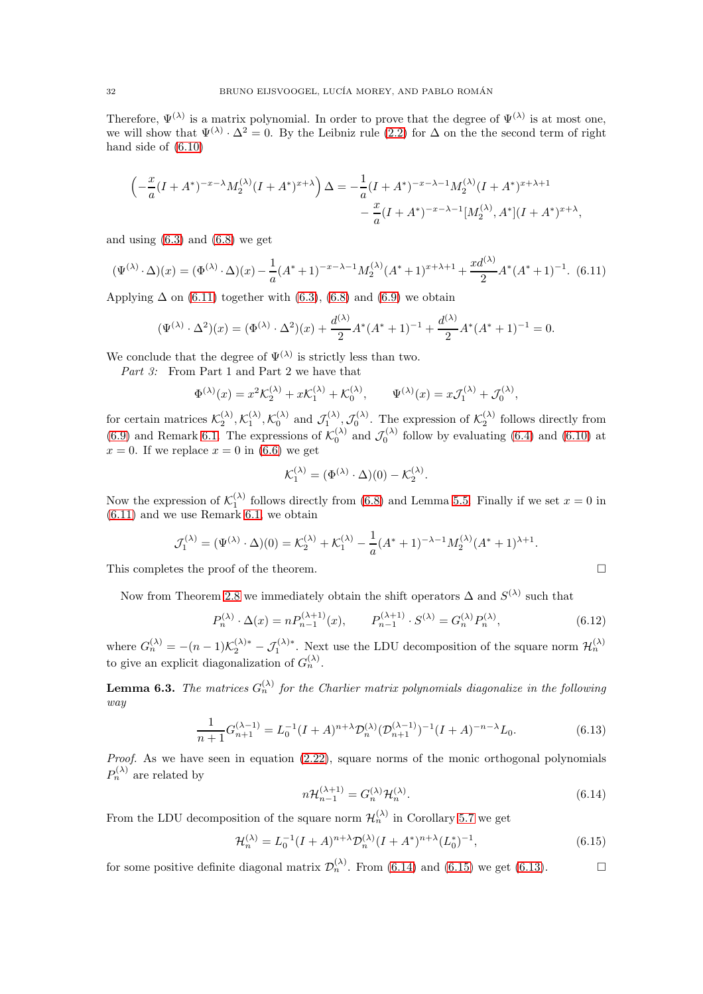Therefore,  $\Psi^{(\lambda)}$  is a matrix polynomial. In order to prove that the degree of  $\Psi^{(\lambda)}$  is at most one, we will show that  $\Psi^{(\lambda)} \cdot \Delta^2 = 0$ . By the Leibniz rule [\(2.2\)](#page-4-3) for  $\Delta$  on the the second term of right hand side of [\(6.10\)](#page-30-3)

$$
\left(-\frac{x}{a}(I + A^*)^{-x-\lambda}M_2^{(\lambda)}(I + A^*)^{x+\lambda}\right)\Delta = -\frac{1}{a}(I + A^*)^{-x-\lambda-1}M_2^{(\lambda)}(I + A^*)^{x+\lambda+1} - \frac{x}{a}(I + A^*)^{-x-\lambda-1}[M_2^{(\lambda)}, A^*](I + A^*)^{x+\lambda},
$$

and using  $(6.3)$  and  $(6.8)$  we get

<span id="page-31-0"></span>
$$
(\Psi^{(\lambda)} \cdot \Delta)(x) = (\Phi^{(\lambda)} \cdot \Delta)(x) - \frac{1}{a}(A^* + 1)^{-x - \lambda - 1}M_2^{(\lambda)}(A^* + 1)^{x + \lambda + 1} + \frac{xd^{(\lambda)}}{2}A^*(A^* + 1)^{-1}.
$$
 (6.11)

Applying  $\Delta$  on [\(6.11\)](#page-31-0) together with [\(6.3\)](#page-30-1), [\(6.8\)](#page-30-4) and [\(6.9\)](#page-30-5) we obtain

$$
(\Psi^{(\lambda)} \cdot \Delta^2)(x) = (\Phi^{(\lambda)} \cdot \Delta^2)(x) + \frac{d^{(\lambda)}}{2}A^*(A^* + 1)^{-1} + \frac{d^{(\lambda)}}{2}A^*(A^* + 1)^{-1} = 0.
$$

We conclude that the degree of  $\Psi^{(\lambda)}$  is strictly less than two.

Part 3: From Part 1 and Part 2 we have that

$$
\Phi^{(\lambda)}(x) = x^2 \mathcal{K}_2^{(\lambda)} + x \mathcal{K}_1^{(\lambda)} + \mathcal{K}_0^{(\lambda)}, \qquad \Psi^{(\lambda)}(x) = x \mathcal{J}_1^{(\lambda)} + \mathcal{J}_0^{(\lambda)},
$$

for certain matrices  $\mathcal{K}_2^{(\lambda)}, \mathcal{K}_1^{(\lambda)}, \mathcal{K}_0^{(\lambda)}$  and  $\mathcal{J}_1^{(\lambda)}, \mathcal{J}_0^{(\lambda)}$ . The expression of  $\mathcal{K}_2^{(\lambda)}$  follows directly from [\(6.9\)](#page-30-5) and Remark [6.1.](#page-30-6) The expressions of  $\mathcal{K}_0^{(\lambda)}$  and  $\mathcal{J}_0^{(\lambda)}$  follow by evaluating [\(6.4\)](#page-30-7) and [\(6.10\)](#page-30-3) at  $x = 0$ . If we replace  $x = 0$  in [\(6.6\)](#page-30-8) we get

$$
\mathcal{K}_1^{(\lambda)} = (\Phi^{(\lambda)} \cdot \Delta)(0) - \mathcal{K}_2^{(\lambda)}.
$$

Now the expression of  $\mathcal{K}_1^{(\lambda)}$  follows directly from [\(6.8\)](#page-30-4) and Lemma [5.5.](#page-26-3) Finally if we set  $x = 0$  in [\(6.11\)](#page-31-0) and we use Remark [6.1,](#page-30-6) we obtain

$$
\mathcal{J}_1^{(\lambda)} = (\Psi^{(\lambda)} \cdot \Delta)(0) = \mathcal{K}_2^{(\lambda)} + \mathcal{K}_1^{(\lambda)} - \frac{1}{a}(A^* + 1)^{-\lambda - 1}M_2^{(\lambda)}(A^* + 1)^{\lambda + 1}.
$$

This completes the proof of the theorem.

Now from Theorem [2.8](#page-8-2) we immediately obtain the shift operators  $\Delta$  and  $S^{(\lambda)}$  such that

<span id="page-31-5"></span>
$$
P_n^{(\lambda)} \cdot \Delta(x) = n P_{n-1}^{(\lambda+1)}(x), \qquad P_{n-1}^{(\lambda+1)} \cdot S^{(\lambda)} = G_n^{(\lambda)} P_n^{(\lambda)}, \tag{6.12}
$$

where  $G_n^{(\lambda)} = -(n-1)\mathcal{K}_2^{(\lambda)*} - \mathcal{J}_1^{(\lambda)*}$ . Next use the LDU decomposition of the square norm  $\mathcal{H}_n^{(\lambda)}$ to give an explicit diagonalization of  $G_n^{(\lambda)}$ .

<span id="page-31-4"></span>**Lemma 6.3.** The matrices  $G_n^{(\lambda)}$  for the Charlier matrix polynomials diagonalize in the following way

$$
\frac{1}{n+1}G_{n+1}^{(\lambda-1)} = L_0^{-1}(I+A)^{n+\lambda} \mathcal{D}_n^{(\lambda)} (\mathcal{D}_{n+1}^{(\lambda-1)})^{-1}(I+A)^{-n-\lambda} L_0.
$$
\n(6.13)

Proof. As we have seen in equation [\(2.22\)](#page-10-2), square norms of the monic orthogonal polynomials  $P_n^{(\lambda)}$  are related by

<span id="page-31-3"></span><span id="page-31-1"></span>
$$
n\mathcal{H}_{n-1}^{(\lambda+1)} = G_n^{(\lambda)}\mathcal{H}_n^{(\lambda)}.
$$
\n(6.14)

From the LDU decomposition of the square norm  $\mathcal{H}_n^{(\lambda)}$  in Corollary [5.7](#page-26-4) we get

<span id="page-31-2"></span>
$$
\mathcal{H}_n^{(\lambda)} = L_0^{-1} (I + A)^{n + \lambda} \mathcal{D}_n^{(\lambda)} (I + A^*)^{n + \lambda} (L_0^*)^{-1},\tag{6.15}
$$

for some positive definite diagonal matrix  $\mathcal{D}_n^{(\lambda)}$ . From [\(6.14\)](#page-31-1) and [\(6.15\)](#page-31-2) we get [\(6.13\)](#page-31-3).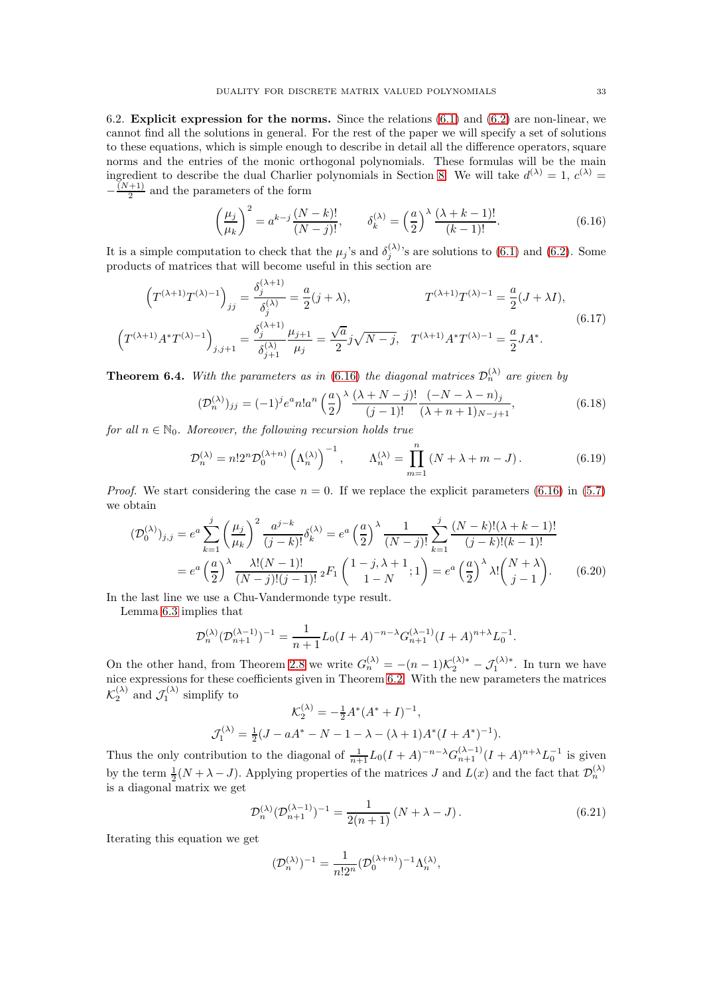6.2. Explicit expression for the norms. Since the relations  $(6.1)$  and  $(6.2)$  are non-linear, we cannot find all the solutions in general. For the rest of the paper we will specify a set of solutions to these equations, which is simple enough to describe in detail all the difference operators, square norms and the entries of the monic orthogonal polynomials. These formulas will be the main ingredient to describe the dual Charlier polynomials in Section [8.](#page-38-0) We will take  $d^{(\lambda)} = 1, c^{(\lambda)} = 1$  $-\frac{(N+1)}{2}$  $\frac{+1}{2}$  and the parameters of the form

<span id="page-32-0"></span>
$$
\left(\frac{\mu_j}{\mu_k}\right)^2 = a^{k-j}\frac{(N-k)!}{(N-j)!}, \qquad \delta_k^{(\lambda)} = \left(\frac{a}{2}\right)^{\lambda}\frac{(\lambda+k-1)!}{(k-1)!}.\tag{6.16}
$$

It is a simple computation to check that the  $\mu_j$ 's and  $\delta_i^{(\lambda)}$  $j_j^{(4)}$ 's are solutions to [\(6.1\)](#page-29-2) and [\(6.2\)](#page-29-3). Some products of matrices that will become useful in this section are

$$
\left(T^{(\lambda+1)}T^{(\lambda)-1}\right)_{jj} = \frac{\delta_j^{(\lambda+1)}}{\delta_j^{(\lambda)}} = \frac{a}{2}(j+\lambda), \qquad T^{(\lambda+1)}T^{(\lambda)-1} = \frac{a}{2}(J+\lambda I),
$$
\n
$$
\left(T^{(\lambda+1)}A^*T^{(\lambda)-1}\right)_{j,j+1} = \frac{\delta_j^{(\lambda+1)}}{\delta_{j+1}^{(\lambda)}}\frac{\mu_{j+1}}{\mu_j} = \frac{\sqrt{a}}{2}j\sqrt{N-j}, \quad T^{(\lambda+1)}A^*T^{(\lambda)-1} = \frac{a}{2}JA^*.
$$
\n(6.17)

<span id="page-32-6"></span>**Theorem 6.4.** With the parameters as in [\(6.16\)](#page-32-0) the diagonal matrices  $\mathcal{D}_n^{(\lambda)}$  are given by

<span id="page-32-3"></span>
$$
(\mathcal{D}_n^{(\lambda)})_{jj} = (-1)^j e^a n! a^n \left(\frac{a}{2}\right)^{\lambda} \frac{(\lambda + N - j)!}{(j - 1)!} \frac{(-N - \lambda - n)_j}{(\lambda + n + 1)_{N - j + 1}},
$$
(6.18)

for all  $n \in \mathbb{N}_0$ . Moreover, the following recursion holds true

<span id="page-32-2"></span>
$$
\mathcal{D}_n^{(\lambda)} = n! 2^n \mathcal{D}_0^{(\lambda + n)} \left( \Lambda_n^{(\lambda)} \right)^{-1}, \qquad \Lambda_n^{(\lambda)} = \prod_{m=1}^n \left( N + \lambda + m - J \right). \tag{6.19}
$$

*Proof.* We start considering the case  $n = 0$ . If we replace the explicit parameters [\(6.16\)](#page-32-0) in [\(5.7\)](#page-26-5) we obtain

$$
(\mathcal{D}_0^{(\lambda)})_{j,j} = e^a \sum_{k=1}^j \left(\frac{\mu_j}{\mu_k}\right)^2 \frac{a^{j-k}}{(j-k)!} \delta_k^{(\lambda)} = e^a \left(\frac{a}{2}\right)^{\lambda} \frac{1}{(N-j)!} \sum_{k=1}^j \frac{(N-k)!(\lambda+k-1)!}{(j-k)!(k-1)!}
$$

$$
= e^a \left(\frac{a}{2}\right)^{\lambda} \frac{\lambda!(N-1)!}{(N-j)!(j-1)!} {}_2F_1\left(\begin{array}{c}1-j,\lambda+1\\1-N\end{array};1\right) = e^a \left(\frac{a}{2}\right)^{\lambda} \lambda! \binom{N+\lambda}{j-1}.
$$
(6.20)

In the last line we use a Chu-Vandermonde type result.

Lemma [6.3](#page-31-4) implies that

<span id="page-32-4"></span> $\left($ 

<span id="page-32-1"></span>
$$
\mathcal{D}_n^{(\lambda)}(\mathcal{D}_{n+1}^{(\lambda-1)})^{-1} = \frac{1}{n+1} L_0(I+A)^{-n-\lambda} G_{n+1}^{(\lambda-1)}(I+A)^{n+\lambda} L_0^{-1}.
$$

On the other hand, from Theorem [2.8](#page-8-2) we write  $G_n^{(\lambda)} = -(n-1)\mathcal{K}_2^{(\lambda)*} - \mathcal{J}_1^{(\lambda)*}$ . In turn we have nice expressions for these coefficients given in Theorem [6.2.](#page-30-9) With the new parameters the matrices  $\mathcal{K}_2^{(\lambda)}$  and  $\mathcal{J}_1^{(\lambda)}$  simplify to

$$
\mathcal{K}_2^{(\lambda)} = -\frac{1}{2}A^*(A^* + I)^{-1},
$$
  

$$
\mathcal{J}_1^{(\lambda)} = \frac{1}{2}(J - aA^* - N - 1 - \lambda - (\lambda + 1)A^*(I + A^*)^{-1}).
$$

Thus the only contribution to the diagonal of  $\frac{1}{n+1}L_0(I+A)^{-n-\lambda}G_{n+1}^{(\lambda-1)}(I+A)^{n+\lambda}L_0^{-1}$  is given by the term  $\frac{1}{2}(N+\lambda-J)$ . Applying properties of the matrices J and  $L(x)$  and the fact that  $\mathcal{D}_n^{(\lambda)}$ is a diagonal matrix we get

<span id="page-32-5"></span>
$$
\mathcal{D}_n^{(\lambda)} \left( \mathcal{D}_{n+1}^{(\lambda-1)} \right)^{-1} = \frac{1}{2(n+1)} \left( N + \lambda - J \right). \tag{6.21}
$$

Iterating this equation we get

$$
(\mathcal{D}_n^{(\lambda)})^{-1} = \frac{1}{n!2^n} (\mathcal{D}_0^{(\lambda+n)})^{-1} \Lambda_n^{(\lambda)},
$$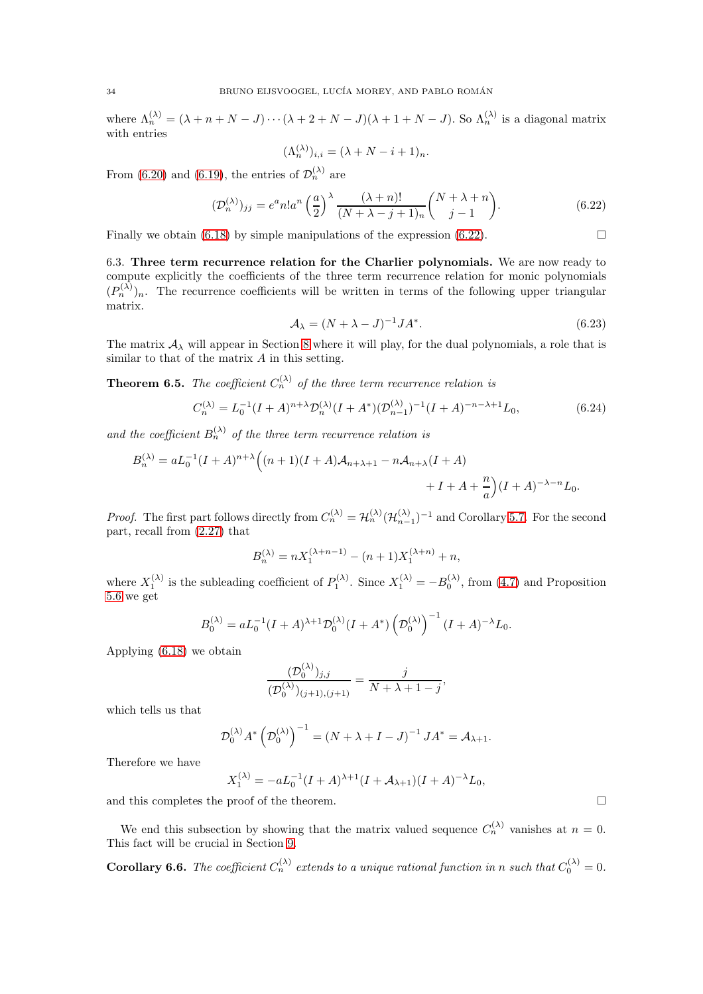where  $\Lambda_n^{(\lambda)} = (\lambda + n + N - J) \cdots (\lambda + 2 + N - J)(\lambda + 1 + N - J)$ . So  $\Lambda_n^{(\lambda)}$  is a diagonal matrix with entries

$$
(\Lambda_n^{(\lambda)})_{i,i} = (\lambda + N - i + 1)_n.
$$

From [\(6.20\)](#page-32-1) and [\(6.19\)](#page-32-2), the entries of  $\mathcal{D}_n^{(\lambda)}$  are

<span id="page-33-0"></span>
$$
(\mathcal{D}_n^{(\lambda)})_{jj} = e^a n! a^n \left(\frac{a}{2}\right)^\lambda \frac{(\lambda + n)!}{(N + \lambda - j + 1)_n} {N + \lambda + n \choose j - 1}.
$$
 (6.22)

Finally we obtain [\(6.18\)](#page-32-3) by simple manipulations of the expression [\(6.22\)](#page-33-0).  $\Box$ 

6.3. Three term recurrence relation for the Charlier polynomials. We are now ready to compute explicitly the coefficients of the three term recurrence relation for monic polynomials  $(P_n^{(\lambda)})_n$ . The recurrence coefficients will be written in terms of the following upper triangular matrix.

<span id="page-33-2"></span>
$$
\mathcal{A}_{\lambda} = (N + \lambda - J)^{-1} J A^*.
$$
\n(6.23)

The matrix  $A_{\lambda}$  will appear in Section [8](#page-38-0) where it will play, for the dual polynomials, a role that is similar to that of the matrix  $A$  in this setting.

<span id="page-33-3"></span>**Theorem 6.5.** The coefficient  $C_n^{(\lambda)}$  of the three term recurrence relation is

<span id="page-33-1"></span>
$$
C_n^{(\lambda)} = L_0^{-1} (I + A)^{n + \lambda} \mathcal{D}_n^{(\lambda)} (I + A^*) (\mathcal{D}_{n-1}^{(\lambda)})^{-1} (I + A)^{-n - \lambda + 1} L_0,
$$
(6.24)

and the coefficient  $B_n^{(\lambda)}$  of the three term recurrence relation is

$$
B_n^{(\lambda)} = aL_0^{-1}(I+A)^{n+\lambda} \Big( (n+1)(I+A)A_{n+\lambda+1} - nA_{n+\lambda}(I+A) + I+A + \frac{n}{a} \Big) (I+A)^{-\lambda-n} L_0.
$$

*Proof.* The first part follows directly from  $C_n^{(\lambda)} = \mathcal{H}_n^{(\lambda)} (\mathcal{H}_{n-1}^{(\lambda)})^{-1}$  and Corollary [5.7.](#page-26-4) For the second part, recall from [\(2.27\)](#page-11-5) that

$$
B_n^{(\lambda)} = nX_1^{(\lambda + n - 1)} - (n + 1)X_1^{(\lambda + n)} + n,
$$

where  $X_1^{(\lambda)}$  is the subleading coefficient of  $P_1^{(\lambda)}$ . Since  $X_1^{(\lambda)} = -B_0^{(\lambda)}$ , from [\(4.7\)](#page-21-9) and Proposition [5.6](#page-26-2) we get

$$
B_0^{(\lambda)} = a L_0^{-1} (I + A)^{\lambda + 1} \mathcal{D}_0^{(\lambda)} (I + A^*) \left( \mathcal{D}_0^{(\lambda)} \right)^{-1} (I + A)^{-\lambda} L_0.
$$

Applying [\(6.18\)](#page-32-3) we obtain

$$
\frac{(\mathcal{D}_0^{(\lambda)})_{j,j}}{(\mathcal{D}_0^{(\lambda)})_{(j+1),(j+1)}} = \frac{j}{N + \lambda + 1 - j},
$$

which tells us that

$$
\mathcal{D}_0^{(\lambda)} A^* \left(\mathcal{D}_0^{(\lambda)}\right)^{-1} = \left(N + \lambda + I - J\right)^{-1} J A^* = \mathcal{A}_{\lambda+1}.
$$

Therefore we have

$$
X_1^{(\lambda)} = -aL_0^{-1}(I+A)^{\lambda+1}(I+A_{\lambda+1})(I+A)^{-\lambda}L_0,
$$

and this completes the proof of the theorem.  $\hfill \Box$ 

We end this subsection by showing that the matrix valued sequence  $C_n^{(\lambda)}$  vanishes at  $n = 0$ . This fact will be crucial in Section [9.](#page-45-0)

**Corollary 6.6.** The coefficient  $C_n^{(\lambda)}$  extends to a unique rational function in n such that  $C_0^{(\lambda)} = 0$ .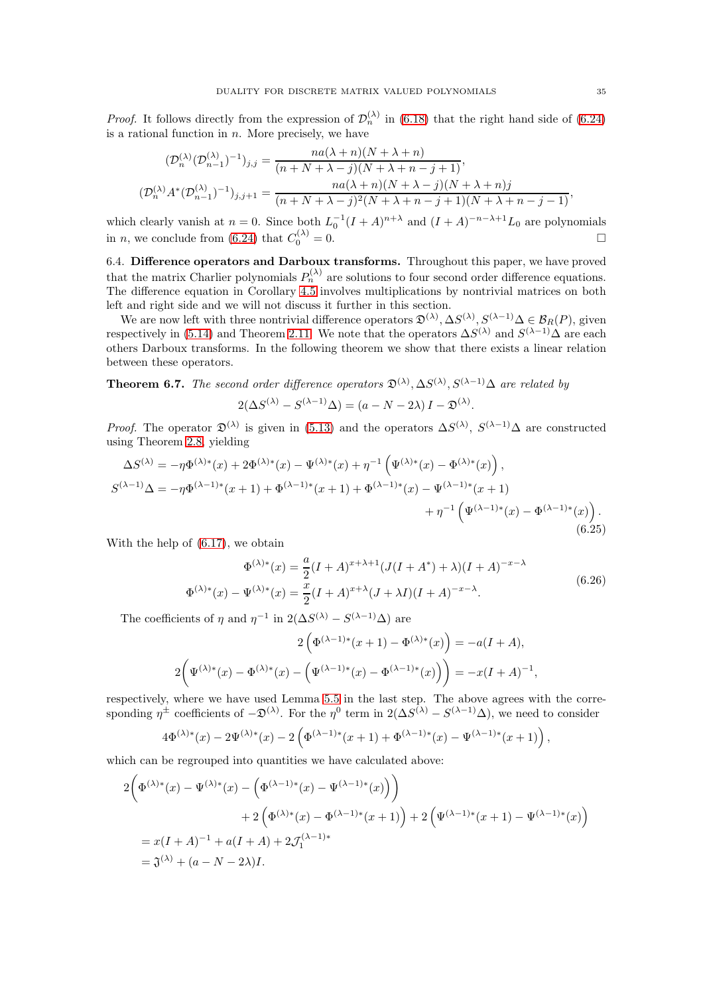*Proof.* It follows directly from the expression of  $\mathcal{D}_n^{(\lambda)}$  in [\(6.18\)](#page-32-3) that the right hand side of [\(6.24\)](#page-33-1) is a rational function in  $n$ . More precisely, we have

$$
(\mathcal{D}_n^{(\lambda)}(\mathcal{D}_{n-1}^{(\lambda)})^{-1})_{j,j} = \frac{na(\lambda+n)(N+\lambda+n)}{(n+N+\lambda-j)(N+\lambda+n-j+1)},
$$
  

$$
(\mathcal{D}_n^{(\lambda)}A^*(\mathcal{D}_{n-1}^{(\lambda)})^{-1})_{j,j+1} = \frac{na(\lambda+n)(N+\lambda-j)(N+\lambda+n)j}{(n+N+\lambda-j)^2(N+\lambda+n-j+1)(N+\lambda+n-j-1)},
$$

which clearly vanish at  $n = 0$ . Since both  $L_0^{-1}(I + A)^{n+\lambda}$  and  $(I + A)^{-n-\lambda+1}L_0$  are polynomials in *n*, we conclude from [\(6.24\)](#page-33-1) that  $C_0^{(\lambda)} = 0$ .

6.4. Difference operators and Darboux transforms. Throughout this paper, we have proved that the matrix Charlier polynomials  $P_n^{(\lambda)}$  are solutions to four second order difference equations. The difference equation in Corollary [4.5](#page-22-4) involves multiplications by nontrivial matrices on both left and right side and we will not discuss it further in this section.

We are now left with three nontrivial difference operators  $\mathfrak{D}^{(\lambda)}, \Delta S^{(\lambda)}, S^{(\lambda-1)}\Delta \in \mathcal{B}_R(P)$ , given respectively in [\(5.14\)](#page-28-0) and Theorem [2.11.](#page-10-0) We note that the operators  $\Delta S^{(\lambda)}$  and  $S^{(\lambda-1)}\Delta$  are each others Darboux transforms. In the following theorem we show that there exists a linear relation between these operators.

<span id="page-34-2"></span>**Theorem 6.7.** The second order difference operators  $\mathfrak{D}^{(\lambda)}, \Delta S^{(\lambda)}, S^{(\lambda-1)}\Delta$  are related by

$$
2(\Delta S^{(\lambda)} - S^{(\lambda - 1)}\Delta) = (a - N - 2\lambda)I - \mathfrak{D}^{(\lambda)}
$$

*Proof.* The operator  $\mathfrak{D}^{(\lambda)}$  is given in [\(5.13\)](#page-28-2) and the operators  $\Delta S^{(\lambda)}$ ,  $S^{(\lambda-1)}\Delta$  are constructed using Theorem [2.8,](#page-8-2) yielding

<span id="page-34-0"></span>
$$
\Delta S^{(\lambda)} = -\eta \Phi^{(\lambda)*}(x) + 2\Phi^{(\lambda)*}(x) - \Psi^{(\lambda)*}(x) + \eta^{-1} (\Psi^{(\lambda)*}(x) - \Phi^{(\lambda)*}(x)),
$$
  
\n
$$
S^{(\lambda-1)}\Delta = -\eta \Phi^{(\lambda-1)*}(x+1) + \Phi^{(\lambda-1)*}(x+1) + \Phi^{(\lambda-1)*}(x) - \Psi^{(\lambda-1)*}(x+1) + \eta^{-1} (\Psi^{(\lambda-1)*}(x) - \Phi^{(\lambda-1)*}(x)).
$$
\n(6.25)

With the help of [\(6.17\)](#page-32-4), we obtain

<span id="page-34-1"></span>
$$
\Phi^{(\lambda)*}(x) = \frac{a}{2}(I + A)^{x + \lambda + 1}(J(I + A^*) + \lambda)(I + A)^{-x - \lambda}
$$
  

$$
\Phi^{(\lambda)*}(x) - \Psi^{(\lambda)*}(x) = \frac{x}{2}(I + A)^{x + \lambda}(J + \lambda I)(I + A)^{-x - \lambda}.
$$
 (6.26)

.

The coefficients of  $\eta$  and  $\eta^{-1}$  in  $2(\Delta S^{(\lambda)} - S^{(\lambda-1)}\Delta)$  are

$$
2\left(\Phi^{(\lambda-1)*}(x+1) - \Phi^{(\lambda)*}(x)\right) = -a(I+A),
$$
  

$$
2\left(\Psi^{(\lambda)*}(x) - \Phi^{(\lambda)*}(x) - \left(\Psi^{(\lambda-1)*}(x) - \Phi^{(\lambda-1)*}(x)\right)\right) = -x(I+A)^{-1},
$$

respectively, where we have used Lemma [5.5](#page-26-3) in the last step. The above agrees with the corresponding  $\eta^{\pm}$  coefficients of  $-\mathfrak{D}^{(\lambda)}$ . For the  $\eta^0$  term in  $2(\Delta S^{(\lambda)} - S^{(\lambda-1)}\Delta)$ , we need to consider

$$
4\Phi^{(\lambda)*}(x) - 2\Psi^{(\lambda)*}(x) - 2\left(\Phi^{(\lambda-1)*}(x+1) + \Phi^{(\lambda-1)*}(x) - \Psi^{(\lambda-1)*}(x+1)\right),
$$

which can be regrouped into quantities we have calculated above:

$$
2\left(\Phi^{(\lambda)*}(x) - \Psi^{(\lambda)*}(x) - \left(\Phi^{(\lambda-1)*}(x) - \Psi^{(\lambda-1)*}(x)\right)\right) + 2\left(\Phi^{(\lambda)*}(x) - \Phi^{(\lambda-1)*}(x+1)\right) + 2\left(\Psi^{(\lambda-1)*}(x+1) - \Psi^{(\lambda-1)*}(x)\right) = x(I+A)^{-1} + a(I+A) + 2\mathcal{J}_1^{(\lambda-1)*} = \mathfrak{J}^{(\lambda)} + (a-N-2\lambda)I.
$$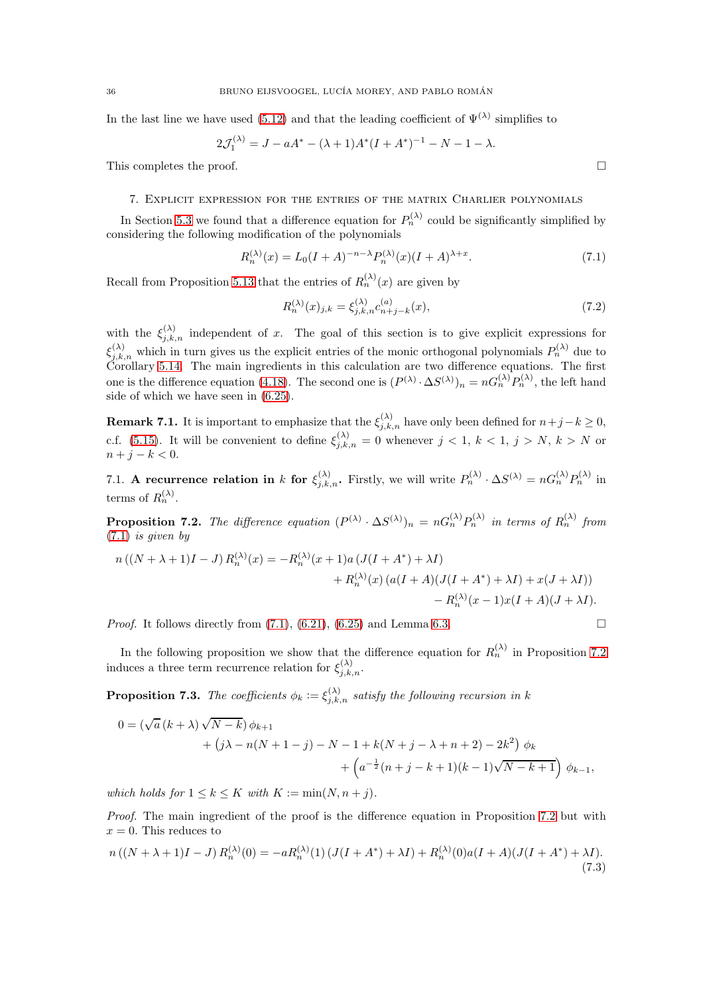In the last line we have used [\(5.12\)](#page-27-4) and that the leading coefficient of  $\Psi^{(\lambda)}$  simplifies to

$$
2\mathcal{J}_1^{(\lambda)} = J - aA^* - (\lambda + 1)A^*(I + A^*)^{-1} - N - 1 - \lambda.
$$

<span id="page-35-0"></span>This completes the proof.  $\Box$ 

### 7. Explicit expression for the entries of the matrix Charlier polynomials

In Section [5.3](#page-27-5) we found that a difference equation for  $P_n^{(\lambda)}$  could be significantly simplified by considering the following modification of the polynomials

<span id="page-35-1"></span>
$$
R_n^{(\lambda)}(x) = L_0(I+A)^{-n-\lambda} P_n^{(\lambda)}(x)(I+A)^{\lambda+x}.
$$
\n
$$
(7.1)
$$

Recall from Proposition [5.13](#page-28-3) that the entries of  $R_n^{(\lambda)}(x)$  are given by

<span id="page-35-3"></span>
$$
R_n^{(\lambda)}(x)_{j,k} = \xi_{j,k,n}^{(\lambda)} c_{n+j-k}^{(a)}(x),\tag{7.2}
$$

with the  $\xi_{j,k,n}^{(\lambda)}$  independent of x. The goal of this section is to give explicit expressions for  $\xi_{j,k,n}^{(\lambda)}$  which in turn gives us the explicit entries of the monic orthogonal polynomials  $P_n^{(\lambda)}$  due to Corollary [5.14.](#page-29-4) The main ingredients in this calculation are two difference equations. The first one is the difference equation [\(4.18\)](#page-24-7). The second one is  $(P^{(\lambda)} \cdot \Delta S^{(\lambda)})_n = nG_n^{(\lambda)}P_n^{(\lambda)}$ , the left hand side of which we have seen in [\(6.25\)](#page-34-0).

<span id="page-35-6"></span>**Remark 7.1.** It is important to emphasize that the  $\xi_{j,k,n}^{(\lambda)}$  have only been defined for  $n+j-k \geq 0$ , c.f. [\(5.15\)](#page-28-1). It will be convenient to define  $\xi_{j,k,n}^{(\lambda)} = 0$  whenever  $j < 1, k < 1, j > N, k > N$  or  $n + j - k < 0.$ 

7.1. A recurrence relation in k for  $\xi_{j,k,n}^{(\lambda)}$ . Firstly, we will write  $P_n^{(\lambda)} \cdot \Delta S^{(\lambda)} = nG_n^{(\lambda)}P_n^{(\lambda)}$  in terms of  $R_n^{(\lambda)}$ .

<span id="page-35-2"></span>**Proposition 7.2.** The difference equation  $(P^{(\lambda)} \cdot \Delta S^{(\lambda)})_n = nG_n^{(\lambda)}P_n^{(\lambda)}$  in terms of  $R_n^{(\lambda)}$  from  $(7.1)$  is given by

$$
n((N + \lambda + 1)I - J) R_n^{(\lambda)}(x) = -R_n^{(\lambda)}(x + 1)a (J(I + A^*) + \lambda I)
$$
  
+  $R_n^{(\lambda)}(x) (a(I + A)(J(I + A^*) + \lambda I) + x(J + \lambda I))$   
-  $R_n^{(\lambda)}(x - 1)x(I + A)(J + \lambda I).$ 

*Proof.* It follows directly from  $(7.1)$ ,  $(6.21)$ ,  $(6.25)$  and Lemma [6.3.](#page-31-4)

In the following proposition we show that the difference equation for  $R_n^{(\lambda)}$  in Proposition [7.2](#page-35-2) induces a three term recurrence relation for  $\xi_{j,k,n}^{(\lambda)}$ .

<span id="page-35-5"></span>**Proposition 7.3.** The coefficients  $\phi_k := \xi_{j,k,n}^{(\lambda)}$  satisfy the following recursion in k

$$
0 = (\sqrt{a} (k + \lambda) \sqrt{N - k}) \phi_{k+1} + (j\lambda - n(N + 1 - j) - N - 1 + k(N + j - \lambda + n + 2) - 2k^2) \phi_k + (a^{-\frac{1}{2}}(n + j - k + 1)(k - 1)\sqrt{N - k + 1}) \phi_{k-1},
$$

which holds for  $1 \leq k \leq K$  with  $K := min(N, n + j)$ .

Proof. The main ingredient of the proof is the difference equation in Proposition [7.2](#page-35-2) but with  $x = 0$ . This reduces to

<span id="page-35-4"></span>
$$
n((N + \lambda + 1)I - J) R_n^{(\lambda)}(0) = -aR_n^{(\lambda)}(1) (J(I + A^*) + \lambda I) + R_n^{(\lambda)}(0)a(I + A)(J(I + A^*) + \lambda I).
$$
\n(7.3)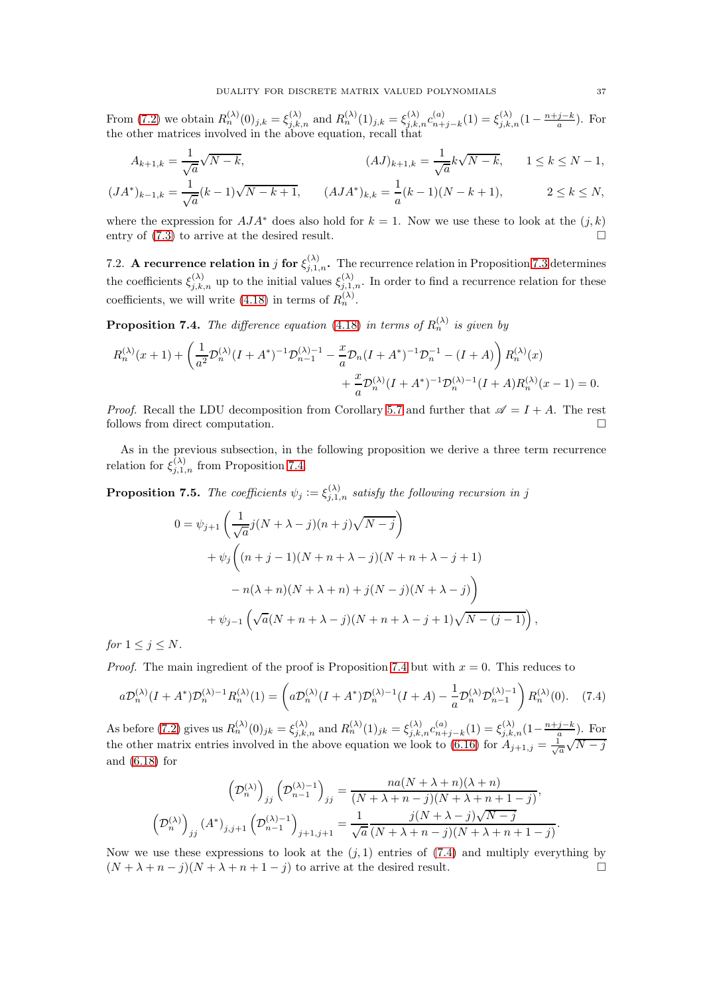From [\(7.2\)](#page-35-3) we obtain  $R_n^{(\lambda)}(0)_{j,k} = \xi_{j,k,n}^{(\lambda)}$  and  $R_n^{(\lambda)}(1)_{j,k} = \xi_{j,k,n}^{(\lambda)} c_{n+1}^{(a)}$  $\binom{a}{n+j-k}(1) = \xi_{j,k,n}^{(\lambda)}(1-\frac{n+j-k}{a})$ . For the other matrices involved in the above equation, recall that

$$
A_{k+1,k} = \frac{1}{\sqrt{a}}\sqrt{N-k},
$$
  
\n
$$
(AJ)_{k+1,k} = \frac{1}{\sqrt{a}}k\sqrt{N-k},
$$
  
\n
$$
(JA^*)_{k-1,k} = \frac{1}{\sqrt{a}}(k-1)\sqrt{N-k+1},
$$
  
\n
$$
(AJA^*)_{k,k} = \frac{1}{a}(k-1)(N-k+1),
$$
  
\n
$$
2 \le k \le N,
$$

where the expression for  $AJA^*$  does also hold for  $k = 1$ . Now we use these to look at the  $(j, k)$ entry of  $(7.3)$  to arrive at the desired result.

7.2. A recurrence relation in j for  $\xi_{j,1,n}^{(\lambda)}$ . The recurrence relation in Proposition [7.3](#page-35-5) determines the coefficients  $\xi_{j,k,n}^{(\lambda)}$  up to the initial values  $\xi_{j,1,n}^{(\lambda)}$ . In order to find a recurrence relation for these coefficients, we will write [\(4.18\)](#page-24-7) in terms of  $R_n^{(\lambda)}$ .

<span id="page-36-0"></span>**Proposition 7.4.** The difference equation [\(4.18\)](#page-24-7) in terms of  $R_n^{(\lambda)}$  is given by

$$
R_n^{(\lambda)}(x+1) + \left(\frac{1}{a^2} \mathcal{D}_n^{(\lambda)}(I + A^*)^{-1} \mathcal{D}_{n-1}^{(\lambda)-1} - \frac{x}{a} \mathcal{D}_n (I + A^*)^{-1} \mathcal{D}_n^{-1} - (I + A)\right) R_n^{(\lambda)}(x) + \frac{x}{a} \mathcal{D}_n^{(\lambda)}(I + A^*)^{-1} \mathcal{D}_n^{(\lambda)-1} (I + A) R_n^{(\lambda)}(x-1) = 0.
$$

*Proof.* Recall the LDU decomposition from Corollary [5.7](#page-26-4) and further that  $\mathscr{A} = I + A$ . The rest follows from direct computation.

As in the previous subsection, in the following proposition we derive a three term recurrence relation for  $\xi_{j,1,n}^{(\lambda)}$  from Proposition [7.4.](#page-36-0)

<span id="page-36-2"></span>**Proposition 7.5.** The coefficients  $\psi_j := \xi_{j,1,n}^{(\lambda)}$  satisfy the following recursion in j

$$
0 = \psi_{j+1} \left( \frac{1}{\sqrt{a}} j(N + \lambda - j)(n + j) \sqrt{N - j} \right)
$$
  
+  $\psi_j \left( (n + j - 1)(N + n + \lambda - j)(N + n + \lambda - j + 1) \right)$   
-  $n(\lambda + n)(N + \lambda + n) + j(N - j)(N + \lambda - j) \right)$   
+  $\psi_{j-1} \left( \sqrt{a}(N + n + \lambda - j)(N + n + \lambda - j + 1) \sqrt{N - (j - 1)} \right)$ 

for  $1 \leq j \leq N$ .

*Proof.* The main ingredient of the proof is Proposition [7.4](#page-36-0) but with  $x = 0$ . This reduces to

<span id="page-36-1"></span>
$$
a\mathcal{D}_n^{(\lambda)}(I+A^*)\mathcal{D}_n^{(\lambda)-1}R_n^{(\lambda)}(1) = \left(a\mathcal{D}_n^{(\lambda)}(I+A^*)\mathcal{D}_n^{(\lambda)-1}(I+A) - \frac{1}{a}\mathcal{D}_n^{(\lambda)}\mathcal{D}_{n-1}^{(\lambda)-1}\right)R_n^{(\lambda)}(0). \tag{7.4}
$$

As before [\(7.2\)](#page-35-3) gives us  $R_n^{(\lambda)}(0)_{jk} = \xi_{j,k,n}^{(\lambda)}$  and  $R_n^{(\lambda)}(1)_{jk} = \xi_{j,k,n}^{(\lambda)} c_{n+k,n}^{(a)}$  $\binom{a}{n+j-k}(1) = \xi_{j,k,n}^{(\lambda)}(1-\frac{n+j-k}{n}).$  For the other matrix entries involved in the above equation we look to [\(6.16\)](#page-32-0) for  $A_{j+1,j} = \frac{1}{\sqrt{a}}\sqrt{N-j}$ and [\(6.18\)](#page-32-3) for

$$
\left(\mathcal{D}_n^{(\lambda)}\right)_{jj} \left(\mathcal{D}_{n-1}^{(\lambda)-1}\right)_{jj} = \frac{na(N+\lambda+n)(\lambda+n)}{(N+\lambda+n-j)(N+\lambda+n+1-j)},
$$

$$
\left(\mathcal{D}_n^{(\lambda)}\right)_{jj} (A^*)_{j,j+1} \left(\mathcal{D}_{n-1}^{(\lambda)-1}\right)_{j+1,j+1} = \frac{1}{\sqrt{a}} \frac{j(N+\lambda-j)\sqrt{N-j}}{(N+\lambda+n-j)(N+\lambda+n+1-j)}.
$$

Now we use these expressions to look at the  $(j, 1)$  entries of  $(7.4)$  and multiply everything by  $(N + \lambda + n - j)(N + \lambda + n + 1 - j)$  to arrive at the desired result.

,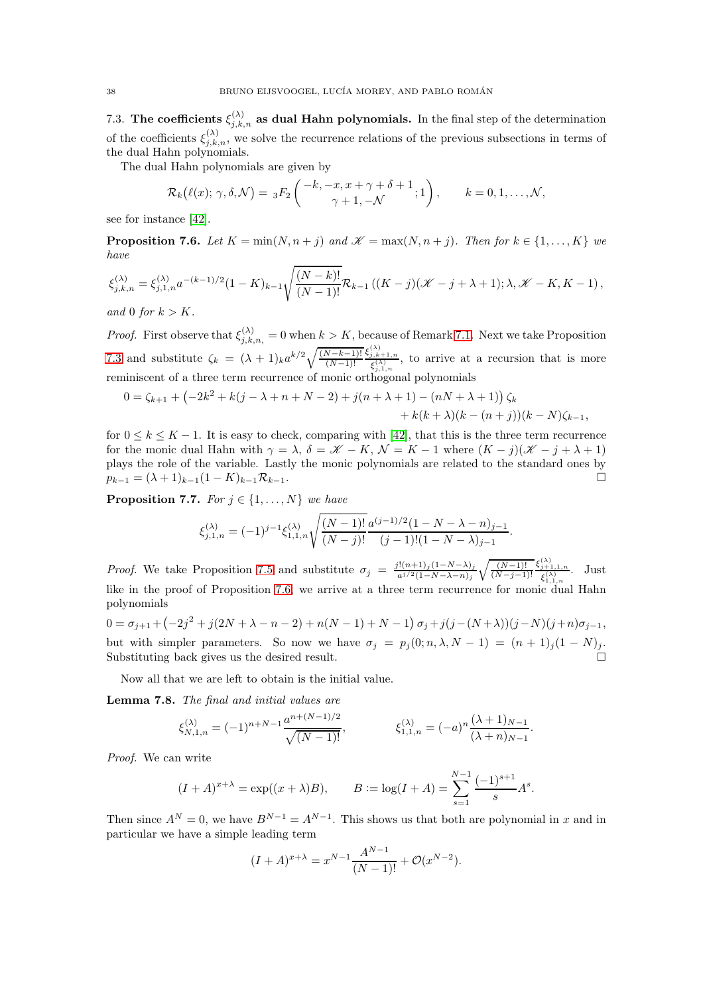7.3. The coefficients  $\xi_{j,k,n}^{(\lambda)}$  as dual Hahn polynomials. In the final step of the determination of the coefficients  $\xi_{j,k,n}^{(\lambda)}$ , we solve the recurrence relations of the previous subsections in terms of the dual Hahn polynomials.

The dual Hahn polynomials are given by

$$
\mathcal{R}_k(\ell(x); \gamma, \delta, \mathcal{N}) = {}_3F_2\left( \begin{array}{c} -k, -x, x + \gamma + \delta + 1 \\ \gamma + 1, -\mathcal{N} \end{array} ; 1 \right), \qquad k = 0, 1, \ldots, \mathcal{N},
$$

see for instance [\[42\]](#page-53-0).

<span id="page-37-0"></span>**Proposition 7.6.** Let  $K = min(N, n + j)$  and  $\mathscr{K} = max(N, n + j)$ . Then for  $k \in \{1, ..., K\}$  we have

$$
\xi_{j,k,n}^{(\lambda)} = \xi_{j,1,n}^{(\lambda)} a^{-(k-1)/2} (1 - K)_{k-1} \sqrt{\frac{(N-k)!}{(N-1)!}} \mathcal{R}_{k-1} \left( (K - j) (\mathcal{K} - j + \lambda + 1) ; \lambda, \mathcal{K} - K, K - 1 \right),
$$

and 0 for  $k > K$ .

*Proof.* First observe that  $\xi_{j,k,n}^{(\lambda)} = 0$  when  $k > K$ , because of Remark [7.1.](#page-35-6) Next we take Proposition [7.3](#page-35-5) and substitute  $\zeta_k = (\lambda + 1)_k a^{k/2} \sqrt{\frac{(N-k-1)!}{(N-1)!}}$  $(N-1)!$  $\xi_{j,k+1,n}^{(\lambda)}$ , to arrive at a recursion that is more reminiscent of a three term recurrence of monic orthogonal polynomials

$$
0 = \zeta_{k+1} + \left(-2k^2 + k(j - \lambda + n + N - 2) + j(n + \lambda + 1) - (n + \lambda + 1)\right)\zeta_k
$$
  
+ k(k + \lambda)(k - (n + j))(k - N)\zeta\_{k-1},

for  $0 \leq k \leq K-1$ . It is easy to check, comparing with [\[42\]](#page-53-0), that this is the three term recurrence for the monic dual Hahn with  $\gamma = \lambda$ ,  $\delta = \mathscr{K} - K$ ,  $\mathcal{N} = K - 1$  where  $(K - j)(\mathscr{K} - j + \lambda + 1)$ plays the role of the variable. Lastly the monic polynomials are related to the standard ones by  $p_{k-1} = (\lambda + 1)_{k-1}(1 - K)_{k-1}\mathcal{R}_{k-1}.$ 

<span id="page-37-1"></span>**Proposition 7.7.** For  $j \in \{1, ..., N\}$  we have

$$
\xi^{(\lambda)}_{j,1,n}=(-1)^{j-1}\xi^{(\lambda)}_{1,1,n}\sqrt{\frac{(N-1)!}{(N-j)!}}\frac{a^{(j-1)/2}(1-N-\lambda-n)_{j-1}}{(j-1)!(1-N-\lambda)_{j-1}}.
$$

*Proof.* We take Proposition [7.5](#page-36-2) and substitute  $\sigma_j = \frac{j!(n+1)_j(1-N-\lambda)_j}{a^{j/2}(1-N-\lambda-n)_j}$  $a^{j/2}(1-N-\lambda-n)_j$  $\sqrt{(N-1)!}$  $(N-j-1)!$  $\xi_{j+1,1,n}^{(\lambda)}$  $\frac{j+1,1,n}{\xi_{1,1,n}^{(\lambda)}}$ . Just like in the proof of Proposition [7.6,](#page-37-0) we arrive at a three term recurrence for monic dual Hahn polynomials

$$
0 = \sigma_{j+1} + (-2j^2 + j(2N + \lambda - n - 2) + n(N-1) + N - 1) \sigma_j + j(j - (N + \lambda))(j - N)(j + n)\sigma_{j-1},
$$
 but with simpler parameters. So now we have  $\sigma_j = p_j(0; n, \lambda, N - 1) = (n + 1)_j(1 - N)_j$ .  
Substituting back gives us the desired result.

Now all that we are left to obtain is the initial value.

<span id="page-37-2"></span>Lemma 7.8. The final and initial values are

$$
\xi_{N,1,n}^{(\lambda)} = (-1)^{n+N-1} \frac{a^{n+(N-1)/2}}{\sqrt{(N-1)!}}, \qquad \xi_{1,1,n}^{(\lambda)} = (-a)^n \frac{(\lambda+1)_{N-1}}{(\lambda+n)_{N-1}}.
$$

Proof. We can write

$$
(I + A)^{x+\lambda} = \exp((x + \lambda)B),
$$
  $B := \log(I + A) = \sum_{s=1}^{N-1} \frac{(-1)^{s+1}}{s} A^s.$ 

Then since  $A^N = 0$ , we have  $B^{N-1} = A^{N-1}$ . This shows us that both are polynomial in x and in particular we have a simple leading term

$$
(I + A)^{x + \lambda} = x^{N-1} \frac{A^{N-1}}{(N-1)!} + \mathcal{O}(x^{N-2}).
$$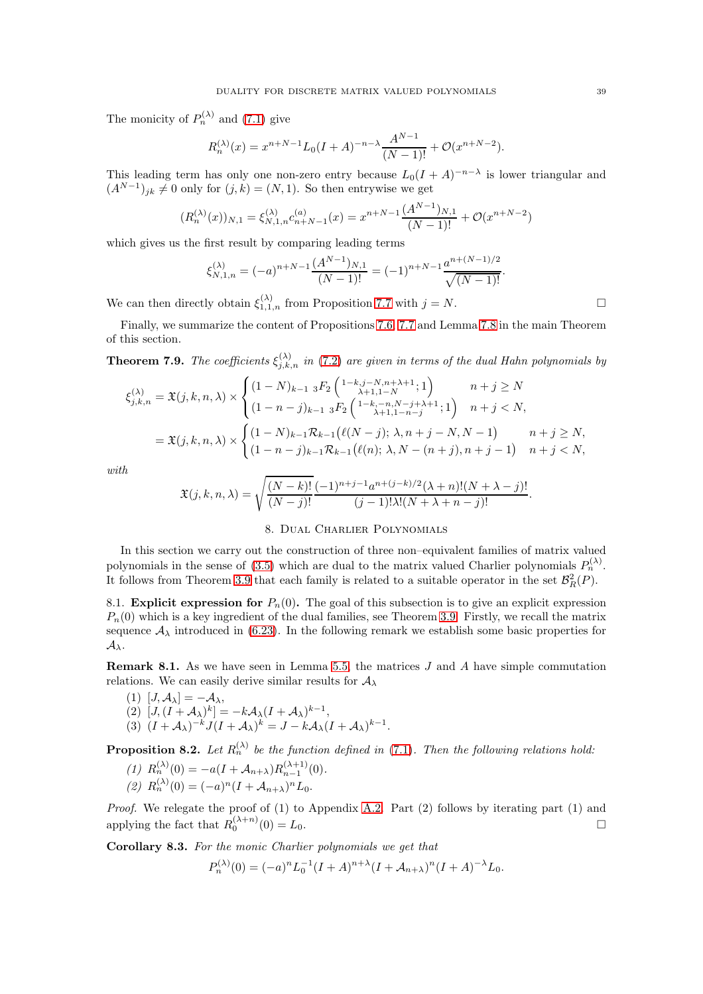The monicity of  $P_n^{(\lambda)}$  and [\(7.1\)](#page-35-1) give

$$
R_n^{(\lambda)}(x) = x^{n+N-1} L_0(I+A)^{-n-\lambda} \frac{A^{N-1}}{(N-1)!} + \mathcal{O}(x^{n+N-2}).
$$

This leading term has only one non-zero entry because  $L_0(I + A)^{-n-\lambda}$  is lower triangular and  $(A^{N-1})_{jk} \neq 0$  only for  $(j,k) = (N,1)$ . So then entrywise we get

$$
(R_n^{(\lambda)}(x))_{N,1} = \xi_{N,1,n}^{(\lambda)} c_{n+N-1}^{(a)}(x) = x^{n+N-1} \frac{(A^{N-1})_{N,1}}{(N-1)!} + \mathcal{O}(x^{n+N-2})
$$

which gives us the first result by comparing leading terms

$$
\xi_{N,1,n}^{(\lambda)} = (-a)^{n+N-1} \frac{(A^{N-1})_{N,1}}{(N-1)!} = (-1)^{n+N-1} \frac{a^{n+(N-1)/2}}{\sqrt{(N-1)!}}.
$$

We can then directly obtain  $\xi_{1,1,n}^{(\lambda)}$  from Proposition [7.7](#page-37-1) with  $j = N$ .

Finally, we summarize the content of Propositions [7.6,](#page-37-0) [7.7](#page-37-1) and Lemma [7.8](#page-37-2) in the main Theorem of this section.

<span id="page-38-4"></span>**Theorem 7.9.** The coefficients  $\xi_{j,k,n}^{(\lambda)}$  in [\(7.2\)](#page-35-3) are given in terms of the dual Hahn polynomials by

$$
\xi_{j,k,n}^{(\lambda)} = \mathfrak{X}(j,k,n,\lambda) \times \begin{cases}\n(1-N)_{k-1} {}_{3}F_{2} \left( \begin{matrix} 1-k, j-N, n+\lambda+1 \\ \lambda+1, 1-N \end{matrix}; 1 \right) & n+j \geq N \\
(1-n-j)_{k-1} {}_{3}F_{2} \left( \begin{matrix} 1-k, -n, N-j+\lambda+1 \\ \lambda+1, 1-n-j \end{matrix}; 1 \right) & n+j < N, \\
n+j < N, \left( \begin{matrix} 1-N \end{matrix}; k, n, \lambda \right) \times \begin{cases}\n(1-N)_{k-1} \mathcal{R}_{k-1} \left( \ell(N-j); \lambda, n+j-N, N-1 \right) & n+j \geq N, \\
(1-n-j)_{k-1} \mathcal{R}_{k-1} \left( \ell(n); \lambda, N-(n+j), n+j-1 \right) & n+j < N,\n\end{cases}
$$

with

$$
\mathfrak{X}(j,k,n,\lambda) = \sqrt{\frac{(N-k)!}{(N-j)!}} \frac{(-1)^{n+j-1} a^{n+(j-k)/2} (\lambda+n)!(N+\lambda-j)!}{(j-1)!\lambda!(N+\lambda+n-j)!}.
$$

### 8. Dual Charlier Polynomials

<span id="page-38-0"></span>In this section we carry out the construction of three non–equivalent families of matrix valued polynomials in the sense of [\(3.5\)](#page-12-5) which are dual to the matrix valued Charlier polynomials  $P_n^{(\lambda)}$ . It follows from Theorem [3.9](#page-14-0) that each family is related to a suitable operator in the set  $\mathcal{B}_{R}^{2}(P)$ .

8.1. **Explicit expression for**  $P_n(0)$ . The goal of this subsection is to give an explicit expression  $P_n(0)$  which is a key ingredient of the dual families, see Theorem [3.9.](#page-14-0) Firstly, we recall the matrix sequence  $\mathcal{A}_{\lambda}$  introduced in [\(6.23\)](#page-33-2). In the following remark we establish some basic properties for  $\mathcal{A}_{\lambda}$ .

<span id="page-38-2"></span>**Remark 8.1.** As we have seen in Lemma [5.5,](#page-26-3) the matrices  $J$  and  $A$  have simple commutation relations. We can easily derive similar results for  $A_{\lambda}$ 

(1) 
$$
[J, A_{\lambda}] = -A_{\lambda}
$$
,  
\n(2)  $[J, (I + A_{\lambda})^k] = -kA_{\lambda}(I + A_{\lambda})^{k-1}$ ,  
\n(3)  $(I + A_{\lambda})^{-k}J(I + A_{\lambda})^k = J - kA_{\lambda}(I + A_{\lambda})^{k-1}$ .

<span id="page-38-3"></span>**Proposition 8.2.** Let  $R_n^{(\lambda)}$  be the function defined in [\(7.1\)](#page-35-1). Then the following relations hold:

(1) 
$$
R_n^{(\lambda)}(0) = -a(I + A_{n+\lambda})R_{n-1}^{(\lambda+1)}(0).
$$

(2)  $R_n^{(\lambda)}(0) = (-a)^n (I + A_{n+\lambda})^n L_0.$ 

Proof. We relegate the proof of (1) to Appendix [A.2.](#page-49-0) Part (2) follows by iterating part (1) and applying the fact that  $R_0^{(\lambda+n)}(0) = L_0$ .

<span id="page-38-1"></span>Corollary 8.3. For the monic Charlier polynomials we get that

$$
P_n^{(\lambda)}(0) = (-a)^n L_0^{-1} (I + A)^{n+\lambda} (I + A_{n+\lambda})^n (I + A)^{-\lambda} L_0.
$$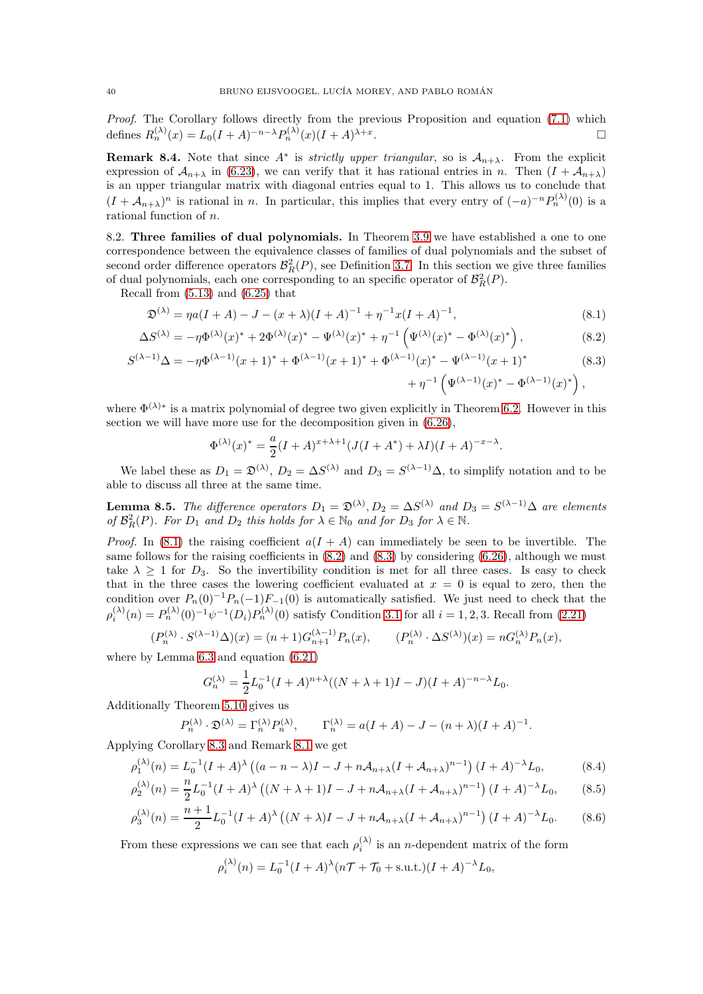Proof. The Corollary follows directly from the previous Proposition and equation [\(7.1\)](#page-35-1) which defines  $R_n^{(\lambda)}(x) = L_0(I+A)^{-n-\lambda} P_n^{(\lambda)}(x)(I+A)^{\lambda+x}$ . В последните последните последните последните и последните последните последните последните последните после<br>В последните последните последните последните последните последните последните последните последните последнит

<span id="page-39-3"></span>**Remark 8.4.** Note that since  $A^*$  is *strictly upper triangular*, so is  $A_{n+\lambda}$ . From the explicit expression of  $\mathcal{A}_{n+\lambda}$  in [\(6.23\)](#page-33-2), we can verify that it has rational entries in n. Then  $(I + \mathcal{A}_{n+\lambda})$ is an upper triangular matrix with diagonal entries equal to 1. This allows us to conclude that  $(I + A_{n+\lambda})^n$  is rational in n. In particular, this implies that every entry of  $(-a)^{-n}P_n^{(\lambda)}(0)$  is a rational function of n.

8.2. Three families of dual polynomials. In Theorem [3.9](#page-14-0) we have established a one to one correspondence between the equivalence classes of families of dual polynomials and the subset of second order difference operators  $\mathcal{B}_{R}^{2}(P)$ , see Definition [3.7.](#page-14-3) In this section we give three families of dual polynomials, each one corresponding to an specific operator of  $\mathcal{B}_{R}^{2}(P)$ .

Recall from [\(5.13\)](#page-28-2) and [\(6.25\)](#page-34-0) that

$$
\mathfrak{D}^{(\lambda)} = \eta a (I + A) - J - (x + \lambda)(I + A)^{-1} + \eta^{-1} x (I + A)^{-1},\tag{8.1}
$$

$$
\Delta S^{(\lambda)} = -\eta \Phi^{(\lambda)}(x)^{*} + 2\Phi^{(\lambda)}(x)^{*} - \Psi^{(\lambda)}(x)^{*} + \eta^{-1} \left( \Psi^{(\lambda)}(x)^{*} - \Phi^{(\lambda)}(x)^{*} \right), \tag{8.2}
$$

$$
S^{(\lambda-1)}\Delta = -\eta \Phi^{(\lambda-1)}(x+1)^{*} + \Phi^{(\lambda-1)}(x+1)^{*} + \Phi^{(\lambda-1)}(x)^{*} - \Psi^{(\lambda-1)}(x+1)^{*} + \eta^{-1} \left( \Psi^{(\lambda-1)}(x)^{*} - \Phi^{(\lambda-1)}(x)^{*} \right), \tag{8.3}
$$

where  $\Phi^{(\lambda)*}$  is a matrix polynomial of degree two given explicitly in Theorem [6.2.](#page-30-9) However in this section we will have more use for the decomposition given in [\(6.26\)](#page-34-1),

<span id="page-39-2"></span><span id="page-39-1"></span><span id="page-39-0"></span>
$$
\Phi^{(\lambda)}(x)^* = \frac{a}{2}(I+A)^{x+\lambda+1}(J(I+A^*) + \lambda I)(I+A)^{-x-\lambda}.
$$

We label these as  $D_1 = \mathfrak{D}^{(\lambda)}$ ,  $D_2 = \Delta S^{(\lambda)}$  and  $D_3 = S^{(\lambda-1)}\Delta$ , to simplify notation and to be able to discuss all three at the same time.

**Lemma 8.5.** The difference operators  $D_1 = \mathfrak{D}^{(\lambda)}, D_2 = \Delta S^{(\lambda)}$  and  $D_3 = S^{(\lambda-1)}\Delta$  are elements of  $\mathcal{B}_{R}^{2}(P)$ . For  $D_1$  and  $D_2$  this holds for  $\lambda \in \mathbb{N}_0$  and for  $D_3$  for  $\lambda \in \mathbb{N}$ .

*Proof.* In [\(8.1\)](#page-39-0) the raising coefficient  $a(I + A)$  can immediately be seen to be invertible. The same follows for the raising coefficients in  $(8.2)$  and  $(8.3)$  by considering  $(6.26)$ , although we must take  $\lambda \geq 1$  for  $D_3$ . So the invertibility condition is met for all three cases. Is easy to check that in the three cases the lowering coefficient evaluated at  $x = 0$  is equal to zero, then the condition over  $P_n(0)^{-1}P_n(-1)F_{-1}(0)$  is automatically satisfied. We just need to check that the  $\rho_i^{(\lambda)}(n) = P_n^{(\lambda)}(0)^{-1} \psi^{-1}(D_i) P_n^{(\lambda)}(0)$  satisfy Condition [3.1](#page-12-1) for all  $i = 1, 2, 3$ . Recall from [\(2.21\)](#page-10-6)

$$
(P_n^{(\lambda)} \cdot S^{(\lambda-1)}\Delta)(x) = (n+1)G_{n+1}^{(\lambda-1)}P_n(x), \qquad (P_n^{(\lambda)} \cdot \Delta S^{(\lambda)})(x) = nG_n^{(\lambda)}P_n(x),
$$

where by Lemma [6.3](#page-31-4) and equation [\(6.21\)](#page-32-5)

$$
G_n^{(\lambda)} = \frac{1}{2} L_0^{-1} (I + A)^{n + \lambda} ((N + \lambda + 1)I - J)(I + A)^{-n - \lambda} L_0.
$$

Additionally Theorem [5.10](#page-28-4) gives us

$$
P_n^{(\lambda)} \cdot \mathfrak{D}^{(\lambda)} = \Gamma_n^{(\lambda)} P_n^{(\lambda)}, \qquad \Gamma_n^{(\lambda)} = a(I+A) - J - (n+\lambda)(I+A)^{-1}.
$$

Applying Corollary [8.3](#page-38-1) and Remark [8.1](#page-38-2) we get

$$
\rho_1^{(\lambda)}(n) = L_0^{-1}(I + A)^\lambda \left( (a - n - \lambda)I - J + n\mathcal{A}_{n+\lambda}(I + \mathcal{A}_{n+\lambda})^{n-1} \right) (I + A)^{-\lambda} L_0,
$$
\n(8.4)

$$
\rho_2^{(\lambda)}(n) = \frac{n}{2} L_0^{-1} (I + A)^\lambda \left( (N + \lambda + 1)I - J + n \mathcal{A}_{n+\lambda} (I + \mathcal{A}_{n+\lambda})^{n-1} \right) (I + A)^{-\lambda} L_0, \tag{8.5}
$$

$$
\rho_3^{(\lambda)}(n) = \frac{n+1}{2} L_0^{-1} (I + A)^\lambda \left( (N + \lambda)I - J + n\mathcal{A}_{n+\lambda} (I + \mathcal{A}_{n+\lambda})^{n-1} \right) (I + A)^{-\lambda} L_0.
$$
 (8.6)

From these expressions we can see that each  $\rho_i^{(\lambda)}$  is an *n*-dependent matrix of the form

<span id="page-39-6"></span><span id="page-39-5"></span><span id="page-39-4"></span>
$$
\rho_i^{(\lambda)}(n) = L_0^{-1}(I + A)^{\lambda}(n\mathcal{T} + \mathcal{T}_0 + \text{s.u.t.})(I + A)^{-\lambda}L_0,
$$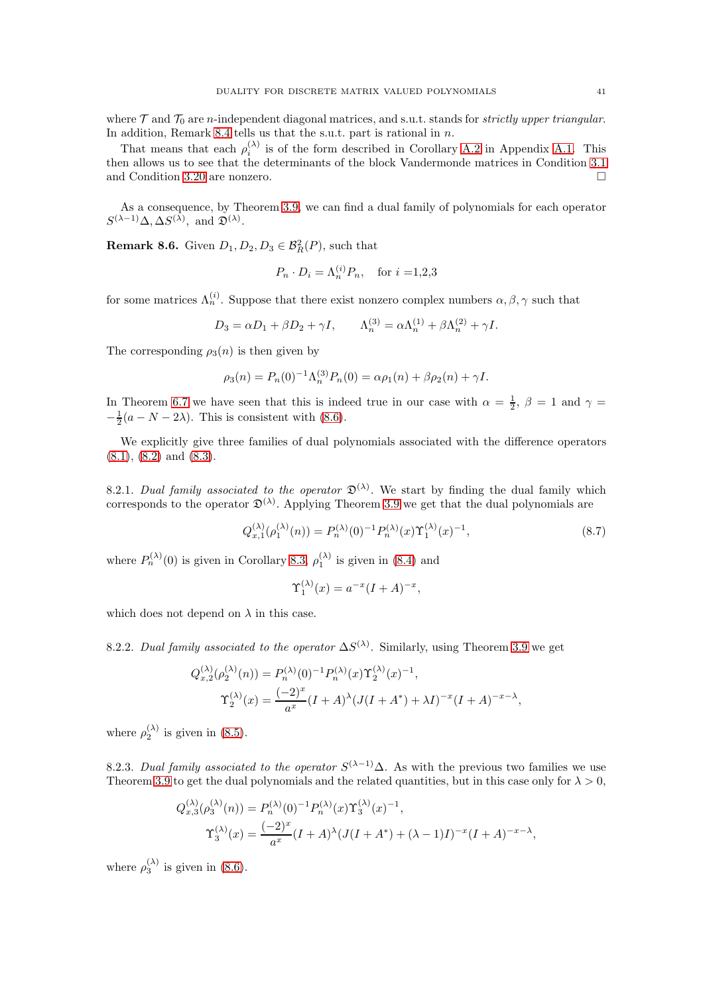where  $\mathcal T$  and  $\mathcal T_0$  are n-independent diagonal matrices, and s.u.t. stands for *strictly upper triangular*. In addition, Remark [8.4](#page-39-3) tells us that the s.u.t. part is rational in  $n$ .

That means that each  $\rho_i^{(\lambda)}$  $i^{(0)}$  is of the form described in Corollary [A.2](#page-48-0) in Appendix [A.1.](#page-47-1) This then allows us to see that the determinants of the block Vandermonde matrices in Condition [3.1](#page-12-1) and Condition [3.20](#page-19-2) are nonzero.

As a consequence, by Theorem [3.9,](#page-14-0) we can find a dual family of polynomials for each operator  $S^{(\lambda-1)}\Delta, \Delta S^{(\lambda)}, \text{ and } \mathfrak{D}^{(\lambda)}.$ 

**Remark 8.6.** Given  $D_1, D_2, D_3 \in \mathcal{B}_R^2(P)$ , such that

$$
P_n \cdot D_i = \Lambda_n^{(i)} P_n, \quad \text{for } i = 1, 2, 3
$$

for some matrices  $\Lambda_n^{(i)}$ . Suppose that there exist nonzero complex numbers  $\alpha, \beta, \gamma$  such that

$$
D_3 = \alpha D_1 + \beta D_2 + \gamma I, \qquad \Lambda_n^{(3)} = \alpha \Lambda_n^{(1)} + \beta \Lambda_n^{(2)} + \gamma I.
$$

The corresponding  $\rho_3(n)$  is then given by

$$
\rho_3(n) = P_n(0)^{-1} \Lambda_n^{(3)} P_n(0) = \alpha \rho_1(n) + \beta \rho_2(n) + \gamma I.
$$

In Theorem [6.7](#page-34-2) we have seen that this is indeed true in our case with  $\alpha = \frac{1}{2}$ ,  $\beta = 1$  and  $\gamma =$  $-\frac{1}{2}(a-N-2\lambda)$ . This is consistent with [\(8.6\)](#page-39-4).

We explicitly give three families of dual polynomials associated with the difference operators  $(8.1), (8.2)$  $(8.1), (8.2)$  $(8.1), (8.2)$  and  $(8.3).$ 

<span id="page-40-0"></span>8.2.1. Dual family associated to the operator  $\mathfrak{D}^{(\lambda)}$ . We start by finding the dual family which corresponds to the operator  $\mathfrak{D}^{(\lambda)}$ . Applying Theorem [3.9](#page-14-0) we get that the dual polynomials are

<span id="page-40-1"></span>
$$
Q_{x,1}^{(\lambda)}(\rho_1^{(\lambda)}(n)) = P_n^{(\lambda)}(0)^{-1} P_n^{(\lambda)}(x) \Upsilon_1^{(\lambda)}(x)^{-1},
$$
\n(8.7)

where  $P_n^{(\lambda)}(0)$  is given in Corollary [8.3,](#page-38-1)  $\rho_1^{(\lambda)}$  is given in [\(8.4\)](#page-39-5) and

$$
\Upsilon_1^{(\lambda)}(x) = a^{-x}(I+A)^{-x},
$$

which does not depend on  $\lambda$  in this case.

8.2.2. Dual family associated to the operator  $\Delta S^{(\lambda)}$ . Similarly, using Theorem [3.9](#page-14-0) we get

$$
Q_{x,2}^{(\lambda)}(\rho_2^{(\lambda)}(n)) = P_n^{(\lambda)}(0)^{-1} P_n^{(\lambda)}(x) \Upsilon_2^{(\lambda)}(x)^{-1},
$$
  

$$
\Upsilon_2^{(\lambda)}(x) = \frac{(-2)^x}{a^x} (I + A)^{\lambda} (J(I + A^*) + \lambda I)^{-x} (I + A)^{-x - \lambda},
$$

where  $\rho_2^{(\lambda)}$  is given in [\(8.5\)](#page-39-6).

8.2.3. Dual family associated to the operator  $S^{(\lambda-1)}\Delta$ . As with the previous two families we use Theorem [3.9](#page-14-0) to get the dual polynomials and the related quantities, but in this case only for  $\lambda > 0$ ,

$$
Q_{x,3}^{(\lambda)}(\rho_3^{(\lambda)}(n)) = P_n^{(\lambda)}(0)^{-1} P_n^{(\lambda)}(x) \Upsilon_3^{(\lambda)}(x)^{-1},
$$
  

$$
\Upsilon_3^{(\lambda)}(x) = \frac{(-2)^x}{a^x} (I + A)^{\lambda} (J(I + A^*) + (\lambda - 1)I)^{-x} (I + A)^{-x - \lambda},
$$

where  $\rho_3^{(\lambda)}$  is given in [\(8.6\)](#page-39-4).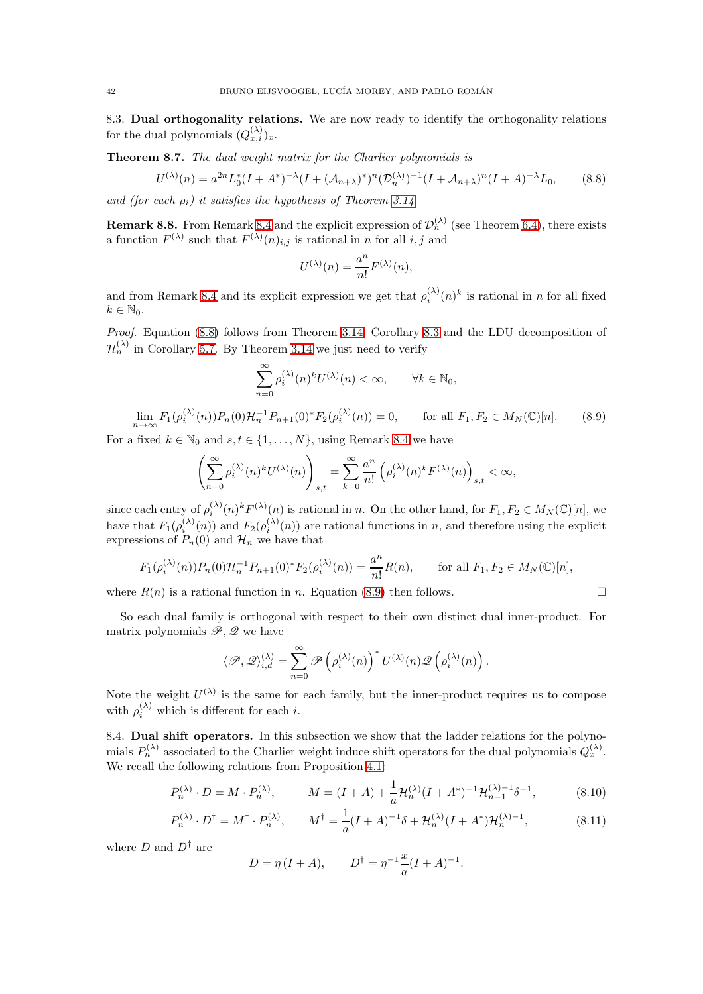8.3. Dual orthogonality relations. We are now ready to identify the orthogonality relations for the dual polynomials  $(Q_{x,i}^{(\lambda)})_x$ .

Theorem 8.7. The dual weight matrix for the Charlier polynomials is

<span id="page-41-0"></span>
$$
U^{(\lambda)}(n) = a^{2n} L_0^*(I + A^*)^{-\lambda} (I + (\mathcal{A}_{n+\lambda})^*)^n (\mathcal{D}_n^{(\lambda)})^{-1} (I + \mathcal{A}_{n+\lambda})^n (I + A)^{-\lambda} L_0,
$$
(8.8)

and (for each  $\rho_i$ ) it satisfies the hypothesis of Theorem [3.14.](#page-16-3)

**Remark 8.8.** From Remark [8.4](#page-39-3) and the explicit expression of  $\mathcal{D}_n^{(\lambda)}$  (see Theorem [6.4\)](#page-32-6), there exists a function  $F^{(\lambda)}$  such that  $F^{(\lambda)}(n)_{i,j}$  is rational in n for all i, j and

$$
U^{(\lambda)}(n) = \frac{a^n}{n!} F^{(\lambda)}(n),
$$

and from Remark [8.4](#page-39-3) and its explicit expression we get that  $\rho_i^{(\lambda)}(n)^k$  is rational in n for all fixed  $k \in \mathbb{N}_0$ .

Proof. Equation [\(8.8\)](#page-41-0) follows from Theorem [3.14,](#page-16-3) Corollary [8.3](#page-38-1) and the LDU decomposition of  $\mathcal{H}_n^{(\lambda)}$  in Corollary [5.7.](#page-26-4) By Theorem [3.14](#page-16-3) we just need to verify

$$
\sum_{n=0}^{\infty} \rho_i^{(\lambda)}(n)^k U^{(\lambda)}(n) < \infty, \qquad \forall k \in \mathbb{N}_0,
$$

<span id="page-41-1"></span>
$$
\lim_{n \to \infty} F_1(\rho_i^{(\lambda)}(n)) P_n(0) \mathcal{H}_n^{-1} P_{n+1}(0)^* F_2(\rho_i^{(\lambda)}(n)) = 0, \qquad \text{for all } F_1, F_2 \in M_N(\mathbb{C})[n]. \tag{8.9}
$$

For a fixed  $k \in \mathbb{N}_0$  and  $s, t \in \{1, ..., N\}$ , using Remark [8.4](#page-39-3) we have

$$
\left(\sum_{n=0}^{\infty}\rho^{(\lambda)}_i(n)^kU^{(\lambda)}(n)\right)_{s,t}=\sum_{k=0}^{\infty}\frac{a^n}{n!}\left(\rho^{(\lambda)}_i(n)^kF^{(\lambda)}(n)\right)_{s,t}<\infty,
$$

since each entry of  $\rho_i^{(\lambda)}$  $\lambda_i^{(\lambda)}(n)^k F^{(\lambda)}(n)$  is rational in n. On the other hand, for  $F_1, F_2 \in M_N(\mathbb{C})[n]$ , we have that  $F_1(\rho_i^{(\lambda)}(n))$  and  $F_2(\rho_i^{(\lambda)}(n))$  are rational functions in n, and therefore using the explicit expressions of  $P_n(0)$  and  $\mathcal{H}_n$  we have that

$$
F_1(\rho_i^{(\lambda)}(n))P_n(0)\mathcal{H}_n^{-1}P_{n+1}(0)^*F_2(\rho_i^{(\lambda)}(n)) = \frac{a^n}{n!}R(n), \quad \text{for all } F_1, F_2 \in M_N(\mathbb{C})[n],
$$

where  $R(n)$  is a rational function in n. Equation [\(8.9\)](#page-41-1) then follows.

So each dual family is orthogonal with respect to their own distinct dual inner-product. For matrix polynomials  $\mathscr{P}, \mathscr{Q}$  we have

$$
\langle \mathscr{P}, \mathscr{Q} \rangle_{i, d}^{(\lambda)} = \sum_{n=0}^{\infty} \mathscr{P}\left( \rho^{(\lambda)}_i(n)\right)^* U^{(\lambda)}(n) \mathscr{Q}\left( \rho^{(\lambda)}_i(n)\right).
$$

Note the weight  $U^{(\lambda)}$  is the same for each family, but the inner-product requires us to compose with  $\rho_i^{(\lambda)}$  which is different for each *i*.

8.4. Dual shift operators. In this subsection we show that the ladder relations for the polynomials  $P_n^{(\lambda)}$  associated to the Charlier weight induce shift operators for the dual polynomials  $Q_x^{(\lambda)}$ . We recall the following relations from Proposition [4.1:](#page-21-6)

$$
P_n^{(\lambda)} \cdot D = M \cdot P_n^{(\lambda)}, \qquad M = (I + A) + \frac{1}{a} \mathcal{H}_n^{(\lambda)} (I + A^*)^{-1} \mathcal{H}_{n-1}^{(\lambda)-1} \delta^{-1}, \tag{8.10}
$$

$$
P_n^{(\lambda)} \cdot D^\dagger = M^\dagger \cdot P_n^{(\lambda)}, \qquad M^\dagger = \frac{1}{a} (I + A)^{-1} \delta + \mathcal{H}_n^{(\lambda)} (I + A^*) \mathcal{H}_n^{(\lambda)-1}, \tag{8.11}
$$

where  $D$  and  $D^{\dagger}$  are

<span id="page-41-3"></span><span id="page-41-2"></span>
$$
D = \eta (I + A),
$$
  $D^{\dagger} = \eta^{-1} \frac{x}{a} (I + A)^{-1}.$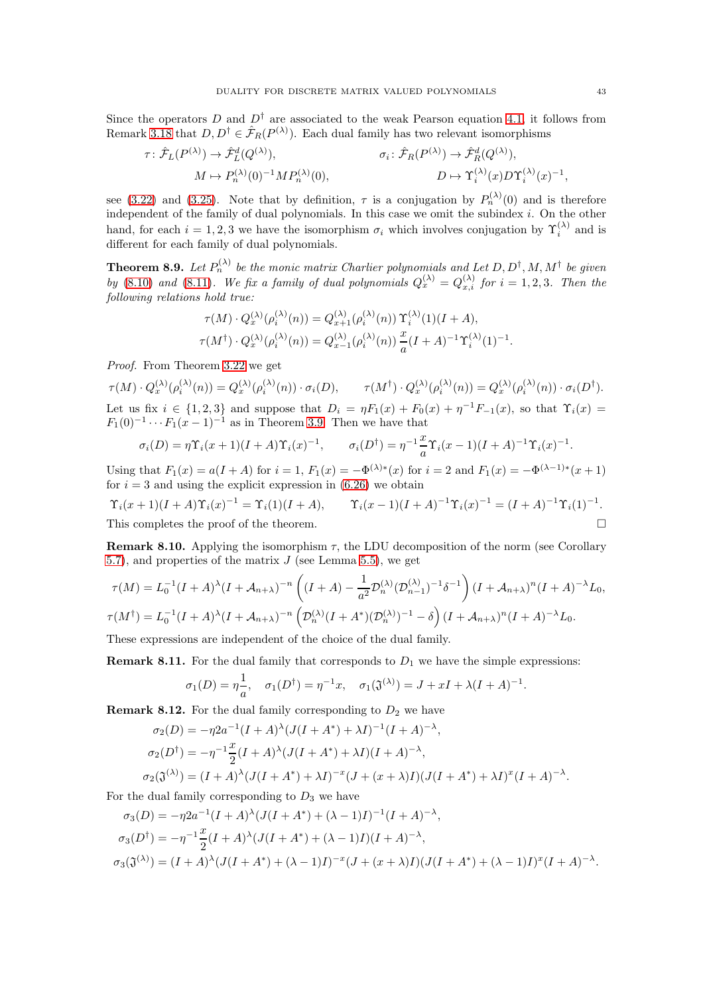Since the operators D and  $D^{\dagger}$  are associated to the weak Pearson equation [4.1,](#page-21-10) it follows from Remark [3.18](#page-18-4) that  $D, D^{\dagger} \in \hat{\mathcal{F}}_R(P^{(\lambda)})$ . Each dual family has two relevant isomorphisms

$$
\tau \colon \hat{\mathcal{F}}_L(P^{(\lambda)}) \to \hat{\mathcal{F}}_L^d(Q^{(\lambda)}), \qquad \sigma_i \colon \hat{\mathcal{F}}_R(P^{(\lambda)}) \to \hat{\mathcal{F}}_R^d(Q^{(\lambda)}),
$$

$$
M \mapsto P_n^{(\lambda)}(0)^{-1} M P_n^{(\lambda)}(0), \qquad D \mapsto \Upsilon_i^{(\lambda)}(x) D \Upsilon_i^{(\lambda)}(x)^{-1},
$$

see [\(3.22\)](#page-18-3) and [\(3.25\)](#page-19-4). Note that by definition,  $\tau$  is a conjugation by  $P_n^{(\lambda)}(0)$  and is therefore independent of the family of dual polynomials. In this case we omit the subindex  $i$ . On the other hand, for each  $i = 1, 2, 3$  we have the isomorphism  $\sigma_i$  which involves conjugation by  $\Upsilon_i^{(\lambda)}$  and is different for each family of dual polynomials.

**Theorem 8.9.** Let  $P_n^{(\lambda)}$  be the monic matrix Charlier polynomials and Let  $D, D^{\dagger}, M, M^{\dagger}$  be given by [\(8.10\)](#page-41-2) and [\(8.11\)](#page-41-3). We fix a family of dual polynomials  $Q_x^{(\lambda)} = Q_{x,i}^{(\lambda)}$  for  $i = 1, 2, 3$ . Then the following relations hold true:

$$
\tau(M) \cdot Q_x^{(\lambda)}(\rho_i^{(\lambda)}(n)) = Q_{x+1}^{(\lambda)}(\rho_i^{(\lambda)}(n)) \Upsilon_i^{(\lambda)}(1) (I + A),
$$
  

$$
\tau(M^{\dagger}) \cdot Q_x^{(\lambda)}(\rho_i^{(\lambda)}(n)) = Q_{x-1}^{(\lambda)}(\rho_i^{(\lambda)}(n)) \frac{x}{a} (I + A)^{-1} \Upsilon_i^{(\lambda)}(1)^{-1}
$$

Proof. From Theorem [3.22](#page-20-0) we get

 $\tau(M) \cdot Q_{x}^{(\lambda)}(\rho_i^{(\lambda)}(n)) = Q_{x}^{(\lambda)}(\rho_i^{(\lambda)}(n)) \cdot \sigma_i(D), \qquad \tau(M^{\dagger}) \cdot Q_{x}^{(\lambda)}(\rho_i^{(\lambda)}(n)) = Q_{x}^{(\lambda)}(\rho_i^{(\lambda)}(n)) \cdot \sigma_i(D^{\dagger}).$ Let us fix  $i \in \{1, 2, 3\}$  and suppose that  $D_i = \eta F_1(x) + F_0(x) + \eta^{-1} F_{-1}(x)$ , so that  $\Upsilon_i(x) =$  $F_1(0)^{-1} \cdots F_1(x-1)^{-1}$  as in Theorem [3.9.](#page-14-0) Then we have that

$$
\sigma_i(D) = \eta \Upsilon_i(x+1)(I+A) \Upsilon_i(x)^{-1}, \qquad \sigma_i(D^{\dagger}) = \eta^{-1} \frac{x}{a} \Upsilon_i(x-1)(I+A)^{-1} \Upsilon_i(x)^{-1}.
$$

Using that  $F_1(x) = a(I + A)$  for  $i = 1$ ,  $F_1(x) = -\Phi^{(\lambda)*}(x)$  for  $i = 2$  and  $F_1(x) = -\Phi^{(\lambda-1)*}(x+1)$ for  $i = 3$  and using the explicit expression in  $(6.26)$  we obtain

$$
\Upsilon_i(x+1)(I+A)\Upsilon_i(x)^{-1} = \Upsilon_i(1)(I+A), \qquad \Upsilon_i(x-1)(I+A)^{-1}\Upsilon_i(x)^{-1} = (I+A)^{-1}\Upsilon_i(1)^{-1}.
$$
  
This completes the proof of the theorem

This completes the proof of the theorem.

**Remark 8.10.** Applying the isomorphism  $\tau$ , the LDU decomposition of the norm (see Corollary [5.7\)](#page-26-4), and properties of the matrix  $J$  (see Lemma [5.5\)](#page-26-3), we get

$$
\tau(M) = L_0^{-1} (I + A)^{\lambda} (I + A_{n+\lambda})^{-n} \left( (I + A) - \frac{1}{a^2} \mathcal{D}_n^{(\lambda)} (\mathcal{D}_{n-1}^{(\lambda)})^{-1} \delta^{-1} \right) (I + A_{n+\lambda})^n (I + A)^{-\lambda} L_0,
$$
  

$$
\tau(M^{\dagger}) = L_0^{-1} (I + A)^{\lambda} (I + A_{n+\lambda})^{-n} \left( \mathcal{D}_n^{(\lambda)} (I + A^*) (\mathcal{D}_n^{(\lambda)})^{-1} - \delta \right) (I + A_{n+\lambda})^n (I + A)^{-\lambda} L_0.
$$

These expressions are independent of the choice of the dual family.

**Remark 8.11.** For the dual family that corresponds to  $D_1$  we have the simple expressions:

$$
\sigma_1(D) = \eta \frac{1}{a}, \quad \sigma_1(D^{\dagger}) = \eta^{-1}x, \quad \sigma_1(\mathfrak{J}^{(\lambda)}) = J + xI + \lambda(I + A)^{-1}.
$$

**Remark 8.12.** For the dual family corresponding to  $D_2$  we have

$$
\sigma_2(D) = -\eta 2a^{-1}(I + A)^{\lambda}(J(I + A^*) + \lambda I)^{-1}(I + A)^{-\lambda},
$$
  
\n
$$
\sigma_2(D^{\dagger}) = -\eta^{-1}\frac{x}{2}(I + A)^{\lambda}(J(I + A^*) + \lambda I)(I + A)^{-\lambda},
$$
  
\n
$$
\sigma_2(\mathfrak{J}^{(\lambda)}) = (I + A)^{\lambda}(J(I + A^*) + \lambda I)^{-x}(J + (x + \lambda)I)(J(I + A^*) + \lambda I)^{x}(I + A)^{-\lambda}.
$$

For the dual family corresponding to  $D_3$  we have

$$
\sigma_3(D) = -\eta 2a^{-1}(I + A)^{\lambda}(J(I + A^*) + (\lambda - 1)I)^{-1}(I + A)^{-\lambda},
$$
  
\n
$$
\sigma_3(D^{\dagger}) = -\eta^{-1}\frac{x}{2}(I + A)^{\lambda}(J(I + A^*) + (\lambda - 1)I)(I + A)^{-\lambda},
$$
  
\n
$$
\sigma_3(\mathfrak{J}^{(\lambda)}) = (I + A)^{\lambda}(J(I + A^*) + (\lambda - 1)I)^{-x}(J + (x + \lambda)I)(J(I + A^*) + (\lambda - 1)I)^{x}(I + A)^{-\lambda}.
$$

.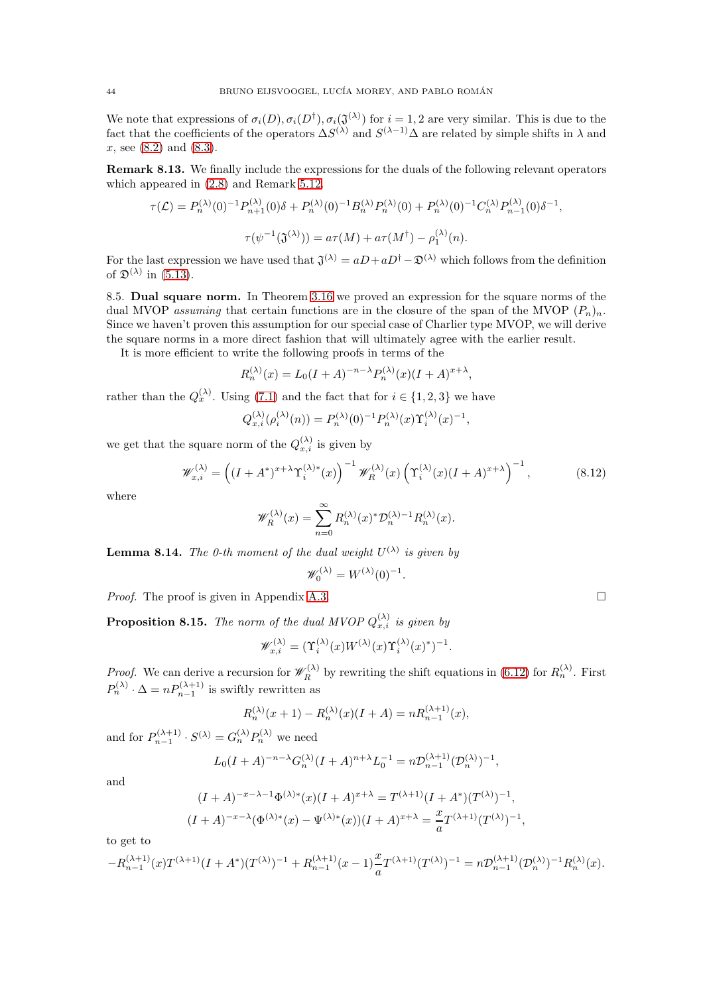We note that expressions of  $\sigma_i(D), \sigma_i(D^{\dagger}), \sigma_i(\mathfrak{J}^{(\lambda)})$  for  $i = 1, 2$  are very similar. This is due to the fact that the coefficients of the operators  $\Delta S^{(\lambda)}$  and  $S^{(\lambda-1)}\Delta$  are related by simple shifts in  $\lambda$  and x, see [\(8.2\)](#page-39-1) and [\(8.3\)](#page-39-2).

Remark 8.13. We finally include the expressions for the duals of the following relevant operators which appeared in [\(2.8\)](#page-6-8) and Remark [5.12.](#page-28-5)

$$
\tau(\mathcal{L}) = P_n^{(\lambda)}(0)^{-1} P_{n+1}^{(\lambda)}(0)\delta + P_n^{(\lambda)}(0)^{-1} B_n^{(\lambda)} P_n^{(\lambda)}(0) + P_n^{(\lambda)}(0)^{-1} C_n^{(\lambda)} P_{n-1}^{(\lambda)}(0)\delta^{-1},
$$
  

$$
\tau(\psi^{-1}(\mathfrak{J}^{(\lambda)})) = a\tau(M) + a\tau(M^{\dagger}) - \rho_1^{(\lambda)}(n).
$$

For the last expression we have used that  $\mathfrak{J}^{(\lambda)} = aD + aD^{\dagger} - \mathfrak{D}^{(\lambda)}$  which follows from the definition of  $\mathfrak{D}^{(\lambda)}$  in [\(5.13\)](#page-28-2).

8.5. Dual square norm. In Theorem [3.16](#page-16-4) we proved an expression for the square norms of the dual MVOP assuming that certain functions are in the closure of the span of the MVOP  $(P_n)_n$ . Since we haven't proven this assumption for our special case of Charlier type MVOP, we will derive the square norms in a more direct fashion that will ultimately agree with the earlier result.

It is more efficient to write the following proofs in terms of the

$$
R_n^{(\lambda)}(x) = L_0(I + A)^{-n-\lambda} P_n^{(\lambda)}(x)(I + A)^{x+\lambda},
$$

rather than the  $Q_x^{(\lambda)}$ . Using [\(7.1\)](#page-35-1) and the fact that for  $i \in \{1,2,3\}$  we have

$$
Q_{x,i}^{(\lambda)}(\rho_i^{(\lambda)}(n)) = P_n^{(\lambda)}(0)^{-1} P_n^{(\lambda)}(x) \Upsilon_i^{(\lambda)}(x)^{-1},
$$

we get that the square norm of the  $Q_{x,i}^{(\lambda)}$  is given by

<span id="page-43-0"></span>
$$
\mathscr{W}_{x,i}^{(\lambda)} = \left( (I + A^*)^{x+\lambda} \Upsilon_i^{(\lambda)*}(x) \right)^{-1} \mathscr{W}_R^{(\lambda)}(x) \left( \Upsilon_i^{(\lambda)}(x) (I + A)^{x+\lambda} \right)^{-1}, \tag{8.12}
$$

where

$$
\mathscr{W}_R^{(\lambda)}(x) = \sum_{n=0}^{\infty} R_n^{(\lambda)}(x)^* \mathcal{D}_n^{(\lambda)-1} R_n^{(\lambda)}(x).
$$

<span id="page-43-1"></span>**Lemma 8.14.** The 0-th moment of the dual weight  $U^{(\lambda)}$  is given by

$$
\mathscr{W}_0^{(\lambda)} = W^{(\lambda)}(0)^{-1}.
$$

*Proof.* The proof is given in Appendix [A.3.](#page-50-0)

**Proposition 8.15.** The norm of the dual MVOP  $Q_{x,i}^{(\lambda)}$  is given by

$$
\mathscr{W}^{(\lambda)}_{x,i} = (\Upsilon^{(\lambda)}_i(x)W^{(\lambda)}(x)\Upsilon^{(\lambda)}_i(x)^*)^{-1}.
$$

*Proof.* We can derive a recursion for  $\mathscr{W}_R^{(\lambda)}$  by rewriting the shift equations in [\(6.12\)](#page-31-5) for  $R_n^{(\lambda)}$ . First  $P_n^{(\lambda)} \cdot \Delta = n P_{n-1}^{(\lambda+1)}$  is swiftly rewritten as

$$
R_n^{(\lambda)}(x+1) - R_n^{(\lambda)}(x)(I+A) = nR_{n-1}^{(\lambda+1)}(x),
$$

and for  $P_{n-1}^{(\lambda+1)} \cdot S^{(\lambda)} = G_n^{(\lambda)} P_n^{(\lambda)}$  we need

$$
L_0(I+A)^{-n-\lambda}G_n^{(\lambda)}(I+A)^{n+\lambda}L_0^{-1}=n\mathcal{D}_{n-1}^{(\lambda+1)}(\mathcal{D}_n^{(\lambda)})^{-1},
$$

and

$$
(I + A)^{-x - \lambda - 1} \Phi^{(\lambda)*}(x) (I + A)^{x + \lambda} = T^{(\lambda+1)} (I + A^*)(T^{(\lambda)})^{-1},
$$
  

$$
(I + A)^{-x - \lambda} (\Phi^{(\lambda)*}(x) - \Psi^{(\lambda)*}(x)) (I + A)^{x + \lambda} = \frac{x}{a} T^{(\lambda+1)} (T^{(\lambda)})^{-1},
$$

to get to

$$
-R_{n-1}^{(\lambda+1)}(x)T^{(\lambda+1)}(I + A^*)(T^{(\lambda)})^{-1} + R_{n-1}^{(\lambda+1)}(x-1)\frac{x}{a}T^{(\lambda+1)}(T^{(\lambda)})^{-1} = n\mathcal{D}_{n-1}^{(\lambda+1)}(\mathcal{D}_n^{(\lambda)})^{-1}R_n^{(\lambda)}(x).
$$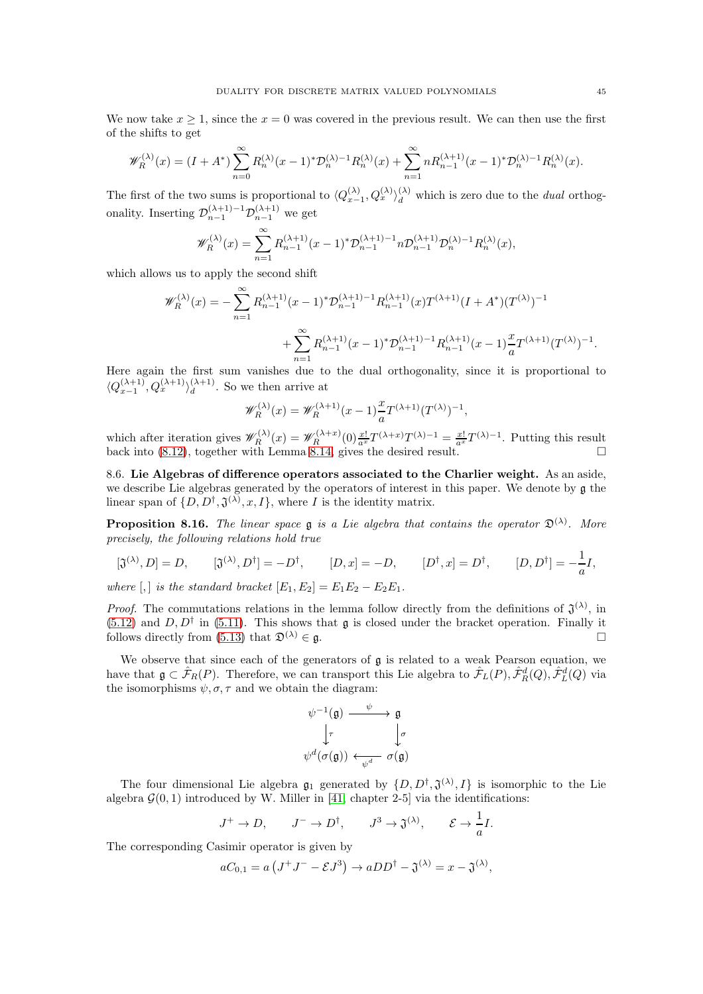We now take  $x \geq 1$ , since the  $x = 0$  was covered in the previous result. We can then use the first of the shifts to get

$$
\mathscr{W}_{R}^{(\lambda)}(x) = (I + A^{*}) \sum_{n=0}^{\infty} R_{n}^{(\lambda)}(x-1)^{*} \mathcal{D}_{n}^{(\lambda)-1} R_{n}^{(\lambda)}(x) + \sum_{n=1}^{\infty} n R_{n-1}^{(\lambda+1)}(x-1)^{*} \mathcal{D}_{n}^{(\lambda)-1} R_{n}^{(\lambda)}(x).
$$

The first of the two sums is proportional to  $\langle Q_{x-1}^{(\lambda)}, Q_x^{(\lambda)} \rangle_d^{(\lambda)}$  which is zero due to the *dual* orthogonality. Inserting  $\mathcal{D}_{n-1}^{(\lambda+1)-1} \mathcal{D}_{n-1}^{(\lambda+1)}$  we get

$$
\mathscr{W}_{R}^{(\lambda)}(x) = \sum_{n=1}^{\infty} R_{n-1}^{(\lambda+1)}(x-1)^{*} \mathcal{D}_{n-1}^{(\lambda+1)-1} n \mathcal{D}_{n-1}^{(\lambda+1)} \mathcal{D}_{n}^{(\lambda)-1} R_{n}^{(\lambda)}(x),
$$

which allows us to apply the second shift

$$
\mathcal{W}_R^{(\lambda)}(x) = -\sum_{n=1}^{\infty} R_{n-1}^{(\lambda+1)}(x-1)^* \mathcal{D}_{n-1}^{(\lambda+1)-1} R_{n-1}^{(\lambda+1)}(x) T^{(\lambda+1)}(I + A^*)(T^{(\lambda)})^{-1}
$$

$$
+ \sum_{n=1}^{\infty} R_{n-1}^{(\lambda+1)}(x-1)^* \mathcal{D}_{n-1}^{(\lambda+1)-1} R_{n-1}^{(\lambda+1)}(x-1) \frac{x}{a} T^{(\lambda+1)}(T^{(\lambda)})^{-1}
$$

Here again the first sum vanishes due to the dual orthogonality, since it is proportional to  $\langle Q_{x-1}^{(\lambda+1)}, Q_x^{(\lambda+1)} \rangle_d^{(\lambda+1)}$  $\frac{(\lambda+1)}{d}$ . So we then arrive at

$$
\mathscr{W}_R^{(\lambda)}(x) = \mathscr{W}_R^{(\lambda+1)}(x-1)\frac{x}{a}T^{(\lambda+1)}(T^{(\lambda)})^{-1},
$$

which after iteration gives  $\mathscr{W}_R^{(\lambda)}(x) = \mathscr{W}_R^{(\lambda+x)}(0) \frac{x!}{a^x} T^{(\lambda+x)} T^{(\lambda)-1} = \frac{x!}{a^x} T^{(\lambda)-1}$ . Putting this result back into [\(8.12\)](#page-43-0), together with Lemma [8.14,](#page-43-1) gives the desired result.  $\square$ 

8.6. Lie Algebras of difference operators associated to the Charlier weight. As an aside, we describe Lie algebras generated by the operators of interest in this paper. We denote by g the linear span of  $\{D, D^{\dagger}, \mathfrak{J}^{(\lambda)}, x, I\}$ , where I is the identity matrix.

<span id="page-44-0"></span>**Proposition 8.16.** The linear space  $\mathfrak g$  is a Lie algebra that contains the operator  $\mathfrak D^{(\lambda)}$ . More precisely, the following relations hold true

$$
[\mathfrak{J}^{(\lambda)}, D] = D, \qquad [\mathfrak{J}^{(\lambda)}, D^{\dagger}] = -D^{\dagger}, \qquad [D, x] = -D, \qquad [D^{\dagger}, x] = D^{\dagger}, \qquad [D, D^{\dagger}] = -\frac{1}{a}I,
$$

where  $[,$  is the standard bracket  $[E_1, E_2] = E_1E_2 - E_2E_1$ .

*Proof.* The commutations relations in the lemma follow directly from the definitions of  $\mathfrak{J}^{(\lambda)}$ , in  $(5.12)$  and  $D, D^{\dagger}$  in [\(5.11\)](#page-27-2). This shows that **g** is closed under the bracket operation. Finally it follows directly from [\(5.13\)](#page-28-2) that  $\mathfrak{D}^{(\lambda)} \in \mathfrak{g}$ .

We observe that since each of the generators of  $\mathfrak g$  is related to a weak Pearson equation, we have that  $\mathfrak{g} \subset \hat{\mathcal{F}}_R(P)$ . Therefore, we can transport this Lie algebra to  $\hat{\mathcal{F}}_L(P), \hat{\mathcal{F}}_R^d(Q), \hat{\mathcal{F}}_L^d(Q)$  via the isomorphisms  $\psi, \sigma, \tau$  and we obtain the diagram:

$$
\begin{array}{ccc}\n\psi^{-1}(\mathfrak{g}) & \xrightarrow{\psi} & \mathfrak{g} \\
\downarrow^{\tau} & & \downarrow^{\sigma} \\
\psi^{d}(\sigma(\mathfrak{g})) & \xleftarrow{\psi^{d}} & \sigma(\mathfrak{g})\n\end{array}
$$

The four dimensional Lie algebra  $\mathfrak{g}_1$  generated by  $\{D, D^{\dagger}, \mathfrak{J}^{(\lambda)}, I\}$  is isomorphic to the Lie algebra  $\mathcal{G}(0,1)$  introduced by W. Miller in [\[41,](#page-53-16) chapter 2-5] via the identifications:

$$
J^+ \to D
$$
,  $J^- \to D^{\dagger}$ ,  $J^3 \to \mathfrak{J}^{(\lambda)}$ ,  $\mathcal{E} \to \frac{1}{a}I$ .

The corresponding Casimir operator is given by

$$
aC_{0,1} = a\left(J^+J^- - \mathcal{E}J^3\right) \rightarrow aDD^{\dagger} - \mathfrak{J}^{(\lambda)} = x - \mathfrak{J}^{(\lambda)},
$$

.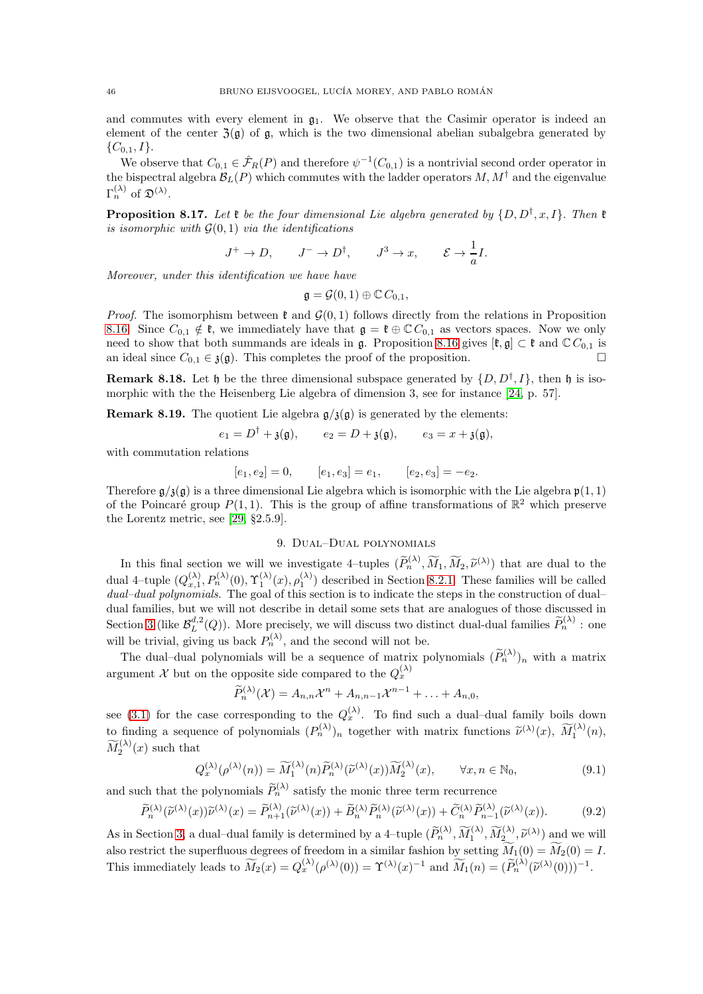and commutes with every element in  $\mathfrak{g}_1$ . We observe that the Casimir operator is indeed an element of the center  $\mathfrak{Z}(\mathfrak{g})$  of  $\mathfrak{g}$ , which is the two dimensional abelian subalgebra generated by  $\{C_{0,1}, I\}.$ 

We observe that  $C_{0,1} \in \hat{\mathcal{F}}_R(P)$  and therefore  $\psi^{-1}(C_{0,1})$  is a nontrivial second order operator in the bispectral algebra  $\mathcal{B}_L(P)$  which commutes with the ladder operators  $M, M^{\dagger}$  and the eigenvalue  $\Gamma_n^{(\lambda)}$  of  $\mathfrak{D}^{(\lambda)}$ .

**Proposition 8.17.** Let  $\mathfrak{k}$  be the four dimensional Lie algebra generated by  $\{D, D^{\dagger}, x, I\}$ . Then  $\mathfrak{k}$ is isomorphic with  $G(0, 1)$  via the identifications

$$
J^+ \to D
$$
,  $J^- \to D^{\dagger}$ ,  $J^3 \to x$ ,  $\mathcal{E} \to \frac{1}{a}I$ .

Moreover, under this identification we have have

$$
\mathfrak{g}=\mathcal{G}(0,1)\oplus \mathbb{C}\,C_{0,1},
$$

*Proof.* The isomorphism between  $\mathfrak{k}$  and  $\mathcal{G}(0,1)$  follows directly from the relations in Proposition [8.16.](#page-44-0) Since  $C_{0,1} \notin \mathfrak{k}$ , we immediately have that  $\mathfrak{g} = \mathfrak{k} \oplus \mathbb{C} C_{0,1}$  as vectors spaces. Now we only need to show that both summands are ideals in g. Proposition [8.16](#page-44-0) gives  $[\ell, g] \subset \ell$  and  $\mathbb{C} C_{0,1}$  is an ideal since  $C_{0,1} \in \mathfrak{z}(\mathfrak{g})$ . This completes the proof of the proposition.

**Remark 8.18.** Let  $\mathfrak{h}$  be the three dimensional subspace generated by  $\{D, D^{\dagger}, I\}$ , then  $\mathfrak{h}$  is isomorphic with the the Heisenberg Lie algebra of dimension 3, see for instance [\[24,](#page-52-23) p. 57].

**Remark 8.19.** The quotient Lie algebra  $g/\mathfrak{z}(\mathfrak{g})$  is generated by the elements:

$$
e_1 = D^{\dagger} + \mathfrak{z}(\mathfrak{g}), \qquad e_2 = D + \mathfrak{z}(\mathfrak{g}), \qquad e_3 = x + \mathfrak{z}(\mathfrak{g}),
$$

with commutation relations

$$
[e_1, e_2] = 0,
$$
  $[e_1, e_3] = e_1,$   $[e_2, e_3] = -e_2.$ 

Therefore  $g/\mathfrak{z}(g)$  is a three dimensional Lie algebra which is isomorphic with the Lie algebra  $\mathfrak{p}(1,1)$ of the Poincaré group  $P(1, 1)$ . This is the group of affine transformations of  $\mathbb{R}^2$  which preserve the Lorentz metric, see [\[29,](#page-53-17) §2.5.9].

### 9. Dual–Dual polynomials

<span id="page-45-0"></span>In this final section we will we investigate 4–tuples  $(\widetilde{P}_n^{(\lambda)}, \widetilde{M}_1, \widetilde{M}_2, \widetilde{\nu}^{(\lambda)})$  that are dual to the dual 4-tuple  $(Q_{x,1}^{(\lambda)}, P_n^{(\lambda)}(0), \Upsilon_1^{(\lambda)}(x), \rho_1^{(\lambda)})$  described in Section [8.2.1.](#page-40-0) These families will be called dual–dual polynomials. The goal of this section is to indicate the steps in the construction of dual– dual families, but we will not describe in detail some sets that are analogues of those discussed in Section [3](#page-11-1) (like  $\mathcal{B}_L^{d,2}(Q)$ ). More precisely, we will discuss two distinct dual-dual families  $\widetilde{P}_n^{(\lambda)}$ : one will be trivial, giving us back  $P_n^{(\lambda)}$ , and the second will not be.

The dual-dual polynomials will be a sequence of matrix polynomials  $(\widetilde{P}_n^{(\lambda)})_n$  with a matrix argument X but on the opposite side compared to the  $Q_x^{(\lambda)}$ 

$$
\widetilde{P}_n^{(\lambda)}(\mathcal{X})=A_{n,n}\mathcal{X}^n+A_{n,n-1}\mathcal{X}^{n-1}+\ldots+A_{n,0},
$$

see [\(3.1\)](#page-11-0) for the case corresponding to the  $Q_x^{(\lambda)}$ . To find such a dual-dual family boils down to finding a sequence of polynomials  $(P_n^{(\lambda)})_n$  together with matrix functions  $\tilde{\nu}^{(\lambda)}(x)$ ,  $\widetilde{M}_1^{(\lambda)}(n)$ ,  $\widetilde{M}_2^{(\lambda)}(x)$  such that

<span id="page-45-1"></span>
$$
Q_x^{(\lambda)}(\rho^{(\lambda)}(n)) = \widetilde{M}_1^{(\lambda)}(n)\widetilde{P}_n^{(\lambda)}(\widetilde{\nu}^{(\lambda)}(x))\widetilde{M}_2^{(\lambda)}(x), \qquad \forall x, n \in \mathbb{N}_0,
$$
\n
$$
(9.1)
$$

and such that the polynomials  $\widetilde{P}_n^{(\lambda)}$  satisfy the monic three term recurrence

<span id="page-45-2"></span>
$$
\widetilde{P}_n^{(\lambda)}(\widetilde{\nu}^{(\lambda)}(x))\widetilde{\nu}^{(\lambda)}(x) = \widetilde{P}_{n+1}^{(\lambda)}(\widetilde{\nu}^{(\lambda)}(x)) + \widetilde{B}_n^{(\lambda)}\widetilde{P}_n^{(\lambda)}(\widetilde{\nu}^{(\lambda)}(x)) + \widetilde{C}_n^{(\lambda)}\widetilde{P}_{n-1}^{(\lambda)}(\widetilde{\nu}^{(\lambda)}(x)).\tag{9.2}
$$

As in Section [3,](#page-11-1) a dual–dual family is determined by a 4–tuple  $(\widetilde{P}_n^{(\lambda)}, \widetilde{M}_1^{(\lambda)}, \widetilde{M}_2^{(\lambda)}, \widetilde{\nu}^{(\lambda)})$  and we will also restrict the superfluous degrees of freedom in a similar fashion by setting  $\widetilde{M}_1(0) = \widetilde{M}_2(0) = I$ . This immediately leads to  $\widetilde{M}_2(x) = Q_x^{(\lambda)}(\rho^{(\lambda)}(0)) = \Upsilon^{(\lambda)}(x)^{-1}$  and  $\widetilde{M}_1(n) = (\widetilde{P}_n^{(\lambda)}(\widetilde{\nu}^{(\lambda)}(0)))^{-1}$ .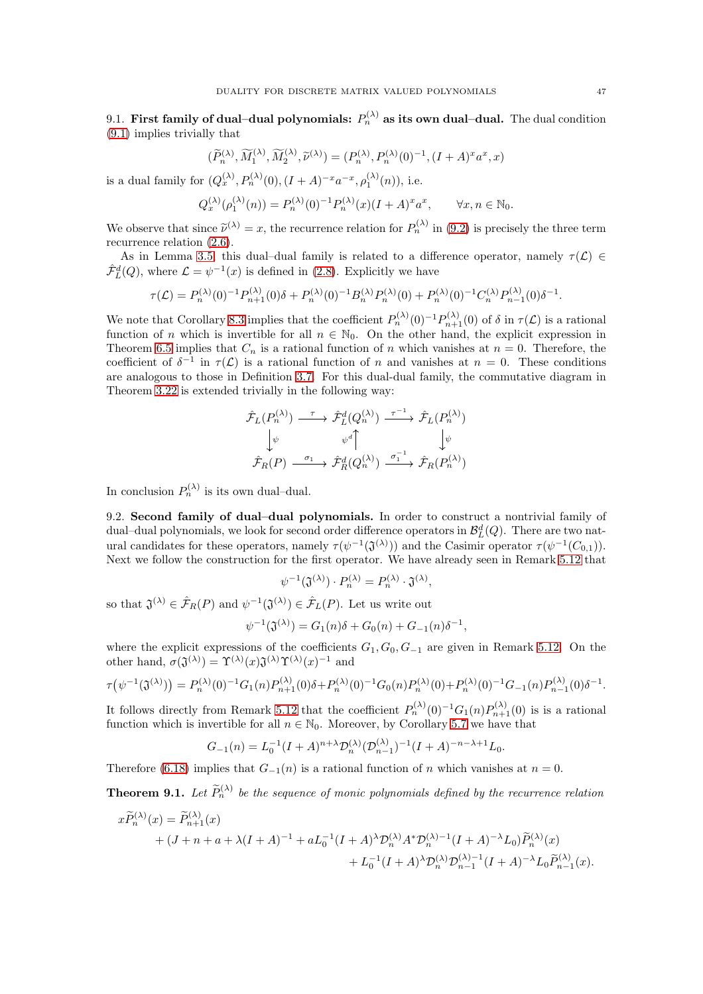9.1. First family of dual–dual polynomials:  $P_n^{(\lambda)}$  as its own dual–dual. The dual condition [\(9.1\)](#page-45-1) implies trivially that

$$
(\widetilde{P}_n^{(\lambda)}, \widetilde{M}_1^{(\lambda)}, \widetilde{M}_2^{(\lambda)}, \widetilde{\nu}^{(\lambda)}) = (P_n^{(\lambda)}, P_n^{(\lambda)}(0)^{-1}, (I+A)^{x} a^{x}, x)
$$

is a dual family for  $(Q_x^{(\lambda)}, P_n^{(\lambda)}(0), (I + A)^{-x}a^{-x}, \rho_1^{(\lambda)}(n)),$  i.e.

$$
Q^{(\lambda)}_x(\rho^{(\lambda)}_1(n))=P^{(\lambda)}_n(0)^{-1}P^{(\lambda)}_n(x)(I+A)^xa^x,\qquad \forall x,n\in\mathbb{N}_0.
$$

We observe that since  $\tilde{\nu}^{(\lambda)} = x$ , the recurrence relation for  $P_n^{(\lambda)}$  in [\(9.2\)](#page-45-2) is precisely the three term recurrence relation [\(2.6\)](#page-6-0).

As in Lemma [3.5,](#page-13-4) this dual–dual family is related to a difference operator, namely  $\tau(\mathcal{L}) \in$  $\hat{\mathcal{F}}_L^d(Q)$ , where  $\mathcal{L} = \psi^{-1}(x)$  is defined in [\(2.8\)](#page-6-8). Explicitly we have

$$
\tau(\mathcal{L}) = P_n^{(\lambda)}(0)^{-1} P_{n+1}^{(\lambda)}(0)\delta + P_n^{(\lambda)}(0)^{-1} B_n^{(\lambda)} P_n^{(\lambda)}(0) + P_n^{(\lambda)}(0)^{-1} C_n^{(\lambda)} P_{n-1}^{(\lambda)}(0)\delta^{-1}.
$$

We note that Corollary [8.3](#page-38-1) implies that the coefficient  $P_n^{(\lambda)}(0)^{-1} P_{n+1}^{(\lambda)}(0)$  of  $\delta$  in  $\tau(\mathcal{L})$  is a rational function of n which is invertible for all  $n \in \mathbb{N}_0$ . On the other hand, the explicit expression in Theorem [6.5](#page-33-3) implies that  $C_n$  is a rational function of n which vanishes at  $n = 0$ . Therefore, the coefficient of  $\delta^{-1}$  in  $\tau(\mathcal{L})$  is a rational function of n and vanishes at  $n = 0$ . These conditions are analogous to those in Definition [3.7.](#page-14-3) For this dual-dual family, the commutative diagram in Theorem [3.22](#page-20-0) is extended trivially in the following way:

$$
\hat{\mathcal{F}}_L(P_n^{(\lambda)}) \xrightarrow{\tau} \hat{\mathcal{F}}_L^d(Q_n^{(\lambda)}) \xrightarrow{\tau^{-1}} \hat{\mathcal{F}}_L(P_n^{(\lambda)})
$$
\n
$$
\downarrow \psi \qquad \psi^d \uparrow \qquad \qquad \downarrow \psi
$$
\n
$$
\hat{\mathcal{F}}_R(P) \xrightarrow{\sigma_1} \hat{\mathcal{F}}_R^d(Q_n^{(\lambda)}) \xrightarrow{\sigma_1^{-1}} \hat{\mathcal{F}}_R(P_n^{(\lambda)})
$$

In conclusion  $P_n^{(\lambda)}$  is its own dual-dual.

9.2. Second family of dual–dual polynomials. In order to construct a nontrivial family of dual–dual polynomials, we look for second order difference operators in  $\mathcal{B}_{L}^{d}(Q)$ . There are two natural candidates for these operators, namely  $\tau(\psi^{-1}(\mathfrak{J}^{(\lambda)}))$  and the Casimir operator  $\tau(\psi^{-1}(C_{0,1}))$ . Next we follow the construction for the first operator. We have already seen in Remark [5.12](#page-28-5) that

$$
\psi^{-1}(\mathfrak{J}^{(\lambda)}) \cdot P_n^{(\lambda)} = P_n^{(\lambda)} \cdot \mathfrak{J}^{(\lambda)},
$$

so that  $\mathfrak{J}^{(\lambda)} \in \hat{\mathcal{F}}_R(P)$  and  $\psi^{-1}(\mathfrak{J}^{(\lambda)}) \in \hat{\mathcal{F}}_L(P)$ . Let us write out

$$
\psi^{-1}(\mathfrak{J}^{(\lambda)}) = G_1(n)\delta + G_0(n) + G_{-1}(n)\delta^{-1},
$$

where the explicit expressions of the coefficients  $G_1, G_0, G_{-1}$  are given in Remark [5.12.](#page-28-5) On the other hand,  $\sigma(\mathfrak{J}^{(\lambda)}) = \Upsilon^{(\lambda)}(x) \mathfrak{J}^{(\lambda)} \Upsilon^{(\lambda)}(x)^{-1}$  and

$$
\tau(\psi^{-1}(\mathfrak{J}^{(\lambda)})) = P_n^{(\lambda)}(0)^{-1} G_1(n) P_{n+1}^{(\lambda)}(0) \delta + P_n^{(\lambda)}(0)^{-1} G_0(n) P_n^{(\lambda)}(0) + P_n^{(\lambda)}(0)^{-1} G_{-1}(n) P_{n-1}^{(\lambda)}(0) \delta^{-1}.
$$

It follows directly from Remark [5.12](#page-28-5) that the coefficient  $P_n^{(\lambda)}(0)^{-1}G_1(n)P_{n+1}^{(\lambda)}(0)$  is is a rational function which is invertible for all  $n \in \mathbb{N}_0$ . Moreover, by Corollary [5.7](#page-26-4) we have that

$$
G_{-1}(n) = L_0^{-1} (I + A)^{n + \lambda} \mathcal{D}_n^{(\lambda)} (\mathcal{D}_{n-1}^{(\lambda)})^{-1} (I + A)^{-n - \lambda + 1} L_0.
$$

Therefore [\(6.18\)](#page-32-3) implies that  $G_{-1}(n)$  is a rational function of n which vanishes at  $n = 0$ .

<span id="page-46-0"></span>**Theorem 9.1.** Let  $\widetilde{P}_n^{(\lambda)}$  be the sequence of monic polynomials defined by the recurrence relation

$$
x\widetilde{P}_n^{(\lambda)}(x) = \widetilde{P}_{n+1}^{(\lambda)}(x) + (J+n+a+\lambda(I+A)^{-1} + aL_0^{-1}(I+A)^{\lambda}\mathcal{D}_n^{(\lambda)}A^*\mathcal{D}_n^{(\lambda)-1}(I+A)^{-\lambda}L_0)\widetilde{P}_n^{(\lambda)}(x) + L_0^{-1}(I+A)^{\lambda}\mathcal{D}_n^{(\lambda)}\mathcal{D}_{n-1}^{(\lambda)-1}(I+A)^{-\lambda}L_0\widetilde{P}_{n-1}^{(\lambda)}(x).
$$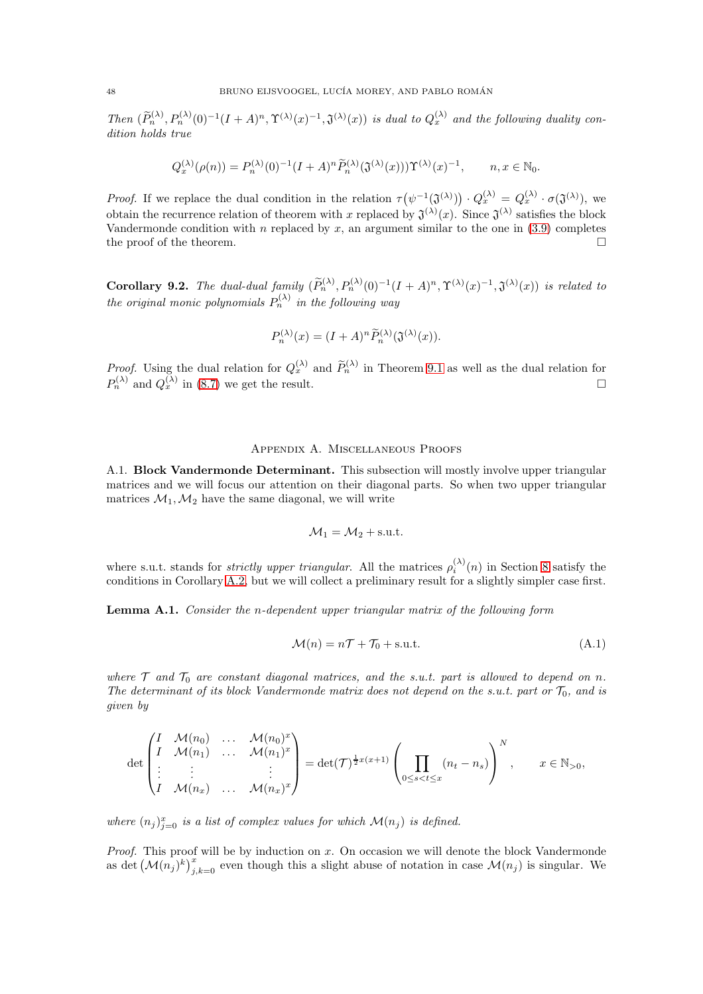Then  $(\widetilde{P}_n^{(\lambda)}, P_n^{(\lambda)}(0)^{-1}(I+A)^n, \Upsilon^{(\lambda)}(x)^{-1}, \mathfrak{J}^{(\lambda)}(x))$  is dual to  $Q_x^{(\lambda)}$  and the following duality condition holds true

$$
Q^{(\lambda)}_x(\rho(n))=P^{(\lambda)}_n(0)^{-1}(I+A)^n\widetilde{P}^{(\lambda)}_n(\mathfrak{J}^{(\lambda)}(x)))\Upsilon^{(\lambda)}(x)^{-1},\qquad n,x\in\mathbb{N}_0.
$$

*Proof.* If we replace the dual condition in the relation  $\tau(\psi^{-1}(\mathfrak{J}^{(\lambda)})) \cdot Q_x^{(\lambda)} = Q_x^{(\lambda)} \cdot \sigma(\mathfrak{J}^{(\lambda)}),$  we obtain the recurrence relation of theorem with x replaced by  $\mathfrak{J}^{(\lambda)}(x)$ . Since  $\mathfrak{J}^{(\lambda)}$  satisfies the block Vandermonde condition with n replaced by  $x$ , an argument similar to the one in [\(3.9\)](#page-14-0) completes the proof of the theorem.  $\Box$ 

Corollary 9.2. The dual-dual family  $(\widetilde{P}_n^{(\lambda)}, P_n^{(\lambda)}(0)^{-1}(I+A)^n, \Upsilon^{(\lambda)}(x)^{-1}, \mathfrak{J}^{(\lambda)}(x))$  is related to the original monic polynomials  $P_n^{(\lambda)}$  in the following way

$$
P_n^{(\lambda)}(x) = (I + A)^n \widetilde{P}_n^{(\lambda)}(\mathfrak{J}^{(\lambda)}(x)).
$$

*Proof.* Using the dual relation for  $Q_x^{(\lambda)}$  and  $\widetilde{P}_n^{(\lambda)}$  in Theorem [9.1](#page-46-0) as well as the dual relation for  $P_n^{(\lambda)}$  and  $Q_x^{(\lambda)}$  in [\(8.7\)](#page-40-1) we get the result.

### Appendix A. Miscellaneous Proofs

<span id="page-47-1"></span>A.1. Block Vandermonde Determinant. This subsection will mostly involve upper triangular matrices and we will focus our attention on their diagonal parts. So when two upper triangular matrices  $\mathcal{M}_1, \mathcal{M}_2$  have the same diagonal, we will write

$$
\mathcal{M}_1 = \mathcal{M}_2 + \text{s.u.t.}
$$

where s.u.t. stands for *strictly upper triangular*. All the matrices  $\rho_i^{(\lambda)}(n)$  in Section [8](#page-38-0) satisfy the conditions in Corollary [A.2,](#page-48-0) but we will collect a preliminary result for a slightly simpler case first.

<span id="page-47-0"></span>Lemma A.1. Consider the n-dependent upper triangular matrix of the following form

<span id="page-47-2"></span>
$$
\mathcal{M}(n) = n\mathcal{T} + \mathcal{T}_0 + \text{s.u.t.} \tag{A.1}
$$

where  $T$  and  $T_0$  are constant diagonal matrices, and the s.u.t. part is allowed to depend on n. The determinant of its block Vandermonde matrix does not depend on the s.u.t. part or  $\mathcal{T}_0$ , and is given by

$$
\det\begin{pmatrix}I & \mathcal{M}(n_0) & \dots & \mathcal{M}(n_0)^x \\ I & \mathcal{M}(n_1) & \dots & \mathcal{M}(n_1)^x \\ \vdots & \vdots & & \vdots \\ I & \mathcal{M}(n_x) & \dots & \mathcal{M}(n_x)^x\end{pmatrix} = \det(\mathcal{T})^{\frac{1}{2}x(x+1)} \left(\prod_{0 \le s < t \le x} (n_t - n_s)\right)^N, \quad x \in \mathbb{N}_{>0},
$$

where  $(n_j)_{j=0}^x$  is a list of complex values for which  $\mathcal{M}(n_j)$  is defined.

*Proof.* This proof will be by induction on x. On occasion we will denote the block Vandermonde as det  $(\mathcal{M}(n_j)^k)_{j,k=0}^x$  even though this a slight abuse of notation in case  $\mathcal{M}(n_j)$  is singular. We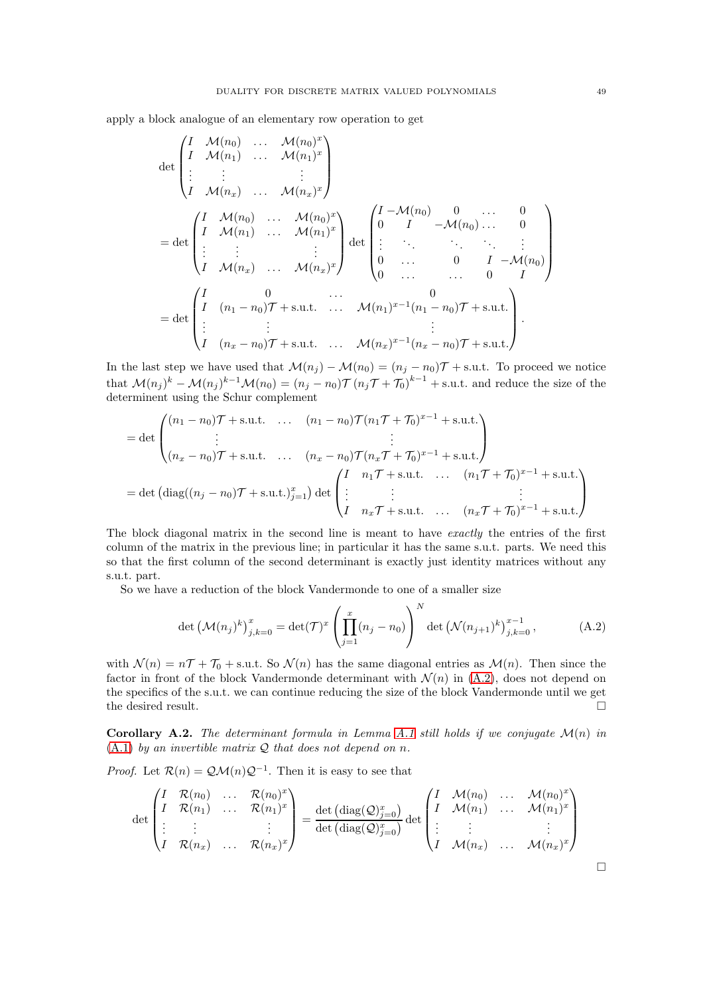apply a block analogue of an elementary row operation to get

$$
\det\begin{pmatrix}\nI & \mathcal{M}(n_0) & \dots & \mathcal{M}(n_0)^x \\
I & \mathcal{M}(n_1) & \dots & \mathcal{M}(n_1)^x \\
\vdots & \vdots & & \vdots \\
I & \mathcal{M}(n_x) & \dots & \mathcal{M}(n_0)^x\n\end{pmatrix}
$$
\n
$$
= \det\begin{pmatrix}\nI & \mathcal{M}(n_0) & \dots & \mathcal{M}(n_0)^x \\
I & \mathcal{M}(n_1) & \dots & \mathcal{M}(n_1)^x \\
\vdots & \vdots & & \vdots \\
I & \mathcal{M}(n_x) & \dots & \mathcal{M}(n_x)^x\n\end{pmatrix} \det\begin{pmatrix}\nI - \mathcal{M}(n_0) & 0 & \dots & 0 \\
0 & I & -\mathcal{M}(n_0) & \dots & 0 \\
\vdots & & \vdots & \ddots & \vdots & \vdots \\
0 & \dots & 0 & I & -\mathcal{M}(n_0)\n\end{pmatrix}
$$
\n
$$
= \det\begin{pmatrix}\nI & 0 & \dots & 0 \\
I & (n_1 - n_0)\mathcal{T} + s.u.t. & \dots & \mathcal{M}(n_1)^{x-1}(n_1 - n_0)\mathcal{T} + s.u.t. \\
\vdots & & \vdots & & \vdots \\
I & (n_x - n_0)\mathcal{T} + s.u.t. & \dots & \mathcal{M}(n_x)^{x-1}(n_x - n_0)\mathcal{T} + s.u.t.\n\end{pmatrix}.
$$

In the last step we have used that  $\mathcal{M}(n_j) - \mathcal{M}(n_0) = (n_j - n_0)\mathcal{T} + \text{s.u.t.}$  To proceed we notice that  $\mathcal{M}(n_j)^k - \mathcal{M}(n_j)^{k-1}\mathcal{M}(n_0) = (n_j - n_0)\mathcal{T}(n_j\mathcal{T} + \mathcal{T}_0)^{k-1} + \text{s.u.t. and reduce the size of the}$ determinent using the Schur complement

$$
= det \begin{pmatrix} (n_1 - n_0)\mathcal{T} + s.u.t. & \dots & (n_1 - n_0)\mathcal{T} (n_1\mathcal{T} + \mathcal{T}_0)^{x-1} + s.u.t. \\ \vdots & \vdots \\ (n_x - n_0)\mathcal{T} + s.u.t. & \dots & (n_x - n_0)\mathcal{T} (n_x\mathcal{T} + \mathcal{T}_0)^{x-1} + s.u.t. \\ = det (diag((n_j - n_0)\mathcal{T} + s.u.t.)_{j=1}^x) det \begin{pmatrix} I & n_1\mathcal{T} + s.u.t. & \dots & (n_1\mathcal{T} + \mathcal{T}_0)^{x-1} + s.u.t. \\ \vdots & \vdots & \vdots & \vdots \\ I & n_x\mathcal{T} + s.u.t. & \dots & (n_x\mathcal{T} + \mathcal{T}_0)^{x-1} + s.u.t. \end{pmatrix}
$$

The block diagonal matrix in the second line is meant to have *exactly* the entries of the first column of the matrix in the previous line; in particular it has the same s.u.t. parts. We need this so that the first column of the second determinant is exactly just identity matrices without any s.u.t. part.

So we have a reduction of the block Vandermonde to one of a smaller size

<span id="page-48-1"></span>
$$
\det \left( \mathcal{M}(n_j)^k \right)_{j,k=0}^x = \det(\mathcal{T})^x \left( \prod_{j=1}^x (n_j - n_0) \right)^N \det \left( \mathcal{N}(n_{j+1})^k \right)_{j,k=0}^{x-1}, \tag{A.2}
$$

with  $\mathcal{N}(n) = n\mathcal{T} + \mathcal{T}_0 + \text{s.u.t. So } \mathcal{N}(n)$  has the same diagonal entries as  $\mathcal{M}(n)$ . Then since the factor in front of the block Vandermonde determinant with  $\mathcal{N}(n)$  in [\(A.2\)](#page-48-1), does not depend on the specifics of the s.u.t. we can continue reducing the size of the block Vandermonde until we get the desired result.

<span id="page-48-0"></span>Corollary A.2. The determinant formula in Lemma [A.1](#page-47-0) still holds if we conjugate  $\mathcal{M}(n)$  in  $(A.1)$  by an invertible matrix  $Q$  that does not depend on n.

*Proof.* Let  $\mathcal{R}(n) = \mathcal{QM}(n)\mathcal{Q}^{-1}$ . Then it is easy to see that

$$
\det\begin{pmatrix}I & \mathcal{R}(n_0) & \dots & \mathcal{R}(n_0)^x \\ I & \mathcal{R}(n_1) & \dots & \mathcal{R}(n_1)^x \\ \vdots & \vdots & & \vdots \\ I & \mathcal{R}(n_x) & \dots & \mathcal{R}(n_x)^x\end{pmatrix} = \frac{\det\left(\text{diag}(\mathcal{Q})_{j=0}^x\right)}{\det\left(\text{diag}(\mathcal{Q})_{j=0}^x\right)}\det\begin{pmatrix}I & \mathcal{M}(n_0) & \dots & \mathcal{M}(n_0)^x \\ I & \mathcal{M}(n_1) & \dots & \mathcal{M}(n_1)^x \\ \vdots & \vdots & & \vdots \\ I & \mathcal{M}(n_x) & \dots & \mathcal{M}(n_x)^x\end{pmatrix}
$$

 $\Box$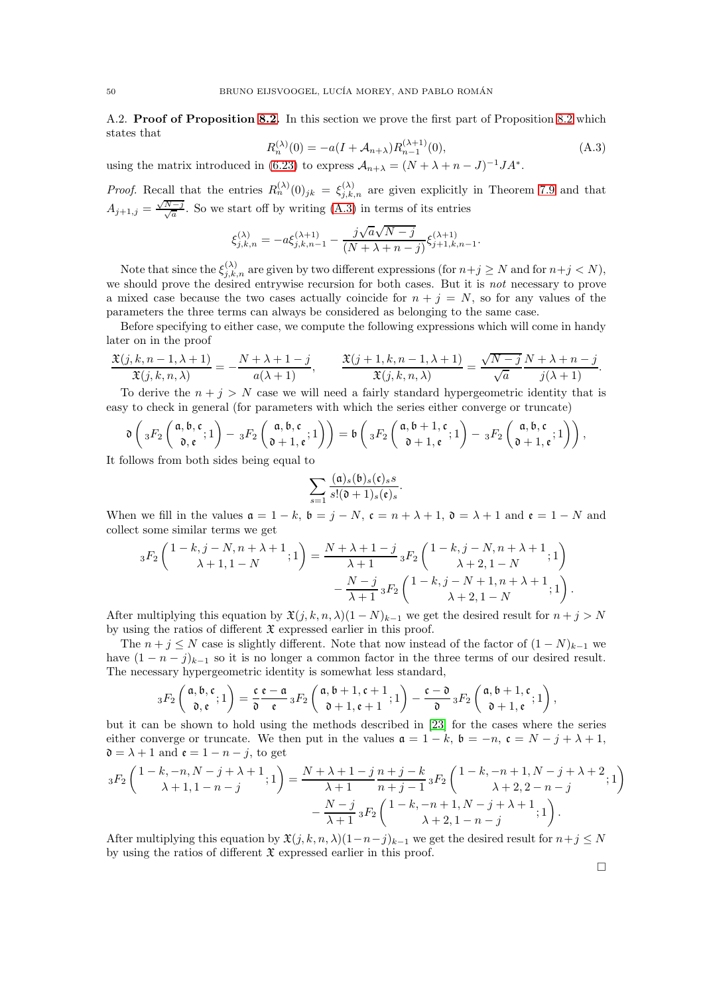<span id="page-49-0"></span>A.2. Proof of Proposition [8.2.](#page-38-3) In this section we prove the first part of Proposition [8.2](#page-38-3) which states that

<span id="page-49-1"></span>
$$
R_n^{(\lambda)}(0) = -a(I + \mathcal{A}_{n+\lambda})R_{n-1}^{(\lambda+1)}(0),
$$
\n(A.3)

using the matrix introduced in [\(6.23\)](#page-33-2) to express  $A_{n+\lambda} = (N + \lambda + n - J)^{-1} J A^*$ .

*Proof.* Recall that the entries  $R_n^{(\lambda)}(0)_{jk} = \xi_{j,k,n}^{(\lambda)}$  are given explicitly in Theorem [7.9](#page-38-4) and that  $A_{j+1,j} = \frac{\sqrt{3}}{2}$  $\frac{N-j}{\sqrt{a}}$ . So we start off by writing [\(A.3\)](#page-49-1) in terms of its entries

$$
\xi^{(\lambda)}_{j,k,n}=-a\xi^{(\lambda+1)}_{j,k,n-1}-\frac{j\sqrt{a}\sqrt{N-j}}{(N+\lambda+n-j)}\xi^{(\lambda+1)}_{j+1,k,n-1}.
$$

Note that since the  $\xi_{j,k,n}^{(\lambda)}$  are given by two different expressions (for  $n+j \geq N$  and for  $n+j < N$ ), we should prove the desired entrywise recursion for both cases. But it is *not* necessary to prove a mixed case because the two cases actually coincide for  $n + j = N$ , so for any values of the parameters the three terms can always be considered as belonging to the same case.

Before specifying to either case, we compute the following expressions which will come in handy later on in the proof

$$
\frac{\mathfrak{X}(j,k,n-1,\lambda+1)}{\mathfrak{X}(j,k,n,\lambda)}=-\frac{N+\lambda+1-j}{a(\lambda+1)},\qquad \frac{\mathfrak{X}(j+1,k,n-1,\lambda+1)}{\mathfrak{X}(j,k,n,\lambda)}=\frac{\sqrt{N-j}}{\sqrt{a}}\frac{N+\lambda+n-j}{j(\lambda+1)}.
$$

To derive the  $n + j > N$  case we will need a fairly standard hypergeometric identity that is easy to check in general (for parameters with which the series either converge or truncate)

$$
\mathfrak{d}\left( {}_3F_2\left( \begin{array}{c} \mathfrak{a}, \mathfrak{b}, \mathfrak{c} \\ \mathfrak{d}, \mathfrak{e} \end{array} ; 1 \right) - {}_3F_2\left( \begin{array}{c} \mathfrak{a}, \mathfrak{b}, \mathfrak{c} \\ \mathfrak{d} + 1, \mathfrak{e} \end{array} ; 1 \right) \right) = \mathfrak{b}\left( {}_3F_2\left( \begin{array}{c} \mathfrak{a}, \mathfrak{b} + 1, \mathfrak{c} \\ \mathfrak{d} + 1, \mathfrak{e} \end{array} ; 1 \right) - {}_3F_2\left( \begin{array}{c} \mathfrak{a}, \mathfrak{b}, \mathfrak{c} \\ \mathfrak{d} + 1, \mathfrak{e} \end{array} ; 1 \right) \right),
$$

It follows from both sides being equal to

$$
\sum_{s=1} \frac{(\mathfrak{a})_s(\mathfrak{b})_s(\mathfrak{c})_s s}{s!(\mathfrak{d}+1)_s(\mathfrak{e})_s}.
$$

When we fill in the values  $\mathfrak{a} = 1 - k$ ,  $\mathfrak{b} = j - N$ ,  $\mathfrak{c} = n + \lambda + 1$ ,  $\mathfrak{d} = \lambda + 1$  and  $\mathfrak{e} = 1 - N$  and collect some similar terms we get

$$
{}_{3}F_{2}\left(\begin{array}{c}1-k,j-N,n+\lambda+1\\ \lambda+1,1-N\end{array};1\right)=\frac{N+\lambda+1-j}{\lambda+1}{}_{3}F_{2}\left(\begin{array}{c}1-k,j-N,n+\lambda+1\\ \lambda+2,1-N\end{array};1\right)\\-\frac{N-j}{\lambda+1}{}_{3}F_{2}\left(\begin{array}{c}1-k,j-N+1,n+\lambda+1\\ \lambda+2,1-N\end{array};1\right).
$$

After multiplying this equation by  $\mathfrak{X}(j, k, n, \lambda)(1 - N)_{k-1}$  we get the desired result for  $n + j > N$ by using the ratios of different  $\mathfrak X$  expressed earlier in this proof.

The  $n + j \leq N$  case is slightly different. Note that now instead of the factor of  $(1 - N)_{k-1}$  we have  $(1 - n - j)_{k-1}$  so it is no longer a common factor in the three terms of our desired result. The necessary hypergeometric identity is somewhat less standard,

$$
{}_3F_2\left(\begin{matrix}\mathfrak{a},\mathfrak{b},\mathfrak{c} \\ \mathfrak{d},\mathfrak{e}\end{matrix};1\right) = \frac{\mathfrak{c}}{\mathfrak{d}} \frac{\mathfrak{e}-\mathfrak{a}}{\mathfrak{e}} {}_3F_2\left(\begin{matrix}\mathfrak{a},\mathfrak{b}+1,\mathfrak{c}+1 \\ \mathfrak{d}+1,\mathfrak{e}+1\end{matrix};1\right) - \frac{\mathfrak{c}-\mathfrak{d}}{\mathfrak{d}} {}_3F_2\left(\begin{matrix}\mathfrak{a},\mathfrak{b}+1,\mathfrak{c} \\ \mathfrak{d}+1,\mathfrak{e}\end{matrix};1\right),
$$

but it can be shown to hold using the methods described in [\[23\]](#page-52-24) for the cases where the series either converge or truncate. We then put in the values  $\mathfrak{a} = 1 - k$ ,  $\mathfrak{b} = -n$ ,  $\mathfrak{c} = N - j + \lambda + 1$ ,  $\mathfrak{d} = \lambda + 1$  and  $\mathfrak{e} = 1 - n - j$ , to get

$$
{}_{3}F_{2}\left({1-k,-n,N-j+\lambda+1\atop \lambda+1,1-n-j};1\right) = {N+\lambda+1-j\over \lambda+1}{n+j-k\atop n+j-1}{sF_{2}\left(1-k,-n+1,N-j+\lambda+2\atop \lambda+2,2-n-j};1\right) \over {N-j\atop \lambda+1}{sF_{2}\left(1-k,-n+1,N-j+\lambda+1\atop \lambda+2,1-n-j};1\right)}}.
$$

After multiplying this equation by  $\mathfrak{X}(j, k, n, \lambda)(1-n-j)_{k-1}$  we get the desired result for  $n+j \leq N$ by using the ratios of different  $\mathfrak X$  expressed earlier in this proof.

 $\Box$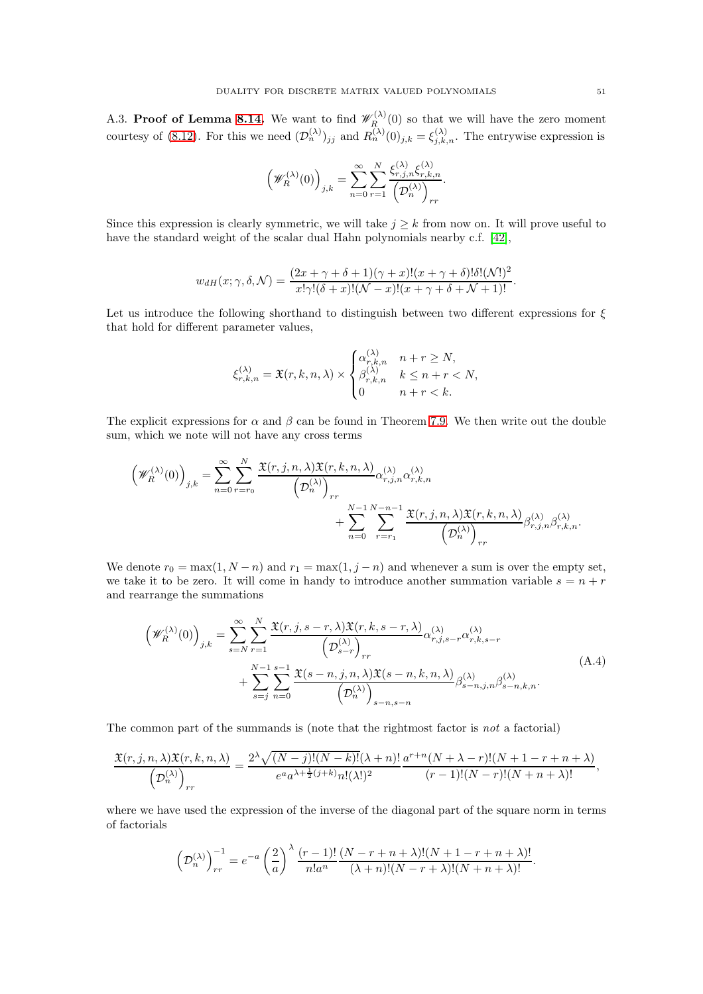<span id="page-50-0"></span>A.3. Proof of Lemma [8.14.](#page-43-1) We want to find  $\mathscr{W}_R^{(\lambda)}$  $R_{R_{\alpha}}^{(\lambda)}(0)$  so that we will have the zero moment courtesy of [\(8.12\)](#page-43-0). For this we need  $(\mathcal{D}_n^{(\lambda)})_{jj}$  and  $R_n^{(\lambda)}(0)_{j,k} = \xi_{j,k,n}^{(\lambda)}$ . The entrywise expression is

$$
\left(\mathscr{W}_{R}^{(\lambda)}(0)\right)_{j,k}=\sum_{n=0}^{\infty}\sum_{r=1}^{N}\frac{\xi_{r,j,n}^{(\lambda)}\xi_{r,k,n}^{(\lambda)}}{\left(\mathcal{D}_{n}^{(\lambda)}\right)_{rr}}.
$$

Since this expression is clearly symmetric, we will take  $j \geq k$  from now on. It will prove useful to have the standard weight of the scalar dual Hahn polynomials nearby c.f. [\[42\]](#page-53-0),

$$
w_{dH}(x; \gamma, \delta, \mathcal{N}) = \frac{(2x + \gamma + \delta + 1)(\gamma + x)!(x + \gamma + \delta)!\delta!(\mathcal{N}!)^2}{x!\gamma!(\delta + x)!(\mathcal{N} - x)!(x + \gamma + \delta + \mathcal{N} + 1)!}.
$$

Let us introduce the following shorthand to distinguish between two different expressions for  $\xi$ that hold for different parameter values,

$$
\xi_{r,k,n}^{(\lambda)} = \mathfrak{X}(r,k,n,\lambda) \times \begin{cases} \alpha_{r,k,n}^{(\lambda)} & n+r \geq N, \\ \beta_{r,k,n}^{(\lambda)} & k \leq n+r < N, \\ 0 & n+r < k. \end{cases}
$$

The explicit expressions for  $\alpha$  and  $\beta$  can be found in Theorem [7.9.](#page-38-4) We then write out the double sum, which we note will not have any cross terms

$$
\left(\mathscr{W}_{R}^{(\lambda)}(0)\right)_{j,k} = \sum_{n=0}^{\infty} \sum_{r=r_0}^{N} \frac{\mathfrak{X}(r,j,n,\lambda)\mathfrak{X}(r,k,n,\lambda)}{\left(\mathcal{D}_{n}^{(\lambda)}\right)_{rr}} \alpha_{r,j,n}^{(\lambda)} \alpha_{r,k,n}^{(\lambda)}
$$

$$
+ \sum_{n=0}^{N-1} \sum_{r=r_1}^{N-n-1} \frac{\mathfrak{X}(r,j,n,\lambda)\mathfrak{X}(r,k,n,\lambda)}{\left(\mathcal{D}_{n}^{(\lambda)}\right)_{rr}} \beta_{r,j,n}^{(\lambda)} \beta_{r,k,n}^{(\lambda)}.
$$

We denote  $r_0 = \max(1, N - n)$  and  $r_1 = \max(1, j - n)$  and whenever a sum is over the empty set, we take it to be zero. It will come in handy to introduce another summation variable  $s = n + r$ and rearrange the summations

<span id="page-50-1"></span>
$$
\left(\mathscr{W}_{R}^{(\lambda)}(0)\right)_{j,k} = \sum_{s=N}^{\infty} \sum_{r=1}^{N} \frac{\mathfrak{X}(r,j,s-r,\lambda)\mathfrak{X}(r,k,s-r,\lambda)}{\left(\mathcal{D}_{s-r}^{(\lambda)}\right)_{rr}} \alpha_{r,j,s-r}^{(\lambda)} \alpha_{r,k,s-r}^{(\lambda)} + \sum_{s=j}^{N-1} \sum_{n=0}^{s-1} \frac{\mathfrak{X}(s-n,j,n,\lambda)\mathfrak{X}(s-n,k,n,\lambda)}{\left(\mathcal{D}_{n}^{(\lambda)}\right)_{s-n,s-n}} \beta_{s-n,j,n}^{(\lambda)} \beta_{s-n,k,n}^{(\lambda)}.
$$
\n(A.4)

The common part of the summands is (note that the rightmost factor is not a factorial)

$$
\frac{\mathfrak{X}(r,j,n,\lambda)\mathfrak{X}(r,k,n,\lambda)}{\left(\mathcal{D}_n^{(\lambda)}\right)_{rr}}=\frac{2^{\lambda}\sqrt{(N-j)!(N-k)!(\lambda+n)!}}{e^a a^{\lambda+\frac{1}{2}(j+k)}n!(\lambda!)^2}\frac{a^{r+n}(N+\lambda-r)!(N+1-r+n+\lambda)}{(r-1)!(N-r)!(N+n+\lambda)!},
$$

where we have used the expression of the inverse of the diagonal part of the square norm in terms of factorials

$$
\left(\mathcal{D}_n^{(\lambda)}\right)_{rr}^{-1} = e^{-a} \left(\frac{2}{a}\right)^{\lambda} \frac{(r-1)!}{n!a^n} \frac{(N-r+n+\lambda)!(N+1-r+n+\lambda)!}{(\lambda+n)!(N-r+\lambda)!(N+n+\lambda)!}.
$$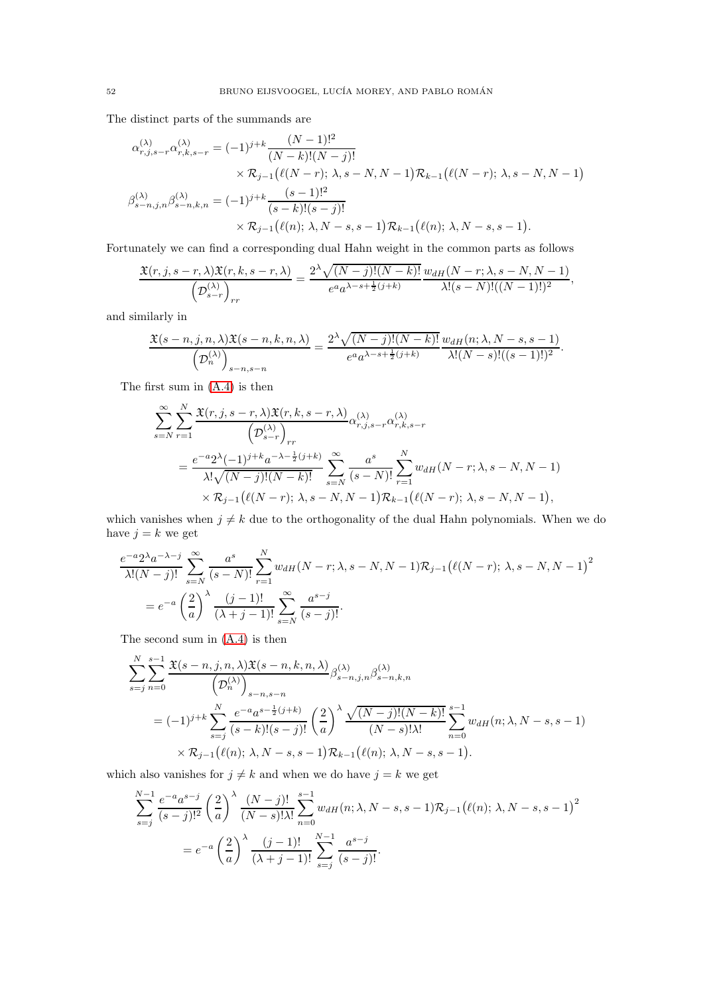The distinct parts of the summands are

$$
\alpha_{r,j,s-r}^{(\lambda)} \alpha_{r,k,s-r}^{(\lambda)} = (-1)^{j+k} \frac{(N-1)!^2}{(N-k)!(N-j)!} \times \mathcal{R}_{j-1} (\ell(N-r); \lambda, s-N, N-1) \mathcal{R}_{k-1} (\ell(N-r); \lambda, s-N, N-1) \n\beta_{s-n,j,n}^{(\lambda)} \beta_{s-n,k,n}^{(\lambda)} = (-1)^{j+k} \frac{(s-1)!^2}{(s-k)!(s-j)!} \times \mathcal{R}_{j-1} (\ell(n); \lambda, N-s, s-1) \mathcal{R}_{k-1} (\ell(n); \lambda, N-s, s-1).
$$

Fortunately we can find a corresponding dual Hahn weight in the common parts as follows

$$
\frac{\mathfrak{X}(r,j,s-r,\lambda)\mathfrak{X}(r,k,s-r,\lambda)}{\left(\mathcal{D}_{s-r}^{(\lambda)}\right)_{rr}}=\frac{2^{\lambda}\sqrt{(N-j)!(N-k)!}}{e^{a}a^{\lambda-s+\frac{1}{2}(j+k)}}\frac{w_{dH}(N-r;\lambda,s-N,N-1)}{\lambda!(s-N)!((N-1)!)^{2}},
$$

and similarly in

$$
\frac{\mathfrak{X}(s-n,j,n,\lambda)\mathfrak{X}(s-n,k,n,\lambda)}{\left(\mathcal{D}_n^{(\lambda)}\right)_{s-n,s-n}}=\frac{2^{\lambda}\sqrt{(N-j)!(N-k)!}}{e^a a^{\lambda-s+\frac{1}{2}(j+k)}}\frac{w_{dH}(n;\lambda,N-s,s-1)}{\lambda!(N-s)!((s-1)!)^2}.
$$

The first sum in [\(A.4\)](#page-50-1) is then

N

$$
\sum_{s=N}^{\infty} \sum_{r=1}^{N} \frac{\mathfrak{X}(r, j, s-r, \lambda) \mathfrak{X}(r, k, s-r, \lambda)}{\left(\mathcal{D}_{s-r}^{(\lambda)}\right)_{rr}} \alpha_{r, j, s-r}^{(\lambda)} \alpha_{r, k, s-r}^{(\lambda)}
$$
\n
$$
= \frac{e^{-a} 2^{\lambda} (-1)^{j+k} a^{-\lambda - \frac{1}{2}(j+k)}}{\lambda! \sqrt{(N-j)!(N-k)!}} \sum_{s=N}^{\infty} \frac{a^s}{(s-N)!} \sum_{r=1}^{N} w_{dH}(N-r; \lambda, s-N, N-1)
$$
\n
$$
\times \mathcal{R}_{j-1}\left(\ell(N-r); \lambda, s-N, N-1\right) \mathcal{R}_{k-1}\left(\ell(N-r); \lambda, s-N, N-1\right),
$$

which vanishes when  $j \neq k$  due to the orthogonality of the dual Hahn polynomials. When we do have  $j = k$  we get

$$
\frac{e^{-a}2^{\lambda}a^{-\lambda-j}}{\lambda!(N-j)!} \sum_{s=N}^{\infty} \frac{a^s}{(s-N)!} \sum_{r=1}^N w_{dH}(N-r; \lambda, s-N, N-1) \mathcal{R}_{j-1} (\ell(N-r); \lambda, s-N, N-1)^2
$$
  
=  $e^{-a} \left(\frac{2}{a}\right)^{\lambda} \frac{(j-1)!}{(\lambda+j-1)!} \sum_{s=N}^{\infty} \frac{a^{s-j}}{(s-j)!}.$ 

The second sum in [\(A.4\)](#page-50-1) is then

$$
\sum_{s=j}^{N} \sum_{n=0}^{s-1} \frac{\mathfrak{X}(s-n,j,n,\lambda)\mathfrak{X}(s-n,k,n,\lambda)}{\left(\mathcal{D}_n^{(\lambda)}\right)_{s-n,s-n}} \beta_{s-n,j,n}^{(\lambda)} \beta_{s-n,k,n}^{(\lambda)}
$$
  
=  $(-1)^{j+k} \sum_{s=j}^{N} \frac{e^{-a}a^{s-\frac{1}{2}(j+k)}}{(s-k)!(s-j)!} \left(\frac{2}{a}\right)^{\lambda} \frac{\sqrt{(N-j)!(N-k)!}}{(N-s)!\lambda!} \sum_{n=0}^{s-1} w_{dH}(n;\lambda,N-s,s-1)$   
 $\times \mathcal{R}_{j-1}(\ell(n);\lambda,N-s,s-1)\mathcal{R}_{k-1}(\ell(n);\lambda,N-s,s-1).$ 

which also vanishes for  $j \neq k$  and when we do have  $j = k$  we get

$$
\sum_{s=j}^{N-1} \frac{e^{-a} a^{s-j}}{(s-j)!^2} \left(\frac{2}{a}\right)^{\lambda} \frac{(N-j)!}{(N-s)! \lambda!} \sum_{n=0}^{s-1} w_{dH}(n; \lambda, N-s, s-1) \mathcal{R}_{j-1}(\ell(n); \lambda, N-s, s-1)^2
$$
  
= 
$$
e^{-a} \left(\frac{2}{a}\right)^{\lambda} \frac{(j-1)!}{(\lambda+j-1)!} \sum_{s=j}^{N-1} \frac{a^{s-j}}{(s-j)!}.
$$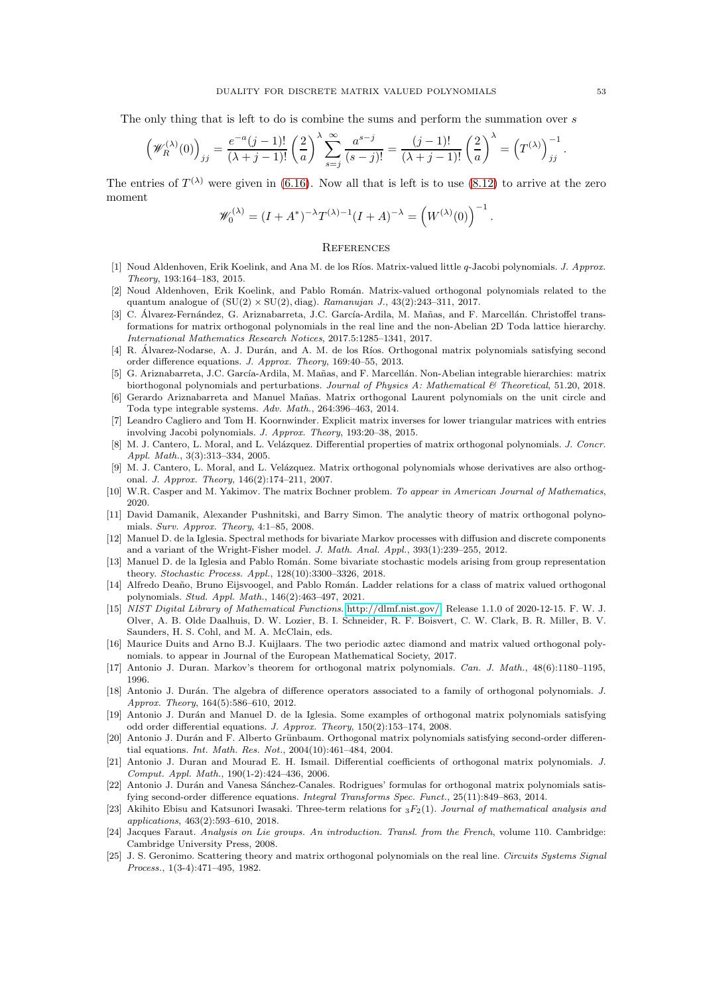The only thing that is left to do is combine the sums and perform the summation over s

$$
\left(\mathscr{W}_{R}^{(\lambda)}(0)\right)_{jj} = \frac{e^{-a}(j-1)!}{(\lambda+j-1)!} \left(\frac{2}{a}\right)^{\lambda} \sum_{s=j}^{\infty} \frac{a^{s-j}}{(s-j)!} = \frac{(j-1)!}{(\lambda+j-1)!} \left(\frac{2}{a}\right)^{\lambda} = \left(T^{(\lambda)}\right)_{jj}^{-1}.
$$

The entries of  $T^{(\lambda)}$  were given in [\(6.16\)](#page-32-0). Now all that is left is to use [\(8.12\)](#page-43-0) to arrive at the zero moment

$$
\mathscr{W}_0^{(\lambda)} = (I + A^*)^{-\lambda} T^{(\lambda)-1} (I + A)^{-\lambda} = \left( W^{(\lambda)}(0) \right)^{-1}.
$$

#### **REFERENCES**

- <span id="page-52-14"></span>[1] Noud Aldenhoven, Erik Koelink, and Ana M. de los Ríos. Matrix-valued little q-Jacobi polynomials. *J. Approx. Theory*, 193:164–183, 2015.
- <span id="page-52-15"></span>[2] Noud Aldenhoven, Erik Koelink, and Pablo Román. Matrix-valued orthogonal polynomials related to the quantum analogue of  $(SU(2) \times SU(2), diag)$ . *Ramanujan J.*, 43(2):243-311, 2017.
- <span id="page-52-3"></span>[3] C. Álvarez-Fernández, G. Ariznabarreta, J.C. García-Ardila, M. Mañas, and F. Marcellán. Christoffel transformations for matrix orthogonal polynomials in the real line and the non-Abelian 2D Toda lattice hierarchy. *International Mathematics Research Notices*, 2017.5:1285–1341, 2017.
- <span id="page-52-13"></span>[4] R. Alvarez-Nodarse, A. J. Durán, and A. M. de los Ríos. Orthogonal matrix polynomials satisfying second order difference equations. *J. Approx. Theory*, 169:40–55, 2013.
- <span id="page-52-4"></span>[5] G. Ariznabarreta, J.C. García-Ardila, M. Mañas, and F. Marcellán. Non-Abelian integrable hierarchies: matrix biorthogonal polynomials and perturbations. *Journal of Physics A: Mathematical & Theoretical*, 51.20, 2018.
- <span id="page-52-5"></span>[6] Gerardo Ariznabarreta and Manuel Mañas. Matrix orthogonal Laurent polynomials on the unit circle and Toda type integrable systems. *Adv. Math.*, 264:396–463, 2014.
- <span id="page-52-22"></span>[7] Leandro Cagliero and Tom H. Koornwinder. Explicit matrix inverses for lower triangular matrices with entries involving Jacobi polynomials. *J. Approx. Theory*, 193:20–38, 2015.
- <span id="page-52-17"></span>[8] M. J. Cantero, L. Moral, and L. Velázquez. Differential properties of matrix orthogonal polynomials. *J. Concr. Appl. Math.*, 3(3):313–334, 2005.
- <span id="page-52-10"></span>[9] M. J. Cantero, L. Moral, and L. Velázquez. Matrix orthogonal polynomials whose derivatives are also orthogonal. *J. Approx. Theory*, 146(2):174–211, 2007.
- <span id="page-52-18"></span><span id="page-52-16"></span>[10] W.R. Casper and M. Yakimov. The matrix Bochner problem. *To appear in American Journal of Mathematics*, 2020.
- [11] David Damanik, Alexander Pushnitski, and Barry Simon. The analytic theory of matrix orthogonal polynomials. *Surv. Approx. Theory*, 4:1–85, 2008.
- <span id="page-52-6"></span>[12] Manuel D. de la Iglesia. Spectral methods for bivariate Markov processes with diffusion and discrete components and a variant of the Wright-Fisher model. *J. Math. Anal. Appl.*, 393(1):239–255, 2012.
- <span id="page-52-7"></span>[13] Manuel D. de la Iglesia and Pablo Román. Some bivariate stochastic models arising from group representation theory. *Stochastic Process. Appl.*, 128(10):3300–3326, 2018.
- <span id="page-52-19"></span>[14] Alfredo Deaño, Bruno Eijsvoogel, and Pablo Román. Ladder relations for a class of matrix valued orthogonal polynomials. *Stud. Appl. Math.*, 146(2):463–497, 2021.
- <span id="page-52-0"></span>[15] *NIST Digital Library of Mathematical Functions*. [http://dlmf.nist.gov/,](http://dlmf.nist.gov/) Release 1.1.0 of 2020-12-15. F. W. J. Olver, A. B. Olde Daalhuis, D. W. Lozier, B. I. Schneider, R. F. Boisvert, C. W. Clark, B. R. Miller, B. V. Saunders, H. S. Cohl, and M. A. McClain, eds.
- <span id="page-52-2"></span>[16] Maurice Duits and Arno B.J. Kuijlaars. The two periodic aztec diamond and matrix valued orthogonal polynomials. to appear in Journal of the European Mathematical Society, 2017.
- <span id="page-52-21"></span><span id="page-52-12"></span>[17] Antonio J. Duran. Markov's theorem for orthogonal matrix polynomials. *Can. J. Math.*, 48(6):1180–1195, 1996.
- [18] Antonio J. Durán. The algebra of difference operators associated to a family of orthogonal polynomials. *J. Approx. Theory*, 164(5):586–610, 2012.
- <span id="page-52-9"></span>[19] Antonio J. Durán and Manuel D. de la Iglesia. Some examples of orthogonal matrix polynomials satisfying odd order differential equations. *J. Approx. Theory*, 150(2):153–174, 2008.
- <span id="page-52-8"></span>[20] Antonio J. Durán and F. Alberto Grünbaum. Orthogonal matrix polynomials satisfying second-order differential equations. *Int. Math. Res. Not.*, 2004(10):461–484, 2004.
- <span id="page-52-11"></span>[21] Antonio J. Duran and Mourad E. H. Ismail. Differential coefficients of orthogonal matrix polynomials. *J. Comput. Appl. Math.*, 190(1-2):424–436, 2006.
- <span id="page-52-20"></span>[22] Antonio J. Durán and Vanesa Sánchez-Canales. Rodrigues' formulas for orthogonal matrix polynomials satisfying second-order difference equations. *Integral Transforms Spec. Funct.*, 25(11):849–863, 2014.
- <span id="page-52-24"></span>[23] Akihito Ebisu and Katsunori Iwasaki. Three-term relations for 3F2(1). *Journal of mathematical analysis and applications*, 463(2):593–610, 2018.
- <span id="page-52-23"></span>[24] Jacques Faraut. *Analysis on Lie groups. An introduction. Transl. from the French*, volume 110. Cambridge: Cambridge University Press, 2008.
- <span id="page-52-1"></span>[25] J. S. Geronimo. Scattering theory and matrix orthogonal polynomials on the real line. *Circuits Systems Signal Process.*, 1(3-4):471–495, 1982.